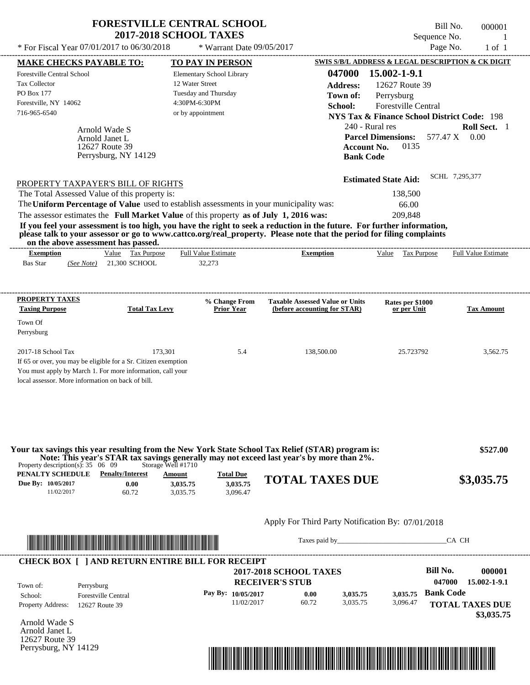| * For Fiscal Year 07/01/2017 to 06/30/2018                                                                                                                                                                                                                                         |                                    | <b>2017-2018 SCHOOL TAXES</b><br>* Warrant Date 09/05/2017                                                                                                                                                                                                                                                                                                                                                                                                                   |                                        | Sequence No.                                           | $\overline{1}$<br>Page No.<br>$1$ of $1$ |
|------------------------------------------------------------------------------------------------------------------------------------------------------------------------------------------------------------------------------------------------------------------------------------|------------------------------------|------------------------------------------------------------------------------------------------------------------------------------------------------------------------------------------------------------------------------------------------------------------------------------------------------------------------------------------------------------------------------------------------------------------------------------------------------------------------------|----------------------------------------|--------------------------------------------------------|------------------------------------------|
| <b>MAKE CHECKS PAYABLE TO:</b>                                                                                                                                                                                                                                                     |                                    | <b>TO PAY IN PERSON</b>                                                                                                                                                                                                                                                                                                                                                                                                                                                      |                                        | SWIS S/B/L ADDRESS & LEGAL DESCRIPTION & CK DIGIT      |                                          |
| <b>Forestville Central School</b>                                                                                                                                                                                                                                                  |                                    | Elementary School Library                                                                                                                                                                                                                                                                                                                                                                                                                                                    | 047000                                 | 15.002-1-9.1                                           |                                          |
| <b>Tax Collector</b>                                                                                                                                                                                                                                                               |                                    | 12 Water Street                                                                                                                                                                                                                                                                                                                                                                                                                                                              | <b>Address:</b>                        | 12627 Route 39                                         |                                          |
| PO Box 177                                                                                                                                                                                                                                                                         |                                    | Tuesday and Thursday                                                                                                                                                                                                                                                                                                                                                                                                                                                         | Town of:                               | Perrysburg                                             |                                          |
| Forestville, NY 14062                                                                                                                                                                                                                                                              |                                    | 4:30PM-6:30PM                                                                                                                                                                                                                                                                                                                                                                                                                                                                | School:                                | <b>Forestville Central</b>                             |                                          |
| 716-965-6540                                                                                                                                                                                                                                                                       |                                    | or by appointment                                                                                                                                                                                                                                                                                                                                                                                                                                                            |                                        | <b>NYS Tax &amp; Finance School District Code: 198</b> |                                          |
|                                                                                                                                                                                                                                                                                    |                                    |                                                                                                                                                                                                                                                                                                                                                                                                                                                                              |                                        | 240 - Rural res                                        | Roll Sect. 1                             |
| Arnold Wade S<br>Arnold Janet L                                                                                                                                                                                                                                                    |                                    |                                                                                                                                                                                                                                                                                                                                                                                                                                                                              |                                        | <b>Parcel Dimensions:</b><br>577.47 X                  | 0.00                                     |
| 12627 Route 39                                                                                                                                                                                                                                                                     |                                    |                                                                                                                                                                                                                                                                                                                                                                                                                                                                              | <b>Account No.</b>                     | 0135                                                   |                                          |
|                                                                                                                                                                                                                                                                                    | Perrysburg, NY 14129               |                                                                                                                                                                                                                                                                                                                                                                                                                                                                              | <b>Bank Code</b>                       |                                                        |                                          |
|                                                                                                                                                                                                                                                                                    |                                    |                                                                                                                                                                                                                                                                                                                                                                                                                                                                              |                                        | <b>Estimated State Aid:</b>                            | SCHL 7,295,377                           |
| PROPERTY TAXPAYER'S BILL OF RIGHTS<br>The Total Assessed Value of this property is:<br>on the above assessment has passed.<br><b>Exemption</b><br><b>Bas Star</b><br>(See Note)                                                                                                    | Value Tax Purpose<br>21,300 SCHOOL | The Uniform Percentage of Value used to establish assessments in your municipality was:<br>The assessor estimates the Full Market Value of this property as of July 1, 2016 was:<br>If you feel your assessment is too high, you have the right to seek a reduction in the future. For further information,<br>please talk to your assessor or go to www.cattco.org/real_property. Please note that the period for filing complaints<br><b>Full Value Estimate</b><br>32,273 | <b>Exemption</b>                       | 138,500<br>66.00<br>209.848<br>Value<br>Tax Purpose    | <b>Full Value Estimate</b>               |
|                                                                                                                                                                                                                                                                                    |                                    | <b>% Change From</b>                                                                                                                                                                                                                                                                                                                                                                                                                                                         | <b>Taxable Assessed Value or Units</b> | Rates per \$1000                                       |                                          |
|                                                                                                                                                                                                                                                                                    | <b>Total Tax Levy</b>              | <b>Prior Year</b>                                                                                                                                                                                                                                                                                                                                                                                                                                                            | (before accounting for STAR)           | or per Unit                                            | <b>Tax Amount</b>                        |
|                                                                                                                                                                                                                                                                                    |                                    |                                                                                                                                                                                                                                                                                                                                                                                                                                                                              |                                        |                                                        |                                          |
|                                                                                                                                                                                                                                                                                    |                                    |                                                                                                                                                                                                                                                                                                                                                                                                                                                                              |                                        |                                                        |                                          |
|                                                                                                                                                                                                                                                                                    | 173,301                            | 5.4                                                                                                                                                                                                                                                                                                                                                                                                                                                                          | 138,500.00                             | 25.723792                                              | 3,562.75                                 |
|                                                                                                                                                                                                                                                                                    |                                    |                                                                                                                                                                                                                                                                                                                                                                                                                                                                              |                                        |                                                        |                                          |
| <b>PROPERTY TAXES</b><br><b>Taxing Purpose</b><br>Town Of<br>Perrysburg<br>2017-18 School Tax<br>If 65 or over, you may be eligible for a Sr. Citizen exemption<br>You must apply by March 1. For more information, call your<br>local assessor. More information on back of bill. |                                    |                                                                                                                                                                                                                                                                                                                                                                                                                                                                              |                                        |                                                        |                                          |

| Property description(s): $35 \quad 06 \quad 09$ |                         | Storage Well #1710 |                  | Your tax savings this year resulting from the New York State School Tax Relief (STAR) program is:<br>Note: This year's STAR tax savings generally may not exceed last year's by more than 2%. | \$527.00   |
|-------------------------------------------------|-------------------------|--------------------|------------------|-----------------------------------------------------------------------------------------------------------------------------------------------------------------------------------------------|------------|
| PENALTY SCHEDULE                                | <b>Penalty/Interest</b> | <u>Amount</u>      | <b>Total Due</b> |                                                                                                                                                                                               |            |
| Due By: 10/05/2017                              | 0.00                    | 3.035.75           | 3,035.75         | <b>TOTAL TAXES DUE</b>                                                                                                                                                                        | \$3,035.75 |
| 11/02/2017                                      | 60.72                   | 3.035.75           | 3.096.47         |                                                                                                                                                                                               |            |



Taxes paid by\_\_\_\_\_\_\_\_\_\_\_\_\_\_\_\_\_\_\_\_\_\_\_\_\_\_\_\_\_\_\_CA CH

| Town of:                 | Perrysburg                 | <b>2017-2018 SCHOOL TAXES</b><br><b>RECEIVER'S STUB</b> |       |          |          | Bill No.<br>047000 | 000001<br>15.002-1-9.1 |
|--------------------------|----------------------------|---------------------------------------------------------|-------|----------|----------|--------------------|------------------------|
| School:                  | <b>Forestville Central</b> | Pay By: $10/05/2017$                                    | 0.00  | 3.035.75 | 3.035.75 | <b>Bank Code</b>   |                        |
| <b>Property Address:</b> | 12627 Route 39             | 11/02/2017                                              | 60.72 | 3.035.75 | 3.096.47 |                    | <b>TOTAL TAXES DUE</b> |

Arnold Wade S Arnold Janet L 12627 Route 39 Perrysburg, NY 14129

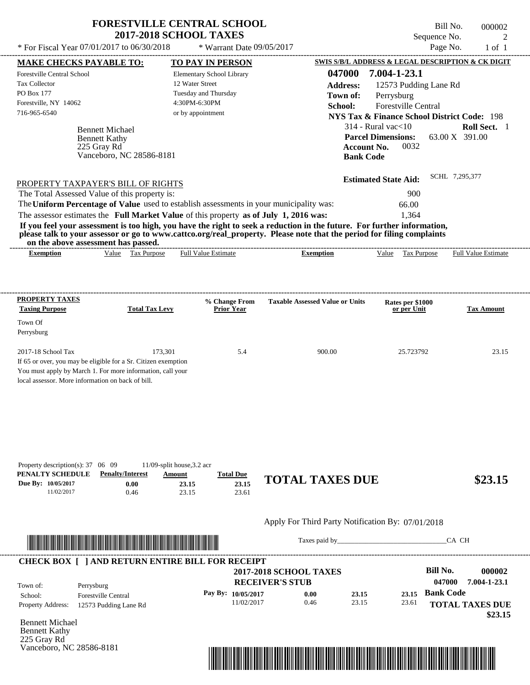|                                                                                                                                                                                                                                                                                         | <b>FORESTVILLE CENTRAL SCHOOL</b><br><b>2017-2018 SCHOOL TAXES</b> |                                        | Bill No.<br>Sequence No.                                                     | 000002<br>2                    |
|-----------------------------------------------------------------------------------------------------------------------------------------------------------------------------------------------------------------------------------------------------------------------------------------|--------------------------------------------------------------------|----------------------------------------|------------------------------------------------------------------------------|--------------------------------|
| * For Fiscal Year 07/01/2017 to 06/30/2018                                                                                                                                                                                                                                              | * Warrant Date $09/05/2017$                                        |                                        | Page No.                                                                     | $1$ of $1$                     |
| <b>MAKE CHECKS PAYABLE TO:</b>                                                                                                                                                                                                                                                          | <b>TO PAY IN PERSON</b>                                            |                                        | SWIS S/B/L ADDRESS & LEGAL DESCRIPTION & CK DIGIT                            |                                |
| Forestville Central School                                                                                                                                                                                                                                                              | Elementary School Library                                          | 047000                                 | 7.004-1-23.1                                                                 |                                |
| <b>Tax Collector</b>                                                                                                                                                                                                                                                                    | 12 Water Street                                                    | <b>Address:</b>                        | 12573 Pudding Lane Rd                                                        |                                |
| <b>PO Box 177</b>                                                                                                                                                                                                                                                                       | Tuesday and Thursday                                               | Town of:                               | Perrysburg                                                                   |                                |
| Forestville, NY 14062                                                                                                                                                                                                                                                                   | 4:30PM-6:30PM                                                      | School:                                | <b>Forestville Central</b>                                                   |                                |
| 716-965-6540                                                                                                                                                                                                                                                                            | or by appointment                                                  |                                        | <b>NYS Tax &amp; Finance School District Code: 198</b>                       |                                |
| <b>Bennett Michael</b><br><b>Bennett Kathy</b><br>225 Gray Rd<br>Vanceboro, NC 28586-8181                                                                                                                                                                                               |                                                                    | <b>Bank Code</b>                       | $314$ - Rural vac $<$ 10<br><b>Parcel Dimensions:</b><br>0032<br>Account No. | Roll Sect. 1<br>63.00 X 391.00 |
| PROPERTY TAXPAYER'S BILL OF RIGHTS<br>The Total Assessed Value of this property is:                                                                                                                                                                                                     |                                                                    |                                        | <b>Estimated State Aid:</b><br>900                                           | SCHL 7,295,377                 |
| The Uniform Percentage of Value used to establish assessments in your municipality was:                                                                                                                                                                                                 |                                                                    |                                        | 66.00                                                                        |                                |
| The assessor estimates the Full Market Value of this property as of July 1, 2016 was:                                                                                                                                                                                                   |                                                                    |                                        | 1.364                                                                        |                                |
| If you feel your assessment is too high, you have the right to seek a reduction in the future. For further information,<br>please talk to your assessor or go to www.cattco.org/real_property. Please note that the period for filing complaints<br>on the above assessment has passed. |                                                                    |                                        |                                                                              |                                |
| Tax Purpose<br><b>Exemption</b><br>Value                                                                                                                                                                                                                                                | <b>Full Value Estimate</b>                                         | <b>Exemption</b>                       | Value<br>Tax Purpose                                                         | <b>Full Value Estimate</b>     |
|                                                                                                                                                                                                                                                                                         |                                                                    |                                        |                                                                              |                                |
| <b>PROPERTY TAXES</b>                                                                                                                                                                                                                                                                   | % Change From                                                      | <b>Taxable Assessed Value or Units</b> | Rates per \$1000                                                             |                                |
| <b>Taxing Purpose</b><br><b>Total Tax Levy</b>                                                                                                                                                                                                                                          | <b>Prior Year</b>                                                  |                                        | or per Unit                                                                  | <b>Tax Amount</b>              |
| Town Of                                                                                                                                                                                                                                                                                 |                                                                    |                                        |                                                                              |                                |

| Perrysburg                                                     |         |     |        |           |       |
|----------------------------------------------------------------|---------|-----|--------|-----------|-------|
|                                                                |         |     |        |           |       |
| 2017-18 School Tax                                             | 173.301 | 5.4 | 900.00 | 25.723792 | 23.15 |
| If 65 or over, you may be eligible for a Sr. Citizen exemption |         |     |        |           |       |
| You must apply by March 1. For more information, call your     |         |     |        |           |       |
| local assessor. More information on back of bill.              |         |     |        |           |       |

| Property description(s): $37 \quad 06 \quad 09$ |                         | $11/09$ -split house, 3.2 acr |                  |                        |         |
|-------------------------------------------------|-------------------------|-------------------------------|------------------|------------------------|---------|
| PENALTY SCHEDULE                                | <b>Penalty/Interest</b> | Amount                        | <b>Total Due</b> |                        |         |
| Due By: 10/05/2017                              | $0.00\,$                | 23.15                         | 23.15            | <b>TOTAL TAXES DUE</b> | \$23.15 |
| 11/02/2017                                      | 0.46                    | 23.15                         | 23.61            |                        |         |



Taxes paid by\_\_\_\_\_\_\_\_\_\_\_\_\_\_\_\_\_\_\_\_\_\_\_\_\_\_\_\_\_\_\_CA CH

| Town of:                 | Perrysburg                 | <b>2017-2018 SCHOOL TAXES</b><br><b>RECEIVER'S STUB</b> |      |       |       | Bill No.<br>047000 | 000002<br>7.004-1-23.1 |
|--------------------------|----------------------------|---------------------------------------------------------|------|-------|-------|--------------------|------------------------|
| School:                  | <b>Forestville Central</b> | Pay By: $10/05/2017$                                    | 0.00 | 23.15 | 23.15 | <b>Bank Code</b>   |                        |
| <b>Property Address:</b> | 12573 Pudding Lane Rd      | 11/02/2017                                              | 0.46 | 23.15 | 23.61 |                    | <b>TOTAL TAXES DUE</b> |

Bennett Michael Bennett Kathy 225 Gray Rd Vanceboro, NC 28586-8181

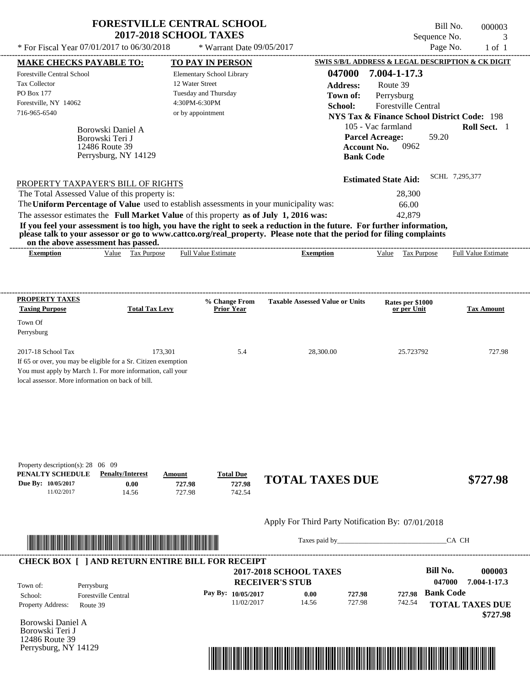|                                                                                                                            |                                                                                | <b>FORESTVILLE CENTRAL SCHOOL</b><br><b>2017-2018 SCHOOL TAXES</b><br>* For Fiscal Year 07/01/2017 to 06/30/2018 * Warrant Date 09/05/2017                                       |                                                                                                                                                                                                                                                  | Sequence No.<br>Page No.                                                                                                                                                                   | Bill No.<br>000003<br>$1$ of $1$ |
|----------------------------------------------------------------------------------------------------------------------------|--------------------------------------------------------------------------------|----------------------------------------------------------------------------------------------------------------------------------------------------------------------------------|--------------------------------------------------------------------------------------------------------------------------------------------------------------------------------------------------------------------------------------------------|--------------------------------------------------------------------------------------------------------------------------------------------------------------------------------------------|----------------------------------|
| <b>MAKE CHECKS PAYABLE TO:</b><br><b>Forestville Central School</b><br><b>Tax Collector</b>                                |                                                                                | <b>TO PAY IN PERSON</b><br><b>Elementary School Library</b><br>12 Water Street                                                                                                   | 047000                                                                                                                                                                                                                                           | SWIS S/B/L ADDRESS & LEGAL DESCRIPTION & CK DIGIT<br>7.004-1-17.3                                                                                                                          |                                  |
| <b>PO Box 177</b><br>Forestville, NY 14062<br>716-965-6540                                                                 | Borowski Daniel A<br>Borowski Teri J<br>12486 Route 39<br>Perrysburg, NY 14129 | Tuesday and Thursday<br>4:30PM-6:30PM<br>or by appointment                                                                                                                       | <b>Address:</b><br>Town of:<br>School:<br><b>Bank Code</b>                                                                                                                                                                                       | Route 39<br>Perrysburg<br><b>Forestville Central</b><br>NYS Tax & Finance School District Code: 198<br>105 - Vac farmland<br><b>Parcel Acreage:</b><br>59.20<br>0962<br><b>Account No.</b> | Roll Sect. 1                     |
| PROPERTY TAXPAYER'S BILL OF RIGHTS<br>The Total Assessed Value of this property is:<br>on the above assessment has passed. |                                                                                | The Uniform Percentage of Value used to establish assessments in your municipality was:<br>The assessor estimates the Full Market Value of this property as of July 1, 2016 was: | If you feel your assessment is too high, you have the right to seek a reduction in the future. For further information,<br>please talk to your assessor or go to www.cattco.org/real_property. Please note that the period for filing complaints | <b>Estimated State Aid:</b><br>28,300<br>66.00<br>42,879                                                                                                                                   | SCHL 7.295.377                   |
| <b>Exemption</b>                                                                                                           | Value Tax Purpose                                                              | <b>Full Value Estimate</b>                                                                                                                                                       | <b>Exemption</b>                                                                                                                                                                                                                                 | Value Tax Purpose                                                                                                                                                                          | <b>Full Value Estimate</b>       |
| PROPERTY TAXES<br><b>Taxing Purpose</b>                                                                                    | <b>Total Tax Levy</b>                                                          | % Change From<br><b>Prior Year</b>                                                                                                                                               | <b>Taxable Assessed Value or Units</b>                                                                                                                                                                                                           | Rates per \$1000<br>or per Unit                                                                                                                                                            | <b>Tax Amount</b>                |

| Property description(s): $28 \quad 06 \quad 09$ |                         |               |                  |                        |          |
|-------------------------------------------------|-------------------------|---------------|------------------|------------------------|----------|
| PENALTY SCHEDULE                                | <b>Penalty/Interest</b> | <u>Amount</u> | <b>Total Due</b> |                        |          |
| <b>Due By: 10/05/2017</b>                       | $0.00\,$                | 727.98        | 727.98           | <b>TOTAL TAXES DUE</b> | \$727.98 |

2017-18 School Tax 173,301 5.4 28,300.00 25.723792 727.98

742.54

# Apply For Third Party Notification By: 07/01/2018



727.98

If 65 or over, you may be eligible for a Sr. Citizen exemption You must apply by March 1. For more information, call your

local assessor. More information on back of bill.

Perrysburg

11/02/2017 14.56

Taxes paid by\_\_\_\_\_\_\_\_\_\_\_\_\_\_\_\_\_\_\_\_\_\_\_\_\_\_\_\_\_\_\_CA CH

| Town of:                 | Perrysburg                 | <b>RECEIVER'S STUB</b> | <b>2017-2018 SCHOOL TAXES</b> |        |        | Bill No.<br>047000 | 000003<br>7.004-1-17.3 |
|--------------------------|----------------------------|------------------------|-------------------------------|--------|--------|--------------------|------------------------|
| School:                  | <b>Forestville Central</b> | Pay By: $10/05/2017$   | 0.00                          | 727.98 | 727.98 | <b>Bank Code</b>   |                        |
| <b>Property Address:</b> | Route 39                   | 11/02/2017             | 14.56                         | 727.98 | 742.54 |                    | <b>TOTAL TAXES DUE</b> |
|                          |                            |                        |                               |        |        |                    | \$727.98               |

Borowski Daniel A Borowski Teri J 12486 Route 39 Perrysburg, NY 14129

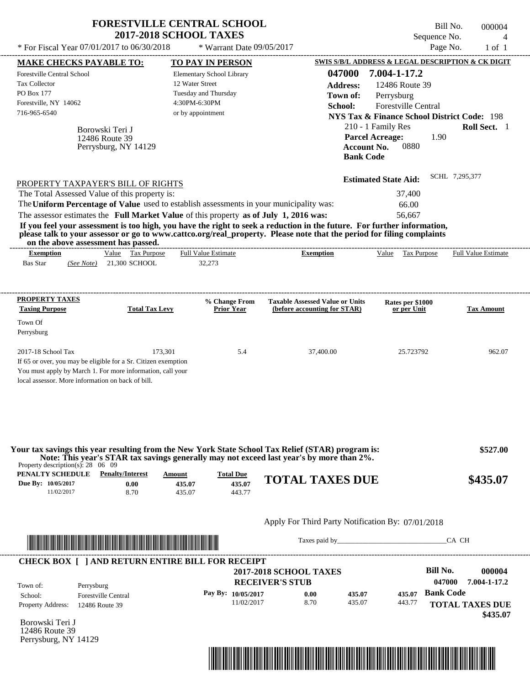| * For Fiscal Year 07/01/2017 to 06/30/2018                                                                                                                                                                                           |                                                           | <b>FORESTVILLE CENTRAL SCHOOL</b><br><b>2017-2018 SCHOOL TAXES</b><br>* Warrant Date 09/05/2017                                                                                  |                                                                                                                                                                                                                                                  | Bill No.<br>Sequence No.<br>Page No.                                                                                                                                                                                                               | 000004<br>$\overline{4}$<br>$1$ of $1$ |
|--------------------------------------------------------------------------------------------------------------------------------------------------------------------------------------------------------------------------------------|-----------------------------------------------------------|----------------------------------------------------------------------------------------------------------------------------------------------------------------------------------|--------------------------------------------------------------------------------------------------------------------------------------------------------------------------------------------------------------------------------------------------|----------------------------------------------------------------------------------------------------------------------------------------------------------------------------------------------------------------------------------------------------|----------------------------------------|
| <b>MAKE CHECKS PAYABLE TO:</b><br><b>Forestville Central School</b><br><b>Tax Collector</b><br>PO Box 177<br>Forestville, NY 14062<br>716-965-6540                                                                                   | Borowski Teri J<br>12486 Route 39<br>Perrysburg, NY 14129 | TO PAY IN PERSON<br>Elementary School Library<br>12 Water Street<br>Tuesday and Thursday<br>4:30PM-6:30PM<br>or by appointment                                                   | 047000<br><b>Address:</b><br>Town of:<br>School:<br><b>Account No.</b><br><b>Bank Code</b>                                                                                                                                                       | SWIS S/B/L ADDRESS & LEGAL DESCRIPTION & CK DIGIT<br>7.004-1-17.2<br>12486 Route 39<br>Perrysburg<br>Forestville Central<br><b>NYS Tax &amp; Finance School District Code: 198</b><br>210 - 1 Family Res<br><b>Parcel Acreage:</b><br>1.90<br>0880 | Roll Sect. 1                           |
| PROPERTY TAXPAYER'S BILL OF RIGHTS<br>The Total Assessed Value of this property is:<br>on the above assessment has passed.                                                                                                           |                                                           | The Uniform Percentage of Value used to establish assessments in your municipality was:<br>The assessor estimates the Full Market Value of this property as of July 1, 2016 was: | If you feel your assessment is too high, you have the right to seek a reduction in the future. For further information,<br>please talk to your assessor or go to www.cattco.org/real_property. Please note that the period for filing complaints | <b>Estimated State Aid:</b><br>37,400<br>66.00<br>56,667                                                                                                                                                                                           | SCHL 7,295,377                         |
| <b>Exemption</b><br><b>Bas Star</b>                                                                                                                                                                                                  | Value Tax Purpose<br>(See Note) 21,300 SCHOOL             | <b>Full Value Estimate</b><br>32,273                                                                                                                                             | <b>Exemption</b>                                                                                                                                                                                                                                 | Value Tax Purpose                                                                                                                                                                                                                                  | Full Value Estimate                    |
| PROPERTY TAXES<br><b>Taxing Purpose</b><br>Town Of<br>Perrysburg                                                                                                                                                                     | <b>Total Tax Levy</b>                                     | % Change From<br><b>Prior Year</b>                                                                                                                                               | <b>Taxable Assessed Value or Units</b><br>(before accounting for STAR)                                                                                                                                                                           | Rates per \$1000<br>or per Unit                                                                                                                                                                                                                    | <b>Tax Amount</b>                      |
| 2017-18 School Tax<br>If 65 or over, you may be eligible for a Sr. Citizen exemption<br>You must apply by March 1. For more information, call your<br>local assessor. More information on back of bill.                              | 173,301                                                   | 5.4                                                                                                                                                                              | 37,400.00                                                                                                                                                                                                                                        | 25.723792                                                                                                                                                                                                                                          | 962.07                                 |
| Property description(s): $28 \quad 06 \quad 09$                                                                                                                                                                                      |                                                           |                                                                                                                                                                                  | Your tax savings this year resulting from the New York State School Tax Relief (STAR) program is:<br>Note: This year's STAR tax savings generally may not exceed last year's by more than 2%.                                                    |                                                                                                                                                                                                                                                    | \$527.00                               |
| <b>PENALTY SCHEDULE</b> Penalty/Interest<br>Due By: 10/05/2017<br>11/02/2017                                                                                                                                                         | 0.00<br>8.70                                              | Amount<br><b>Total Due</b><br>435.07<br>435.07<br>435.07<br>443.77                                                                                                               | <b>TOTAL TAXES DUE</b>                                                                                                                                                                                                                           |                                                                                                                                                                                                                                                    | \$435.07                               |
|                                                                                                                                                                                                                                      |                                                           |                                                                                                                                                                                  | Apply For Third Party Notification By: 07/01/2018                                                                                                                                                                                                |                                                                                                                                                                                                                                                    |                                        |
| <u> International Proposition (International Proposition International Proposition International Proposition International Proposition International Proposition International Proposition International Proposition Internation</u> |                                                           |                                                                                                                                                                                  |                                                                                                                                                                                                                                                  |                                                                                                                                                                                                                                                    | CA CH                                  |

| Town of:                 | Perrysburg                 | <b>2017-2018 SCHOOL TAXES</b><br><b>RECEIVER'S STUB</b> |      |        |        | Bill No.<br>047000 | 000004<br>7.004-1-17.2 |
|--------------------------|----------------------------|---------------------------------------------------------|------|--------|--------|--------------------|------------------------|
| School:                  | <b>Forestville Central</b> | Pay By: $10/05/2017$                                    | 0.00 | 435.07 | 435.07 | <b>Bank Code</b>   |                        |
| <b>Property Address:</b> | 12486 Route 39             | 11/02/2017                                              | 8.70 | 435.07 | 443.77 |                    | <b>TOTAL TAXES DUE</b> |

Borowski Teri J 12486 Route 39 Perrysburg, NY 14129

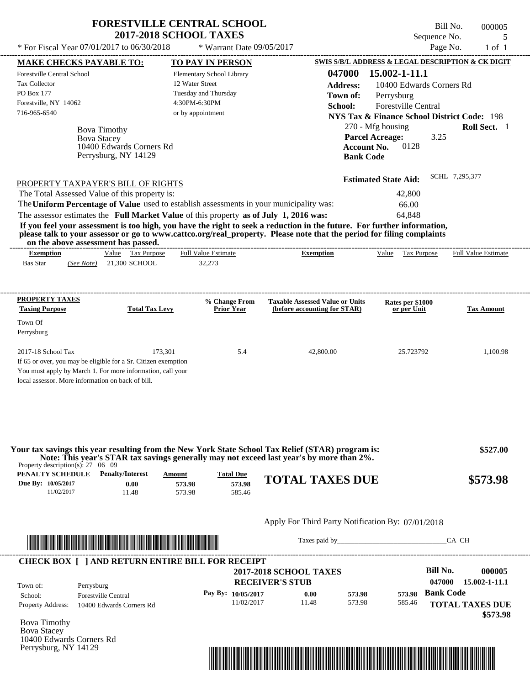| <b>FORESTVILLE CENTRAL SCHOOL</b> |
|-----------------------------------|
| <b>2017-2018 SCHOOL TAXES</b>     |

Forestville Central School

Tax Collector

\* Warrant Date 09/05/2017

Elementary School Library

12 Water Street

---------------------------------------------------------------------------------------------------------------------------------------------------------------------------------------------------- Bill No. 000005 Sequence No. 5 \* For Fiscal Year  $07/01/2017$  to  $06/30/2018$  \* Warrant Date  $09/05/2017$  Page No. 1 of 1 **MAKE CHECKS PAYABLE TO: TO PAY IN PERSON SWIS S/B/L ADDRESS & LEGAL DESCRIPTION & CK DIGIT 047000 15.002-1-11.1 Address:** 10400 Edwards Corners Rd Perrysburg 270 - Mfg housing **Roll Sect.** 1 3.25 **Account No.** 0128 **Bank Code Parcel Acreage:**

| PO Box 177<br>Forestville, NY 14062<br>716-965-6540                     | <b>Bova Timothy</b><br><b>Bova Stacey</b><br>10400 Edwards Corners Rd<br>Perrysburg, NY 14129                                                                                                                                                                           | Tuesday and Thursday<br>4:30PM-6:30PM<br>or by appointment | Town of:<br>School:<br><b>Bank Code</b>                                                                                                                                                                                                          | Perrysburg<br><b>Forestville Central</b><br><b>NYS Tax &amp; Finance School District Code: 198</b><br>270 - Mfg housing<br><b>Parcel Acreage:</b><br>3.25<br>0128<br><b>Account No.</b> | Roll Sect. 1               |
|-------------------------------------------------------------------------|-------------------------------------------------------------------------------------------------------------------------------------------------------------------------------------------------------------------------------------------------------------------------|------------------------------------------------------------|--------------------------------------------------------------------------------------------------------------------------------------------------------------------------------------------------------------------------------------------------|-----------------------------------------------------------------------------------------------------------------------------------------------------------------------------------------|----------------------------|
| on the above assessment has passed.                                     | PROPERTY TAXPAYER'S BILL OF RIGHTS<br>The Total Assessed Value of this property is:<br>The Uniform Percentage of Value used to establish assessments in your municipality was:<br>The assessor estimates the Full Market Value of this property as of July 1, 2016 was: |                                                            | If you feel your assessment is too high, you have the right to seek a reduction in the future. For further information,<br>please talk to your assessor or go to www.cattco.org/real_property. Please note that the period for filing complaints | <b>Estimated State Aid:</b><br>42,800<br>66.00<br>64,848                                                                                                                                | SCHL 7,295,377             |
| <b>Exemption</b><br><b>Bas Star</b><br>(See Note)                       | Tax Purpose<br>Value<br>21,300 SCHOOL                                                                                                                                                                                                                                   | <b>Full Value Estimate</b><br>32,273                       | <b>Exemption</b>                                                                                                                                                                                                                                 | Value<br>Tax Purpose                                                                                                                                                                    | <b>Full Value Estimate</b> |
| PROPERTY TAXES<br><b>Taxing Purpose</b><br>Town Of<br>Perrysburg        | <b>Total Tax Levy</b>                                                                                                                                                                                                                                                   | % Change From<br><b>Prior Year</b>                         | <b>Taxable Assessed Value or Units</b><br>(before accounting for STAR)                                                                                                                                                                           | Rates per \$1000<br>or per Unit                                                                                                                                                         | <b>Tax Amount</b>          |
| 2017-18 School Tax<br>local assessor. More information on back of bill. | 173.301<br>If 65 or over, you may be eligible for a Sr. Citizen exemption<br>You must apply by March 1. For more information, call your                                                                                                                                 | 5.4                                                        | 42,800.00                                                                                                                                                                                                                                        | 25.723792                                                                                                                                                                               | 1.100.98                   |
|                                                                         |                                                                                                                                                                                                                                                                         |                                                            |                                                                                                                                                                                                                                                  |                                                                                                                                                                                         |                            |

| PENALTY SCHEDULE   | <b>Penalty/Interest</b> | Amount | <b>Total Due</b><br>$\overline{\phantom{a}}$ | <b>TOTAL TAXES DUE</b> | \$573.98 |
|--------------------|-------------------------|--------|----------------------------------------------|------------------------|----------|
| Due By: 10/05/2017 | $0.00\,$                | 573.98 | 573.98                                       |                        |          |
| 1/02/2017          | 1.48                    | 573.98 | 585.46                                       |                        |          |

## Apply For Third Party Notification By: 07/01/2018



Taxes paid by\_\_\_\_\_\_\_\_\_\_\_\_\_\_\_\_\_\_\_\_\_\_\_\_\_\_\_\_\_\_\_CA CH

| Town of:                 | Perrysburg                 | <b>2017-2018 SCHOOL TAXES</b><br><b>RECEIVER'S STUB</b> |       |        |        | <b>Bill No.</b><br>047000 | 000005<br>15.002-1-11.1 |
|--------------------------|----------------------------|---------------------------------------------------------|-------|--------|--------|---------------------------|-------------------------|
| School:                  | <b>Forestville Central</b> | Pay By: $10/05/2017$                                    | 0.00  | 573.98 | 573.98 | <b>Bank Code</b>          |                         |
| <b>Property Address:</b> | 10400 Edwards Corners Rd   | 11/02/2017                                              | 11.48 | 573.98 | 585.46 |                           | <b>TOTAL TAXES DUE</b>  |

Bova Timothy Bova Stacey 10400 Edwards Corners Rd Perrysburg, NY 14129

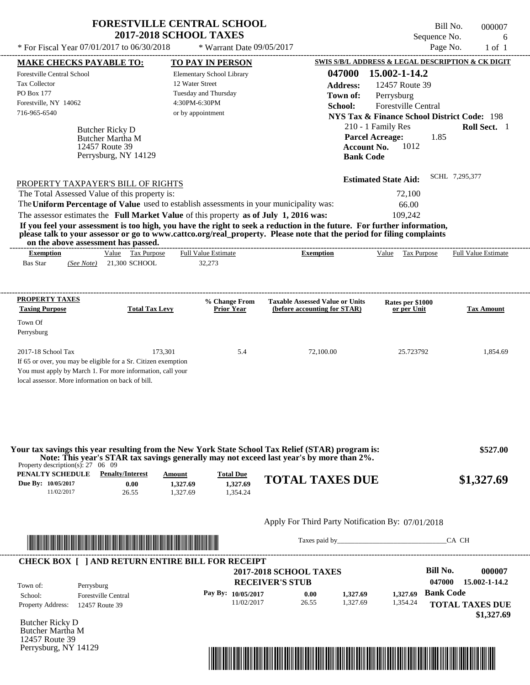|                                                                                                                         | <b>FORESTVILLE CENTRAL SCHOOL</b> |                                        |                                                        | Bill No.<br>000007         |
|-------------------------------------------------------------------------------------------------------------------------|-----------------------------------|----------------------------------------|--------------------------------------------------------|----------------------------|
|                                                                                                                         | <b>2017-2018 SCHOOL TAXES</b>     |                                        | Sequence No.                                           | 6                          |
| * For Fiscal Year 07/01/2017 to 06/30/2018                                                                              | * Warrant Date 09/05/2017         |                                        | Page No.                                               | $1$ of $1$                 |
| <b>MAKE CHECKS PAYABLE TO:</b>                                                                                          | <b>TO PAY IN PERSON</b>           |                                        | SWIS S/B/L ADDRESS & LEGAL DESCRIPTION & CK DIGIT      |                            |
| Forestville Central School                                                                                              | Elementary School Library         | 047000                                 | 15.002-1-14.2                                          |                            |
| <b>Tax Collector</b>                                                                                                    | 12 Water Street                   | Address:                               | 12457 Route 39                                         |                            |
| PO Box 177                                                                                                              | Tuesday and Thursday              | Town of:                               | Perrysburg                                             |                            |
| Forestville, NY 14062                                                                                                   | 4:30PM-6:30PM                     | School:                                | <b>Forestville Central</b>                             |                            |
| 716-965-6540                                                                                                            | or by appointment                 |                                        | <b>NYS Tax &amp; Finance School District Code: 198</b> |                            |
|                                                                                                                         |                                   |                                        | 210 - 1 Family Res                                     | Roll Sect. 1               |
| Butcher Ricky D                                                                                                         |                                   |                                        | <b>Parcel Acreage:</b><br>1.85                         |                            |
| Butcher Martha M<br>12457 Route 39                                                                                      |                                   |                                        | 1012<br><b>Account No.</b>                             |                            |
| Perrysburg, NY 14129                                                                                                    |                                   | <b>Bank Code</b>                       |                                                        |                            |
|                                                                                                                         |                                   |                                        |                                                        |                            |
| PROPERTY TAXPAYER'S BILL OF RIGHTS                                                                                      |                                   |                                        | <b>Estimated State Aid:</b>                            | SCHL 7.295.377             |
| The Total Assessed Value of this property is:                                                                           |                                   |                                        | 72,100                                                 |                            |
| The Uniform Percentage of Value used to establish assessments in your municipality was:                                 |                                   |                                        | 66.00                                                  |                            |
| The assessor estimates the Full Market Value of this property as of July 1, 2016 was:                                   |                                   |                                        | 109.242                                                |                            |
| If you feel your assessment is too high, you have the right to seek a reduction in the future. For further information, |                                   |                                        |                                                        |                            |
| please talk to your assessor or go to www.cattco.org/real_property. Please note that the period for filing complaints   |                                   |                                        |                                                        |                            |
| on the above assessment has passed.                                                                                     |                                   |                                        |                                                        |                            |
| Value Tax Purpose<br><b>Exemption</b>                                                                                   | <b>Full Value Estimate</b>        | <b>Exemption</b>                       | Value Tax Purpose                                      | <b>Full Value Estimate</b> |
| $(See Note)$ 21.300 SCHOOL<br><b>Bas Star</b>                                                                           | 32.273                            |                                        |                                                        |                            |
|                                                                                                                         |                                   |                                        |                                                        |                            |
|                                                                                                                         |                                   |                                        |                                                        |                            |
| PROPERTY TAXES                                                                                                          | % Change From                     | <b>Taxable Assessed Value or Units</b> |                                                        |                            |
| <b>Taxing Purpose</b><br><b>Total Tax Levy</b>                                                                          | <b>Prior Year</b>                 | (before accounting for STAR)           | Rates per \$1000<br>or per Unit                        | <b>Tax Amount</b>          |
| Town Of                                                                                                                 |                                   |                                        |                                                        |                            |
|                                                                                                                         |                                   |                                        |                                                        |                            |
| Perrysburg                                                                                                              |                                   |                                        |                                                        |                            |
| 173.301<br>2017-18 School Tax                                                                                           | 5.4                               | 72.100.00                              | 25.723792                                              | 1.854.69                   |

If 65 or over, you may be eligible for a Sr. Citizen exemption You must apply by March 1. For more information, call your

local assessor. More information on back of bill.

| Property description(s): $27 \quad 06 \quad 09$      |                                          |                                |                                          | Your tax savings this year resulting from the New York State School Tax Relief (STAR) program is:<br>Note: This year's STAR tax savings generally may not exceed last year's by more than 2%. | \$527.00   |
|------------------------------------------------------|------------------------------------------|--------------------------------|------------------------------------------|-----------------------------------------------------------------------------------------------------------------------------------------------------------------------------------------------|------------|
| PENALTY SCHEDULE<br>Due By: 10/05/2017<br>11/02/2017 | <b>Penalty/Interest</b><br>0.00<br>26.55 | Amount<br>1,327.69<br>1.327.69 | <b>Total Due</b><br>1,327.69<br>1.354.24 | <b>TOTAL TAXES DUE</b>                                                                                                                                                                        | \$1,327.69 |

## Apply For Third Party Notification By: 07/01/2018



Taxes paid by\_\_\_\_\_\_\_\_\_\_\_\_\_\_\_\_\_\_\_\_\_\_\_\_\_\_\_\_\_\_\_CA CH

| Town of:                 | Perrysburg                 | <b>2017-2018 SCHOOL TAXES</b><br><b>RECEIVER'S STUB</b> |       |          |          | Bill No.<br>047000 | 000007<br>15.002-1-14.2 |
|--------------------------|----------------------------|---------------------------------------------------------|-------|----------|----------|--------------------|-------------------------|
| School:                  | <b>Forestville Central</b> | Pay By: $10/05/2017$                                    | 0.00  | 1.327.69 | 1.327.69 | <b>Bank Code</b>   |                         |
| <b>Property Address:</b> | 12457 Route 39             | 11/02/2017                                              | 26.55 | 1.327.69 | 1,354.24 |                    | <b>TOTAL TAXES DUE</b>  |

Butcher Ricky D Butcher Martha M 12457 Route 39 Perrysburg, NY 14129

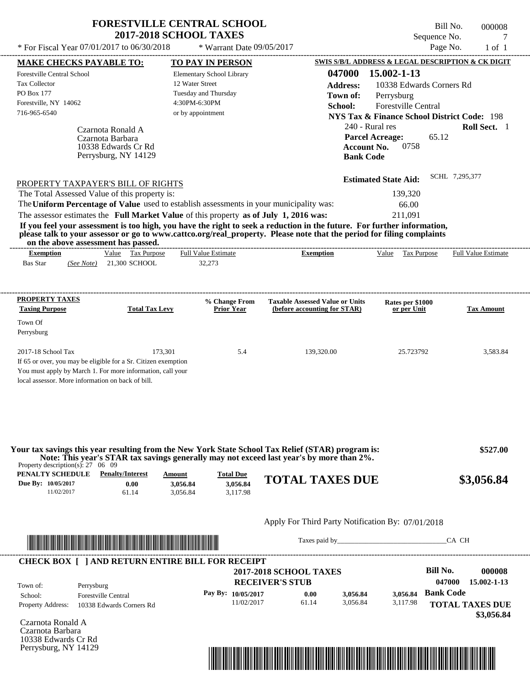| <b>FORESTVILLE CENTRAL SCHOOL</b> |  |
|-----------------------------------|--|
| <b>2017-2018 SCHOOL TAXES</b>     |  |

---------------------------------------------------------------------------------------------------------------------------------------------------------------------------------------------------- Bill No. 000008 Sequence No. 7  $*$  For Fiscal Year 07/01/2017 to 06/30/2018  $*$  Warrant Date 09/05/2017 Page No. 1 of 1

| <b>MAKE CHECKS PAYABLE TO:</b>                                                                                  |                                                                                                                       | <b>TO PAY IN PERSON</b>                                                                 |                                                                                                                                                                                               | SWIS S/B/L ADDRESS & LEGAL DESCRIPTION & CK DIGIT      |                            |
|-----------------------------------------------------------------------------------------------------------------|-----------------------------------------------------------------------------------------------------------------------|-----------------------------------------------------------------------------------------|-----------------------------------------------------------------------------------------------------------------------------------------------------------------------------------------------|--------------------------------------------------------|----------------------------|
| <b>Forestville Central School</b>                                                                               |                                                                                                                       | Elementary School Library                                                               | 047000                                                                                                                                                                                        | 15.002-1-13                                            |                            |
| Tax Collector                                                                                                   |                                                                                                                       | 12 Water Street                                                                         | <b>Address:</b>                                                                                                                                                                               | 10338 Edwards Corners Rd                               |                            |
| PO Box 177                                                                                                      |                                                                                                                       | Tuesday and Thursday                                                                    | Town of:                                                                                                                                                                                      | Perrysburg                                             |                            |
| Forestville, NY 14062                                                                                           |                                                                                                                       | 4:30PM-6:30PM                                                                           | School:                                                                                                                                                                                       | <b>Forestville Central</b>                             |                            |
| 716-965-6540                                                                                                    |                                                                                                                       | or by appointment                                                                       |                                                                                                                                                                                               | <b>NYS Tax &amp; Finance School District Code: 198</b> |                            |
|                                                                                                                 | Czarnota Ronald A                                                                                                     |                                                                                         |                                                                                                                                                                                               | 240 - Rural res                                        | Roll Sect. 1               |
|                                                                                                                 | Czarnota Barbara                                                                                                      |                                                                                         |                                                                                                                                                                                               | <b>Parcel Acreage:</b><br>65.12                        |                            |
|                                                                                                                 | 10338 Edwards Cr Rd                                                                                                   |                                                                                         | <b>Account No.</b>                                                                                                                                                                            | 0758                                                   |                            |
|                                                                                                                 | Perrysburg, NY 14129                                                                                                  |                                                                                         | <b>Bank Code</b>                                                                                                                                                                              |                                                        |                            |
|                                                                                                                 |                                                                                                                       |                                                                                         |                                                                                                                                                                                               |                                                        |                            |
|                                                                                                                 |                                                                                                                       |                                                                                         |                                                                                                                                                                                               | <b>Estimated State Aid:</b>                            | SCHL 7,295,377             |
| PROPERTY TAXPAYER'S BILL OF RIGHTS                                                                              |                                                                                                                       |                                                                                         |                                                                                                                                                                                               |                                                        |                            |
| The Total Assessed Value of this property is:                                                                   |                                                                                                                       |                                                                                         |                                                                                                                                                                                               | 139,320                                                |                            |
|                                                                                                                 |                                                                                                                       | The Uniform Percentage of Value used to establish assessments in your municipality was: |                                                                                                                                                                                               | 66.00                                                  |                            |
|                                                                                                                 |                                                                                                                       | The assessor estimates the Full Market Value of this property as of July 1, 2016 was:   |                                                                                                                                                                                               | 211,091                                                |                            |
|                                                                                                                 |                                                                                                                       |                                                                                         | If you feel your assessment is too high, you have the right to seek a reduction in the future. For further information,                                                                       |                                                        |                            |
|                                                                                                                 | on the above assessment has passed.                                                                                   |                                                                                         | please talk to your assessor or go to www.cattco.org/real_property. Please note that the period for filing complaints                                                                         |                                                        |                            |
| <b>Exemption</b>                                                                                                | Value Tax Purpose                                                                                                     | <b>Full Value Estimate</b>                                                              | <b>Exemption</b>                                                                                                                                                                              | Value Tax Purpose                                      | <b>Full Value Estimate</b> |
| <b>Bas Star</b><br>(See Note)                                                                                   | 21,300 SCHOOL                                                                                                         | 32,273                                                                                  |                                                                                                                                                                                               |                                                        |                            |
|                                                                                                                 |                                                                                                                       |                                                                                         |                                                                                                                                                                                               |                                                        |                            |
|                                                                                                                 |                                                                                                                       |                                                                                         |                                                                                                                                                                                               |                                                        |                            |
|                                                                                                                 |                                                                                                                       |                                                                                         |                                                                                                                                                                                               |                                                        |                            |
| <b>PROPERTY TAXES</b><br><b>Taxing Purpose</b>                                                                  | <b>Total Tax Levy</b>                                                                                                 | % Change From<br><b>Prior Year</b>                                                      | <b>Taxable Assessed Value or Units</b><br>(before accounting for STAR)                                                                                                                        | Rates per \$1000<br>or per Unit                        | <b>Tax Amount</b>          |
|                                                                                                                 |                                                                                                                       |                                                                                         |                                                                                                                                                                                               |                                                        |                            |
| Town Of                                                                                                         |                                                                                                                       |                                                                                         |                                                                                                                                                                                               |                                                        |                            |
| Perrysburg                                                                                                      |                                                                                                                       |                                                                                         |                                                                                                                                                                                               |                                                        |                            |
|                                                                                                                 |                                                                                                                       |                                                                                         |                                                                                                                                                                                               |                                                        |                            |
| 2017-18 School Tax                                                                                              | 173,301                                                                                                               | 5.4                                                                                     | 139,320.00                                                                                                                                                                                    | 25.723792                                              | 3,583.84                   |
| If 65 or over, you may be eligible for a Sr. Citizen exemption                                                  |                                                                                                                       |                                                                                         |                                                                                                                                                                                               |                                                        |                            |
| You must apply by March 1. For more information, call your<br>local assessor. More information on back of bill. |                                                                                                                       |                                                                                         |                                                                                                                                                                                               |                                                        |                            |
|                                                                                                                 |                                                                                                                       |                                                                                         |                                                                                                                                                                                               |                                                        |                            |
|                                                                                                                 |                                                                                                                       |                                                                                         |                                                                                                                                                                                               |                                                        |                            |
|                                                                                                                 |                                                                                                                       |                                                                                         |                                                                                                                                                                                               |                                                        |                            |
|                                                                                                                 |                                                                                                                       |                                                                                         |                                                                                                                                                                                               |                                                        |                            |
|                                                                                                                 |                                                                                                                       |                                                                                         |                                                                                                                                                                                               |                                                        |                            |
|                                                                                                                 |                                                                                                                       |                                                                                         |                                                                                                                                                                                               |                                                        |                            |
|                                                                                                                 |                                                                                                                       |                                                                                         | Your tax savings this year resulting from the New York State School Tax Relief (STAR) program is:<br>Note: This year's STAR tax savings generally may not exceed last year's by more than 2%. |                                                        | \$527.00                   |
| Property description(s): $27 \quad 06 \quad 09$                                                                 |                                                                                                                       |                                                                                         |                                                                                                                                                                                               |                                                        |                            |
| PENALTY SCHEDULE                                                                                                | <b>Penalty/Interest</b>                                                                                               | <b>Total Due</b><br>Amount                                                              |                                                                                                                                                                                               |                                                        |                            |
| Due By: 10/05/2017                                                                                              | 0.00                                                                                                                  | 3,056.84<br>3,056.84                                                                    | <b>TOTAL TAXES DUE</b>                                                                                                                                                                        |                                                        | \$3,056.84                 |
| 11/02/2017                                                                                                      | 61.14                                                                                                                 | 3,117.98<br>3,056.84                                                                    |                                                                                                                                                                                               |                                                        |                            |
|                                                                                                                 |                                                                                                                       |                                                                                         |                                                                                                                                                                                               |                                                        |                            |
|                                                                                                                 |                                                                                                                       |                                                                                         | Apply For Third Party Notification By: 07/01/2018                                                                                                                                             |                                                        |                            |
|                                                                                                                 |                                                                                                                       |                                                                                         |                                                                                                                                                                                               |                                                        |                            |
|                                                                                                                 | <u> Literatura de la contrada de la contrada de la contrada de la contrada de la contrada de la contrada de la co</u> |                                                                                         |                                                                                                                                                                                               | Taxes paid by                                          | CA CH                      |
|                                                                                                                 |                                                                                                                       |                                                                                         |                                                                                                                                                                                               |                                                        |                            |
|                                                                                                                 |                                                                                                                       | <b>CHECK BOX [ ] AND RETURN ENTIRE BILL FOR RECEIPT</b>                                 |                                                                                                                                                                                               |                                                        |                            |
|                                                                                                                 |                                                                                                                       |                                                                                         | 2017-2018 SCHOOL TAXES                                                                                                                                                                        | <b>Bill No.</b>                                        | 000008                     |
|                                                                                                                 |                                                                                                                       |                                                                                         | <b>RECEIVER'S STUB</b>                                                                                                                                                                        |                                                        | 047000<br>15.002-1-13      |
| Town of:<br>Perrysburg                                                                                          | <b>Forestville Central</b>                                                                                            | Pay By: 10/05/2017                                                                      | 0.00<br>3,056.84                                                                                                                                                                              | <b>Bank Code</b><br>3,056.84                           |                            |
| School:                                                                                                         |                                                                                                                       | 11/02/2017                                                                              | 61.14<br>3,056.84                                                                                                                                                                             | 3,117.98                                               |                            |
| Property Address:                                                                                               | 10338 Edwards Corners Rd                                                                                              |                                                                                         |                                                                                                                                                                                               |                                                        | <b>TOTAL TAXES DUE</b>     |
| Czarnota Ronald A                                                                                               |                                                                                                                       |                                                                                         |                                                                                                                                                                                               |                                                        | \$3,056.84                 |
| Czarnota Barbara                                                                                                |                                                                                                                       |                                                                                         |                                                                                                                                                                                               |                                                        |                            |
| 10338 Edwards Cr Rd                                                                                             |                                                                                                                       |                                                                                         |                                                                                                                                                                                               |                                                        |                            |
| Perrysburg, NY 14129                                                                                            |                                                                                                                       |                                                                                         |                                                                                                                                                                                               |                                                        |                            |
|                                                                                                                 |                                                                                                                       |                                                                                         | <u> 1989 - Andrea Stadt British, fransk politik (d. 1989)</u>                                                                                                                                 |                                                        |                            |
|                                                                                                                 |                                                                                                                       |                                                                                         |                                                                                                                                                                                               |                                                        |                            |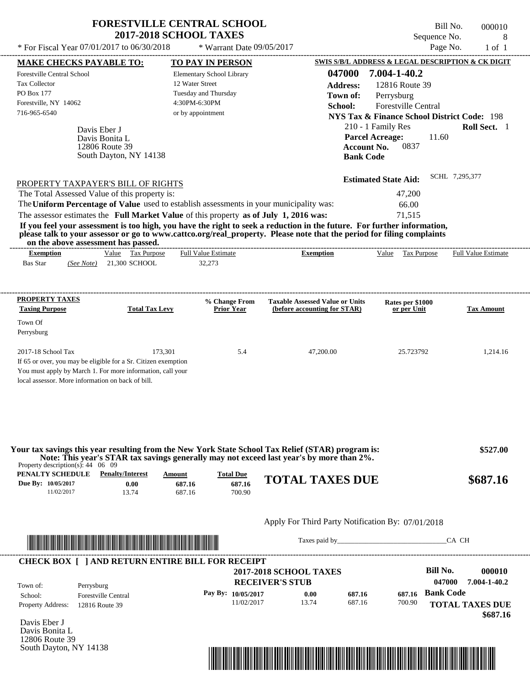| <b>FORESTVILLE CENTRAL SCHOOL</b><br><b>2017-2018 SCHOOL TAXES</b> |                             | - Bill No.<br>Sequence No. | 000010 |
|--------------------------------------------------------------------|-----------------------------|----------------------------|--------|
| * For Fiscal Year 07/01/2017 to 06/30/2018                         | $*$ Warrant Date 09/05/2017 | Page No.                   | ∣ of ∶ |
|                                                                    |                             |                            |        |

| <b>MAKE CHECKS PAYABLE TO:</b><br><b>Forestville Central School</b><br>Tax Collector<br>PO Box 177<br>Forestville, NY 14062<br>716-965-6540<br>Davis Eber J<br>Davis Bonita L                                                                                                                                  | 12806 Route 39<br>South Dayton, NY 14138                                                                                | <b>TO PAY IN PERSON</b><br><b>Elementary School Library</b><br>12 Water Street<br>Tuesday and Thursday<br>4:30PM-6:30PM<br>or by appointment | 047000<br><b>Address:</b><br>Town of:<br>School:<br><b>Account No.</b><br><b>Bank Code</b>                                                                                                                                                       | SWIS S/B/L ADDRESS & LEGAL DESCRIPTION & CK DIGIT<br>7.004-1-40.2<br>12816 Route 39<br>Perrysburg<br>Forestville Central<br><b>NYS Tax &amp; Finance School District Code: 198</b><br>210 - 1 Family Res<br><b>Parcel Acreage:</b><br>11.60<br>0837 | Roll Sect. 1                                                 |
|----------------------------------------------------------------------------------------------------------------------------------------------------------------------------------------------------------------------------------------------------------------------------------------------------------------|-------------------------------------------------------------------------------------------------------------------------|----------------------------------------------------------------------------------------------------------------------------------------------|--------------------------------------------------------------------------------------------------------------------------------------------------------------------------------------------------------------------------------------------------|-----------------------------------------------------------------------------------------------------------------------------------------------------------------------------------------------------------------------------------------------------|--------------------------------------------------------------|
| PROPERTY TAXPAYER'S BILL OF RIGHTS<br>The Total Assessed Value of this property is:<br>The Uniform Percentage of Value used to establish assessments in your municipality was:<br>The assessor estimates the Full Market Value of this property as of July 1, 2016 was:<br>on the above assessment has passed. |                                                                                                                         |                                                                                                                                              | If you feel your assessment is too high, you have the right to seek a reduction in the future. For further information,<br>please talk to your assessor or go to www.cattco.org/real_property. Please note that the period for filing complaints | <b>Estimated State Aid:</b><br>47,200<br>66.00<br>71,515                                                                                                                                                                                            | SCHL 7.295.377                                               |
| <b>Exemption</b><br><b>Bas Star</b><br>(See Note)                                                                                                                                                                                                                                                              | Value Tax Purpose<br>21,300 SCHOOL                                                                                      | <b>Full Value Estimate</b><br>32,273                                                                                                         | <b>Exemption</b>                                                                                                                                                                                                                                 | Value Tax Purpose                                                                                                                                                                                                                                   | <b>Full Value Estimate</b>                                   |
| <b>PROPERTY TAXES</b><br><b>Taxing Purpose</b>                                                                                                                                                                                                                                                                 | <b>Total Tax Levy</b>                                                                                                   | % Change From<br><b>Prior Year</b>                                                                                                           | <b>Taxable Assessed Value or Units</b><br>(before accounting for STAR)                                                                                                                                                                           | Rates per \$1000<br>or per Unit                                                                                                                                                                                                                     | <b>Tax Amount</b>                                            |
| Town Of<br>Perrysburg                                                                                                                                                                                                                                                                                          |                                                                                                                         |                                                                                                                                              |                                                                                                                                                                                                                                                  |                                                                                                                                                                                                                                                     |                                                              |
| 2017-18 School Tax<br>If 65 or over, you may be eligible for a Sr. Citizen exemption<br>You must apply by March 1. For more information, call your<br>local assessor. More information on back of bill.                                                                                                        | 173,301                                                                                                                 | 5.4                                                                                                                                          | 47,200.00                                                                                                                                                                                                                                        | 25.723792                                                                                                                                                                                                                                           | 1,214.16                                                     |
| Property description(s): $44 \quad 06 \quad 09$                                                                                                                                                                                                                                                                |                                                                                                                         |                                                                                                                                              | Your tax savings this year resulting from the New York State School Tax Relief (STAR) program is:<br>Note: This year's STAR tax savings generally may not exceed last year's by more than 2%.                                                    |                                                                                                                                                                                                                                                     | \$527.00                                                     |
| <b>PENALTY SCHEDULE</b> Penalty/Interest<br>Due By: 10/05/2017<br>11/02/2017                                                                                                                                                                                                                                   | Amount<br>0.00<br>687.16<br>13.74<br>687.16                                                                             | <b>Total Due</b><br>687.16<br>700.90                                                                                                         | <b>TOTAL TAXES DUE</b>                                                                                                                                                                                                                           |                                                                                                                                                                                                                                                     | \$687.16                                                     |
|                                                                                                                                                                                                                                                                                                                |                                                                                                                         |                                                                                                                                              | Apply For Third Party Notification By: 07/01/2018                                                                                                                                                                                                |                                                                                                                                                                                                                                                     |                                                              |
|                                                                                                                                                                                                                                                                                                                | <u> Indian American American Indian American Indian American Indian American Indian American Indian American Indian</u> |                                                                                                                                              | Taxes paid by                                                                                                                                                                                                                                    |                                                                                                                                                                                                                                                     | CA CH                                                        |
| <b>CHECK BOX [ ] AND RETURN ENTIRE BILL FOR RECEIPT</b><br>Town of:<br>Perrysburg<br><b>Forestville Central</b><br>School:<br>Property Address:<br>12816 Route 39                                                                                                                                              |                                                                                                                         | Pay By: 10/05/2017<br>11/02/2017                                                                                                             | <b>2017-2018 SCHOOL TAXES</b><br><b>RECEIVER'S STUB</b><br>0.00<br>687.16<br>13.74<br>687.16                                                                                                                                                     | <b>Bill No.</b><br>047000<br><b>Bank Code</b><br>687.16<br>700.90                                                                                                                                                                                   | 000010<br>7.004-1-40.2<br><b>TOTAL TAXES DUE</b><br>\$687.16 |
|                                                                                                                                                                                                                                                                                                                |                                                                                                                         |                                                                                                                                              |                                                                                                                                                                                                                                                  |                                                                                                                                                                                                                                                     |                                                              |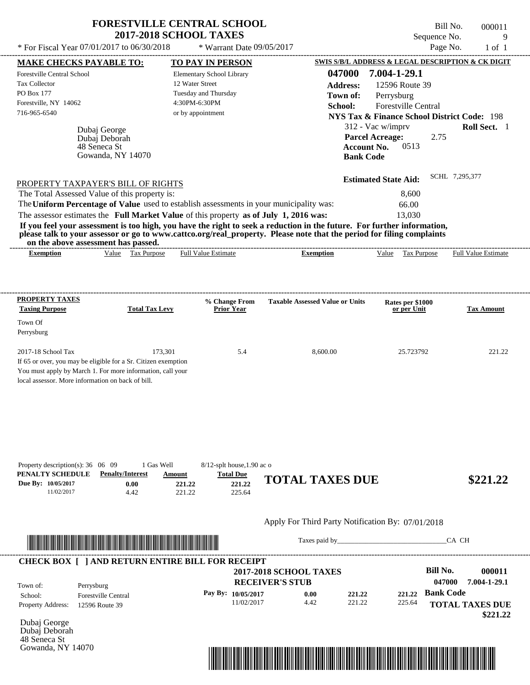| * For Fiscal Year 07/01/2017 to 06/30/2018                                                                                                                                                                                                                                              |                       | * Warrant Date $09/05/2017$        |                                        |                                                        | Sequence No.<br>Page No. | 9<br>$1$ of $1$     |
|-----------------------------------------------------------------------------------------------------------------------------------------------------------------------------------------------------------------------------------------------------------------------------------------|-----------------------|------------------------------------|----------------------------------------|--------------------------------------------------------|--------------------------|---------------------|
| <b>MAKE CHECKS PAYABLE TO:</b>                                                                                                                                                                                                                                                          |                       | TO PAY IN PERSON                   |                                        | SWIS S/B/L ADDRESS & LEGAL DESCRIPTION & CK DIGIT      |                          |                     |
| <b>Forestville Central School</b>                                                                                                                                                                                                                                                       |                       | Elementary School Library          | 047000                                 | 7.004-1-29.1                                           |                          |                     |
| Tax Collector                                                                                                                                                                                                                                                                           |                       | 12 Water Street                    | <b>Address:</b>                        | 12596 Route 39                                         |                          |                     |
| PO Box 177                                                                                                                                                                                                                                                                              |                       | Tuesday and Thursday               | Town of:                               | Perrysburg                                             |                          |                     |
| Forestville, NY 14062                                                                                                                                                                                                                                                                   |                       | 4:30PM-6:30PM                      | <b>School:</b>                         | Forestville Central                                    |                          |                     |
| 716-965-6540                                                                                                                                                                                                                                                                            |                       | or by appointment                  |                                        | <b>NYS Tax &amp; Finance School District Code: 198</b> |                          |                     |
| Dubaj George                                                                                                                                                                                                                                                                            |                       |                                    |                                        | 312 - Vac w/imprv                                      |                          | Roll Sect. 1        |
| Dubaj Deborah                                                                                                                                                                                                                                                                           |                       |                                    |                                        | <b>Parcel Acreage:</b>                                 | 2.75                     |                     |
| 48 Seneca St                                                                                                                                                                                                                                                                            |                       |                                    | <b>Account No.</b>                     | 0513                                                   |                          |                     |
| Gowanda, NY 14070                                                                                                                                                                                                                                                                       |                       |                                    | <b>Bank Code</b>                       |                                                        |                          |                     |
|                                                                                                                                                                                                                                                                                         |                       |                                    |                                        |                                                        |                          | SCHL 7.295.377      |
|                                                                                                                                                                                                                                                                                         |                       |                                    |                                        |                                                        |                          |                     |
| PROPERTY TAXPAYER'S BILL OF RIGHTS                                                                                                                                                                                                                                                      |                       |                                    |                                        | <b>Estimated State Aid:</b>                            |                          |                     |
| The Total Assessed Value of this property is:                                                                                                                                                                                                                                           |                       |                                    |                                        | 8.600                                                  |                          |                     |
| The Uniform Percentage of Value used to establish assessments in your municipality was:                                                                                                                                                                                                 |                       |                                    |                                        | 66.00                                                  |                          |                     |
| The assessor estimates the Full Market Value of this property as of July 1, 2016 was:                                                                                                                                                                                                   |                       |                                    |                                        | 13,030                                                 |                          |                     |
| If you feel your assessment is too high, you have the right to seek a reduction in the future. For further information,<br>please talk to your assessor or go to www.cattco.org/real_property. Please note that the period for filing complaints<br>on the above assessment has passed. |                       |                                    |                                        |                                                        |                          |                     |
| Value Tax Purpose<br><b>Exemption</b>                                                                                                                                                                                                                                                   |                       | <b>Full Value Estimate</b>         | <b>Exemption</b>                       | Value Tax Purpose                                      |                          | Full Value Estimate |
| <b>PROPERTY TAXES</b><br><b>Taxing Purpose</b>                                                                                                                                                                                                                                          | <b>Total Tax Levy</b> | % Change From<br><b>Prior Year</b> | <b>Taxable Assessed Value or Units</b> | Rates per \$1000<br>or per Unit                        |                          |                     |
| Town Of                                                                                                                                                                                                                                                                                 |                       |                                    |                                        |                                                        |                          |                     |
| Perrysburg                                                                                                                                                                                                                                                                              |                       |                                    |                                        |                                                        |                          | <b>Tax Amount</b>   |
| 2017-18 School Tax                                                                                                                                                                                                                                                                      | 173.301               | 5.4                                | 8,600.00                               | 25.723792                                              |                          | 221.22              |
| If 65 or over, you may be eligible for a Sr. Citizen exemption                                                                                                                                                                                                                          |                       |                                    |                                        |                                                        |                          |                     |
| You must apply by March 1. For more information, call your<br>local assessor. More information on back of bill.                                                                                                                                                                         |                       |                                    |                                        |                                                        |                          |                     |

| Property description(s): $36 \quad 06 \quad 09$ |                         | 1 Gas Well | $8/12$ -splt house, 1.90 ac o |                        |          |
|-------------------------------------------------|-------------------------|------------|-------------------------------|------------------------|----------|
| PENALTY SCHEDULE                                | <b>Penalty/Interest</b> | Amount     | <b>Total Due</b>              |                        |          |
| <b>Due By: 10/05/2017</b>                       | $0.00\,$                | 221.22     | 221.22                        | <b>TOTAL TAXES DUE</b> | \$221.22 |
| 11/02/2017                                      | 4.42                    | 221.22     | 225.64                        |                        |          |



Taxes paid by\_\_\_\_\_\_\_\_\_\_\_\_\_\_\_\_\_\_\_\_\_\_\_\_\_\_\_\_\_\_\_CA CH

| <b>CHECK BOX [ ] AND RETURN ENTIRE BILL FOR RECEIPT</b><br>Town of: | Perrysburg                 | <b>2017-2018 SCHOOL TAXES</b><br><b>RECEIVER'S STUB</b> |      |        |        |                  | 000011<br>7.004-1-29.1 |
|---------------------------------------------------------------------|----------------------------|---------------------------------------------------------|------|--------|--------|------------------|------------------------|
| School:                                                             | <b>Forestville Central</b> | Pay By: $10/05/2017$                                    | 0.00 | 221.22 | 221.22 | <b>Bank Code</b> |                        |
| <b>Property Address:</b>                                            | 12596 Route 39             | 11/02/2017                                              | 4.42 | 221.22 | 225.64 |                  | <b>TOTAL TAXES DUE</b> |

Dubaj George Dubaj Deborah 48 Seneca St Gowanda, NY 14070

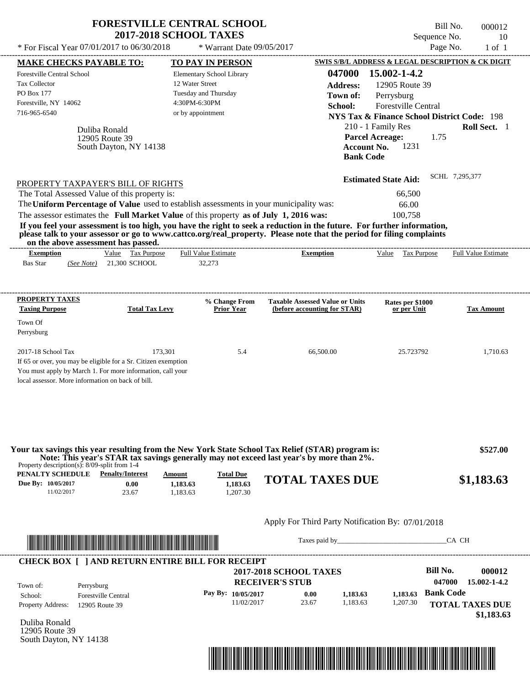|                                                                                                                                                                                                                                                                                                                                            |                                                           | <b>FORESTVILLE CENTRAL SCHOOL</b><br><b>2017-2018 SCHOOL TAXES</b>                                         |                                                                                                                                                                                                                                                  | Bill No.<br>Sequence No.                                                                                                                                                                      | 000012<br>10               |
|--------------------------------------------------------------------------------------------------------------------------------------------------------------------------------------------------------------------------------------------------------------------------------------------------------------------------------------------|-----------------------------------------------------------|------------------------------------------------------------------------------------------------------------|--------------------------------------------------------------------------------------------------------------------------------------------------------------------------------------------------------------------------------------------------|-----------------------------------------------------------------------------------------------------------------------------------------------------------------------------------------------|----------------------------|
| * For Fiscal Year 07/01/2017 to 06/30/2018                                                                                                                                                                                                                                                                                                 |                                                           | * Warrant Date 09/05/2017                                                                                  |                                                                                                                                                                                                                                                  | Page No.                                                                                                                                                                                      | $1$ of $1$                 |
| <b>MAKE CHECKS PAYABLE TO:</b>                                                                                                                                                                                                                                                                                                             |                                                           | <b>TO PAY IN PERSON</b>                                                                                    |                                                                                                                                                                                                                                                  | SWIS S/B/L ADDRESS & LEGAL DESCRIPTION & CK DIGIT                                                                                                                                             |                            |
| <b>Forestville Central School</b><br>Tax Collector<br>PO Box 177<br>Forestville, NY 14062<br>716-965-6540                                                                                                                                                                                                                                  | Duliba Ronald<br>12905 Route 39<br>South Dayton, NY 14138 | Elementary School Library<br>12 Water Street<br>Tuesday and Thursday<br>4:30PM-6:30PM<br>or by appointment | 047000<br><b>Address:</b><br>Town of:<br>School:<br><b>Account No.</b><br><b>Bank Code</b>                                                                                                                                                       | 15.002-1-4.2<br>12905 Route 39<br>Perrysburg<br>Forestville Central<br><b>NYS Tax &amp; Finance School District Code: 198</b><br>210 - 1 Family Res<br><b>Parcel Acreage:</b><br>1.75<br>1231 | Roll Sect. 1               |
| PROPERTY TAXPAYER'S BILL OF RIGHTS                                                                                                                                                                                                                                                                                                         |                                                           |                                                                                                            |                                                                                                                                                                                                                                                  | <b>Estimated State Aid:</b>                                                                                                                                                                   | SCHL 7,295,377             |
| The Total Assessed Value of this property is:                                                                                                                                                                                                                                                                                              |                                                           |                                                                                                            |                                                                                                                                                                                                                                                  | 66,500                                                                                                                                                                                        |                            |
|                                                                                                                                                                                                                                                                                                                                            |                                                           | The Uniform Percentage of Value used to establish assessments in your municipality was:                    |                                                                                                                                                                                                                                                  | 66.00                                                                                                                                                                                         |                            |
|                                                                                                                                                                                                                                                                                                                                            |                                                           | The assessor estimates the Full Market Value of this property as of July 1, 2016 was:                      |                                                                                                                                                                                                                                                  | 100,758                                                                                                                                                                                       |                            |
|                                                                                                                                                                                                                                                                                                                                            | on the above assessment has passed.                       |                                                                                                            | If you feel your assessment is too high, you have the right to seek a reduction in the future. For further information,<br>please talk to your assessor or go to www.cattco.org/real_property. Please note that the period for filing complaints |                                                                                                                                                                                               |                            |
| <b>Exemption</b>                                                                                                                                                                                                                                                                                                                           | Value Tax Purpose                                         | <b>Full Value Estimate</b>                                                                                 | <b>Exemption</b>                                                                                                                                                                                                                                 | Value Tax Purpose                                                                                                                                                                             | <b>Full Value Estimate</b> |
|                                                                                                                                                                                                                                                                                                                                            |                                                           | 32,273                                                                                                     |                                                                                                                                                                                                                                                  |                                                                                                                                                                                               |                            |
| <b>Bas Star</b>                                                                                                                                                                                                                                                                                                                            | (See Note) 21,300 SCHOOL                                  |                                                                                                            |                                                                                                                                                                                                                                                  |                                                                                                                                                                                               |                            |
| <b>PROPERTY TAXES</b><br><b>Taxing Purpose</b><br>Town Of<br>Perrysburg                                                                                                                                                                                                                                                                    | <b>Total Tax Levy</b>                                     | % Change From<br><b>Prior Year</b>                                                                         | <b>Taxable Assessed Value or Units</b><br>(before accounting for STAR)                                                                                                                                                                           | Rates per \$1000<br>or per Unit                                                                                                                                                               | <b>Tax Amount</b>          |
|                                                                                                                                                                                                                                                                                                                                            |                                                           | 173,301<br>5.4                                                                                             | 66.500.00                                                                                                                                                                                                                                        | 25.723792                                                                                                                                                                                     | 1,710.63                   |
| 2017-18 School Tax<br>If 65 or over, you may be eligible for a Sr. Citizen exemption<br>You must apply by March 1. For more information, call your<br>local assessor. More information on back of bill.<br>Property description(s): $8/09$ -split from 1-4<br><b>PENALTY SCHEDULE</b> Penalty/Interest<br>Due By: 10/05/2017<br>11/02/2017 | 0.00<br>23.67                                             | Amount<br><b>Total Due</b><br>1,183.63<br>1,183.63<br>1,183.63<br>1,207.30                                 | Your tax savings this year resulting from the New York State School Tax Relief (STAR) program is:<br>Note: This year's STAR tax savings generally may not exceed last year's by more than 2%.<br><b>TOTAL TAXES DUE</b>                          |                                                                                                                                                                                               | \$527.00<br>\$1,183.63     |



Taxes paid by\_\_\_\_\_\_\_\_\_\_\_\_\_\_\_\_\_\_\_\_\_\_\_\_\_\_\_\_\_\_\_CA CH

|                          |                            | <b>2017-2018 SCHOOL TAXES</b> |       |          |          | <b>Bill No.</b>  | 000012                 |
|--------------------------|----------------------------|-------------------------------|-------|----------|----------|------------------|------------------------|
| Town of:                 | Perrysburg                 | <b>RECEIVER'S STUB</b>        |       |          |          | 047000           | 15.002-1-4.2           |
| School:                  | <b>Forestville Central</b> | Pay By: $10/05/2017$          | 0.00  | 1,183.63 | 1.183.63 | <b>Bank Code</b> |                        |
| <b>Property Address:</b> | 12905 Route 39             | 11/02/2017                    | 23.67 | 1.183.63 | 1,207.30 |                  | <b>TOTAL TAXES DUE</b> |

Duliba Ronald 12905 Route 39 South Dayton, NY 14138

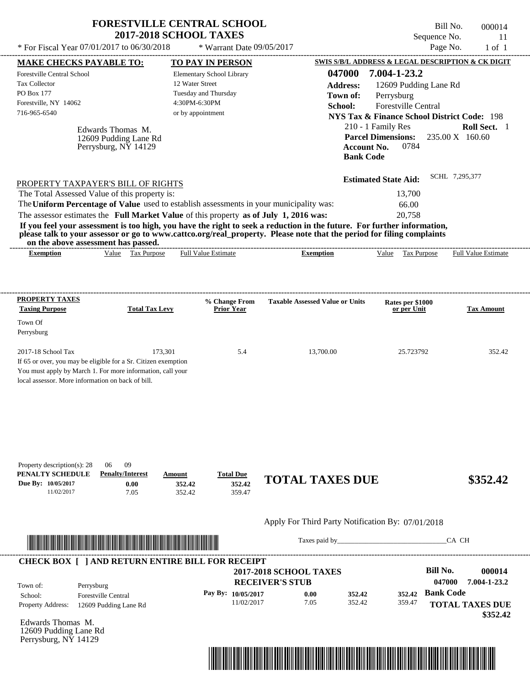| * For Fiscal Year 07/01/2017 to 06/30/2018<br>Page No.<br>* Warrant Date 09/05/2017<br>SWIS S/B/L ADDRESS & LEGAL DESCRIPTION & CK DIGIT<br><b>MAKE CHECKS PAYABLE TO:</b><br><b>TO PAY IN PERSON</b><br>047000<br>7.004-1-23.2<br><b>Forestville Central School</b><br>Elementary School Library<br>12 Water Street<br><b>Tax Collector</b><br><b>Address:</b><br>12609 Pudding Lane Rd<br>PO Box 177<br>Tuesday and Thursday<br>Town of:<br>Perrysburg<br>Forestville, NY 14062<br>4:30PM-6:30PM<br>Forestville Central<br>School:<br>716-965-6540<br>or by appointment<br><b>NYS Tax &amp; Finance School District Code: 198</b><br>210 - 1 Family Res<br>Edwards Thomas M.<br><b>Parcel Dimensions:</b><br>235.00 X 160.60<br>12609 Pudding Lane Rd<br>0784<br>Perrysburg, NY 14129<br><b>Account No.</b><br><b>Bank Code</b><br>SCHL 7,295,377<br><b>Estimated State Aid:</b><br>PROPERTY TAXPAYER'S BILL OF RIGHTS<br>The Total Assessed Value of this property is:<br>13,700<br>The Uniform Percentage of Value used to establish assessments in your municipality was:<br>66.00<br>The assessor estimates the Full Market Value of this property as of July 1, 2016 was:<br>20,758<br>If you feel your assessment is too high, you have the right to seek a reduction in the future. For further information,<br>please talk to your assessor or go to www.cattco.org/real_property. Please note that the period for filing complaints<br>on the above assessment has passed.<br>Value Tax Purpose<br><b>Full Value Estimate</b><br><b>Exemption</b><br>Value<br>Tax Purpose<br><b>Exemption</b><br>PROPERTY TAXES<br>% Change From<br><b>Taxable Assessed Value or Units</b><br>Rates per \$1000<br><b>Taxing Purpose</b><br><b>Prior Year</b><br><b>Total Tax Levy</b><br>or per Unit<br>Town Of<br>Perrysburg<br>2017-18 School Tax<br>173,301<br>5.4<br>13,700.00<br>25.723792<br>If 65 or over, you may be eligible for a Sr. Citizen exemption<br>You must apply by March 1. For more information, call your<br>local assessor. More information on back of bill.<br>09<br>Property description(s): 28<br>06<br>PENALTY SCHEDULE<br><b>Penalty/Interest</b><br><b>Total Due</b><br>Amount<br><b>TOTAL TAXES DUE</b><br>Due By: 10/05/2017<br>352.42<br>0.00<br>352.42<br>11/02/2017<br>359.47<br>7.05<br>352.42<br>Apply For Third Party Notification By: 07/01/2018 | <b>FORESTVILLE CENTRAL SCHOOL</b><br><b>2017-2018 SCHOOL TAXES</b> |  | Bill No.<br>Sequence No. | 000014<br>11        |
|------------------------------------------------------------------------------------------------------------------------------------------------------------------------------------------------------------------------------------------------------------------------------------------------------------------------------------------------------------------------------------------------------------------------------------------------------------------------------------------------------------------------------------------------------------------------------------------------------------------------------------------------------------------------------------------------------------------------------------------------------------------------------------------------------------------------------------------------------------------------------------------------------------------------------------------------------------------------------------------------------------------------------------------------------------------------------------------------------------------------------------------------------------------------------------------------------------------------------------------------------------------------------------------------------------------------------------------------------------------------------------------------------------------------------------------------------------------------------------------------------------------------------------------------------------------------------------------------------------------------------------------------------------------------------------------------------------------------------------------------------------------------------------------------------------------------------------------------------------------------------------------------------------------------------------------------------------------------------------------------------------------------------------------------------------------------------------------------------------------------------------------------------------------------------------------------------------------------------------------------------------------------------------------------------------------------------------------------------------------------------------|--------------------------------------------------------------------|--|--------------------------|---------------------|
|                                                                                                                                                                                                                                                                                                                                                                                                                                                                                                                                                                                                                                                                                                                                                                                                                                                                                                                                                                                                                                                                                                                                                                                                                                                                                                                                                                                                                                                                                                                                                                                                                                                                                                                                                                                                                                                                                                                                                                                                                                                                                                                                                                                                                                                                                                                                                                                    |                                                                    |  |                          | $1$ of $1$          |
|                                                                                                                                                                                                                                                                                                                                                                                                                                                                                                                                                                                                                                                                                                                                                                                                                                                                                                                                                                                                                                                                                                                                                                                                                                                                                                                                                                                                                                                                                                                                                                                                                                                                                                                                                                                                                                                                                                                                                                                                                                                                                                                                                                                                                                                                                                                                                                                    |                                                                    |  |                          | Roll Sect. 1        |
|                                                                                                                                                                                                                                                                                                                                                                                                                                                                                                                                                                                                                                                                                                                                                                                                                                                                                                                                                                                                                                                                                                                                                                                                                                                                                                                                                                                                                                                                                                                                                                                                                                                                                                                                                                                                                                                                                                                                                                                                                                                                                                                                                                                                                                                                                                                                                                                    |                                                                    |  |                          |                     |
|                                                                                                                                                                                                                                                                                                                                                                                                                                                                                                                                                                                                                                                                                                                                                                                                                                                                                                                                                                                                                                                                                                                                                                                                                                                                                                                                                                                                                                                                                                                                                                                                                                                                                                                                                                                                                                                                                                                                                                                                                                                                                                                                                                                                                                                                                                                                                                                    |                                                                    |  |                          | Full Value Estimate |
|                                                                                                                                                                                                                                                                                                                                                                                                                                                                                                                                                                                                                                                                                                                                                                                                                                                                                                                                                                                                                                                                                                                                                                                                                                                                                                                                                                                                                                                                                                                                                                                                                                                                                                                                                                                                                                                                                                                                                                                                                                                                                                                                                                                                                                                                                                                                                                                    |                                                                    |  |                          | <b>Tax Amount</b>   |
|                                                                                                                                                                                                                                                                                                                                                                                                                                                                                                                                                                                                                                                                                                                                                                                                                                                                                                                                                                                                                                                                                                                                                                                                                                                                                                                                                                                                                                                                                                                                                                                                                                                                                                                                                                                                                                                                                                                                                                                                                                                                                                                                                                                                                                                                                                                                                                                    |                                                                    |  |                          | 352.42              |
|                                                                                                                                                                                                                                                                                                                                                                                                                                                                                                                                                                                                                                                                                                                                                                                                                                                                                                                                                                                                                                                                                                                                                                                                                                                                                                                                                                                                                                                                                                                                                                                                                                                                                                                                                                                                                                                                                                                                                                                                                                                                                                                                                                                                                                                                                                                                                                                    |                                                                    |  |                          |                     |
|                                                                                                                                                                                                                                                                                                                                                                                                                                                                                                                                                                                                                                                                                                                                                                                                                                                                                                                                                                                                                                                                                                                                                                                                                                                                                                                                                                                                                                                                                                                                                                                                                                                                                                                                                                                                                                                                                                                                                                                                                                                                                                                                                                                                                                                                                                                                                                                    |                                                                    |  |                          | \$352.42            |



Taxes paid by\_\_\_\_\_\_\_\_\_\_\_\_\_\_\_\_\_\_\_\_\_\_\_\_\_\_\_\_\_\_\_CA CH

|                                                                   | <b>2017-2018 SCHOOL TAXES</b><br><b>RECEIVER'S STUB</b> |                      |        |        |                  | 000014<br>7.004-1-23.2 |
|-------------------------------------------------------------------|---------------------------------------------------------|----------------------|--------|--------|------------------|------------------------|
|                                                                   |                                                         | 0.00                 | 352.42 | 352.42 | <b>Bank Code</b> |                        |
|                                                                   | 11/02/2017                                              | 7.05                 | 352.42 | 359.47 |                  | <b>TOTAL TAXES DUE</b> |
| Perrysburg<br><b>Forestville Central</b><br>12609 Pudding Lane Rd |                                                         | Pay By: $10/05/2017$ |        |        |                  | 047000                 |

Edwards Thomas M. 12609 Pudding Lane Rd Perrysburg, NY 14129

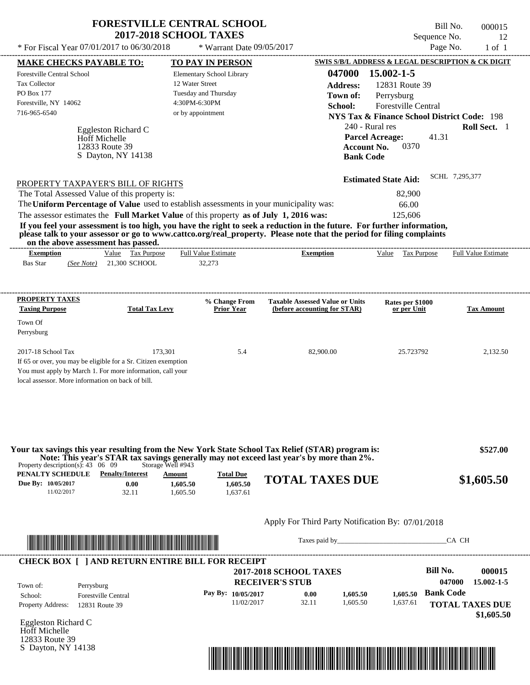| <b>FORESTVILLE CENTRAL SCHOOL</b> |  |
|-----------------------------------|--|
| <b>2017-2018 SCHOOL TAXES</b>     |  |

Tax Collector PO Box 177

Town Of Perrysburg \* Warrant Date 09/05/2017

Bill No. 000015 Sequence No. 12

 **\$1,605.50**

---------------------------------------------------------------------------------------------------------------------------------------------------------------------------------------------------- Eggleston Richard C If 65 or over, you may be eligible for a Sr. Citizen exemption You must apply by March 1. For more information, call your local assessor. More information on back of bill. \* For Fiscal Year  $07/01/2017$  to  $06/30/2018$  \* Warrant Date  $09/05/2017$  Page No. 1 of 1 **MAKE CHECKS PAYABLE TO: TO PAY IN PERSON SWIS S/B/L ADDRESS & LEGAL DESCRIPTION & CK DIGIT 047000 15.002-1-5 Address:** 12831 Route 39 Perrysburg **School:** Forestville Central **NYS Tax & Finance School District Code:** 198 240 - Rural res **Roll Sect.** 1 41.31 **Account No.** 0370 **Bank Code Estimated State Aid:** SCHL 7,295,377 PROPERTY TAXPAYER'S BILL OF RIGHTS The assessor estimates the **Full Market Value** of this property **as of July 1, 2016 was:** 125,606 The Total Assessed Value of this property is: 82,900 The **Uniform Percentage of Value** used to establish assessments in your municipality was: 66.00 **If you feel your assessment is too high, you have the right to seek a reduction in the future. For further information, please talk to your assessor or go to www.cattco.org/real\_property. Please note that the period for filing complaints on the above assessment has passed. Exemption** Value Tax Purpose **PROPERTY TAXES Taxing Purpose Total Tax Levy Prior Year % Change From (before accounting for STAR) Taxable Assessed Value or Units or per Unit Rates per \$1000 Tax Amount PENALTY SCHEDULE Penalty/Interest Amount Total Due Due By: 10/05/2017** 11/02/2017 32.11 **0.00** 1,605.50 **1,605.50** 1,637.61 **1,605.50 TOTAL TAXES DUE \$1,605.50** Apply For Third Party Notification By: 07/01/2018 **RECEIVER'S STUB Bill No. 000015 Bank Code** Property Address: 12831 Route 39 Perrysburg School: Forestville Central **TOTAL TAXES DUE** Bas Star 21,300 SCHOOL *(See Note)* 32,273 Elementary School Library 12 Water Street Tuesday and Thursday 4:30PM-6:30PM Forestville Central School Forestville, NY 14062  **2017-2018 SCHOOL TAXES** 716-965-6540 or by appointment **Parcel Acreage:** 2017-18 School Tax 2,132.50 173,301 5.4 82,900.00 25.723792 2,132.50  **\$527.00 047000 15.002-1-5 Pay By: 10/05/2017** 11/02/2017 32.11 **0.00** 1,605.50 **1,605.50** 1,637.61 **1,605.50** Hoff Michelle Full Value Estimate Taxes paid by Taxes and by Taxes paid by Taxes and by Taxes and by Taxes and the CA CH ---------------------------------------------------------------------------------------------------------------------------------------------------------------------------------------------------- ---------------------------------------------------------------------------------------------------------------------------------------------------------------------------------------------------- Property description(s): 43 06 09 Storage Well #943 **Town of:** 12833 Route 39 S Dayton, NY 14138 **Exemption** Value Tax Purpose Full Value Estimate **Your tax savings this year resulting from the New York State School Tax Relief (STAR) program is: Note: This year's STAR tax savings generally may not exceed last year's by more than 2%.** ---------------------------------------------------------------------------------------------------------------------------------------------------------------------------------------------------- **CHECK BOX [ ] AND RETURN ENTIRE BILL FOR RECEIPT** \*04700000001500000000160550\*

Eggleston Richard C Hoff Michelle 12833 Route 39 S Dayton, NY 14138

Town of:

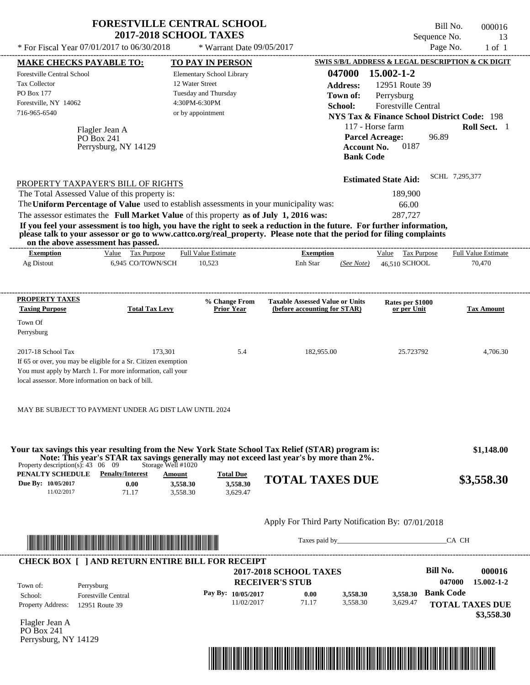|                                                                                                                                                                                                                                                                                         | <b>FORESTVILLE CENTRAL SCHOOL</b><br><b>2017-2018 SCHOOL TAXES</b>                                         |                                    |                                                                                            | Sequence No.                                                                                                                                                                                     | Bill No.<br>000016<br>13   |
|-----------------------------------------------------------------------------------------------------------------------------------------------------------------------------------------------------------------------------------------------------------------------------------------|------------------------------------------------------------------------------------------------------------|------------------------------------|--------------------------------------------------------------------------------------------|--------------------------------------------------------------------------------------------------------------------------------------------------------------------------------------------------|----------------------------|
| * For Fiscal Year 07/01/2017 to 06/30/2018                                                                                                                                                                                                                                              |                                                                                                            | * Warrant Date 09/05/2017          |                                                                                            |                                                                                                                                                                                                  | Page No.<br>$1$ of $1$     |
| <b>MAKE CHECKS PAYABLE TO:</b>                                                                                                                                                                                                                                                          | <b>TO PAY IN PERSON</b>                                                                                    |                                    |                                                                                            | SWIS S/B/L ADDRESS & LEGAL DESCRIPTION & CK DIGIT                                                                                                                                                |                            |
| Forestville Central School<br>Tax Collector<br>PO Box 177<br>Forestville, NY 14062<br>716-965-6540<br>Flagler Jean A<br>PO Box 241<br>Perrysburg, NY 14129                                                                                                                              | Elementary School Library<br>12 Water Street<br>Tuesday and Thursday<br>4:30PM-6:30PM<br>or by appointment |                                    | 047000<br><b>Address:</b><br>Town of:<br>School:<br><b>Account No.</b><br><b>Bank Code</b> | $15.002 - 1 - 2$<br>12951 Route 39<br>Perrysburg<br>Forestville Central<br><b>NYS Tax &amp; Finance School District Code: 198</b><br>117 - Horse farm<br>96.89<br><b>Parcel Acreage:</b><br>0187 | Roll Sect. 1               |
| PROPERTY TAXPAYER'S BILL OF RIGHTS                                                                                                                                                                                                                                                      |                                                                                                            |                                    |                                                                                            | <b>Estimated State Aid:</b>                                                                                                                                                                      | SCHL 7,295,377             |
| The Total Assessed Value of this property is:                                                                                                                                                                                                                                           |                                                                                                            |                                    |                                                                                            | 189,900                                                                                                                                                                                          |                            |
| The Uniform Percentage of Value used to establish assessments in your municipality was:                                                                                                                                                                                                 |                                                                                                            |                                    |                                                                                            | 66.00                                                                                                                                                                                            |                            |
| The assessor estimates the Full Market Value of this property as of July 1, 2016 was:                                                                                                                                                                                                   |                                                                                                            |                                    |                                                                                            | 287,727                                                                                                                                                                                          |                            |
| If you feel your assessment is too high, you have the right to seek a reduction in the future. For further information,<br>please talk to your assessor or go to www.cattco.org/real_property. Please note that the period for filing complaints<br>on the above assessment has passed. |                                                                                                            | --------------------------         |                                                                                            |                                                                                                                                                                                                  |                            |
| Value Tax Purpose<br><b>Exemption</b>                                                                                                                                                                                                                                                   | <b>Full Value Estimate</b>                                                                                 |                                    | <b>Exemption</b>                                                                           | Value Tax Purpose                                                                                                                                                                                | <b>Full Value Estimate</b> |
| 6,945 CO/TOWN/SCH<br>Ag Distout                                                                                                                                                                                                                                                         | 10,523                                                                                                     |                                    | Enh Star<br>(See Note)                                                                     | 46.510 SCHOOL                                                                                                                                                                                    | 70,470                     |
| <b>PROPERTY TAXES</b><br><b>Taxing Purpose</b><br>Town Of<br>Perrysburg                                                                                                                                                                                                                 | <b>Total Tax Levy</b>                                                                                      | % Change From<br><b>Prior Year</b> | <b>Taxable Assessed Value or Units</b><br>(before accounting for STAR)                     | Rates per \$1000<br>or per Unit                                                                                                                                                                  | <b>Tax Amount</b>          |
| 2017-18 School Tax<br>If 65 or over, you may be eligible for a Sr. Citizen exemption<br>You must apply by March 1. For more information, call your<br>local assessor. More information on back of bill.                                                                                 | 173,301                                                                                                    | 5.4                                | 182,955.00                                                                                 | 25.723792                                                                                                                                                                                        | 4,706.30                   |
| MAY BE SUBJECT TO PAYMENT UNDER AG DIST LAW UNTIL 2024                                                                                                                                                                                                                                  |                                                                                                            |                                    |                                                                                            |                                                                                                                                                                                                  |                            |
| Your tax savings this year resulting from the New York State School Tax Relief (STAR) program is:                                                                                                                                                                                       |                                                                                                            |                                    | Note: This year's STAR tax savings generally may not exceed last year's by more than 2%.   |                                                                                                                                                                                                  | \$1,148.00                 |
| Property description(s): $43 \quad 06 \quad 09$<br>PENALTY SCHEDULE<br><b>Penalty/Interest</b>                                                                                                                                                                                          | Storage Well #1020<br>Amount                                                                               | <b>Total Due</b>                   | <b>TOTAL TAXES DUE</b>                                                                     |                                                                                                                                                                                                  | \$3,558.30                 |
| Due By: 10/05/2017<br>0.00<br>11/02/2017<br>71.17                                                                                                                                                                                                                                       | 3,558.30<br>3,558.30                                                                                       | 3,558.30<br>3,629.47               |                                                                                            |                                                                                                                                                                                                  |                            |
|                                                                                                                                                                                                                                                                                         |                                                                                                            |                                    | Apply For Third Party Notification By: 07/01/2018                                          |                                                                                                                                                                                                  |                            |
|                                                                                                                                                                                                                                                                                         |                                                                                                            |                                    |                                                                                            |                                                                                                                                                                                                  | CA CH                      |
| <u> Literatura de la contrada de la contrada de la contrada de la contrada de la contrada de la contrada de la co</u>                                                                                                                                                                   |                                                                                                            |                                    |                                                                                            |                                                                                                                                                                                                  |                            |

| <b>CHECK BOX   JAND RETURN ENTIRE BILL FOR RECEIPT</b><br>Town of: | Perrysburg                 | <b>2017-2018 SCHOOL TAXES</b><br><b>RECEIVER'S STUB</b> |       |          |          |                        | 000016<br>$15.002 - 1 - 2$ |
|--------------------------------------------------------------------|----------------------------|---------------------------------------------------------|-------|----------|----------|------------------------|----------------------------|
| School:                                                            | <b>Forestville Central</b> | Pay By: $10/05/2017$                                    | 0.00  | 3,558.30 | 3.558.30 | <b>Bank Code</b>       |                            |
| <b>Property Address:</b>                                           | 12951 Route 39             | 11/02/2017                                              | 71.17 | 3.558.30 | 3.629.47 | <b>TOTAL TAXES DUE</b> |                            |

Flagler Jean A PO Box 241 Perrysburg, NY 14129

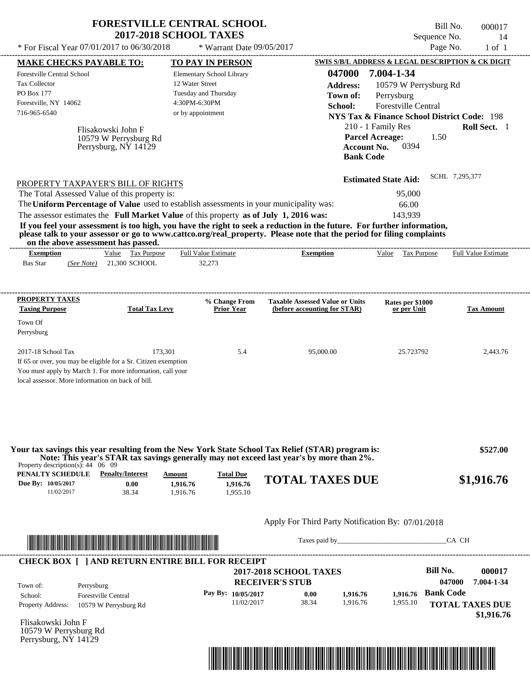| Bill No.<br>000017<br>14   | Sequence No.                                           |                                                                                                                                           |                                    | <b>2017-2018 SCHOOL TAXES</b>                                                         | <b>FORESTVILLE CENTRAL SCHOOL</b>                                                       |
|----------------------------|--------------------------------------------------------|-------------------------------------------------------------------------------------------------------------------------------------------|------------------------------------|---------------------------------------------------------------------------------------|-----------------------------------------------------------------------------------------|
| $1$ of $1$                 | Page No.                                               |                                                                                                                                           | * Warrant Date 09/05/2017          |                                                                                       | * For Fiscal Year 07/01/2017 to 06/30/2018                                              |
|                            | SWIS S/B/L ADDRESS & LEGAL DESCRIPTION & CK DIGIT      |                                                                                                                                           | <b>TO PAY IN PERSON</b>            |                                                                                       | <b>MAKE CHECKS PAYABLE TO:</b>                                                          |
|                            | 7.004-1-34                                             | 047000                                                                                                                                    | Elementary School Library          |                                                                                       | <b>Forestville Central School</b>                                                       |
|                            | 10579 W Perrysburg Rd                                  | <b>Address:</b>                                                                                                                           | 12 Water Street                    |                                                                                       | <b>Tax Collector</b>                                                                    |
|                            | Perrysburg                                             | Town of:                                                                                                                                  | Tuesday and Thursday               |                                                                                       | PO Box 177                                                                              |
|                            | Forestville Central                                    | School:                                                                                                                                   | 4:30PM-6:30PM                      |                                                                                       | Forestville, NY 14062                                                                   |
|                            | <b>NYS Tax &amp; Finance School District Code: 198</b> |                                                                                                                                           | or by appointment                  |                                                                                       | 716-965-6540                                                                            |
| Roll Sect. 1               | 210 - 1 Family Res                                     |                                                                                                                                           |                                    | Flisakowski John F                                                                    |                                                                                         |
|                            | <b>Parcel Acreage:</b><br>1.50                         |                                                                                                                                           |                                    | 10579 W Perrysburg Rd                                                                 |                                                                                         |
|                            | 0394                                                   | <b>Account No.</b>                                                                                                                        |                                    | Perrysburg, NY 14129                                                                  |                                                                                         |
|                            |                                                        | <b>Bank Code</b>                                                                                                                          |                                    |                                                                                       |                                                                                         |
| SCHL 7,295,377             |                                                        |                                                                                                                                           |                                    |                                                                                       |                                                                                         |
|                            | <b>Estimated State Aid:</b>                            |                                                                                                                                           |                                    |                                                                                       | PROPERTY TAXPAYER'S BILL OF RIGHTS                                                      |
|                            | 95,000                                                 |                                                                                                                                           |                                    |                                                                                       | The Total Assessed Value of this property is:                                           |
|                            | 66.00                                                  |                                                                                                                                           |                                    |                                                                                       | The Uniform Percentage of Value used to establish assessments in your municipality was: |
|                            |                                                        |                                                                                                                                           |                                    | The assessor estimates the Full Market Value of this property as of July 1, 2016 was: |                                                                                         |
|                            | 143,939                                                | If you feel your assessment is too high, you have the right to seek a reduction in the future. For further information,                   |                                    |                                                                                       |                                                                                         |
| <b>Full Value Estimate</b> | Value<br>Tax Purpose                                   | please talk to your assessor or go to www.cattco.org/real_property. Please note that the period for filing complaints<br><b>Exemption</b> | <b>Full Value Estimate</b>         | Value Tax Purpose                                                                     | on the above assessment has passed.<br><b>Exemption</b>                                 |
|                            |                                                        |                                                                                                                                           | 32,273                             | 21,300 SCHOOL                                                                         | <b>Bas Star</b><br>(See Note)                                                           |
|                            | Rates per \$1000<br>or per Unit                        | <b>Taxable Assessed Value or Units</b><br>(before accounting for STAR)                                                                    | % Change From<br><b>Prior Year</b> | <b>Total Tax Levy</b>                                                                 | PROPERTY TAXES<br><b>Taxing Purpose</b>                                                 |
| <b>Tax Amount</b>          |                                                        |                                                                                                                                           |                                    |                                                                                       | Town Of<br>Perrysburg                                                                   |

| Property description(s): $44 \quad 06 \quad 09$ |                         |          |                  | rvar da savings dils vear resulting from the fiew from Diate School fax Kener (DT/MX) program is.<br>Note: This year's STAR tax savings generally may not exceed last year's by more than 2%. | 9.241.00   |
|-------------------------------------------------|-------------------------|----------|------------------|-----------------------------------------------------------------------------------------------------------------------------------------------------------------------------------------------|------------|
| PENALTY SCHEDULE                                | <b>Penalty/Interest</b> | Amount   | <b>Total Due</b> | <b>TOTAL TAXES DUE</b>                                                                                                                                                                        | \$1,916.76 |
| <b>Due By: 10/05/2017</b>                       | 0.00                    | 1.916.76 | 1.916.76         |                                                                                                                                                                                               |            |
| 11/02/2017                                      | 38.34                   | .916.76  | .955.10          |                                                                                                                                                                                               |            |



Taxes paid by\_\_\_\_\_\_\_\_\_\_\_\_\_\_\_\_\_\_\_\_\_\_\_\_\_\_\_\_\_\_\_CA CH

| <b>CHECK BOX   JAND RETURN ENTIRE BILL FOR RECEIPT</b><br>Town of: | Perrysburg                 | <b>2017-2018 SCHOOL TAXES</b><br><b>RECEIVER'S STUB</b> |       |          |          |                        | 000017<br>7.004-1-34 |
|--------------------------------------------------------------------|----------------------------|---------------------------------------------------------|-------|----------|----------|------------------------|----------------------|
| School:                                                            | <b>Forestville Central</b> | Pay By: $10/05/2017$                                    | 0.00  | 1.916.76 | 1.916.76 | <b>Bank Code</b>       |                      |
| <b>Property Address:</b>                                           | 10579 W Perrysburg Rd      | 11/02/2017                                              | 38.34 | 1.916.76 | 1,955.10 | <b>TOTAL TAXES DUE</b> |                      |

Flisakowski John F 10579 W Perrysburg Rd Perrysburg, NY 14129

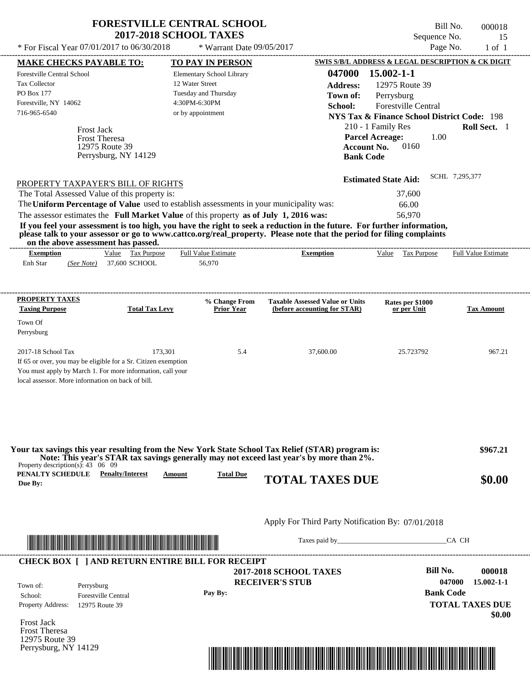|                                                                                                                                                                                                                                                      |                                        | <b>FORESTVILLE CENTRAL SCHOOL</b><br><b>2017-2018 SCHOOL TAXES</b>                                                                                                                                                                                                                             |                                                                                                                                                                                                                                                                                                      | Bill No.<br>Sequence No.                                                                                                                                                                                                                                                                                       | 000018<br>15                   |
|------------------------------------------------------------------------------------------------------------------------------------------------------------------------------------------------------------------------------------------------------|----------------------------------------|------------------------------------------------------------------------------------------------------------------------------------------------------------------------------------------------------------------------------------------------------------------------------------------------|------------------------------------------------------------------------------------------------------------------------------------------------------------------------------------------------------------------------------------------------------------------------------------------------------|----------------------------------------------------------------------------------------------------------------------------------------------------------------------------------------------------------------------------------------------------------------------------------------------------------------|--------------------------------|
| * For Fiscal Year 07/01/2017 to 06/30/2018                                                                                                                                                                                                           |                                        | * Warrant Date 09/05/2017                                                                                                                                                                                                                                                                      |                                                                                                                                                                                                                                                                                                      | Page No.                                                                                                                                                                                                                                                                                                       | $1$ of $1$                     |
| <b>MAKE CHECKS PAYABLE TO:</b>                                                                                                                                                                                                                       |                                        | <b>TO PAY IN PERSON</b>                                                                                                                                                                                                                                                                        |                                                                                                                                                                                                                                                                                                      | SWIS S/B/L ADDRESS & LEGAL DESCRIPTION & CK DIGIT                                                                                                                                                                                                                                                              |                                |
| <b>Forestville Central School</b><br><b>Tax Collector</b><br>PO Box 177<br>Forestville, NY 14062<br>716-965-6540<br><b>Frost Jack</b><br><b>Frost Theresa</b><br>PROPERTY TAXPAYER'S BILL OF RIGHTS<br>The Total Assessed Value of this property is: | 12975 Route 39<br>Perrysburg, NY 14129 | Elementary School Library<br>12 Water Street<br>Tuesday and Thursday<br>4:30PM-6:30PM<br>or by appointment<br>The Uniform Percentage of Value used to establish assessments in your municipality was:<br>The assessor estimates the Full Market Value of this property as of July 1, 2016 was: | 047000<br><b>Address:</b><br>Town of:<br>School:<br>If you feel your assessment is too high, you have the right to seek a reduction in the future. For further information,<br>please talk to your assessor or go to www.cattco.org/real property. Please note that the period for filing complaints | $15.002 - 1 - 1$<br>12975 Route 39<br>Perrysburg<br><b>Forestville Central</b><br><b>NYS Tax &amp; Finance School District Code: 198</b><br>210 - 1 Family Res<br><b>Parcel Acreage:</b><br>1.00<br>0160<br><b>Account No.</b><br><b>Bank Code</b><br><b>Estimated State Aid:</b><br>37,600<br>66.00<br>56,970 | Roll Sect. 1<br>SCHL 7,295,377 |
| on the above assessment has passed.                                                                                                                                                                                                                  |                                        |                                                                                                                                                                                                                                                                                                |                                                                                                                                                                                                                                                                                                      |                                                                                                                                                                                                                                                                                                                |                                |
| <b>Exemption</b><br>Enh Star<br>(See Note)                                                                                                                                                                                                           | Value Tax Purpose<br>37,600 SCHOOL     | <b>Full Value Estimate</b><br>56,970                                                                                                                                                                                                                                                           | <b>Exemption</b>                                                                                                                                                                                                                                                                                     | Value<br>Tax Purpose                                                                                                                                                                                                                                                                                           | <b>Full Value Estimate</b>     |
|                                                                                                                                                                                                                                                      |                                        | % Change From                                                                                                                                                                                                                                                                                  | <b>Taxable Assessed Value or Units</b>                                                                                                                                                                                                                                                               | Rates per \$1000                                                                                                                                                                                                                                                                                               | <b>Tax Amount</b>              |
| <b>PROPERTY TAXES</b><br><b>Taxing Purpose</b>                                                                                                                                                                                                       | <b>Total Tax Levy</b>                  | <b>Prior Year</b>                                                                                                                                                                                                                                                                              | (before accounting for STAR)                                                                                                                                                                                                                                                                         | or per Unit                                                                                                                                                                                                                                                                                                    |                                |
| Town Of<br>Perrysburg                                                                                                                                                                                                                                |                                        |                                                                                                                                                                                                                                                                                                |                                                                                                                                                                                                                                                                                                      |                                                                                                                                                                                                                                                                                                                |                                |

| Your tax savings this year resulting from the New York State School Tax Relief (STAR) program is:<br>Note: This year's STAR tax savings generally may not exceed last year's by more than 2%.<br>Property description(s): $43 \quad 06 \quad 09$ |                  |                        | \$967.21 |
|--------------------------------------------------------------------------------------------------------------------------------------------------------------------------------------------------------------------------------------------------|------------------|------------------------|----------|
| PENALTY SCHEDULE<br><b>Penalty/Interest</b><br><u>Amount</u><br>Due By:                                                                                                                                                                          | <b>Total Due</b> | <b>TOTAL TAXES DUE</b> | \$0.00   |



Taxes paid by\_\_\_\_\_\_\_\_\_\_\_\_\_\_\_\_\_\_\_\_\_\_\_\_\_\_\_\_\_\_\_CA CH

 **\$0.00**

**TOTAL TAXES DUE**

| <b>CHECK BOX</b> |                            | AND RETURN ENTIRE BILL FOR RECEIPT |                  |                  |
|------------------|----------------------------|------------------------------------|------------------|------------------|
|                  |                            | <b>2017-2018 SCHOOL TAXES</b>      | <b>Bill No.</b>  | 000018           |
| Town of:         | Perrysburg                 | <b>RECEIVER'S STUB</b>             | 047000           | $15.002 - 1 - 1$ |
| School:          | <b>Forestville Central</b> | Pay By:                            | <b>Bank Code</b> |                  |

Frost Jack Property Address: 12975 Route 39

Frost Theresa 12975 Route 39 Perrysburg, NY 14129

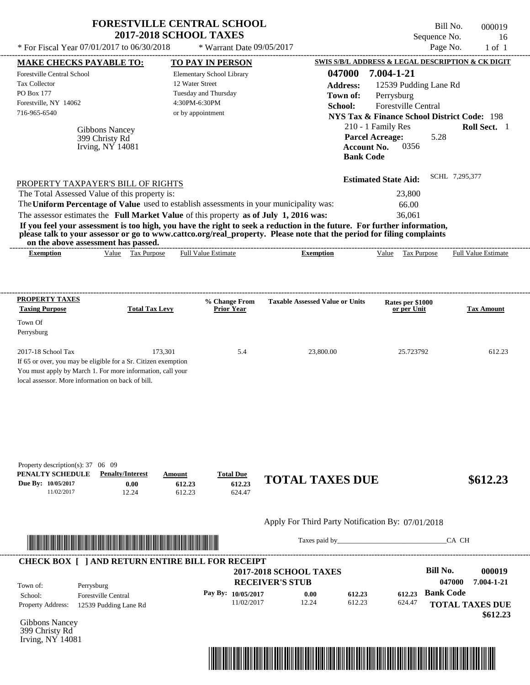|                                                                                                                                                    | <b>FORESTVILLE CENTRAL SCHOOL</b><br><b>2017-2018 SCHOOL TAXES</b>                                                                                                                                                                                                                           |                                                                       |                                                                                                                                                                                                                                                                      | Bill No.<br>Sequence No.                                                                                                                                                                                                      | 000019<br>16                          |
|----------------------------------------------------------------------------------------------------------------------------------------------------|----------------------------------------------------------------------------------------------------------------------------------------------------------------------------------------------------------------------------------------------------------------------------------------------|-----------------------------------------------------------------------|----------------------------------------------------------------------------------------------------------------------------------------------------------------------------------------------------------------------------------------------------------------------|-------------------------------------------------------------------------------------------------------------------------------------------------------------------------------------------------------------------------------|---------------------------------------|
| * For Fiscal Year 07/01/2017 to 06/30/2018                                                                                                         |                                                                                                                                                                                                                                                                                              | * Warrant Date 09/05/2017                                             |                                                                                                                                                                                                                                                                      | Page No.                                                                                                                                                                                                                      | $1$ of $1$                            |
| <b>MAKE CHECKS PAYABLE TO:</b><br><b>Forestville Central School</b><br><b>Tax Collector</b><br>PO Box 177<br>Forestville, NY 14062<br>716-965-6540 | 12 Water Street<br>4:30PM-6:30PM<br>or by appointment<br>Gibbons Nancey<br>399 Christy Rd<br>Irving, NY 14081                                                                                                                                                                                | TO PAY IN PERSON<br>Elementary School Library<br>Tuesday and Thursday | 047000<br><b>Address:</b><br>Town of:<br>School:<br><b>Parcel Acreage:</b><br><b>Account No.</b><br><b>Bank Code</b>                                                                                                                                                 | SWIS S/B/L ADDRESS & LEGAL DESCRIPTION & CK DIGIT<br>7.004-1-21<br>12539 Pudding Lane Rd<br>Perrysburg<br>Forestville Central<br><b>NYS Tax &amp; Finance School District Code: 198</b><br>210 - 1 Family Res<br>5.28<br>0356 | Roll Sect. 1                          |
| on the above assessment has passed.<br><b>Exemption</b>                                                                                            | PROPERTY TAXPAYER'S BILL OF RIGHTS<br>The Total Assessed Value of this property is:<br>The Uniform Percentage of Value used to establish assessments in your municipality was:<br>The assessor estimates the Full Market Value of this property as of July 1, 2016 was:<br>Value Tax Purpose | <b>Full Value Estimate</b>                                            | If you feel your assessment is too high, you have the right to seek a reduction in the future. For further information,<br>please talk to your assessor or go to www.cattco.org/real_property. Please note that the period for filing complaints<br><b>Exemption</b> | <b>Estimated State Aid:</b><br>23,800<br>66.00<br>36,061<br>Value Tax Purpose                                                                                                                                                 | SCHL 7,295,377<br>Full Value Estimate |
| PROPERTY TAXES<br><b>Taxing Purpose</b><br>Town Of<br>Perrysburg                                                                                   | <b>Total Tax Levy</b>                                                                                                                                                                                                                                                                        | % Change From<br><b>Prior Year</b>                                    | <b>Taxable Assessed Value or Units</b>                                                                                                                                                                                                                               | Rates per \$1000<br>or per Unit                                                                                                                                                                                               | <b>Tax Amount</b>                     |
| 2017-18 School Tax<br>local assessor. More information on back of bill.                                                                            | 173,301<br>If 65 or over, you may be eligible for a Sr. Citizen exemption<br>You must apply by March 1. For more information, call your                                                                                                                                                      | 5.4                                                                   | 23,800.00                                                                                                                                                                                                                                                            | 25.723792                                                                                                                                                                                                                     | 612.23                                |
| Property description(s): 37 06 09<br>PENALTY SCHEDULE<br>Due By: 10/05/2017<br>11/02/2017                                                          | <b>Penalty/Interest</b><br>Amount<br>0.00<br>612.23<br>12.24<br>612.23                                                                                                                                                                                                                       | <b>Total Due</b><br>612.23<br>624.47                                  | <b>TOTAL TAXES DUE</b>                                                                                                                                                                                                                                               |                                                                                                                                                                                                                               | \$612.23                              |
|                                                                                                                                                    |                                                                                                                                                                                                                                                                                              |                                                                       | Apply For Third Party Notification By: 07/01/2018                                                                                                                                                                                                                    |                                                                                                                                                                                                                               |                                       |

# \*04700000001900000000061223\*

Taxes paid by\_\_\_\_\_\_\_\_\_\_\_\_\_\_\_\_\_\_\_\_\_\_\_\_\_\_\_\_\_\_\_CA CH



Gibbons Nancey 399 Christy Rd Irving, NY 14081

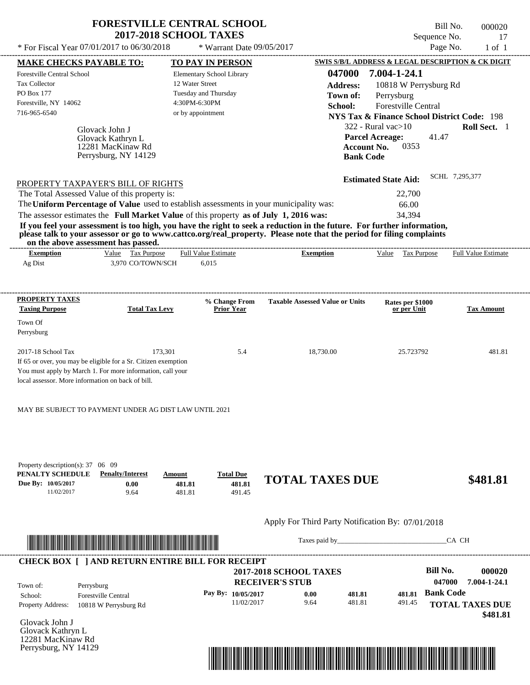|                                                                                         |                                                                | <b>2017-2018 SCHOOL TAXES</b>                                                         |                                                                                                                                                                                                                                                  | Sequence No.                                           | 17                         |
|-----------------------------------------------------------------------------------------|----------------------------------------------------------------|---------------------------------------------------------------------------------------|--------------------------------------------------------------------------------------------------------------------------------------------------------------------------------------------------------------------------------------------------|--------------------------------------------------------|----------------------------|
|                                                                                         | * For Fiscal Year 07/01/2017 to 06/30/2018                     | * Warrant Date 09/05/2017                                                             |                                                                                                                                                                                                                                                  | Page No.                                               | $1$ of $1$                 |
| <b>MAKE CHECKS PAYABLE TO:</b>                                                          |                                                                | <b>TO PAY IN PERSON</b>                                                               |                                                                                                                                                                                                                                                  | SWIS S/B/L ADDRESS & LEGAL DESCRIPTION & CK DIGIT      |                            |
| Forestville Central School                                                              |                                                                | Elementary School Library                                                             | 047000                                                                                                                                                                                                                                           | 7.004-1-24.1                                           |                            |
| <b>Tax Collector</b>                                                                    |                                                                | 12 Water Street                                                                       | <b>Address:</b>                                                                                                                                                                                                                                  | 10818 W Perrysburg Rd                                  |                            |
| PO Box 177                                                                              |                                                                | Tuesday and Thursday                                                                  | Town of:                                                                                                                                                                                                                                         | Perrysburg                                             |                            |
| Forestville, NY 14062                                                                   |                                                                | 4:30PM-6:30PM                                                                         | School:                                                                                                                                                                                                                                          | Forestville Central                                    |                            |
| 716-965-6540                                                                            |                                                                | or by appointment                                                                     |                                                                                                                                                                                                                                                  | <b>NYS Tax &amp; Finance School District Code: 198</b> |                            |
|                                                                                         |                                                                |                                                                                       |                                                                                                                                                                                                                                                  | 322 - Rural vac>10                                     | Roll Sect. 1               |
|                                                                                         | Glovack John J<br>Glovack Kathryn L                            |                                                                                       |                                                                                                                                                                                                                                                  | <b>Parcel Acreage:</b><br>41.47                        |                            |
|                                                                                         | 12281 MacKinaw Rd                                              |                                                                                       |                                                                                                                                                                                                                                                  | 0353<br><b>Account No.</b>                             |                            |
|                                                                                         | Perrysburg, NY 14129                                           |                                                                                       | <b>Bank Code</b>                                                                                                                                                                                                                                 |                                                        |                            |
|                                                                                         |                                                                |                                                                                       |                                                                                                                                                                                                                                                  | <b>Estimated State Aid:</b>                            | SCHL 7,295,377             |
|                                                                                         | PROPERTY TAXPAYER'S BILL OF RIGHTS                             |                                                                                       |                                                                                                                                                                                                                                                  |                                                        |                            |
|                                                                                         | The Total Assessed Value of this property is:                  |                                                                                       |                                                                                                                                                                                                                                                  | 22,700                                                 |                            |
|                                                                                         |                                                                |                                                                                       |                                                                                                                                                                                                                                                  |                                                        |                            |
| The Uniform Percentage of Value used to establish assessments in your municipality was: |                                                                |                                                                                       |                                                                                                                                                                                                                                                  | 66.00                                                  |                            |
|                                                                                         |                                                                | The assessor estimates the Full Market Value of this property as of July 1, 2016 was: | If you feel your assessment is too high, you have the right to seek a reduction in the future. For further information,<br>please talk to your assessor or go to www.cattco.org/real_property. Please note that the period for filing complaints | 34.394                                                 |                            |
| <b>Exemption</b>                                                                        | on the above assessment has passed.<br>Value Tax Purpose       | <b>Full Value Estimate</b>                                                            | <b>Exemption</b>                                                                                                                                                                                                                                 | Tax Purpose<br>Value                                   | <b>Full Value Estimate</b> |
| Ag Dist                                                                                 | 3,970 CO/TOWN/SCH                                              | 6,015                                                                                 |                                                                                                                                                                                                                                                  |                                                        |                            |
|                                                                                         |                                                                |                                                                                       |                                                                                                                                                                                                                                                  |                                                        |                            |
| PROPERTY TAXES<br><b>Taxing Purpose</b>                                                 | <b>Total Tax Levy</b>                                          | % Change From<br><b>Prior Year</b>                                                    | <b>Taxable Assessed Value or Units</b>                                                                                                                                                                                                           | Rates per \$1000<br>or per Unit                        | <b>Tax Amount</b>          |
| Town Of                                                                                 |                                                                |                                                                                       |                                                                                                                                                                                                                                                  |                                                        |                            |
| Perrysburg                                                                              |                                                                |                                                                                       |                                                                                                                                                                                                                                                  |                                                        |                            |
| 2017-18 School Tax                                                                      | 173,301                                                        | 5.4                                                                                   | 18,730.00                                                                                                                                                                                                                                        | 25.723792                                              | 481.81                     |
|                                                                                         | If 65 or over, you may be eligible for a Sr. Citizen exemption |                                                                                       |                                                                                                                                                                                                                                                  |                                                        |                            |
|                                                                                         | You must apply by March 1. For more information, call your     |                                                                                       |                                                                                                                                                                                                                                                  |                                                        |                            |
|                                                                                         |                                                                |                                                                                       |                                                                                                                                                                                                                                                  |                                                        |                            |
| local assessor. More information on back of bill.                                       |                                                                |                                                                                       |                                                                                                                                                                                                                                                  |                                                        |                            |
|                                                                                         |                                                                |                                                                                       |                                                                                                                                                                                                                                                  |                                                        |                            |
|                                                                                         | MAY BE SUBJECT TO PAYMENT UNDER AG DIST LAW UNTIL 2021         |                                                                                       |                                                                                                                                                                                                                                                  |                                                        |                            |

| Property description(s): $37 \quad 06 \quad 09$ |                         |        |                  |                        |          |
|-------------------------------------------------|-------------------------|--------|------------------|------------------------|----------|
| PENALTY SCHEDULE                                | <b>Penalty/Interest</b> | Amount | <b>Total Due</b> |                        |          |
| Due By: 10/05/2017                              | $0.00\,$                | 481.81 | 481.81           | <b>TOTAL TAXES DUE</b> | \$481.81 |
| 1/02/2017                                       | 9.64                    | 481.81 | 491.45           |                        |          |



Taxes paid by\_\_\_\_\_\_\_\_\_\_\_\_\_\_\_\_\_\_\_\_\_\_\_\_\_\_\_\_\_\_\_CA CH

| Town of:                 | Perrysburg                 | <b>2017-2018 SCHOOL TAXES</b><br><b>RECEIVER'S STUB</b> |      |        |        | Bill No.<br>047000 | 000020<br>7.004-1-24.1 |
|--------------------------|----------------------------|---------------------------------------------------------|------|--------|--------|--------------------|------------------------|
| School:                  | <b>Forestville Central</b> | Pay By: $10/05/2017$                                    | 0.00 | 481.81 | 481.81 | <b>Bank Code</b>   |                        |
| <b>Property Address:</b> | 10818 W Perrysburg Rd      | 11/02/2017                                              | 9.64 | 481.81 | 491.45 |                    | <b>TOTAL TAXES DUE</b> |

Glovack John J Glovack Kathryn L 12281 MacKinaw Rd Perrysburg, NY 14129

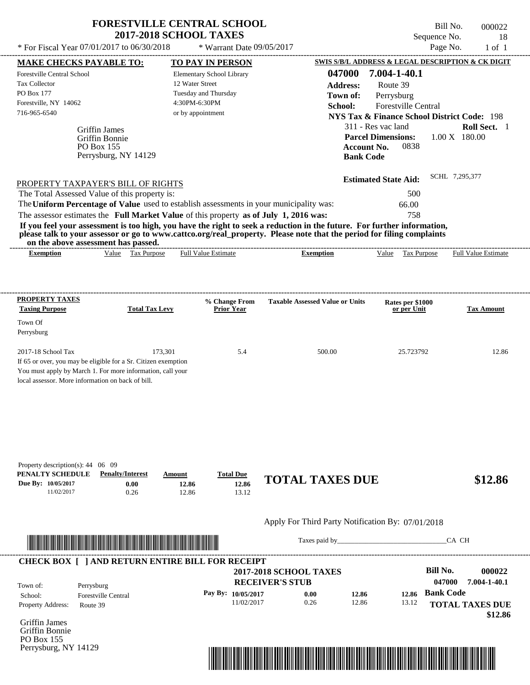| * For Fiscal Year 07/01/2017 to 06/30/2018                                                                                                                                                      |                                        | * Warrant Date 09/05/2017                                                                                                                                                                                                                                                                                                                                               |                                                                                            |                                                                                                                                                                                                                                                | Page No.<br>$1$ of $1$                  |
|-------------------------------------------------------------------------------------------------------------------------------------------------------------------------------------------------|----------------------------------------|-------------------------------------------------------------------------------------------------------------------------------------------------------------------------------------------------------------------------------------------------------------------------------------------------------------------------------------------------------------------------|--------------------------------------------------------------------------------------------|------------------------------------------------------------------------------------------------------------------------------------------------------------------------------------------------------------------------------------------------|-----------------------------------------|
| <b>MAKE CHECKS PAYABLE TO:</b><br><b>Forestville Central School</b><br><b>Tax Collector</b><br><b>PO Box 177</b><br>Forestville, NY 14062<br>716-965-6540<br><b>Griffin James</b><br>PO Box 155 | Griffin Bonnie<br>Perrysburg, NY 14129 | <b>TO PAY IN PERSON</b><br>Elementary School Library<br>12 Water Street<br>Tuesday and Thursday<br>4:30PM-6:30PM<br>or by appointment                                                                                                                                                                                                                                   | 047000<br><b>Address:</b><br>Town of:<br>School:<br><b>Account No.</b><br><b>Bank Code</b> | SWIS S/B/L ADDRESS & LEGAL DESCRIPTION & CK DIGIT<br>7.004-1-40.1<br>Route 39<br>Perrysburg<br><b>Forestville Central</b><br><b>NYS Tax &amp; Finance School District Code: 198</b><br>311 - Res vac land<br><b>Parcel Dimensions:</b><br>0838 | Roll Sect. 1<br>$1.00 \text{ X}$ 180.00 |
| The Total Assessed Value of this property is:                                                                                                                                                   | PROPERTY TAXPAYER'S BILL OF RIGHTS     | The Uniform Percentage of Value used to establish assessments in your municipality was:                                                                                                                                                                                                                                                                                 |                                                                                            | 500<br>66.00                                                                                                                                                                                                                                   |                                         |
| <b>Exemption</b>                                                                                                                                                                                | Value Tax Purpose                      | The assessor estimates the Full Market Value of this property as of July 1, 2016 was:<br>If you feel your assessment is too high, you have the right to seek a reduction in the future. For further information,<br>please talk to your assessor or go to www.cattco.org/real_property. Please note that the period for filing complaints<br><b>Full Value Estimate</b> | <b>Exemption</b>                                                                           | 758<br>Value<br>Tax Purpose                                                                                                                                                                                                                    | <b>Full Value Estimate</b>              |
| on the above assessment has passed.<br>PROPERTY TAXES<br><b>Taxing Purpose</b><br>Town Of<br>Perrysburg                                                                                         | <b>Total Tax Levy</b>                  | % Change From<br><b>Prior Year</b>                                                                                                                                                                                                                                                                                                                                      | <b>Taxable Assessed Value or Units</b>                                                     | Rates per \$1000<br>or per Unit                                                                                                                                                                                                                | <b>Tax Amount</b>                       |

| Property description(s): $44 \quad 06 \quad 09$ |                         |                |                  |                        |         |
|-------------------------------------------------|-------------------------|----------------|------------------|------------------------|---------|
| PENALTY SCHEDULE                                | <b>Penalty/Interest</b> | Amount         | <b>Total Due</b> |                        |         |
| Due By: 10/05/2017                              | $0.00\,$                | 12.86          | 12.86            | <b>TOTAL TAXES DUE</b> | \$12.86 |
| 11/02/2017                                      | 0.26                    | $^{\circ}2.86$ |                  |                        |         |



Taxes paid by\_\_\_\_\_\_\_\_\_\_\_\_\_\_\_\_\_\_\_\_\_\_\_\_\_\_\_\_\_\_\_CA CH

| Town of:                 | Perrysburg                 | <b>2017-2018 SCHOOL TAXES</b><br><b>RECEIVER'S STUB</b> |      |       |       | Bill No.<br>047000 | 000022<br>7.004-1-40.1 |
|--------------------------|----------------------------|---------------------------------------------------------|------|-------|-------|--------------------|------------------------|
| School:                  | <b>Forestville Central</b> | Pay By: $10/05/2017$                                    | 0.00 | 12.86 | 12.86 | <b>Bank Code</b>   |                        |
| <b>Property Address:</b> | Route 39                   | 11/02/2017                                              | 0.26 | 12.86 | 13.12 |                    | <b>TOTAL TAXES DUE</b> |

Griffin James Griffin Bonnie PO Box 155 Perrysburg, NY 14129

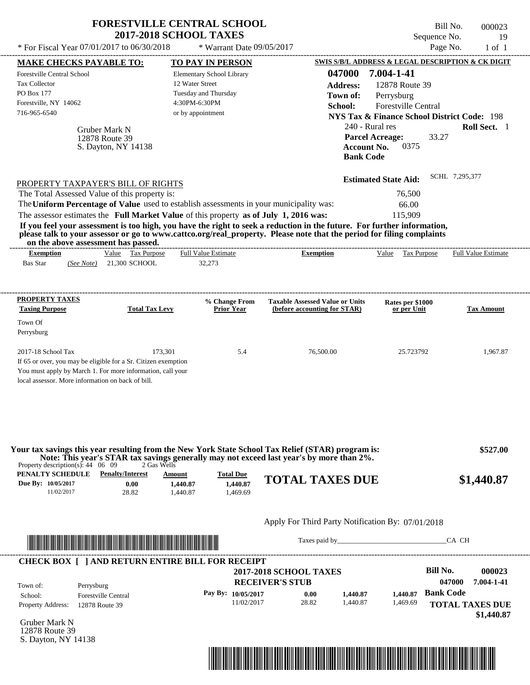|                                                                                                                                                                                                                                                                                                             | <b>FORESTVILLE CENTRAL SCHOOL</b>                                          |                                                                        | Bill No.                                               | 000023                     |
|-------------------------------------------------------------------------------------------------------------------------------------------------------------------------------------------------------------------------------------------------------------------------------------------------------------|----------------------------------------------------------------------------|------------------------------------------------------------------------|--------------------------------------------------------|----------------------------|
|                                                                                                                                                                                                                                                                                                             | <b>2017-2018 SCHOOL TAXES</b>                                              |                                                                        | Sequence No.                                           | 19                         |
| * For Fiscal Year 07/01/2017 to 06/30/2018                                                                                                                                                                                                                                                                  | * Warrant Date 09/05/2017                                                  |                                                                        | Page No.                                               | $1$ of $1$                 |
| <b>MAKE CHECKS PAYABLE TO:</b>                                                                                                                                                                                                                                                                              | <b>TO PAY IN PERSON</b>                                                    |                                                                        | SWIS S/B/L ADDRESS & LEGAL DESCRIPTION & CK DIGIT      |                            |
| <b>Forestville Central School</b>                                                                                                                                                                                                                                                                           | Elementary School Library<br>12 Water Street                               | 047000                                                                 | 7.004-1-41                                             |                            |
| <b>Tax Collector</b><br>PO Box 177                                                                                                                                                                                                                                                                          |                                                                            | <b>Address:</b>                                                        | 12878 Route 39                                         |                            |
| Forestville, NY 14062                                                                                                                                                                                                                                                                                       | Tuesday and Thursday<br>4:30PM-6:30PM                                      | Town of:                                                               | Perrysburg                                             |                            |
| 716-965-6540                                                                                                                                                                                                                                                                                                | or by appointment                                                          | School:                                                                | <b>Forestville Central</b>                             |                            |
|                                                                                                                                                                                                                                                                                                             |                                                                            |                                                                        | <b>NYS Tax &amp; Finance School District Code: 198</b> |                            |
| Gruber Mark N                                                                                                                                                                                                                                                                                               |                                                                            | 240 - Rural res                                                        |                                                        | Roll Sect. 1               |
| 12878 Route 39                                                                                                                                                                                                                                                                                              |                                                                            | <b>Parcel Acreage:</b>                                                 | 33.27                                                  |                            |
| S. Dayton, NY 14138                                                                                                                                                                                                                                                                                         |                                                                            | <b>Account No.</b><br><b>Bank Code</b>                                 | 0375                                                   |                            |
|                                                                                                                                                                                                                                                                                                             |                                                                            |                                                                        |                                                        |                            |
|                                                                                                                                                                                                                                                                                                             |                                                                            |                                                                        | <b>Estimated State Aid:</b>                            | SCHL 7,295,377             |
| PROPERTY TAXPAYER'S BILL OF RIGHTS                                                                                                                                                                                                                                                                          |                                                                            |                                                                        |                                                        |                            |
| The Total Assessed Value of this property is:                                                                                                                                                                                                                                                               |                                                                            |                                                                        | 76,500                                                 |                            |
| The Uniform Percentage of Value used to establish assessments in your municipality was:                                                                                                                                                                                                                     |                                                                            |                                                                        | 66.00                                                  |                            |
| The assessor estimates the Full Market Value of this property as of July 1, 2016 was:<br>If you feel your assessment is too high, you have the right to seek a reduction in the future. For further information,                                                                                            |                                                                            |                                                                        | 115,909                                                |                            |
| please talk to your assessor or go to www.cattco.org/real_property. Please note that the period for filing complaints<br>on the above assessment has passed.                                                                                                                                                |                                                                            |                                                                        |                                                        |                            |
| Value Tax Purpose<br><b>Exemption</b>                                                                                                                                                                                                                                                                       | <b>Full Value Estimate</b>                                                 | <b>Exemption</b>                                                       | Value Tax Purpose                                      | <b>Full Value Estimate</b> |
| <b>Bas Star</b><br>21,300 SCHOOL<br>(See Note)                                                                                                                                                                                                                                                              | 32,273                                                                     |                                                                        |                                                        |                            |
| PROPERTY TAXES<br><b>Taxing Purpose</b><br><b>Total Tax Levy</b><br>Town Of                                                                                                                                                                                                                                 | % Change From<br><b>Prior Year</b>                                         | <b>Taxable Assessed Value or Units</b><br>(before accounting for STAR) | Rates per \$1000<br>or per Unit                        | Tax Amount                 |
| Perrysburg                                                                                                                                                                                                                                                                                                  |                                                                            |                                                                        |                                                        |                            |
| 173,301<br>2017-18 School Tax<br>If 65 or over, you may be eligible for a Sr. Citizen exemption<br>You must apply by March 1. For more information, call your<br>local assessor. More information on back of bill.                                                                                          | 5.4                                                                        | 76,500.00                                                              | 25.723792                                              | 1,967.87                   |
| Your tax savings this year resulting from the New York State School Tax Relief (STAR) program is:<br>Note: This year's STAR tax savings generally may not exceed last year's by more than 2%.<br>Property description(s): $44 \quad 06 \quad 09$<br>2 Gas Wells<br><b>PENALTY SCHEDULE</b> Penalty/Interest |                                                                            |                                                                        |                                                        | \$527.00                   |
| Due By: 10/05/2017<br>0.00<br>11/02/2017<br>28.82                                                                                                                                                                                                                                                           | <b>Total Due</b><br>Amount<br>1,440.87<br>1,440.87<br>1,440.87<br>1,469.69 | <b>TOTAL TAXES DUE</b>                                                 |                                                        | \$1,440.87                 |
|                                                                                                                                                                                                                                                                                                             |                                                                            | Apply For Third Party Notification By: 07/01/2018                      |                                                        |                            |
| <u> Literatura de la contrada de la contrada de la contrada de la contrada de la contrada de la contrada de la c</u>                                                                                                                                                                                        |                                                                            |                                                                        |                                                        | CA CH                      |
| <b>CHECK BOX [ ] AND RETURN ENTIRE BILL FOR RECEIPT</b>                                                                                                                                                                                                                                                     |                                                                            |                                                                        |                                                        |                            |
|                                                                                                                                                                                                                                                                                                             |                                                                            | <b>2017-2018 SCHOOL TAXES</b>                                          | <b>Bill No.</b>                                        | 000023                     |
| Town of:<br>Perrysburg                                                                                                                                                                                                                                                                                      |                                                                            | <b>RECEIVER'S STUB</b>                                                 |                                                        | 047000<br>7.004-1-41       |
| <b>Forestville Central</b><br>School:                                                                                                                                                                                                                                                                       | Pay By: 10/05/2017                                                         | 1,440.87<br>0.00                                                       | <b>Bank Code</b><br>1,440.87                           |                            |
| Property $\Delta d$ dress: 12878 $R_{\text{out}}$ 30                                                                                                                                                                                                                                                        | 11/02/2017                                                                 | 28.82<br>1,440.87                                                      | 1,469.69                                               | <b>TOTAL TAVES DHE</b>     |

11/02/2017 28.82

Gruber Mark N 12878 Route 39 S. Dayton, NY 14138

Property Address: 12878 Route 39



1,440.87

1,469.69

**TOTAL TAXES DUE**

 **\$1,440.87**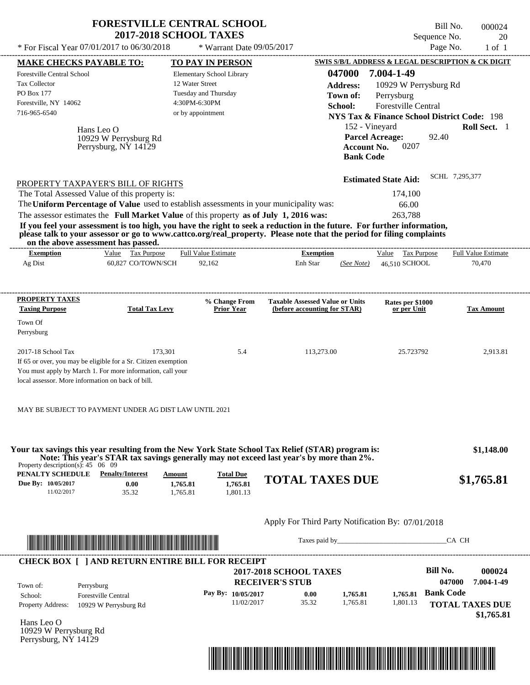| * For Fiscal Year 07/01/2017 to 06/30/2018                                                                                                                                                                       | <b>2017-2018 SCHOOL TAXES</b>                                                            | <b>FORESTVILLE CENTRAL SCHOOL</b> | * Warrant Date 09/05/2017                |                                                                        |                  |                                                        | Bill No.<br>Sequence No.<br>Page No. | 000024<br>20<br>$1$ of $1$ |
|------------------------------------------------------------------------------------------------------------------------------------------------------------------------------------------------------------------|------------------------------------------------------------------------------------------|-----------------------------------|------------------------------------------|------------------------------------------------------------------------|------------------|--------------------------------------------------------|--------------------------------------|----------------------------|
| <b>MAKE CHECKS PAYABLE TO:</b>                                                                                                                                                                                   |                                                                                          | <b>TO PAY IN PERSON</b>           |                                          |                                                                        |                  | SWIS S/B/L ADDRESS & LEGAL DESCRIPTION & CK DIGIT      |                                      |                            |
| Forestville Central School                                                                                                                                                                                       |                                                                                          | Elementary School Library         |                                          |                                                                        | 047000           | 7.004-1-49                                             |                                      |                            |
| Tax Collector                                                                                                                                                                                                    |                                                                                          | 12 Water Street                   |                                          |                                                                        | <b>Address:</b>  | 10929 W Perrysburg Rd                                  |                                      |                            |
| PO Box 177                                                                                                                                                                                                       |                                                                                          | Tuesday and Thursday              |                                          |                                                                        | Town of:         | Perrysburg                                             |                                      |                            |
| Forestville, NY 14062                                                                                                                                                                                            |                                                                                          | 4:30PM-6:30PM                     |                                          |                                                                        | School:          | Forestville Central                                    |                                      |                            |
| 716-965-6540                                                                                                                                                                                                     |                                                                                          | or by appointment                 |                                          |                                                                        |                  | <b>NYS Tax &amp; Finance School District Code: 198</b> |                                      |                            |
|                                                                                                                                                                                                                  | Hans Leo O                                                                               |                                   |                                          |                                                                        |                  | 152 - Vineyard                                         |                                      | Roll Sect. 1               |
|                                                                                                                                                                                                                  | 10929 W Perrysburg Rd<br>Perrysburg, NY 14129                                            |                                   |                                          |                                                                        | <b>Bank Code</b> | <b>Parcel Acreage:</b><br>0207<br><b>Account No.</b>   | 92.40                                |                            |
|                                                                                                                                                                                                                  |                                                                                          |                                   |                                          |                                                                        |                  | <b>Estimated State Aid:</b>                            | SCHL 7,295,377                       |                            |
| PROPERTY TAXPAYER'S BILL OF RIGHTS<br>The Total Assessed Value of this property is:                                                                                                                              |                                                                                          |                                   |                                          |                                                                        |                  | 174,100                                                |                                      |                            |
| The Uniform Percentage of Value used to establish assessments in your municipality was:                                                                                                                          |                                                                                          |                                   |                                          |                                                                        |                  |                                                        |                                      |                            |
|                                                                                                                                                                                                                  |                                                                                          |                                   |                                          |                                                                        |                  | 66.00                                                  |                                      |                            |
| The assessor estimates the Full Market Value of this property as of July 1, 2016 was:<br>If you feel your assessment is too high, you have the right to seek a reduction in the future. For further information, |                                                                                          |                                   |                                          |                                                                        |                  | 263,788                                                |                                      |                            |
| please talk to your assessor or go to www.cattco.org/real_property. Please note that the period for filing complaints                                                                                            |                                                                                          |                                   |                                          |                                                                        |                  |                                                        |                                      |                            |
| on the above assessment has passed.<br><b>Exemption</b>                                                                                                                                                          | Value Tax Purpose                                                                        | <b>Full Value Estimate</b>        |                                          | --------------------------<br><b>Exemption</b>                         |                  | Value Tax Purpose                                      |                                      | <b>Full Value Estimate</b> |
| Ag Dist                                                                                                                                                                                                          | 60,827 CO/TOWN/SCH                                                                       | 92,162                            |                                          | Enh Star                                                               | (See Note)       | 46.510 SCHOOL                                          |                                      | 70,470                     |
|                                                                                                                                                                                                                  |                                                                                          |                                   |                                          |                                                                        |                  |                                                        |                                      |                            |
|                                                                                                                                                                                                                  |                                                                                          |                                   |                                          |                                                                        |                  |                                                        |                                      |                            |
| <b>PROPERTY TAXES</b><br><b>Taxing Purpose</b>                                                                                                                                                                   | <b>Total Tax Levy</b>                                                                    |                                   | % Change From<br><b>Prior Year</b>       | <b>Taxable Assessed Value or Units</b><br>(before accounting for STAR) |                  | Rates per \$1000<br>or per Unit                        |                                      | <b>Tax Amount</b>          |
| Town Of<br>Perrysburg                                                                                                                                                                                            |                                                                                          |                                   |                                          |                                                                        |                  |                                                        |                                      |                            |
| 2017-18 School Tax<br>If 65 or over, you may be eligible for a Sr. Citizen exemption                                                                                                                             | 173,301                                                                                  |                                   | 5.4                                      | 113,273.00                                                             |                  | 25.723792                                              |                                      |                            |
| You must apply by March 1. For more information, call your<br>local assessor. More information on back of bill.                                                                                                  |                                                                                          |                                   |                                          |                                                                        |                  |                                                        |                                      |                            |
| MAY BE SUBJECT TO PAYMENT UNDER AG DIST LAW UNTIL 2021                                                                                                                                                           |                                                                                          |                                   |                                          |                                                                        |                  |                                                        |                                      | 2,913.81                   |
| Your tax savings this year resulting from the New York State School Tax Relief (STAR) program is:<br>Property description(s): $45 \quad 06 \quad 09$                                                             | Note: This year's STAR tax savings generally may not exceed last year's by more than 2%. |                                   |                                          |                                                                        |                  |                                                        |                                      |                            |
| PENALTY SCHEDULE<br>Due By: 10/05/2017<br>11/02/2017                                                                                                                                                             | <b>Penalty/Interest</b><br>0.00<br>35.32                                                 | Amount<br>1,765.81<br>1,765.81    | <b>Total Due</b><br>1,765.81<br>1,801.13 | <b>TOTAL TAXES DUE</b>                                                 |                  |                                                        |                                      | \$1,148.00<br>\$1,765.81   |
|                                                                                                                                                                                                                  |                                                                                          |                                   |                                          | Apply For Third Party Notification By: 07/01/2018                      |                  |                                                        |                                      |                            |

| Town of:                 | <b>CHECK BOX [ ] AND RETURN ENTIRE BILL FOR RECEIPT</b> | <b>2017-2018 SCHOOL TAXES</b><br><b>RECEIVER'S STUB</b> |       |          |          | <b>Bill No.</b><br>047000 | 000024<br>7.004-1-49                 |
|--------------------------|---------------------------------------------------------|---------------------------------------------------------|-------|----------|----------|---------------------------|--------------------------------------|
| School:                  | Perrysburg<br><b>Forestville Central</b>                | Pay By: $10/05/2017$                                    | 0.00  | 1.765.81 | 1.765.81 | <b>Bank Code</b>          |                                      |
| <b>Property Address:</b> | 10929 W Perrysburg Rd                                   | 11/02/2017                                              | 35.32 | 1.765.81 | 1,801.13 |                           | <b>TOTAL TAXES DUE</b><br>\$1,765.81 |

Hans Leo O 10929 W Perrysburg Rd Perrysburg, NY 14129

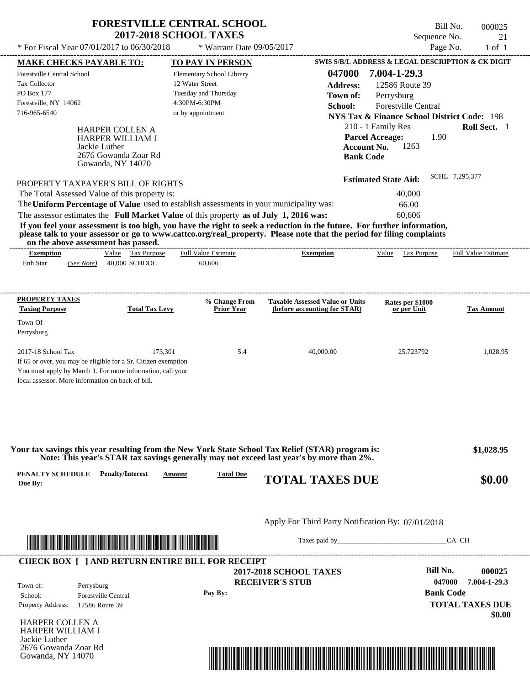| <b>FORESTVILLE CENTRAL SCHOOL</b><br><b>2017-2018 SCHOOL TAXES</b> |                             | Bill No.<br>Sequence No.                          | 000025 |
|--------------------------------------------------------------------|-----------------------------|---------------------------------------------------|--------|
| * For Fiscal Year $07/01/2017$ to $06/30/2018$                     | * Warrant Date $09/05/2017$ | Page No.                                          | l of - |
| <b>MAKE CHECKS PAYABLE TO:</b>                                     | <b>TO PAY IN PERSON</b>     | SWIS S/B/L ADDRESS & LEGAL DESCRIPTION & CK DIGIT |        |

| <b>MAKE CHECKS PAYABLE TO:</b>                                                                                               |                                                                                         | <b>TO PAY IN PERSON</b>                                                                 |                                                                                                                         |                                                                                                                |                                |
|------------------------------------------------------------------------------------------------------------------------------|-----------------------------------------------------------------------------------------|-----------------------------------------------------------------------------------------|-------------------------------------------------------------------------------------------------------------------------|----------------------------------------------------------------------------------------------------------------|--------------------------------|
| <b>Forestville Central School</b>                                                                                            |                                                                                         | Elementary School Library                                                               | 047000                                                                                                                  | 7.004-1-29.3                                                                                                   |                                |
| <b>Tax Collector</b>                                                                                                         |                                                                                         | 12 Water Street                                                                         | <b>Address:</b>                                                                                                         | 12586 Route 39                                                                                                 |                                |
| PO Box 177                                                                                                                   |                                                                                         | Tuesday and Thursday                                                                    | Town of:                                                                                                                | Perrysburg                                                                                                     |                                |
| Forestville, NY 14062                                                                                                        |                                                                                         | 4:30PM-6:30PM                                                                           | School:                                                                                                                 | <b>Forestville Central</b>                                                                                     |                                |
| 716-965-6540                                                                                                                 |                                                                                         | or by appointment                                                                       |                                                                                                                         | <b>NYS Tax &amp; Finance School District Code: 198</b>                                                         |                                |
| Jackie Luther<br>PROPERTY TAXPAYER'S BILL OF RIGHTS<br>The Total Assessed Value of this property is:                         | <b>HARPER COLLEN A</b><br>HARPER WILLIAM J<br>2676 Gowanda Zoar Rd<br>Gowanda, NY 14070 | The Uniform Percentage of Value used to establish assessments in your municipality was: | <b>Account No.</b><br><b>Bank Code</b>                                                                                  | 210 - 1 Family Res<br><b>Parcel Acreage:</b><br>1.90<br>1263<br><b>Estimated State Aid:</b><br>40,000<br>66.00 | Roll Sect. 1<br>SCHL 7,295,377 |
|                                                                                                                              |                                                                                         |                                                                                         | If you feel your assessment is too high, you have the right to seek a reduction in the future. For further information, | 60.606                                                                                                         |                                |
| The assessor estimates the Full Market Value of this property as of July 1, 2016 was:<br>on the above assessment has passed. |                                                                                         |                                                                                         | please talk to your assessor or go to www.cattco.org/real_property. Please note that the period for filing complaints   |                                                                                                                |                                |
| <b>Exemption</b><br>Enh Star<br>(See Note)                                                                                   | Value Tax Purpose<br>40,000 SCHOOL                                                      | <b>Full Value Estimate</b><br>60,606                                                    | <b>Exemption</b>                                                                                                        | Value Tax Purpose                                                                                              | <b>Full Value Estimate</b>     |
| PROPERTY TAXES<br><b>Taxing Purpose</b><br>Town Of                                                                           | <b>Total Tax Levy</b>                                                                   | % Change From<br><b>Prior Year</b>                                                      | <b>Taxable Assessed Value or Units</b><br>(before accounting for STAR)                                                  | Rates per \$1000<br>or per Unit                                                                                | <b>Tax Amount</b>              |
| Perrysburg                                                                                                                   |                                                                                         |                                                                                         |                                                                                                                         |                                                                                                                |                                |
| 2017-18 School Tax                                                                                                           | 173,301                                                                                 | 5.4                                                                                     | 40,000.00                                                                                                               | 25.723792                                                                                                      | 1,028.95                       |
| If 65 or over, you may be eligible for a Sr. Citizen exemption                                                               |                                                                                         |                                                                                         |                                                                                                                         |                                                                                                                |                                |
| You must apply by March 1. For more information, call your                                                                   |                                                                                         |                                                                                         |                                                                                                                         |                                                                                                                |                                |

|                             |                         |               |                  | Your tax savings this year resulting from the New York State School Tax Relief (STAR) program is:<br>Note: This year's STAR tax savings generally may not exceed last year's by more than 2%. | \$1,028.95 |
|-----------------------------|-------------------------|---------------|------------------|-----------------------------------------------------------------------------------------------------------------------------------------------------------------------------------------------|------------|
| PENALTY SCHEDULE<br>Due By: | <b>Penalty/Interest</b> | <u>Amount</u> | <b>Total Due</b> | <b>TOTAL TAXES DUE</b>                                                                                                                                                                        | \$0.00     |



Taxes paid by\_\_\_\_\_\_\_\_\_\_\_\_\_\_\_\_\_\_\_\_\_\_\_\_\_\_\_\_\_\_\_CA CH



**RECEIVER'S STUB 2017-2018 SCHOOL TAXES**

**Pay By:**

**Bill No. 000025 Bank Code TOTAL TAXES DUE \$0.00 047000 7.004-1-29.3**

HARPER COLLEN A HARPER WILLIAM J Jackie Luther 2676 Gowanda Zoar Rd Gowanda, NY 14070

Property Address: 12586 Route 39

Town of:

School: Forestville Central

Perrysburg

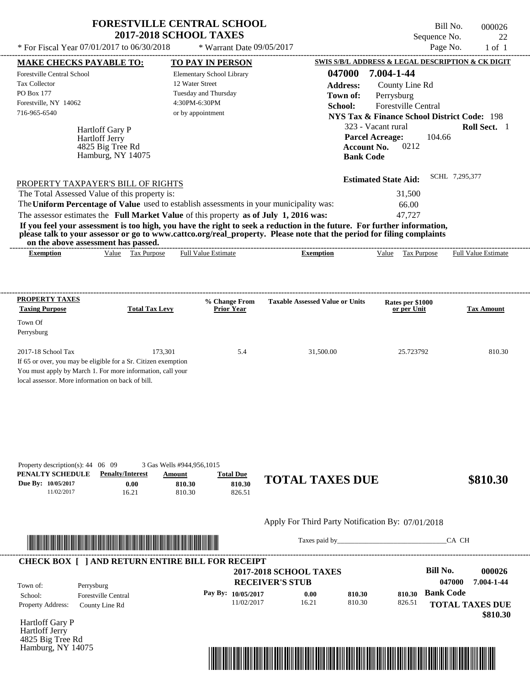| <b>FORESTVILLE CENTRAL SCHOOL</b> |  |
|-----------------------------------|--|
| <b>2017-2018 SCHOOL TAXES</b>     |  |

 $*$  For Fiscal Year 07/01/2017 to 06/30/2018

\* Warrant Date 09/05/2017

| $1 \text{ or } 1 \text{ is } 1001 \text{ or } 1001$                                                                                                                                                                                              |                         |                                    |                    |                                                   |                  |                             |             |                  |                                                        |
|--------------------------------------------------------------------------------------------------------------------------------------------------------------------------------------------------------------------------------------------------|-------------------------|------------------------------------|--------------------|---------------------------------------------------|------------------|-----------------------------|-------------|------------------|--------------------------------------------------------|
| <b>MAKE CHECKS PAYABLE TO:</b>                                                                                                                                                                                                                   |                         | <b>TO PAY IN PERSON</b>            |                    |                                                   |                  |                             |             |                  | SWIS S/B/L ADDRESS & LEGAL DESCRIPTION & CK DIGIT      |
| Forestville Central School                                                                                                                                                                                                                       |                         | <b>Elementary School Library</b>   |                    |                                                   | 047000           | 7.004-1-44                  |             |                  |                                                        |
| Tax Collector                                                                                                                                                                                                                                    |                         | 12 Water Street                    |                    |                                                   | <b>Address:</b>  | County Line Rd              |             |                  |                                                        |
| PO Box 177                                                                                                                                                                                                                                       |                         | Tuesday and Thursday               |                    |                                                   | Town of:         | Perrysburg                  |             |                  |                                                        |
| Forestville, NY 14062                                                                                                                                                                                                                            |                         | 4:30PM-6:30PM                      |                    |                                                   | School:          | Forestville Central         |             |                  |                                                        |
| 716-965-6540                                                                                                                                                                                                                                     |                         | or by appointment                  |                    |                                                   |                  |                             |             |                  | <b>NYS Tax &amp; Finance School District Code: 198</b> |
| <b>Hartloff Gary P</b>                                                                                                                                                                                                                           |                         |                                    |                    |                                                   |                  | 323 - Vacant rural          |             |                  | Roll Sect. 1                                           |
| Hartloff Jerry                                                                                                                                                                                                                                   |                         |                                    |                    |                                                   |                  | <b>Parcel Acreage:</b>      |             | 104.66           |                                                        |
|                                                                                                                                                                                                                                                  | 4825 Big Tree Rd        |                                    |                    |                                                   |                  | <b>Account No.</b>          | 0212        |                  |                                                        |
|                                                                                                                                                                                                                                                  | Hamburg, NY 14075       |                                    |                    |                                                   | <b>Bank Code</b> |                             |             |                  |                                                        |
|                                                                                                                                                                                                                                                  |                         |                                    |                    |                                                   |                  |                             |             |                  |                                                        |
|                                                                                                                                                                                                                                                  |                         |                                    |                    |                                                   |                  | <b>Estimated State Aid:</b> |             | SCHL 7,295,377   |                                                        |
| PROPERTY TAXPAYER'S BILL OF RIGHTS                                                                                                                                                                                                               |                         |                                    |                    |                                                   |                  |                             |             |                  |                                                        |
| The Total Assessed Value of this property is:                                                                                                                                                                                                    |                         |                                    |                    |                                                   |                  |                             | 31,500      |                  |                                                        |
| The Uniform Percentage of Value used to establish assessments in your municipality was:                                                                                                                                                          |                         |                                    |                    |                                                   |                  |                             | 66.00       |                  |                                                        |
| The assessor estimates the Full Market Value of this property as of July 1, 2016 was:                                                                                                                                                            |                         |                                    |                    |                                                   |                  |                             | 47,727      |                  |                                                        |
| If you feel your assessment is too high, you have the right to seek a reduction in the future. For further information,<br>please talk to your assessor or go to www.cattco.org/real_property. Please note that the period for filing complaints |                         |                                    |                    |                                                   |                  |                             |             |                  |                                                        |
| on the above assessment has passed.                                                                                                                                                                                                              |                         |                                    |                    |                                                   |                  |                             |             |                  |                                                        |
| <b>Exemption</b>                                                                                                                                                                                                                                 | Value Tax Purpose       | <b>Full Value Estimate</b>         |                    | <b>Exemption</b>                                  |                  | Value Tax Purpose           |             |                  | <b>Full Value Estimate</b>                             |
|                                                                                                                                                                                                                                                  |                         |                                    |                    |                                                   |                  |                             |             |                  |                                                        |
|                                                                                                                                                                                                                                                  |                         |                                    |                    |                                                   |                  |                             |             |                  |                                                        |
|                                                                                                                                                                                                                                                  |                         |                                    |                    |                                                   |                  |                             |             |                  |                                                        |
| <b>PROPERTY TAXES</b>                                                                                                                                                                                                                            |                         |                                    |                    |                                                   |                  |                             |             |                  |                                                        |
| <b>Taxing Purpose</b>                                                                                                                                                                                                                            | <b>Total Tax Levy</b>   | % Change From<br><b>Prior Year</b> |                    | <b>Taxable Assessed Value or Units</b>            |                  | Rates per \$1000            | or per Unit |                  | <b>Tax Amount</b>                                      |
|                                                                                                                                                                                                                                                  |                         |                                    |                    |                                                   |                  |                             |             |                  |                                                        |
| Town Of                                                                                                                                                                                                                                          |                         |                                    |                    |                                                   |                  |                             |             |                  |                                                        |
| Perrysburg                                                                                                                                                                                                                                       |                         |                                    |                    |                                                   |                  |                             |             |                  |                                                        |
| 2017-18 School Tax                                                                                                                                                                                                                               | 173,301                 |                                    | 5.4                | 31,500.00                                         |                  |                             | 25.723792   |                  | 810.30                                                 |
| If 65 or over, you may be eligible for a Sr. Citizen exemption                                                                                                                                                                                   |                         |                                    |                    |                                                   |                  |                             |             |                  |                                                        |
| You must apply by March 1. For more information, call your                                                                                                                                                                                       |                         |                                    |                    |                                                   |                  |                             |             |                  |                                                        |
| local assessor. More information on back of bill.                                                                                                                                                                                                |                         |                                    |                    |                                                   |                  |                             |             |                  |                                                        |
|                                                                                                                                                                                                                                                  |                         |                                    |                    |                                                   |                  |                             |             |                  |                                                        |
|                                                                                                                                                                                                                                                  |                         |                                    |                    |                                                   |                  |                             |             |                  |                                                        |
|                                                                                                                                                                                                                                                  |                         |                                    |                    |                                                   |                  |                             |             |                  |                                                        |
|                                                                                                                                                                                                                                                  |                         |                                    |                    |                                                   |                  |                             |             |                  |                                                        |
|                                                                                                                                                                                                                                                  |                         |                                    |                    |                                                   |                  |                             |             |                  |                                                        |
|                                                                                                                                                                                                                                                  |                         |                                    |                    |                                                   |                  |                             |             |                  |                                                        |
|                                                                                                                                                                                                                                                  |                         |                                    |                    |                                                   |                  |                             |             |                  |                                                        |
| Property description(s): $44 \quad 06 \quad 09$                                                                                                                                                                                                  |                         | 3 Gas Wells #944,956,1015          |                    |                                                   |                  |                             |             |                  |                                                        |
| PENALTY SCHEDULE                                                                                                                                                                                                                                 | <b>Penalty/Interest</b> | Amount                             | <b>Total Due</b>   |                                                   |                  |                             |             |                  |                                                        |
| Due By: 10/05/2017                                                                                                                                                                                                                               | 0.00                    | 810.30                             | 810.30             | <b>TOTAL TAXES DUE</b>                            |                  |                             |             |                  | \$810.30                                               |
| 11/02/2017                                                                                                                                                                                                                                       | 16.21                   | 810.30                             | 826.51             |                                                   |                  |                             |             |                  |                                                        |
|                                                                                                                                                                                                                                                  |                         |                                    |                    |                                                   |                  |                             |             |                  |                                                        |
|                                                                                                                                                                                                                                                  |                         |                                    |                    |                                                   |                  |                             |             |                  |                                                        |
|                                                                                                                                                                                                                                                  |                         |                                    |                    | Apply For Third Party Notification By: 07/01/2018 |                  |                             |             |                  |                                                        |
|                                                                                                                                                                                                                                                  |                         |                                    |                    |                                                   |                  |                             |             |                  |                                                        |
|                                                                                                                                                                                                                                                  |                         |                                    |                    | Taxes paid by                                     |                  |                             |             |                  | CA CH                                                  |
|                                                                                                                                                                                                                                                  |                         |                                    |                    |                                                   |                  |                             |             |                  |                                                        |
| <b>CHECK BOX [ ] AND RETURN ENTIRE BILL FOR RECEIPT</b>                                                                                                                                                                                          |                         |                                    |                    |                                                   |                  |                             |             |                  |                                                        |
|                                                                                                                                                                                                                                                  |                         |                                    |                    | <b>2017-2018 SCHOOL TAXES</b>                     |                  |                             |             | <b>Bill No.</b>  | 000026                                                 |
| Town of:<br>Perrysburg                                                                                                                                                                                                                           |                         |                                    |                    | <b>RECEIVER'S STUB</b>                            |                  |                             |             | 047000           | 7.004-1-44                                             |
| School:<br><b>Forestville Central</b>                                                                                                                                                                                                            |                         |                                    | Pay By: 10/05/2017 | 0.00                                              | 810.30           |                             | 810.30      | <b>Bank Code</b> |                                                        |
| Property Address:<br>County Line Rd                                                                                                                                                                                                              |                         |                                    | 11/02/2017         | 16.21                                             | 810.30           |                             | 826.51      |                  | <b>TOTAL TAXES DUE</b>                                 |
|                                                                                                                                                                                                                                                  |                         |                                    |                    |                                                   |                  |                             |             |                  | \$810.30                                               |
|                                                                                                                                                                                                                                                  |                         |                                    |                    |                                                   |                  |                             |             |                  |                                                        |

Hartloff Gary P Hartloff Jerry 4825 Big Tree Rd Hamburg, NY 14075

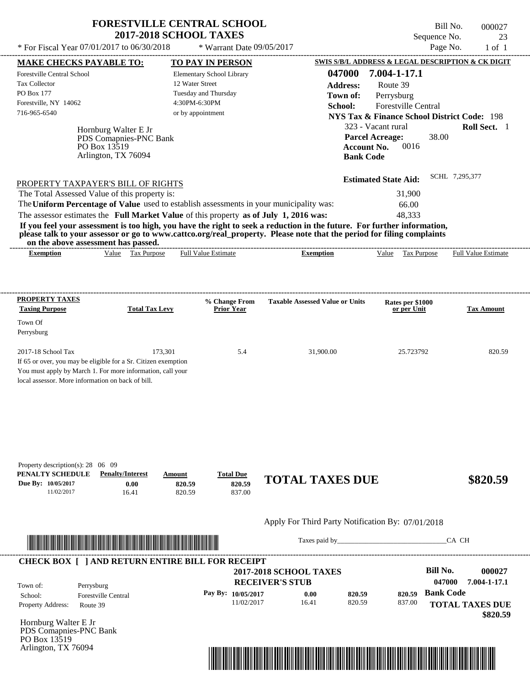| <b>FORESTVILLE CENTRAL SCHOOL</b> |
|-----------------------------------|
| <b>2017-2018 SCHOOL TAXES</b>     |

\* Warrant Date 09/05/2017

---------------------------------------------------------------------------------------------------------------------------------------------------------------------------------------------------- Bill No. 000027 Sequence No. 23<br>Page No. 23<br>1 of 1 \* For Fiscal Year  $07/01/2017$  to  $06/30/2018$  \* Warrant Date  $09/05/2017$  Page No. 1 of 1 **MAKE CHECKS PAYABLE TO: TO PAY IN PERSON SWIS S/B/L ADDRESS & LEGAL DESCRIPTION & CK DIGIT**

| <b>Forestville Central School</b><br>Tax Collector<br>PO Box 177<br>Forestville, NY 14062<br>716-965-6540 | Hornburg Walter E Jr<br>PDS Comapnies-PNC Bank<br>PO Box 13519<br>Arlington, TX 76094                                                   | Elementary School Library<br>12 Water Street<br>Tuesday and Thursday<br>4:30PM-6:30PM<br>or by appointment                                                                       | 047000<br><b>Address:</b><br>Town of:<br>School:<br><b>Account No.</b><br><b>Bank Code</b>                                                                                                                                                       | 7.004-1-17.1<br>Route 39<br>Perrysburg<br>Forestville Central<br><b>NYS Tax &amp; Finance School District Code: 198</b><br>323 - Vacant rural<br><b>Parcel Acreage:</b><br>38.00<br>0016 | Roll Sect. 1               |
|-----------------------------------------------------------------------------------------------------------|-----------------------------------------------------------------------------------------------------------------------------------------|----------------------------------------------------------------------------------------------------------------------------------------------------------------------------------|--------------------------------------------------------------------------------------------------------------------------------------------------------------------------------------------------------------------------------------------------|------------------------------------------------------------------------------------------------------------------------------------------------------------------------------------------|----------------------------|
| on the above assessment has passed.                                                                       | PROPERTY TAXPAYER'S BILL OF RIGHTS<br>The Total Assessed Value of this property is:                                                     | The Uniform Percentage of Value used to establish assessments in your municipality was:<br>The assessor estimates the Full Market Value of this property as of July 1, 2016 was: | If you feel your assessment is too high, you have the right to seek a reduction in the future. For further information,<br>please talk to your assessor or go to www.cattco.org/real_property. Please note that the period for filing complaints | <b>Estimated State Aid:</b><br>31,900<br>66.00<br>48,333                                                                                                                                 | SCHL 7,295,377             |
| <b>Exemption</b>                                                                                          | Value Tax Purpose                                                                                                                       | <b>Full Value Estimate</b>                                                                                                                                                       | <b>Exemption</b>                                                                                                                                                                                                                                 | Value Tax Purpose                                                                                                                                                                        | <b>Full Value Estimate</b> |
| <b>PROPERTY TAXES</b>                                                                                     |                                                                                                                                         | % Change From                                                                                                                                                                    | <b>Taxable Assessed Value or Units</b>                                                                                                                                                                                                           | Rates per \$1000                                                                                                                                                                         |                            |
| <b>Taxing Purpose</b>                                                                                     | <b>Total Tax Levy</b>                                                                                                                   | <b>Prior Year</b>                                                                                                                                                                |                                                                                                                                                                                                                                                  | or per Unit                                                                                                                                                                              | <b>Tax Amount</b>          |
| Town Of<br>Perrysburg                                                                                     |                                                                                                                                         |                                                                                                                                                                                  |                                                                                                                                                                                                                                                  |                                                                                                                                                                                          |                            |
|                                                                                                           |                                                                                                                                         |                                                                                                                                                                                  |                                                                                                                                                                                                                                                  |                                                                                                                                                                                          |                            |
| 2017-18 School Tax<br>local assessor. More information on back of bill.                                   | 173,301<br>If 65 or over, you may be eligible for a Sr. Citizen exemption<br>You must apply by March 1. For more information, call your | 5.4                                                                                                                                                                              | 31,900.00                                                                                                                                                                                                                                        | 25.723792                                                                                                                                                                                | 820.59                     |
| Property description(s): 28 06 09<br>PENALTY SCHEDULE<br>Due By: 10/05/2017<br>11/02/2017                 | <b>Penalty/Interest</b><br>0.00<br>16.41                                                                                                | <b>Total Due</b><br>Amount<br>820.59<br>820.59<br>820.59<br>837.00                                                                                                               | <b>TOTAL TAXES DUE</b>                                                                                                                                                                                                                           |                                                                                                                                                                                          | \$820.59                   |
|                                                                                                           |                                                                                                                                         |                                                                                                                                                                                  | Apply For Third Party Notification By: 07/01/2018                                                                                                                                                                                                |                                                                                                                                                                                          |                            |
|                                                                                                           | <u> 1989 - Johann Stoff, Amerikaansk politiker (</u>                                                                                    |                                                                                                                                                                                  |                                                                                                                                                                                                                                                  |                                                                                                                                                                                          | CA CH                      |
|                                                                                                           |                                                                                                                                         | <b>CHECK BOX [ ] AND RETURN ENTIRE BILL FOR RECEIPT</b>                                                                                                                          |                                                                                                                                                                                                                                                  |                                                                                                                                                                                          |                            |
|                                                                                                           |                                                                                                                                         |                                                                                                                                                                                  | 2017-2018 SCHOOL TAXES                                                                                                                                                                                                                           | <b>Bill No.</b><br>047000                                                                                                                                                                | 000027<br>7.004-1-17.1     |
| Town of:<br>Perrysburg                                                                                    | <b>Forestville Central</b>                                                                                                              | Pay By: 10/05/2017                                                                                                                                                               | <b>RECEIVER'S STUB</b><br>0.00<br>820.59                                                                                                                                                                                                         | <b>Bank Code</b><br>820.59                                                                                                                                                               |                            |
| School:<br>Property Address:<br>Route 39                                                                  |                                                                                                                                         | 11/02/2017                                                                                                                                                                       | 820.59<br>16.41                                                                                                                                                                                                                                  | 837.00                                                                                                                                                                                   | <b>TOTAL TAXES DUE</b>     |
| Hornburg Walter E Jr<br>PDS Comapnies-PNC Bank                                                            |                                                                                                                                         |                                                                                                                                                                                  |                                                                                                                                                                                                                                                  |                                                                                                                                                                                          | \$820.59                   |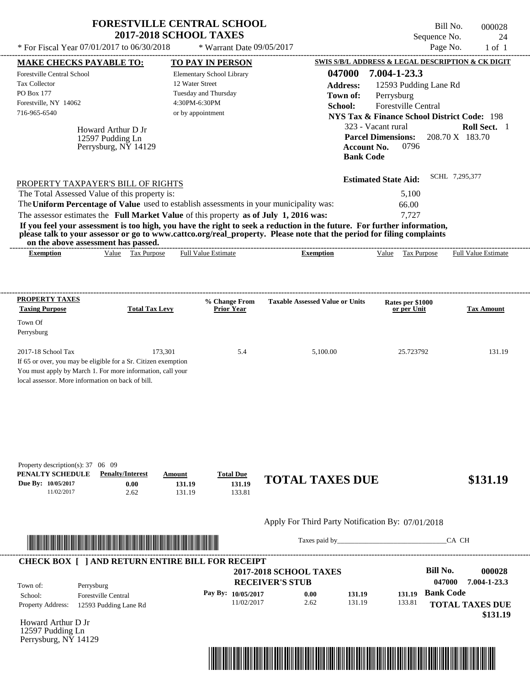|                                                                                                                                                                                    |                                                                | <b>FORESTVILLE CENTRAL SCHOOL</b><br><b>2017-2018 SCHOOL TAXES</b>                                         |                                                                                                                                           | Bill No.<br>Sequence No.                                                                                                                                                                               | 000028<br>24                    |
|------------------------------------------------------------------------------------------------------------------------------------------------------------------------------------|----------------------------------------------------------------|------------------------------------------------------------------------------------------------------------|-------------------------------------------------------------------------------------------------------------------------------------------|--------------------------------------------------------------------------------------------------------------------------------------------------------------------------------------------------------|---------------------------------|
| * For Fiscal Year 07/01/2017 to 06/30/2018                                                                                                                                         |                                                                | * Warrant Date 09/05/2017                                                                                  |                                                                                                                                           | Page No.                                                                                                                                                                                               | $1$ of $1$                      |
| <b>MAKE CHECKS PAYABLE TO:</b>                                                                                                                                                     |                                                                | <b>TO PAY IN PERSON</b>                                                                                    |                                                                                                                                           | SWIS S/B/L ADDRESS & LEGAL DESCRIPTION & CK DIGIT                                                                                                                                                      |                                 |
| Forestville Central School<br><b>Tax Collector</b><br>PO Box 177<br>Forestville, NY 14062<br>716-965-6540                                                                          | Howard Arthur D Jr<br>12597 Pudding Ln<br>Perrysburg, NY 14129 | Elementary School Library<br>12 Water Street<br>Tuesday and Thursday<br>4:30PM-6:30PM<br>or by appointment | 047000<br><b>Address:</b><br>Town of:<br>School:<br><b>Account No.</b><br><b>Bank Code</b>                                                | 7.004-1-23.3<br>12593 Pudding Lane Rd<br>Perrysburg<br><b>Forestville Central</b><br><b>NYS Tax &amp; Finance School District Code: 198</b><br>323 - Vacant rural<br><b>Parcel Dimensions:</b><br>0796 | Roll Sect. 1<br>208.70 X 183.70 |
| PROPERTY TAXPAYER'S BILL OF RIGHTS                                                                                                                                                 |                                                                |                                                                                                            |                                                                                                                                           | <b>Estimated State Aid:</b>                                                                                                                                                                            | SCHL 7,295,377                  |
| The Total Assessed Value of this property is:                                                                                                                                      |                                                                |                                                                                                            |                                                                                                                                           | 5,100                                                                                                                                                                                                  |                                 |
|                                                                                                                                                                                    |                                                                | The Uniform Percentage of Value used to establish assessments in your municipality was:                    |                                                                                                                                           | 66.00                                                                                                                                                                                                  |                                 |
|                                                                                                                                                                                    |                                                                | The assessor estimates the Full Market Value of this property as of July 1, 2016 was:                      |                                                                                                                                           | 7,727                                                                                                                                                                                                  |                                 |
|                                                                                                                                                                                    |                                                                |                                                                                                            |                                                                                                                                           |                                                                                                                                                                                                        |                                 |
| If you feel your assessment is too high, you have the right to seek a reduction in the future. For further information,<br>on the above assessment has passed.<br><b>Exemption</b> | Value Tax Purpose                                              | <b>Full Value Estimate</b>                                                                                 | please talk to your assessor or go to www.cattco.org/real_property. Please note that the period for filing complaints<br><b>Exemption</b> | Value<br>Tax Purpose                                                                                                                                                                                   | <b>Full Value Estimate</b>      |
| <b>PROPERTY TAXES</b>                                                                                                                                                              |                                                                | % Change From                                                                                              | <b>Taxable Assessed Value or Units</b>                                                                                                    | Rates per \$1000                                                                                                                                                                                       |                                 |
| <b>Taxing Purpose</b>                                                                                                                                                              | <b>Total Tax Levy</b>                                          | <b>Prior Year</b>                                                                                          |                                                                                                                                           | or per Unit                                                                                                                                                                                            | <b>Tax Amount</b>               |
| Town Of<br>Perrysburg                                                                                                                                                              |                                                                |                                                                                                            |                                                                                                                                           |                                                                                                                                                                                                        |                                 |



Taxes paid by\_\_\_\_\_\_\_\_\_\_\_\_\_\_\_\_\_\_\_\_\_\_\_\_\_\_\_\_\_\_\_CA CH

| Town of:                 | Perrysburg                 | <b>2017-2018 SCHOOL TAXES</b><br><b>RECEIVER'S STUB</b> |      |        |        | Bill No.<br>047000 | 000028<br>7.004-1-23.3 |
|--------------------------|----------------------------|---------------------------------------------------------|------|--------|--------|--------------------|------------------------|
| School:                  | <b>Forestville Central</b> | Pay By: $10/05/2017$                                    | 0.00 | 131.19 | 131.19 | <b>Bank Code</b>   |                        |
| <b>Property Address:</b> | 12593 Pudding Lane Rd      | 11/02/2017                                              | 2.62 | 131.19 | 133.81 |                    | <b>TOTAL TAXES DUE</b> |

Howard Arthur D Jr 12597 Pudding Ln Perrysburg, NY 14129

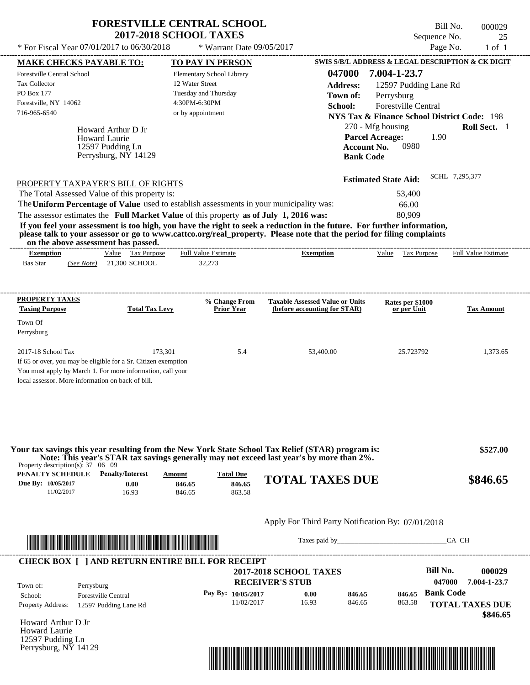| <b>FORESTVILLE CENTRAL SCHOOL</b> |
|-----------------------------------|
| <b>2017-2018 SCHOOL TAXES</b>     |

Bill No. 000029 Sequence No. 25

---------------------------------------------------------------------------------------------------------------------------------------------------------------------------------------------------- Howard Arthur D Jr If 65 or over, you may be eligible for a Sr. Citizen exemption You must apply by March 1. For more information, call your local assessor. More information on back of bill.  $*$  For Fiscal Year 07/01/2017 to 06/30/2018  $*$  Warrant Date 09/05/2017 Page No. 1 of 1 **MAKE CHECKS PAYABLE TO: TO PAY IN PERSON SWIS S/B/L ADDRESS & LEGAL DESCRIPTION & CK DIGIT 047000 7.004-1-23.7 Address:** 12597 Pudding Lane Rd Perrysburg **School:** Forestville Central **NYS Tax & Finance School District Code:** 198 270 - Mfg housing **Roll Sect.** 1 1.90 **Account No.** 0980 **Bank Code Estimated State Aid:** SCHL 7,295,377 PROPERTY TAXPAYER'S BILL OF RIGHTS The assessor estimates the **Full Market Value** of this property **as of July 1, 2016 was:** 80,909 The Total Assessed Value of this property is: 53,400 The **Uniform Percentage of Value** used to establish assessments in your municipality was: 66.00 **If you feel your assessment is too high, you have the right to seek a reduction in the future. For further information, please talk to your assessor or go to www.cattco.org/real\_property. Please note that the period for filing complaints on the above assessment has passed. Exemption** Value Tax Purpose **PROPERTY TAXES Taxing Purpose Total Tax Levy Prior Year % Change From (before accounting for STAR) Taxable Assessed Value or Units or per Unit Rates per \$1000 Tax Amount PENALTY SCHEDULE Penalty/Interest Amount Total Due Due By: 10/05/2017** 11/02/2017 16.93 **0.00** 846.65 **846.65** 863.58 **846.65 TOTAL TAXES DUE \$846.65** Apply For Third Party Notification By: 07/01/2018 **RECEIVER'S STUB Bill No. 000029 Bank Code** Property Address: 12597 Pudding Lane Rd Perrysburg School: Forestville Central **TOTAL TAXES DUE \$846.65** Bas Star 21,300 SCHOOL *(See Note)* 32,273 Elementary School Library 12 Water Street Tuesday and Thursday 4:30PM-6:30PM Forestville Central School Tax Collector PO Box 177 Forestville, NY 14062  **2017-2018 SCHOOL TAXES** 716-965-6540 or by appointment **Parcel Acreage:** Town Of Perrysburg 2017-18 School Tax 173,301 5.4 53,400.00 25.723792 1,373.65  **\$527.00 047000 7.004-1-23.7 Pay By: 10/05/2017** 11/02/2017 16.93 **0.00** 846.65 **846.65** 863.58 **846.65** Howard Laurie Full Value Estimate Taxes paid by Taxes and by Taxes paid by Taxes and by Taxes and by Taxes and the CA CH ---------------------------------------------------------------------------------------------------------------------------------------------------------------------------------------------------- ---------------------------------------------------------------------------------------------------------------------------------------------------------------------------------------------------- Property description(s): 37 06 09 Town of: **Town of:** 12597 Pudding Ln Perrysburg, NY 14129 **Exemption** Value Tax Purpose Full Value Estimate **Your tax savings this year resulting from the New York State School Tax Relief (STAR) program is: Note: This year's STAR tax savings generally may not exceed last year's by more than 2%.** ---------------------------------------------------------------------------------------------------------------------------------------------------------------------------------------------------- **CHECK BOX [ ] AND RETURN ENTIRE BILL FOR RECEIPT** \*04700000002900000000084665\*

Howard Arthur D Jr Howard Laurie 12597 Pudding Ln Perrysburg, NY 14129

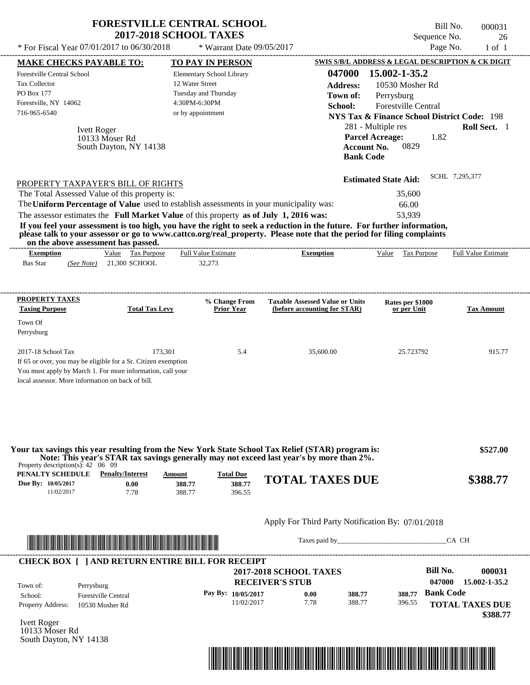|                                                                                                                                                                                                         | <b>FORESTVILLE CENTRAL SCHOOL</b><br><b>2017-2018 SCHOOL TAXES</b> |                                                       |                                                   |                                                                                                                                                                                               | Sequence No.                                                                                                                                                                                    | Bill No.<br>000031<br>26   |
|---------------------------------------------------------------------------------------------------------------------------------------------------------------------------------------------------------|--------------------------------------------------------------------|-------------------------------------------------------|---------------------------------------------------|-----------------------------------------------------------------------------------------------------------------------------------------------------------------------------------------------|-------------------------------------------------------------------------------------------------------------------------------------------------------------------------------------------------|----------------------------|
| * For Fiscal Year 07/01/2017 to 06/30/2018                                                                                                                                                              |                                                                    |                                                       | * Warrant Date 09/05/2017                         |                                                                                                                                                                                               | Page No.                                                                                                                                                                                        | $1$ of $1$                 |
| <b>MAKE CHECKS PAYABLE TO:</b>                                                                                                                                                                          |                                                                    |                                                       | TO PAY IN PERSON                                  |                                                                                                                                                                                               | SWIS S/B/L ADDRESS & LEGAL DESCRIPTION & CK DIGIT                                                                                                                                               |                            |
| Forestville Central School<br><b>Tax Collector</b><br>PO Box 177<br>Forestville, NY 14062<br>716-965-6540<br><b>Ivett Roger</b>                                                                         | 10133 Moser Rd<br>South Dayton, NY 14138                           | 12 Water Street<br>4:30PM-6:30PM<br>or by appointment | Elementary School Library<br>Tuesday and Thursday | 047000<br><b>Address:</b><br>Town of:<br>School:<br><b>Account No.</b><br><b>Bank Code</b>                                                                                                    | 15.002-1-35.2<br>10530 Mosher Rd<br>Perrysburg<br>Forestville Central<br><b>NYS Tax &amp; Finance School District Code: 198</b><br>281 - Multiple res<br><b>Parcel Acreage:</b><br>1.82<br>0829 | Roll Sect. 1               |
| PROPERTY TAXPAYER'S BILL OF RIGHTS                                                                                                                                                                      |                                                                    |                                                       |                                                   |                                                                                                                                                                                               | <b>Estimated State Aid:</b>                                                                                                                                                                     | SCHL 7,295,377             |
| The Total Assessed Value of this property is:                                                                                                                                                           |                                                                    |                                                       |                                                   |                                                                                                                                                                                               | 35,600                                                                                                                                                                                          |                            |
| The Uniform Percentage of Value used to establish assessments in your municipality was:                                                                                                                 |                                                                    |                                                       |                                                   |                                                                                                                                                                                               | 66.00                                                                                                                                                                                           |                            |
| The assessor estimates the Full Market Value of this property as of July 1, 2016 was:                                                                                                                   |                                                                    |                                                       |                                                   |                                                                                                                                                                                               | 53,939                                                                                                                                                                                          |                            |
| on the above assessment has passed.<br><b>Exemption</b><br><b>Bas Star</b><br>(See Note)                                                                                                                | Value Tax Purpose<br>21,300 SCHOOL                                 |                                                       | <b>Full Value Estimate</b><br>32,273              | please talk to your assessor or go to www.cattco.org/real_property. Please note that the period for filing complaints<br><b>Exemption</b>                                                     | Value<br><b>Tax Purpose</b>                                                                                                                                                                     | <b>Full Value Estimate</b> |
| <b>PROPERTY TAXES</b><br><b>Taxing Purpose</b><br>Town Of<br>Perrysburg                                                                                                                                 | <b>Total Tax Levy</b>                                              |                                                       | % Change From<br>Prior Year                       | <b>Taxable Assessed Value or Units</b><br>(before accounting for STAR)                                                                                                                        | Rates per \$1000<br>or per Unit                                                                                                                                                                 | <b>Tax Amount</b>          |
| 2017-18 School Tax<br>If 65 or over, you may be eligible for a Sr. Citizen exemption<br>You must apply by March 1. For more information, call your<br>local assessor. More information on back of bill. |                                                                    | 173,301                                               | 5.4                                               | 35,600.00                                                                                                                                                                                     | 25.723792                                                                                                                                                                                       | 915.77                     |
| Property description(s): $42 \quad 06 \quad 09$                                                                                                                                                         |                                                                    |                                                       |                                                   | Your tax savings this year resulting from the New York State School Tax Relief (STAR) program is:<br>Note: This year's STAR tax savings generally may not exceed last year's by more than 2%. |                                                                                                                                                                                                 | \$527.00                   |
| PENALTY SCHEDULE<br>Due By: 10/05/2017<br>11/02/2017                                                                                                                                                    | <b>Penalty/Interest</b><br>0.00<br>7.78                            | Amount<br>388.77<br>388.77                            | <b>Total Due</b><br>388.77<br>396.55              | <b>TOTAL TAXES DUE</b>                                                                                                                                                                        |                                                                                                                                                                                                 | \$388.77                   |



Taxes paid by\_\_\_\_\_\_\_\_\_\_\_\_\_\_\_\_\_\_\_\_\_\_\_\_\_\_\_\_\_\_\_CA CH

| Town of:                 | Perrysburg                 | <b>2017-2018 SCHOOL TAXES</b><br><b>RECEIVER'S STUB</b> |      |        |        | Bill No.<br>047000 | 000031<br>15.002-1-35.2 |
|--------------------------|----------------------------|---------------------------------------------------------|------|--------|--------|--------------------|-------------------------|
| School:                  | <b>Forestville Central</b> | Pay By: $10/05/2017$                                    | 0.00 | 388.77 | 388.77 | <b>Bank Code</b>   |                         |
| <b>Property Address:</b> | 10530 Mosher Rd            | 11/02/2017                                              | 7.78 | 388.77 | 396.55 |                    | <b>TOTAL TAXES DUE</b>  |

Ivett Roger 10133 Moser Rd South Dayton, NY 14138

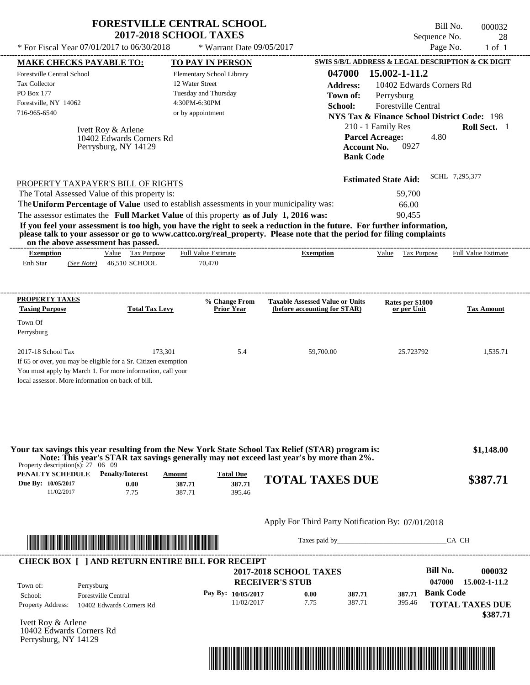| * For Fiscal Year 07/01/2017 to 06/30/2018 | <b>FORESTVILLE CENTRAL SCHOOL</b> | Bill No.                                          | 000032 |
|--------------------------------------------|-----------------------------------|---------------------------------------------------|--------|
|                                            | <b>2017-2018 SCHOOL TAXES</b>     | Sequence No.                                      | 28     |
|                                            | $*$ Warrant Date 09/05/2017       | Page No.                                          | 1 of 1 |
| <b>MAKE CHECKS PAYABLE TO:</b>             | <b>TO PAY IN PERSON</b>           | SWIS S/B/L ADDRESS & LEGAL DESCRIPTION & CK DIGIT |        |
| <b>Forestville Central School</b>          | <b>Elementary School Library</b>  | 047000 15.002-1-11.2                              |        |

| <b>Tax Collector</b><br><b>PO Box 177</b><br>Forestville, NY 14062<br>716-965-6540 | 12 Water Street<br>Tuesday and Thursday<br>4:30PM-6:30PM<br>or by appointment         |                                                                                                                                                                                                                                                  | <b>Address:</b><br>Town of:<br>School: | Perrysburg                                   | 10402 Edwards Corners Rd<br><b>Forestville Central</b> |      | <b>NYS Tax &amp; Finance School District Code: 198</b> |
|------------------------------------------------------------------------------------|---------------------------------------------------------------------------------------|--------------------------------------------------------------------------------------------------------------------------------------------------------------------------------------------------------------------------------------------------|----------------------------------------|----------------------------------------------|--------------------------------------------------------|------|--------------------------------------------------------|
| Ivett Roy & Arlene<br>Perrysburg, NY 14129                                         | 10402 Edwards Corners Rd                                                              |                                                                                                                                                                                                                                                  | <b>Account No.</b><br><b>Bank Code</b> | 210 - 1 Family Res<br><b>Parcel Acreage:</b> | 0927                                                   | 4.80 | <b>Roll Sect.</b> 1                                    |
| PROPERTY TAXPAYER'S BILL OF RIGHTS                                                 |                                                                                       |                                                                                                                                                                                                                                                  |                                        | <b>Estimated State Aid:</b>                  |                                                        |      | SCHL 7,295,377                                         |
| The Total Assessed Value of this property is:                                      |                                                                                       |                                                                                                                                                                                                                                                  |                                        |                                              | 59,700                                                 |      |                                                        |
|                                                                                    |                                                                                       | The Uniform Percentage of Value used to establish assessments in your municipality was:                                                                                                                                                          |                                        |                                              | 66.00                                                  |      |                                                        |
|                                                                                    | The assessor estimates the Full Market Value of this property as of July 1, 2016 was: |                                                                                                                                                                                                                                                  |                                        |                                              | 90,455                                                 |      |                                                        |
| on the above assessment has passed.                                                |                                                                                       | If you feel your assessment is too high, you have the right to seek a reduction in the future. For further information,<br>please talk to your assessor or go to www.cattco.org/real_property. Please note that the period for filing complaints |                                        |                                              |                                                        |      |                                                        |
| <b>Exemption</b>                                                                   | <b>Full Value Estimate</b><br>Value Tax Purpose                                       | <b>Exemption</b>                                                                                                                                                                                                                                 |                                        | Value                                        | Tax Purpose                                            |      | <b>Full Value Estimate</b>                             |
| Enh Star<br>(See Note)                                                             | 70,470<br>46.510 SCHOOL                                                               |                                                                                                                                                                                                                                                  |                                        |                                              |                                                        |      |                                                        |
|                                                                                    |                                                                                       |                                                                                                                                                                                                                                                  |                                        |                                              |                                                        |      |                                                        |
| PROPERTY TAXES                                                                     |                                                                                       | % Change From<br><b>Taxable Assessed Value or Units</b>                                                                                                                                                                                          |                                        |                                              | Rates per \$1000                                       |      |                                                        |

| I NUI ENTITAAE O<br><b>Taxing Purpose</b> | <b>Total Tax Levy</b>                                          | % Change From<br><b>Prior Year</b> | <b>Taxable Assessed Value or Units</b><br>(before accounting for STAR) | Rates per \$1000<br>or per Unit | <b>Tax Amount</b> |
|-------------------------------------------|----------------------------------------------------------------|------------------------------------|------------------------------------------------------------------------|---------------------------------|-------------------|
| Town Of                                   |                                                                |                                    |                                                                        |                                 |                   |
| Perrysburg                                |                                                                |                                    |                                                                        |                                 |                   |
|                                           |                                                                |                                    |                                                                        |                                 |                   |
| $2017-18$ School Tax                      | 173.301                                                        | 5.4                                | 59,700.00                                                              | 25.723792                       | 1.535.71          |
|                                           | If 65 or over, you may be eligible for a Sr. Citizen exemption |                                    |                                                                        |                                 |                   |
|                                           | You must apply by March 1. For more information, call your     |                                    |                                                                        |                                 |                   |
|                                           | local assessor. More information on back of bill.              |                                    |                                                                        |                                 |                   |

| Property description(s): $27 \quad 06 \quad 09$ |                         |        |                  | Your tax savings this year resulting from the New York State School Tax Relief (STAR) program is:<br>Note: This year's STAR tax savings generally may not exceed last year's by more than 2%. | \$1,148.00 |
|-------------------------------------------------|-------------------------|--------|------------------|-----------------------------------------------------------------------------------------------------------------------------------------------------------------------------------------------|------------|
| PENALTY SCHEDULE                                | <b>Penalty/Interest</b> | Amount | <b>Total Due</b> |                                                                                                                                                                                               |            |
| Due By: 10/05/2017                              | 0.00                    | 387.71 | 387.71           | <b>TOTAL TAXES DUE</b>                                                                                                                                                                        | \$387.71   |
| 11/02/2017                                      | 7.75                    | 387.71 | 395.46           |                                                                                                                                                                                               |            |



Taxes paid by\_\_\_\_\_\_\_\_\_\_\_\_\_\_\_\_\_\_\_\_\_\_\_\_\_\_\_\_\_\_\_CA CH

|                                                                      | <b>RECEIVER'S STUB</b> | <b>2017-2018 SCHOOL TAXES</b> |        |        | <b>Bill No.</b><br>047000 | 000032<br>15.002-1-11.2 |
|----------------------------------------------------------------------|------------------------|-------------------------------|--------|--------|---------------------------|-------------------------|
|                                                                      |                        | 0.00                          | 387.71 | 387.71 | <b>Bank Code</b>          |                         |
|                                                                      | 11/02/2017             | 7.75                          | 387.71 | 395.46 |                           | <b>TOTAL TAXES DUE</b>  |
| Perrysburg<br><b>Forestville Central</b><br>10402 Edwards Corners Rd |                        | Pay By: $10/05/2017$          |        |        |                           |                         |

Ivett Roy & Arlene 10402 Edwards Corners Rd Perrysburg, NY 14129

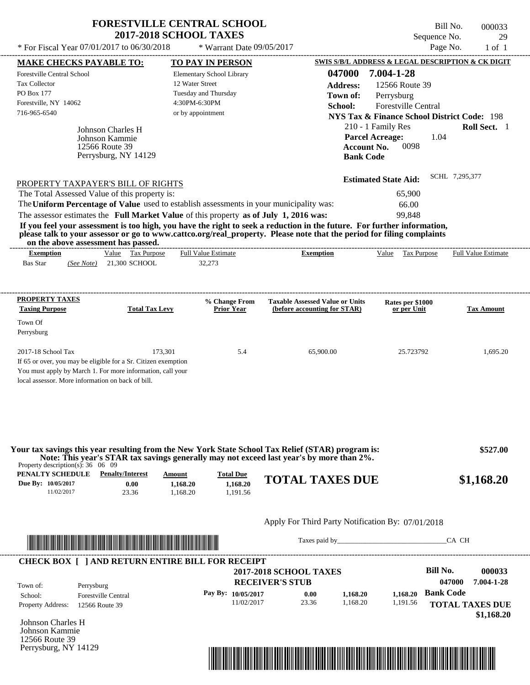| <b>FORESTVILLE CENTRAL SCHOOL</b> |  |
|-----------------------------------|--|
| <b>2017-2018 SCHOOL TAXES</b>     |  |

 $*$  For Fiscal Year 07/01/2017 to 06/30/2018

\* Warrant Date 09/05/2017

Bill No. 000033 Sequence No. 29<br>Page No. 29<br>1 of 1

| <b>MAKE CHECKS PAYABLE TO:</b>                                                                                                                                                                                                       |                            | <b>TO PAY IN PERSON</b>                                                                 |                                                                                                                                                                                                                                                  | SWIS S/B/L ADDRESS & LEGAL DESCRIPTION & CK DIGIT      |                        |
|--------------------------------------------------------------------------------------------------------------------------------------------------------------------------------------------------------------------------------------|----------------------------|-----------------------------------------------------------------------------------------|--------------------------------------------------------------------------------------------------------------------------------------------------------------------------------------------------------------------------------------------------|--------------------------------------------------------|------------------------|
| Forestville Central School                                                                                                                                                                                                           |                            | Elementary School Library                                                               | 047000                                                                                                                                                                                                                                           | 7.004-1-28                                             |                        |
| <b>Tax Collector</b>                                                                                                                                                                                                                 |                            | 12 Water Street                                                                         | <b>Address:</b>                                                                                                                                                                                                                                  | 12566 Route 39                                         |                        |
| PO Box 177                                                                                                                                                                                                                           |                            | Tuesday and Thursday                                                                    | Town of:                                                                                                                                                                                                                                         | Perrysburg                                             |                        |
| Forestville, NY 14062                                                                                                                                                                                                                |                            | 4:30PM-6:30PM                                                                           | School:                                                                                                                                                                                                                                          | Forestville Central                                    |                        |
| 716-965-6540                                                                                                                                                                                                                         |                            | or by appointment                                                                       |                                                                                                                                                                                                                                                  | <b>NYS Tax &amp; Finance School District Code: 198</b> |                        |
|                                                                                                                                                                                                                                      | Johnson Charles H          |                                                                                         |                                                                                                                                                                                                                                                  | 210 - 1 Family Res                                     | Roll Sect. 1           |
|                                                                                                                                                                                                                                      | Johnson Kammie             |                                                                                         |                                                                                                                                                                                                                                                  | <b>Parcel Acreage:</b><br>1.04                         |                        |
|                                                                                                                                                                                                                                      | 12566 Route 39             |                                                                                         | <b>Account No.</b>                                                                                                                                                                                                                               | 0098                                                   |                        |
|                                                                                                                                                                                                                                      | Perrysburg, NY 14129       |                                                                                         | <b>Bank Code</b>                                                                                                                                                                                                                                 |                                                        |                        |
|                                                                                                                                                                                                                                      |                            |                                                                                         |                                                                                                                                                                                                                                                  |                                                        |                        |
| PROPERTY TAXPAYER'S BILL OF RIGHTS                                                                                                                                                                                                   |                            |                                                                                         |                                                                                                                                                                                                                                                  | <b>Estimated State Aid:</b>                            | SCHL 7.295.377         |
| The Total Assessed Value of this property is:                                                                                                                                                                                        |                            |                                                                                         |                                                                                                                                                                                                                                                  | 65,900                                                 |                        |
|                                                                                                                                                                                                                                      |                            | The Uniform Percentage of Value used to establish assessments in your municipality was: |                                                                                                                                                                                                                                                  | 66.00                                                  |                        |
|                                                                                                                                                                                                                                      |                            | The assessor estimates the Full Market Value of this property as of July 1, 2016 was:   |                                                                                                                                                                                                                                                  | 99,848                                                 |                        |
| on the above assessment has passed.                                                                                                                                                                                                  |                            |                                                                                         | If you feel your assessment is too high, you have the right to seek a reduction in the future. For further information,<br>please talk to your assessor or go to www.cattco.org/real_property. Please note that the period for filing complaints |                                                        |                        |
| <b>Exemption</b>                                                                                                                                                                                                                     | Value Tax Purpose          | <b>Full Value Estimate</b>                                                              | <b>Exemption</b>                                                                                                                                                                                                                                 | Value Tax Purpose Full Value Estimate                  |                        |
| Bas Star                                                                                                                                                                                                                             | (See Note) 21,300 SCHOOL   | 32,273                                                                                  |                                                                                                                                                                                                                                                  |                                                        |                        |
|                                                                                                                                                                                                                                      |                            |                                                                                         |                                                                                                                                                                                                                                                  |                                                        |                        |
| PROPERTY TAXES                                                                                                                                                                                                                       |                            | % Change From                                                                           | <b>Taxable Assessed Value or Units</b>                                                                                                                                                                                                           | Rates per \$1000                                       |                        |
| <b>Taxing Purpose</b>                                                                                                                                                                                                                | <b>Total Tax Levy</b>      | <b>Prior Year</b>                                                                       | (before accounting for STAR)                                                                                                                                                                                                                     | or per Unit                                            | <b>Tax Amount</b>      |
| Town Of                                                                                                                                                                                                                              |                            |                                                                                         |                                                                                                                                                                                                                                                  |                                                        |                        |
| Perrysburg                                                                                                                                                                                                                           |                            |                                                                                         |                                                                                                                                                                                                                                                  |                                                        |                        |
| 2017-18 School Tax                                                                                                                                                                                                                   | 173,301                    | 5.4                                                                                     | 65,900.00                                                                                                                                                                                                                                        | 25.723792                                              | 1,695.20               |
| If 65 or over, you may be eligible for a Sr. Citizen exemption                                                                                                                                                                       |                            |                                                                                         |                                                                                                                                                                                                                                                  |                                                        |                        |
| You must apply by March 1. For more information, call your                                                                                                                                                                           |                            |                                                                                         |                                                                                                                                                                                                                                                  |                                                        |                        |
| local assessor. More information on back of bill.                                                                                                                                                                                    |                            |                                                                                         |                                                                                                                                                                                                                                                  |                                                        |                        |
|                                                                                                                                                                                                                                      |                            |                                                                                         |                                                                                                                                                                                                                                                  |                                                        |                        |
| Property description(s): $36 \quad 06 \quad 09$                                                                                                                                                                                      |                            |                                                                                         | Your tax savings this year resulting from the New York State School Tax Relief (STAR) program is:<br>Note: This year's STAR tax savings generally may not exceed last year's by more than 2%.                                                    |                                                        | \$527.00               |
| PENALTY SCHEDULE                                                                                                                                                                                                                     | <b>Penalty/Interest</b>    | <b>Total Due</b><br><b>Amount</b>                                                       |                                                                                                                                                                                                                                                  |                                                        |                        |
| Due By: 10/05/2017                                                                                                                                                                                                                   | 0.00                       | 1,168.20<br>1,168.20                                                                    | <b>TOTAL TAXES DUE</b>                                                                                                                                                                                                                           |                                                        | \$1,168.20             |
| 11/02/2017                                                                                                                                                                                                                           | 23.36                      | 1,168.20<br>1,191.56                                                                    |                                                                                                                                                                                                                                                  |                                                        |                        |
|                                                                                                                                                                                                                                      |                            |                                                                                         | Apply For Third Party Notification By: 07/01/2018                                                                                                                                                                                                |                                                        |                        |
|                                                                                                                                                                                                                                      |                            |                                                                                         |                                                                                                                                                                                                                                                  |                                                        |                        |
| <u> Indian American State and The Communication of the Communication of the Communication of the Communication of the Communication of the Communication of the Communication of the Communication of the Communication of the C</u> |                            |                                                                                         | Taxes paid by                                                                                                                                                                                                                                    |                                                        | CA CH                  |
|                                                                                                                                                                                                                                      |                            | <b>CHECK BOX [ ] AND RETURN ENTIRE BILL FOR RECEIPT</b>                                 |                                                                                                                                                                                                                                                  |                                                        |                        |
|                                                                                                                                                                                                                                      |                            |                                                                                         | <b>2017-2018 SCHOOL TAXES</b>                                                                                                                                                                                                                    | <b>Bill No.</b>                                        | 000033                 |
| Town of:<br>Perrysburg                                                                                                                                                                                                               |                            |                                                                                         | <b>RECEIVER'S STUB</b>                                                                                                                                                                                                                           |                                                        | 047000<br>7.004-1-28   |
| School:                                                                                                                                                                                                                              | <b>Forestville Central</b> | Pay By: 10/05/2017                                                                      | 0.00<br>1,168.20                                                                                                                                                                                                                                 | <b>Bank Code</b><br>1,168.20                           |                        |
| Property Address:<br>12566 Route 39                                                                                                                                                                                                  |                            | 11/02/2017                                                                              | 23.36<br>1,168.20                                                                                                                                                                                                                                | 1,191.56                                               | <b>TOTAL TAXES DUE</b> |
|                                                                                                                                                                                                                                      |                            |                                                                                         |                                                                                                                                                                                                                                                  |                                                        | \$1,168.20             |
| Johnson Charles H                                                                                                                                                                                                                    |                            |                                                                                         |                                                                                                                                                                                                                                                  |                                                        |                        |
| Johnson Kammie<br>12566 Route 39                                                                                                                                                                                                     |                            |                                                                                         |                                                                                                                                                                                                                                                  |                                                        |                        |
|                                                                                                                                                                                                                                      |                            |                                                                                         |                                                                                                                                                                                                                                                  |                                                        |                        |
|                                                                                                                                                                                                                                      |                            |                                                                                         |                                                                                                                                                                                                                                                  |                                                        |                        |
| Perrysburg, NY 14129                                                                                                                                                                                                                 |                            |                                                                                         | <u> 1989 - Johann Stoff, Amerikaansk politiker († 1989)</u>                                                                                                                                                                                      |                                                        |                        |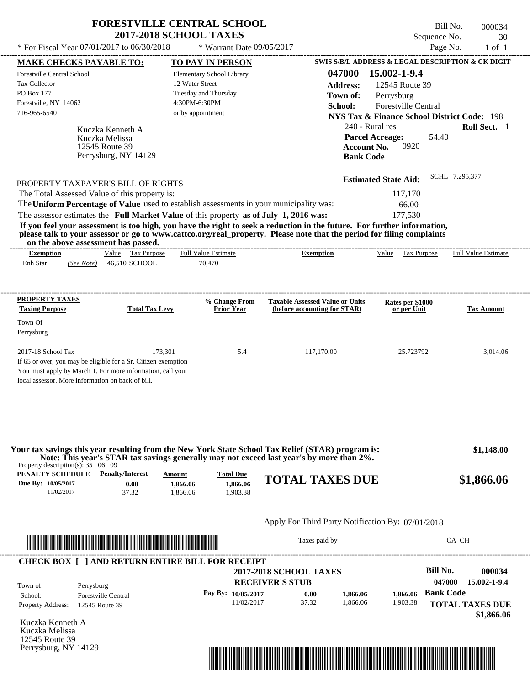| * For Fiscal Year $07/01/2017$ to $06/30/2018$ | <b>FORESTVILLE CENTRAL SCHOOL</b><br><b>2017-2018 SCHOOL TAXES</b><br>* Warrant Date $09/05/2017$ | Bill No.<br>000034<br>Sequence No.<br>30<br>Page No.<br>$1$ of $1$ |
|------------------------------------------------|---------------------------------------------------------------------------------------------------|--------------------------------------------------------------------|
| <b>MAKE CHECKS PAYABLE TO:</b>                 | <b>TO PAY IN PERSON</b>                                                                           | SWIS S/B/L ADDRESS & LEGAL DESCRIPTION & CK DIGIT                  |
| <b>Forestville Central School</b>              | Elementary School Library                                                                         | 15.002-1-9.4<br>047000                                             |
| <b>Tax Collector</b>                           | 12 Water Street                                                                                   | Address:<br>12545 Route 39                                         |
| <b>PO Box 177</b>                              | Tuesday and Thursday                                                                              | Town of:<br>Perrysburg                                             |
| Forestville, NY 14062                          | 4:30PM-6:30PM                                                                                     | School:<br><b>Forestville Central</b>                              |
| 716-965-6540                                   | or by appointment                                                                                 | <b>NYS Tax &amp; Finance School District Code: 198</b>             |
| Kuczka Kenneth A<br>Kuczka Melissa             |                                                                                                   | 240 - Rural res<br>Roll Sect. 1<br>54.40<br><b>Parcel Acreage:</b> |

| PROPERTY TAXPAYER'S BILL OF RIGHTS                                                      | <b>Estimated State Aid:</b> | SCHL 7,295,377 |
|-----------------------------------------------------------------------------------------|-----------------------------|----------------|
| The Total Assessed Value of this property is:                                           | 117,170                     |                |
| The Uniform Percentage of Value used to establish assessments in your municipality was: | 66.00                       |                |
| The assessor estimates the Full Market Value of this property as of July 1, 2016 was:   | 177.530                     |                |

**If you feel your assessment is too high, you have the right to seek a reduction in the future. For further information, please talk to your assessor or go to www.cattco.org/real\_property. Please note that the period for filing complaints on the above assessment has passed.** ----------------------------------------------------------------------------------------------------------------------------------------------------------------------------------------------------

| ---------------------<br>--<br>Exemption |            | Value | $\overline{\phantom{a}}$<br>Tax<br>Purpose | <b>Full Value Estimate</b> | -<br><b>Exemption</b> | Value | $\mathbf{r}$<br>l'ax Purpose | --------------------------<br><b>Full Value Estimate</b> |  |
|------------------------------------------|------------|-------|--------------------------------------------|----------------------------|-----------------------|-------|------------------------------|----------------------------------------------------------|--|
| Enh Star                                 | (See Note) |       | 46,510 SCHOOL                              | 70,470                     |                       |       |                              |                                                          |  |
|                                          |            |       |                                            |                            |                       |       |                              |                                                          |  |
|                                          |            |       |                                            |                            |                       |       |                              |                                                          |  |
|                                          |            |       |                                            |                            |                       |       |                              |                                                          |  |

| <b>PROPERTY TAXES</b><br><b>Taxing Purpose</b>                 | <b>Total Tax Levy</b> | % Change From<br><b>Prior Year</b> | <b>Taxable Assessed Value or Units</b><br>(before accounting for STAR) | Rates per \$1000<br>or per Unit | <b>Tax Amount</b> |
|----------------------------------------------------------------|-----------------------|------------------------------------|------------------------------------------------------------------------|---------------------------------|-------------------|
| Town Of                                                        |                       |                                    |                                                                        |                                 |                   |
| Perrysburg                                                     |                       |                                    |                                                                        |                                 |                   |
|                                                                |                       |                                    |                                                                        |                                 |                   |
| $2017-18$ School Tax                                           | 173.301               | 5.4                                | 117,170.00                                                             | 25.723792                       | 3.014.06          |
| If 65 or over, you may be eligible for a Sr. Citizen exemption |                       |                                    |                                                                        |                                 |                   |
| You must apply by March 1. For more information, call your     |                       |                                    |                                                                        |                                 |                   |
| local assessor. More information on back of bill.              |                       |                                    |                                                                        |                                 |                   |

| Property description(s): $35 \quad 06 \quad 09$      |                                          |                               |                                          | Your tax savings this year resulting from the New York State School Tax Relief (STAR) program is:<br>Note: This year's STAR tax savings generally may not exceed last year's by more than 2%. | \$1,148.00 |
|------------------------------------------------------|------------------------------------------|-------------------------------|------------------------------------------|-----------------------------------------------------------------------------------------------------------------------------------------------------------------------------------------------|------------|
| PENALTY SCHEDULE<br>Due By: 10/05/2017<br>11/02/2017 | <b>Penalty/Interest</b><br>0.00<br>37.32 | Amount<br>1.866.06<br>.866.06 | <b>Total Due</b><br>1.866.06<br>1.903.38 | <b>TOTAL TAXES DUE</b>                                                                                                                                                                        | \$1,866.06 |

## Apply For Third Party Notification By: 07/01/2018



12545 Route 39 Perrysburg, NY 14129

Taxes paid by\_\_\_\_\_\_\_\_\_\_\_\_\_\_\_\_\_\_\_\_\_\_\_\_\_\_\_\_\_\_\_CA CH

**Account No.** 0920

**Bank Code**

| Town of:                 | Perrysburg                 | <b>2017-2018 SCHOOL TAXES</b><br><b>RECEIVER'S STUB</b> |       |          |          | Bill No.<br>047000 | 000034<br>15.002-1-9.4 |
|--------------------------|----------------------------|---------------------------------------------------------|-------|----------|----------|--------------------|------------------------|
| School:                  | <b>Forestville Central</b> | Pay By: 10/05/2017                                      | 0.00  | 1.866.06 | 1.866.06 | <b>Bank Code</b>   |                        |
| <b>Property Address:</b> | 12545 Route 39             | 11/02/2017                                              | 37.32 | 1.866.06 | 1,903.38 |                    | <b>TOTAL TAXES DUE</b> |

Kuczka Kenneth A Kuczka Melissa 12545 Route 39 Perrysburg, NY 14129

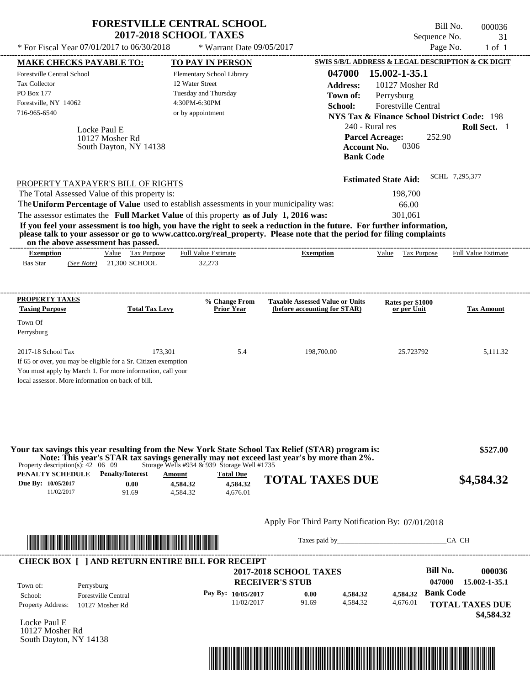| * For Fiscal Year 07/01/2017 to 06/30/2018<br>Page No.<br>* Warrant Date 09/05/2017<br>SWIS S/B/L ADDRESS & LEGAL DESCRIPTION & CK DIGIT<br><b>MAKE CHECKS PAYABLE TO:</b><br>TO PAY IN PERSON<br>15.002-1-35.1<br>047000<br>Elementary School Library<br>12 Water Street<br>10127 Mosher Rd<br><b>Address:</b><br>Tuesday and Thursday<br>Town of:<br>Perrysburg<br>4:30PM-6:30PM<br>Forestville Central<br>School:<br>or by appointment<br><b>NYS Tax &amp; Finance School District Code: 198</b><br>240 - Rural res<br>Roll Sect. 1<br>Locke Paul E<br>252.90<br><b>Parcel Acreage:</b><br>10127 Mosher Rd<br>0306<br><b>Account No.</b><br>South Dayton, NY 14138<br><b>Bank Code</b><br>SCHL 7,295,377<br><b>Estimated State Aid:</b><br>PROPERTY TAXPAYER'S BILL OF RIGHTS<br>The Total Assessed Value of this property is:<br>198,700<br>The Uniform Percentage of Value used to establish assessments in your municipality was:<br>66.00<br>The assessor estimates the Full Market Value of this property as of July 1, 2016 was:<br>301,061<br>If you feel your assessment is too high, you have the right to seek a reduction in the future. For further information,<br>please talk to your assessor or go to www.cattco.org/real_property. Please note that the period for filing complaints<br>on the above assessment has passed.<br>Value Tax Purpose<br><b>Full Value Estimate</b><br><b>Exemption</b><br>Value Tax Purpose<br><b>Exemption</b><br><b>Bas Star</b><br>21,300 SCHOOL<br>32,273<br>(See Note)<br><b>Taxable Assessed Value or Units</b><br>% Change From<br>Rates per \$1000<br><b>Total Tax Levy</b><br><b>Prior Year</b><br>(before accounting for STAR)<br>or per Unit<br>173,301<br>5.4<br>198,700.00<br>25.723792<br>If 65 or over, you may be eligible for a Sr. Citizen exemption<br>You must apply by March 1. For more information, call your<br>local assessor. More information on back of bill.<br>Your tax savings this year resulting from the New York State School Tax Relief (STAR) program is:<br>Note: This year's STAR tax savings generally may not exceed last year's by more than 2%.<br>Storage Wells #934 $&$ 939 Storage Well #1735<br>Property description(s): $42 \quad 06 \quad 09$<br><b>PENALTY SCHEDULE</b> Penalty/Interest<br><b>Total Due</b><br>Amount<br><b>TOTAL TAXES DUE</b><br>4,584.32<br>0.00<br>4,584.32<br>91.69<br>4,584.32<br>4,676.01<br>11/02/2017<br>Apply For Third Party Notification By: 07/01/2018<br>Taxes paid by Taxes and the Taxes and the Taxes and the Taxes are the Taxes and the Taxes and the Taxes and the Taxes and the Taxes and the Taxes and the Taxes and the Taxes and the Taxes and the Taxes and the Taxes and th<br>CA CH |                                             | <b>2017-2018 SCHOOL TAXES</b> | <b>FORESTVILLE CENTRAL SCHOOL</b> | Sequence No. | Bill No.<br>000036<br>31 |
|-----------------------------------------------------------------------------------------------------------------------------------------------------------------------------------------------------------------------------------------------------------------------------------------------------------------------------------------------------------------------------------------------------------------------------------------------------------------------------------------------------------------------------------------------------------------------------------------------------------------------------------------------------------------------------------------------------------------------------------------------------------------------------------------------------------------------------------------------------------------------------------------------------------------------------------------------------------------------------------------------------------------------------------------------------------------------------------------------------------------------------------------------------------------------------------------------------------------------------------------------------------------------------------------------------------------------------------------------------------------------------------------------------------------------------------------------------------------------------------------------------------------------------------------------------------------------------------------------------------------------------------------------------------------------------------------------------------------------------------------------------------------------------------------------------------------------------------------------------------------------------------------------------------------------------------------------------------------------------------------------------------------------------------------------------------------------------------------------------------------------------------------------------------------------------------------------------------------------------------------------------------------------------------------------------------------------------------------------------------------------------------------------------------------------------------------------------------------------------------------------------------------------------------------------------------------------------------------------------------------------------------------------------------------------------------------------------------------------------------|---------------------------------------------|-------------------------------|-----------------------------------|--------------|--------------------------|
|                                                                                                                                                                                                                                                                                                                                                                                                                                                                                                                                                                                                                                                                                                                                                                                                                                                                                                                                                                                                                                                                                                                                                                                                                                                                                                                                                                                                                                                                                                                                                                                                                                                                                                                                                                                                                                                                                                                                                                                                                                                                                                                                                                                                                                                                                                                                                                                                                                                                                                                                                                                                                                                                                                                                   |                                             |                               |                                   |              | $1$ of $1$               |
|                                                                                                                                                                                                                                                                                                                                                                                                                                                                                                                                                                                                                                                                                                                                                                                                                                                                                                                                                                                                                                                                                                                                                                                                                                                                                                                                                                                                                                                                                                                                                                                                                                                                                                                                                                                                                                                                                                                                                                                                                                                                                                                                                                                                                                                                                                                                                                                                                                                                                                                                                                                                                                                                                                                                   |                                             |                               |                                   |              |                          |
|                                                                                                                                                                                                                                                                                                                                                                                                                                                                                                                                                                                                                                                                                                                                                                                                                                                                                                                                                                                                                                                                                                                                                                                                                                                                                                                                                                                                                                                                                                                                                                                                                                                                                                                                                                                                                                                                                                                                                                                                                                                                                                                                                                                                                                                                                                                                                                                                                                                                                                                                                                                                                                                                                                                                   | <b>Forestville Central School</b>           |                               |                                   |              |                          |
|                                                                                                                                                                                                                                                                                                                                                                                                                                                                                                                                                                                                                                                                                                                                                                                                                                                                                                                                                                                                                                                                                                                                                                                                                                                                                                                                                                                                                                                                                                                                                                                                                                                                                                                                                                                                                                                                                                                                                                                                                                                                                                                                                                                                                                                                                                                                                                                                                                                                                                                                                                                                                                                                                                                                   | Tax Collector                               |                               |                                   |              |                          |
|                                                                                                                                                                                                                                                                                                                                                                                                                                                                                                                                                                                                                                                                                                                                                                                                                                                                                                                                                                                                                                                                                                                                                                                                                                                                                                                                                                                                                                                                                                                                                                                                                                                                                                                                                                                                                                                                                                                                                                                                                                                                                                                                                                                                                                                                                                                                                                                                                                                                                                                                                                                                                                                                                                                                   | PO Box 177                                  |                               |                                   |              |                          |
|                                                                                                                                                                                                                                                                                                                                                                                                                                                                                                                                                                                                                                                                                                                                                                                                                                                                                                                                                                                                                                                                                                                                                                                                                                                                                                                                                                                                                                                                                                                                                                                                                                                                                                                                                                                                                                                                                                                                                                                                                                                                                                                                                                                                                                                                                                                                                                                                                                                                                                                                                                                                                                                                                                                                   | Forestville, NY 14062                       |                               |                                   |              |                          |
|                                                                                                                                                                                                                                                                                                                                                                                                                                                                                                                                                                                                                                                                                                                                                                                                                                                                                                                                                                                                                                                                                                                                                                                                                                                                                                                                                                                                                                                                                                                                                                                                                                                                                                                                                                                                                                                                                                                                                                                                                                                                                                                                                                                                                                                                                                                                                                                                                                                                                                                                                                                                                                                                                                                                   | 716-965-6540                                |                               |                                   |              |                          |
|                                                                                                                                                                                                                                                                                                                                                                                                                                                                                                                                                                                                                                                                                                                                                                                                                                                                                                                                                                                                                                                                                                                                                                                                                                                                                                                                                                                                                                                                                                                                                                                                                                                                                                                                                                                                                                                                                                                                                                                                                                                                                                                                                                                                                                                                                                                                                                                                                                                                                                                                                                                                                                                                                                                                   |                                             |                               |                                   |              |                          |
|                                                                                                                                                                                                                                                                                                                                                                                                                                                                                                                                                                                                                                                                                                                                                                                                                                                                                                                                                                                                                                                                                                                                                                                                                                                                                                                                                                                                                                                                                                                                                                                                                                                                                                                                                                                                                                                                                                                                                                                                                                                                                                                                                                                                                                                                                                                                                                                                                                                                                                                                                                                                                                                                                                                                   |                                             |                               |                                   |              |                          |
|                                                                                                                                                                                                                                                                                                                                                                                                                                                                                                                                                                                                                                                                                                                                                                                                                                                                                                                                                                                                                                                                                                                                                                                                                                                                                                                                                                                                                                                                                                                                                                                                                                                                                                                                                                                                                                                                                                                                                                                                                                                                                                                                                                                                                                                                                                                                                                                                                                                                                                                                                                                                                                                                                                                                   |                                             |                               |                                   |              |                          |
|                                                                                                                                                                                                                                                                                                                                                                                                                                                                                                                                                                                                                                                                                                                                                                                                                                                                                                                                                                                                                                                                                                                                                                                                                                                                                                                                                                                                                                                                                                                                                                                                                                                                                                                                                                                                                                                                                                                                                                                                                                                                                                                                                                                                                                                                                                                                                                                                                                                                                                                                                                                                                                                                                                                                   |                                             |                               |                                   |              |                          |
|                                                                                                                                                                                                                                                                                                                                                                                                                                                                                                                                                                                                                                                                                                                                                                                                                                                                                                                                                                                                                                                                                                                                                                                                                                                                                                                                                                                                                                                                                                                                                                                                                                                                                                                                                                                                                                                                                                                                                                                                                                                                                                                                                                                                                                                                                                                                                                                                                                                                                                                                                                                                                                                                                                                                   |                                             |                               |                                   |              |                          |
|                                                                                                                                                                                                                                                                                                                                                                                                                                                                                                                                                                                                                                                                                                                                                                                                                                                                                                                                                                                                                                                                                                                                                                                                                                                                                                                                                                                                                                                                                                                                                                                                                                                                                                                                                                                                                                                                                                                                                                                                                                                                                                                                                                                                                                                                                                                                                                                                                                                                                                                                                                                                                                                                                                                                   |                                             |                               |                                   |              |                          |
|                                                                                                                                                                                                                                                                                                                                                                                                                                                                                                                                                                                                                                                                                                                                                                                                                                                                                                                                                                                                                                                                                                                                                                                                                                                                                                                                                                                                                                                                                                                                                                                                                                                                                                                                                                                                                                                                                                                                                                                                                                                                                                                                                                                                                                                                                                                                                                                                                                                                                                                                                                                                                                                                                                                                   |                                             |                               |                                   |              |                          |
|                                                                                                                                                                                                                                                                                                                                                                                                                                                                                                                                                                                                                                                                                                                                                                                                                                                                                                                                                                                                                                                                                                                                                                                                                                                                                                                                                                                                                                                                                                                                                                                                                                                                                                                                                                                                                                                                                                                                                                                                                                                                                                                                                                                                                                                                                                                                                                                                                                                                                                                                                                                                                                                                                                                                   |                                             |                               |                                   |              |                          |
|                                                                                                                                                                                                                                                                                                                                                                                                                                                                                                                                                                                                                                                                                                                                                                                                                                                                                                                                                                                                                                                                                                                                                                                                                                                                                                                                                                                                                                                                                                                                                                                                                                                                                                                                                                                                                                                                                                                                                                                                                                                                                                                                                                                                                                                                                                                                                                                                                                                                                                                                                                                                                                                                                                                                   |                                             |                               |                                   |              |                          |
|                                                                                                                                                                                                                                                                                                                                                                                                                                                                                                                                                                                                                                                                                                                                                                                                                                                                                                                                                                                                                                                                                                                                                                                                                                                                                                                                                                                                                                                                                                                                                                                                                                                                                                                                                                                                                                                                                                                                                                                                                                                                                                                                                                                                                                                                                                                                                                                                                                                                                                                                                                                                                                                                                                                                   |                                             |                               |                                   |              |                          |
|                                                                                                                                                                                                                                                                                                                                                                                                                                                                                                                                                                                                                                                                                                                                                                                                                                                                                                                                                                                                                                                                                                                                                                                                                                                                                                                                                                                                                                                                                                                                                                                                                                                                                                                                                                                                                                                                                                                                                                                                                                                                                                                                                                                                                                                                                                                                                                                                                                                                                                                                                                                                                                                                                                                                   |                                             |                               |                                   |              |                          |
|                                                                                                                                                                                                                                                                                                                                                                                                                                                                                                                                                                                                                                                                                                                                                                                                                                                                                                                                                                                                                                                                                                                                                                                                                                                                                                                                                                                                                                                                                                                                                                                                                                                                                                                                                                                                                                                                                                                                                                                                                                                                                                                                                                                                                                                                                                                                                                                                                                                                                                                                                                                                                                                                                                                                   |                                             |                               |                                   |              | Full Value Estimate      |
|                                                                                                                                                                                                                                                                                                                                                                                                                                                                                                                                                                                                                                                                                                                                                                                                                                                                                                                                                                                                                                                                                                                                                                                                                                                                                                                                                                                                                                                                                                                                                                                                                                                                                                                                                                                                                                                                                                                                                                                                                                                                                                                                                                                                                                                                                                                                                                                                                                                                                                                                                                                                                                                                                                                                   |                                             |                               |                                   |              |                          |
|                                                                                                                                                                                                                                                                                                                                                                                                                                                                                                                                                                                                                                                                                                                                                                                                                                                                                                                                                                                                                                                                                                                                                                                                                                                                                                                                                                                                                                                                                                                                                                                                                                                                                                                                                                                                                                                                                                                                                                                                                                                                                                                                                                                                                                                                                                                                                                                                                                                                                                                                                                                                                                                                                                                                   | PROPERTY TAXES<br><b>Taxing Purpose</b>     |                               |                                   |              | <b>Tax Amount</b>        |
|                                                                                                                                                                                                                                                                                                                                                                                                                                                                                                                                                                                                                                                                                                                                                                                                                                                                                                                                                                                                                                                                                                                                                                                                                                                                                                                                                                                                                                                                                                                                                                                                                                                                                                                                                                                                                                                                                                                                                                                                                                                                                                                                                                                                                                                                                                                                                                                                                                                                                                                                                                                                                                                                                                                                   | Town Of<br>Perrysburg<br>2017-18 School Tax |                               |                                   |              | 5,111.32                 |
|                                                                                                                                                                                                                                                                                                                                                                                                                                                                                                                                                                                                                                                                                                                                                                                                                                                                                                                                                                                                                                                                                                                                                                                                                                                                                                                                                                                                                                                                                                                                                                                                                                                                                                                                                                                                                                                                                                                                                                                                                                                                                                                                                                                                                                                                                                                                                                                                                                                                                                                                                                                                                                                                                                                                   |                                             |                               |                                   |              |                          |
|                                                                                                                                                                                                                                                                                                                                                                                                                                                                                                                                                                                                                                                                                                                                                                                                                                                                                                                                                                                                                                                                                                                                                                                                                                                                                                                                                                                                                                                                                                                                                                                                                                                                                                                                                                                                                                                                                                                                                                                                                                                                                                                                                                                                                                                                                                                                                                                                                                                                                                                                                                                                                                                                                                                                   |                                             |                               |                                   |              | \$527.00                 |
|                                                                                                                                                                                                                                                                                                                                                                                                                                                                                                                                                                                                                                                                                                                                                                                                                                                                                                                                                                                                                                                                                                                                                                                                                                                                                                                                                                                                                                                                                                                                                                                                                                                                                                                                                                                                                                                                                                                                                                                                                                                                                                                                                                                                                                                                                                                                                                                                                                                                                                                                                                                                                                                                                                                                   |                                             |                               |                                   |              |                          |
|                                                                                                                                                                                                                                                                                                                                                                                                                                                                                                                                                                                                                                                                                                                                                                                                                                                                                                                                                                                                                                                                                                                                                                                                                                                                                                                                                                                                                                                                                                                                                                                                                                                                                                                                                                                                                                                                                                                                                                                                                                                                                                                                                                                                                                                                                                                                                                                                                                                                                                                                                                                                                                                                                                                                   |                                             |                               |                                   |              |                          |
| <u> Literatura de la contrada de la contrada de la contrada de la contrada de la contrada de la contrada de la c</u>                                                                                                                                                                                                                                                                                                                                                                                                                                                                                                                                                                                                                                                                                                                                                                                                                                                                                                                                                                                                                                                                                                                                                                                                                                                                                                                                                                                                                                                                                                                                                                                                                                                                                                                                                                                                                                                                                                                                                                                                                                                                                                                                                                                                                                                                                                                                                                                                                                                                                                                                                                                                              | Due By: 10/05/2017                          |                               |                                   |              | \$4,584.32               |

| Town of:                 | CHECK DOAL THE REPORT ENTIRE DIED FOR RECENT I<br>Perrysburg | <b>2017-2018 SCHOOL TAXES</b><br><b>RECEIVER'S STUB</b> |       |          |          | Bill No.<br>047000 | 000036<br>15.002-1-35.1              |
|--------------------------|--------------------------------------------------------------|---------------------------------------------------------|-------|----------|----------|--------------------|--------------------------------------|
| School:                  | <b>Forestville Central</b>                                   | Pay By: $10/05/2017$                                    | 0.00  | 4.584.32 |          | 4,584.32 Bank Code |                                      |
| <b>Property Address:</b> | 10127 Mosher Rd                                              | 11/02/2017                                              | 91.69 | 4.584.32 | 4.676.01 |                    | <b>TOTAL TAXES DUE</b><br>\$4,584.32 |

Locke Paul E 10127 Mosher Rd South Dayton, NY 14138

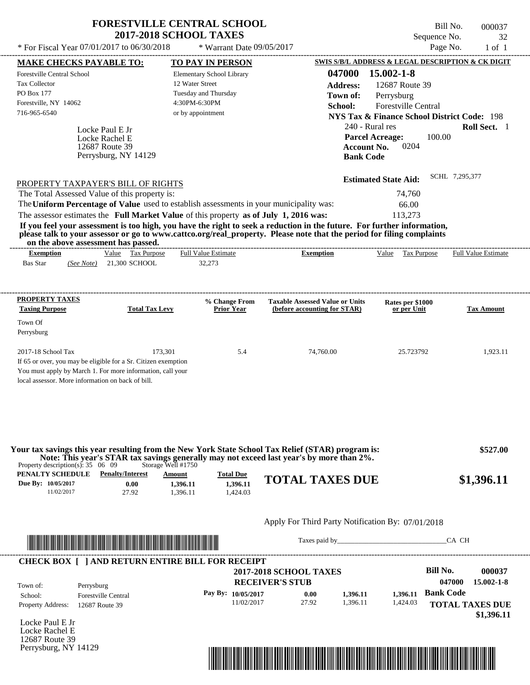| <b>FORESTVILLE CENTRAL SCHOOL</b>          |                             | Bill No.     | 000037 |
|--------------------------------------------|-----------------------------|--------------|--------|
| <b>2017-2018 SCHOOL TAXES</b>              |                             | Sequence No. | -32    |
| * For Fiscal Year 07/01/2017 to 06/30/2018 | $*$ Warrant Date 09/05/2017 | Page No.     | 1 of 1 |

| <b>MAKE CHECKS PAYABLE TO:</b>                                                                                        |                                              |                       |                      | <b>TO PAY IN PERSON</b>    |                                                                                                                                                                                               |                             | SWIS S/B/L ADDRESS & LEGAL DESCRIPTION & CK DIGIT      |
|-----------------------------------------------------------------------------------------------------------------------|----------------------------------------------|-----------------------|----------------------|----------------------------|-----------------------------------------------------------------------------------------------------------------------------------------------------------------------------------------------|-----------------------------|--------------------------------------------------------|
| Forestville Central School                                                                                            |                                              |                       |                      | Elementary School Library  | 047000                                                                                                                                                                                        | 15.002-1-8                  |                                                        |
| Tax Collector                                                                                                         |                                              |                       | 12 Water Street      |                            | <b>Address:</b>                                                                                                                                                                               | 12687 Route 39              |                                                        |
| PO Box 177                                                                                                            |                                              |                       | Tuesday and Thursday |                            | Town of:                                                                                                                                                                                      | Perrysburg                  |                                                        |
| Forestville, NY 14062                                                                                                 |                                              |                       | 4:30PM-6:30PM        |                            | School:                                                                                                                                                                                       | Forestville Central         |                                                        |
| 716-965-6540                                                                                                          |                                              |                       | or by appointment    |                            |                                                                                                                                                                                               |                             | <b>NYS Tax &amp; Finance School District Code: 198</b> |
|                                                                                                                       | Locke Paul E Jr                              |                       |                      |                            |                                                                                                                                                                                               | 240 - Rural res             | Roll Sect. 1                                           |
|                                                                                                                       | Locke Rachel E                               |                       |                      |                            |                                                                                                                                                                                               | <b>Parcel Acreage:</b>      | 100.00                                                 |
|                                                                                                                       | 12687 Route 39                               |                       |                      |                            |                                                                                                                                                                                               | 0204<br><b>Account No.</b>  |                                                        |
|                                                                                                                       | Perrysburg, NY 14129                         |                       |                      |                            | <b>Bank Code</b>                                                                                                                                                                              |                             |                                                        |
|                                                                                                                       |                                              |                       |                      |                            |                                                                                                                                                                                               |                             |                                                        |
| PROPERTY TAXPAYER'S BILL OF RIGHTS                                                                                    |                                              |                       |                      |                            |                                                                                                                                                                                               | <b>Estimated State Aid:</b> | SCHL 7.295.377                                         |
| The Total Assessed Value of this property is:                                                                         |                                              |                       |                      |                            |                                                                                                                                                                                               | 74,760                      |                                                        |
|                                                                                                                       |                                              |                       |                      |                            | The Uniform Percentage of Value used to establish assessments in your municipality was:                                                                                                       | 66.00                       |                                                        |
|                                                                                                                       |                                              |                       |                      |                            | The assessor estimates the Full Market Value of this property as of July 1, 2016 was:                                                                                                         | 113,273                     |                                                        |
|                                                                                                                       |                                              |                       |                      |                            | If you feel your assessment is too high, you have the right to seek a reduction in the future. For further information,                                                                       |                             |                                                        |
| on the above assessment has passed.                                                                                   |                                              |                       |                      |                            | please talk to your assessor or go to www.cattco.org/real_property. Please note that the period for filing complaints                                                                         |                             |                                                        |
| <b>Exemption</b>                                                                                                      |                                              | Value Tax Purpose     |                      | <b>Full Value Estimate</b> | <b>Exemption</b>                                                                                                                                                                              |                             | Value Tax Purpose Full Value Estimate                  |
| Bas Star                                                                                                              | (See Note) 21,300 SCHOOL                     |                       |                      | 32,273                     |                                                                                                                                                                                               |                             |                                                        |
|                                                                                                                       |                                              |                       |                      |                            |                                                                                                                                                                                               |                             |                                                        |
|                                                                                                                       |                                              |                       |                      |                            |                                                                                                                                                                                               |                             |                                                        |
| PROPERTY TAXES                                                                                                        |                                              |                       |                      | % Change From              | <b>Taxable Assessed Value or Units</b>                                                                                                                                                        | Rates per \$1000            |                                                        |
| <b>Taxing Purpose</b>                                                                                                 |                                              | <b>Total Tax Levy</b> |                      | <b>Prior Year</b>          | (before accounting for STAR)                                                                                                                                                                  | or per Unit                 | <b>Tax Amount</b>                                      |
| Town Of                                                                                                               |                                              |                       |                      |                            |                                                                                                                                                                                               |                             |                                                        |
| Perrysburg                                                                                                            |                                              |                       |                      |                            |                                                                                                                                                                                               |                             |                                                        |
| 2017-18 School Tax                                                                                                    |                                              | 173,301               |                      | 5.4                        | 74,760.00                                                                                                                                                                                     | 25.723792                   | 1,923.11                                               |
| If 65 or over, you may be eligible for a Sr. Citizen exemption                                                        |                                              |                       |                      |                            |                                                                                                                                                                                               |                             |                                                        |
| You must apply by March 1. For more information, call your                                                            |                                              |                       |                      |                            |                                                                                                                                                                                               |                             |                                                        |
| local assessor. More information on back of bill.                                                                     |                                              |                       |                      |                            |                                                                                                                                                                                               |                             |                                                        |
|                                                                                                                       |                                              |                       |                      |                            |                                                                                                                                                                                               |                             |                                                        |
|                                                                                                                       |                                              |                       |                      |                            |                                                                                                                                                                                               |                             |                                                        |
|                                                                                                                       |                                              |                       |                      |                            |                                                                                                                                                                                               |                             |                                                        |
|                                                                                                                       |                                              |                       |                      |                            |                                                                                                                                                                                               |                             |                                                        |
|                                                                                                                       |                                              |                       |                      |                            |                                                                                                                                                                                               |                             |                                                        |
|                                                                                                                       |                                              |                       |                      |                            | Your tax savings this year resulting from the New York State School Tax Relief (STAR) program is:<br>Note: This year's STAR tax savings generally may not exceed last year's by more than 2%. |                             | \$527.00                                               |
| Property description(s): $35 \quad 06 \quad 09$                                                                       |                                              | Storage Well #1750    |                      |                            |                                                                                                                                                                                               |                             |                                                        |
| PENALTY SCHEDULE                                                                                                      | <b>Penalty/Interest</b>                      |                       | Amount               | <b>Total Due</b>           | <b>TOTAL TAXES DUE</b>                                                                                                                                                                        |                             | \$1,396.11                                             |
| Due By: 10/05/2017<br>11/02/2017                                                                                      |                                              | 0.00<br>27.92         | 1,396.11<br>1,396.11 | 1,396.11<br>1,424.03       |                                                                                                                                                                                               |                             |                                                        |
|                                                                                                                       |                                              |                       |                      |                            |                                                                                                                                                                                               |                             |                                                        |
|                                                                                                                       |                                              |                       |                      |                            |                                                                                                                                                                                               |                             |                                                        |
|                                                                                                                       |                                              |                       |                      |                            | Apply For Third Party Notification By: 07/01/2018                                                                                                                                             |                             |                                                        |
|                                                                                                                       |                                              |                       |                      |                            |                                                                                                                                                                                               |                             | CA CH                                                  |
|                                                                                                                       |                                              |                       |                      |                            |                                                                                                                                                                                               |                             |                                                        |
| <u> Literatura de la contrada de la contrada de la contrada de la contrada de la contrada de la contrada de la co</u> |                                              |                       |                      |                            |                                                                                                                                                                                               |                             |                                                        |
|                                                                                                                       |                                              |                       |                      |                            |                                                                                                                                                                                               |                             |                                                        |
|                                                                                                                       |                                              |                       |                      |                            | <b>2017-2018 SCHOOL TAXES</b>                                                                                                                                                                 |                             | <b>Bill No.</b>                                        |
|                                                                                                                       |                                              |                       |                      |                            | <b>RECEIVER'S STUB</b>                                                                                                                                                                        |                             | 047000                                                 |
| <b>CHECK BOX [ ] AND RETURN ENTIRE BILL FOR RECEIPT</b><br>Town of:                                                   | Perrysburg                                   |                       |                      | Pay By: 10/05/2017         | 0.00<br>1,396.11                                                                                                                                                                              | 1,396.11                    | <b>Bank Code</b>                                       |
|                                                                                                                       | <b>Forestville Central</b><br>12687 Route 39 |                       |                      | 11/02/2017                 | 27.92<br>1,396.11                                                                                                                                                                             | 1,424.03                    |                                                        |
| School:<br><b>Property Address:</b>                                                                                   |                                              |                       |                      |                            |                                                                                                                                                                                               |                             |                                                        |
|                                                                                                                       |                                              |                       |                      |                            |                                                                                                                                                                                               |                             | 000037                                                 |
|                                                                                                                       |                                              |                       |                      |                            |                                                                                                                                                                                               |                             |                                                        |
|                                                                                                                       |                                              |                       |                      |                            |                                                                                                                                                                                               |                             | 15.002-1-8<br><b>TOTAL TAXES DUE</b><br>\$1,396.11     |
|                                                                                                                       |                                              |                       |                      |                            |                                                                                                                                                                                               |                             |                                                        |
| Locke Paul E Jr<br>Locke Rachel E<br>12687 Route 39<br>Perrysburg, NY 14129                                           |                                              |                       |                      |                            | <u> 1989 - Johann Stoff, Amerikaansk politiker († 1958)</u>                                                                                                                                   |                             |                                                        |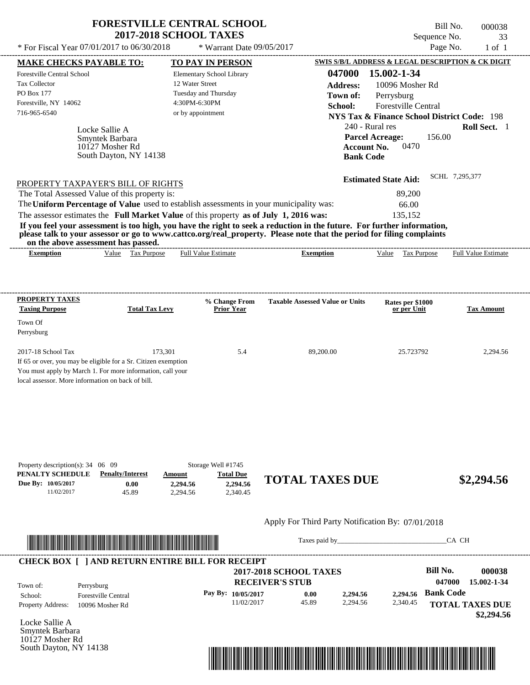| <b>FORESTVILLE CENTRAL SCHOOL</b> |
|-----------------------------------|
| <b>2017-2018 SCHOOL TAXES</b>     |

---------------------------------------------------------------------------------------------------------------------------------------------------------------------------------------------------- Locke Sallie A If 65 or over, you may be eligible for a Sr. Citizen exemption You must apply by March 1. For more information, call your local assessor. More information on back of bill. Sequence No. 33 \* For Fiscal Year  $07/01/2017$  to  $06/30/2018$  \* Warrant Date  $09/05/2017$  Page No. 1 of 1 **MAKE CHECKS PAYABLE TO: TO PAY IN PERSON SWIS S/B/L ADDRESS & LEGAL DESCRIPTION & CK DIGIT 047000 15.002-1-34 Address:** 10096 Mosher Rd Perrysburg **School:** Forestville Central **NYS Tax & Finance School District Code:** 198 240 - Rural res **Roll Sect.** 1 156.00 **Account No.** 0470 **Bank Code Estimated State Aid:** SCHL 7,295,377 PROPERTY TAXPAYER'S BILL OF RIGHTS The assessor estimates the **Full Market Value** of this property **as of July 1, 2016 was:** 135,152 The Total Assessed Value of this property is: 89,200 The **Uniform Percentage of Value** used to establish assessments in your municipality was: 66.00 **If you feel your assessment is too high, you have the right to seek a reduction in the future. For further information, please talk to your assessor or go to www.cattco.org/real\_property. Please note that the period for filing complaints on the above assessment has passed. Exemption** Value Tax Purpose **PROPERTY TAXES Taxing Purpose Total Tax Levy Prior Year % Change From Taxable Assessed Value or Units or per Unit Rates per \$1000 Tax Amount PENALTY SCHEDULE Penalty/Interest Amount Total Due Due By: 10/05/2017** 11/02/2017 45.89 **0.00** 2,294.56 **2,294.56** 2,340.45 **2.294.56 TOTAL TAXES DUE** \$2,294.56 Apply For Third Party Notification By: 07/01/2018 Elementary School Library 12 Water Street Tuesday and Thursday 4:30PM-6:30PM Forestville Central School Tax Collector PO Box 177 Forestville, NY 14062 \* Warrant Date 09/05/2017 716-965-6540 or by appointment **Parcel Acreage:** Town Of Perrysburg 2017-18 School Tax 2,294.56 173,301 5.4 89,200.00 25.723792 2,294.56 Smyntek Barbara Full Value Estimate ---------------------------------------------------------------------------------------------------------------------------------------------------------------------------------------------------- ---------------------------------------------------------------------------------------------------------------------------------------------------------------------------------------------------- Property description(s): 34 06 09 Storage Well #1745 **Town of:** 10127 Mosher Rd South Dayton, NY 14138 **Exemption** Value Tax Purpose Full Value Estimate



Taxes paid by\_\_\_\_\_\_\_\_\_\_\_\_\_\_\_\_\_\_\_\_\_\_\_\_\_\_\_\_\_\_\_CA CH

Bill No. 000038

| Town of:                 | Perrysburg                 | <b>2017-2018 SCHOOL TAXES</b><br><b>RECEIVER'S STUB</b> |       |          |          | Bill No.<br>047000 | 000038<br>15.002-1-34  |
|--------------------------|----------------------------|---------------------------------------------------------|-------|----------|----------|--------------------|------------------------|
| School:                  | <b>Forestville Central</b> | Pay By: $10/05/2017$                                    | 0.00  | 2,294.56 | 2.294.56 | <b>Bank Code</b>   |                        |
| <b>Property Address:</b> | 10096 Mosher Rd            | 11/02/2017                                              | 45.89 | 2.294.56 | 2,340.45 |                    | <b>TOTAL TAXES DUE</b> |

Locke Sallie A Smyntek Barbara 10127 Mosher Rd South Dayton, NY 14138

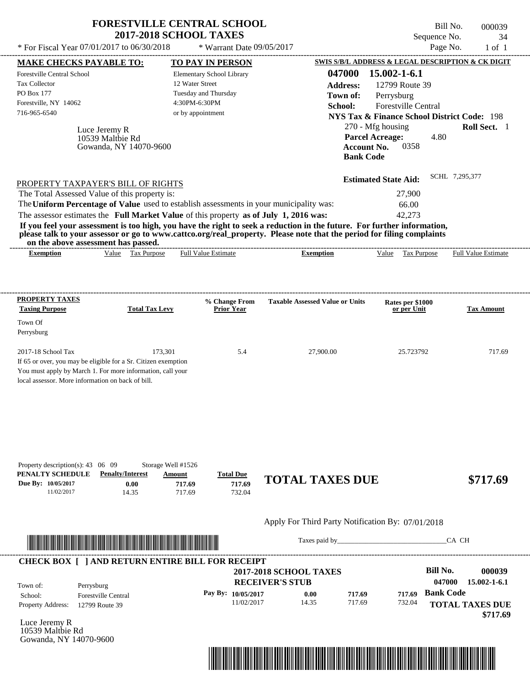|                                                                                                                                                                                                                                                                                                | <b>2017-2018 SCHOOL TAXES</b> |                                    |                                                                                                                                                                                                                                                  | Sequence No.                                           | 34                         |
|------------------------------------------------------------------------------------------------------------------------------------------------------------------------------------------------------------------------------------------------------------------------------------------------|-------------------------------|------------------------------------|--------------------------------------------------------------------------------------------------------------------------------------------------------------------------------------------------------------------------------------------------|--------------------------------------------------------|----------------------------|
| * For Fiscal Year 07/01/2017 to 06/30/2018                                                                                                                                                                                                                                                     |                               | * Warrant Date 09/05/2017          |                                                                                                                                                                                                                                                  |                                                        | Page No.<br>$1$ of $1$     |
| <b>MAKE CHECKS PAYABLE TO:</b>                                                                                                                                                                                                                                                                 |                               | <b>TO PAY IN PERSON</b>            |                                                                                                                                                                                                                                                  | SWIS S/B/L ADDRESS & LEGAL DESCRIPTION & CK DIGIT      |                            |
| Forestville Central School                                                                                                                                                                                                                                                                     |                               | Elementary School Library          | 047000                                                                                                                                                                                                                                           | $15.002 - 1 - 6.1$                                     |                            |
| <b>Tax Collector</b>                                                                                                                                                                                                                                                                           |                               | 12 Water Street                    | Address:                                                                                                                                                                                                                                         | 12799 Route 39                                         |                            |
| PO Box 177                                                                                                                                                                                                                                                                                     |                               | Tuesday and Thursday               | Town of:                                                                                                                                                                                                                                         | Perrysburg                                             |                            |
| Forestville, NY 14062                                                                                                                                                                                                                                                                          |                               | 4:30PM-6:30PM                      | School:                                                                                                                                                                                                                                          | <b>Forestville Central</b>                             |                            |
| 716-965-6540                                                                                                                                                                                                                                                                                   |                               | or by appointment                  |                                                                                                                                                                                                                                                  | <b>NYS Tax &amp; Finance School District Code: 198</b> |                            |
|                                                                                                                                                                                                                                                                                                |                               |                                    |                                                                                                                                                                                                                                                  | 270 - Mfg housing                                      | Roll Sect. 1               |
| Luce Jeremy R                                                                                                                                                                                                                                                                                  |                               |                                    |                                                                                                                                                                                                                                                  | <b>Parcel Acreage:</b><br>4.80                         |                            |
| 10539 Malthie Rd                                                                                                                                                                                                                                                                               | Gowanda, NY 14070-9600        |                                    | <b>Account No.</b>                                                                                                                                                                                                                               | 0358                                                   |                            |
|                                                                                                                                                                                                                                                                                                |                               |                                    | <b>Bank Code</b>                                                                                                                                                                                                                                 |                                                        |                            |
|                                                                                                                                                                                                                                                                                                |                               |                                    |                                                                                                                                                                                                                                                  | <b>Estimated State Aid:</b>                            | SCHL 7.295.377             |
| PROPERTY TAXPAYER'S BILL OF RIGHTS                                                                                                                                                                                                                                                             |                               |                                    |                                                                                                                                                                                                                                                  |                                                        |                            |
|                                                                                                                                                                                                                                                                                                |                               |                                    |                                                                                                                                                                                                                                                  |                                                        |                            |
|                                                                                                                                                                                                                                                                                                |                               |                                    |                                                                                                                                                                                                                                                  | 27,900                                                 |                            |
|                                                                                                                                                                                                                                                                                                |                               |                                    |                                                                                                                                                                                                                                                  | 66.00                                                  |                            |
|                                                                                                                                                                                                                                                                                                |                               |                                    |                                                                                                                                                                                                                                                  | 42,273                                                 |                            |
| on the above assessment has passed.                                                                                                                                                                                                                                                            |                               |                                    | If you feel your assessment is too high, you have the right to seek a reduction in the future. For further information,<br>please talk to your assessor or go to www.cattco.org/real_property. Please note that the period for filing complaints |                                                        |                            |
| <b>Exemption</b>                                                                                                                                                                                                                                                                               | Value Tax Purpose             | <b>Full Value Estimate</b>         | <b>Exemption</b>                                                                                                                                                                                                                                 | Value Tax Purpose                                      | <b>Full Value Estimate</b> |
| The Total Assessed Value of this property is:<br>The Uniform Percentage of Value used to establish assessments in your municipality was:<br>The assessor estimates the Full Market Value of this property as of July 1, 2016 was:<br><b>PROPERTY TAXES</b><br><b>Taxing Purpose</b><br>Town Of | <b>Total Tax Levy</b>         | % Change From<br><b>Prior Year</b> | <b>Taxable Assessed Value or Units</b>                                                                                                                                                                                                           | Rates per \$1000<br>or per Unit                        | <b>Tax Amount</b>          |
| Perrysburg                                                                                                                                                                                                                                                                                     |                               |                                    |                                                                                                                                                                                                                                                  |                                                        |                            |
|                                                                                                                                                                                                                                                                                                | 173,301                       | 5.4                                | 27,900.00                                                                                                                                                                                                                                        | 25.723792                                              | 717.69                     |
| $2017-18$ School Tax<br>If 65 or over, you may be eligible for a Sr. Citizen exemption                                                                                                                                                                                                         |                               |                                    |                                                                                                                                                                                                                                                  |                                                        |                            |
| You must apply by March 1. For more information, call your                                                                                                                                                                                                                                     |                               |                                    |                                                                                                                                                                                                                                                  |                                                        |                            |

| Property description(s): $43 \quad 06 \quad 09$ |                         | Storage Well #1526 |                  |                        |          |
|-------------------------------------------------|-------------------------|--------------------|------------------|------------------------|----------|
| PENALTY SCHEDULE                                | <b>Penalty/Interest</b> | Amount             | <b>Total Due</b> |                        |          |
| Due By: 10/05/2017                              | $0.00\,$                | 717.69             | 717.69           | <b>TOTAL TAXES DUE</b> | \$717.69 |
| 11/02/2017                                      | .4.35                   | 717.69             | 732.04           |                        |          |



Taxes paid by\_\_\_\_\_\_\_\_\_\_\_\_\_\_\_\_\_\_\_\_\_\_\_\_\_\_\_\_\_\_\_CA CH

| Town of:                 | Perrysburg                 | <b>2017-2018 SCHOOL TAXES</b><br><b>RECEIVER'S STUB</b> |       |        |        | Bill No.<br>047000 | 000039<br>$15.002 - 1 - 6.1$ |
|--------------------------|----------------------------|---------------------------------------------------------|-------|--------|--------|--------------------|------------------------------|
| School:                  | <b>Forestville Central</b> | Pay By: $10/05/2017$                                    | 0.00  | 717.69 | 717.69 | <b>Bank Code</b>   |                              |
| <b>Property Address:</b> | 12799 Route 39             | 11/02/2017                                              | 14.35 | 717.69 | 732.04 |                    | <b>TOTAL TAXES DUE</b>       |

Luce Jeremy R 10539 Maltbie Rd Gowanda, NY 14070-9600

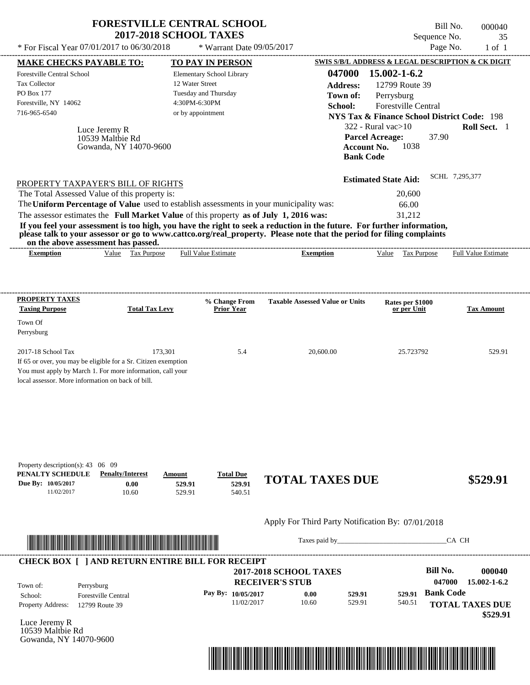| * For Fiscal Year 07/01/2017 to 06/30/2018                                                                                                                                                                                                                                                                                                                                                                                                                                                                                       |                                    |                   |                                    |                                                        |                  |                                                        |       |                            |
|----------------------------------------------------------------------------------------------------------------------------------------------------------------------------------------------------------------------------------------------------------------------------------------------------------------------------------------------------------------------------------------------------------------------------------------------------------------------------------------------------------------------------------|------------------------------------|-------------------|------------------------------------|--------------------------------------------------------|------------------|--------------------------------------------------------|-------|----------------------------|
| <b>MAKE CHECKS PAYABLE TO:</b>                                                                                                                                                                                                                                                                                                                                                                                                                                                                                                   |                                    |                   | <b>TO PAY IN PERSON</b>            |                                                        |                  | SWIS S/B/L ADDRESS & LEGAL DESCRIPTION & CK DIGIT      |       |                            |
| Forestville Central School                                                                                                                                                                                                                                                                                                                                                                                                                                                                                                       |                                    |                   | Elementary School Library          |                                                        | 047000           | 15.002-1-6.2                                           |       |                            |
| <b>Tax Collector</b>                                                                                                                                                                                                                                                                                                                                                                                                                                                                                                             |                                    | 12 Water Street   |                                    |                                                        | <b>Address:</b>  | 12799 Route 39                                         |       |                            |
| PO Box 177                                                                                                                                                                                                                                                                                                                                                                                                                                                                                                                       |                                    |                   | Tuesday and Thursday               |                                                        | Town of:         | Perrysburg                                             |       |                            |
| Forestville, NY 14062                                                                                                                                                                                                                                                                                                                                                                                                                                                                                                            |                                    | 4:30PM-6:30PM     |                                    |                                                        | School:          | <b>Forestville Central</b>                             |       |                            |
| 716-965-6540                                                                                                                                                                                                                                                                                                                                                                                                                                                                                                                     |                                    | or by appointment |                                    |                                                        |                  | <b>NYS Tax &amp; Finance School District Code: 198</b> |       |                            |
|                                                                                                                                                                                                                                                                                                                                                                                                                                                                                                                                  |                                    |                   |                                    |                                                        |                  | 322 - Rural vac $>10$                                  |       | <b>Roll Sect.</b> 1        |
|                                                                                                                                                                                                                                                                                                                                                                                                                                                                                                                                  | Luce Jeremy R<br>10539 Maltbie Rd  |                   |                                    |                                                        |                  | <b>Parcel Acreage:</b>                                 | 37.90 |                            |
|                                                                                                                                                                                                                                                                                                                                                                                                                                                                                                                                  | Gowanda, NY 14070-9600             |                   |                                    |                                                        |                  | 1038<br>Account No.                                    |       |                            |
|                                                                                                                                                                                                                                                                                                                                                                                                                                                                                                                                  |                                    |                   |                                    |                                                        | <b>Bank Code</b> |                                                        |       |                            |
|                                                                                                                                                                                                                                                                                                                                                                                                                                                                                                                                  |                                    |                   |                                    |                                                        |                  | <b>Estimated State Aid:</b>                            |       | SCHL 7,295,377             |
|                                                                                                                                                                                                                                                                                                                                                                                                                                                                                                                                  | PROPERTY TAXPAYER'S BILL OF RIGHTS |                   |                                    |                                                        |                  |                                                        |       |                            |
|                                                                                                                                                                                                                                                                                                                                                                                                                                                                                                                                  |                                    |                   |                                    |                                                        |                  | 20,600                                                 |       |                            |
|                                                                                                                                                                                                                                                                                                                                                                                                                                                                                                                                  |                                    |                   |                                    |                                                        |                  |                                                        |       |                            |
|                                                                                                                                                                                                                                                                                                                                                                                                                                                                                                                                  |                                    |                   |                                    |                                                        |                  | 66.00                                                  |       |                            |
|                                                                                                                                                                                                                                                                                                                                                                                                                                                                                                                                  |                                    |                   |                                    |                                                        |                  | 31,212                                                 |       |                            |
| on the above assessment has passed.<br><b>Exemption</b>                                                                                                                                                                                                                                                                                                                                                                                                                                                                          | Value Tax Purpose                  |                   | <b>Full Value Estimate</b>         | ----------------------------------<br><b>Exemption</b> |                  | Value Tax Purpose                                      |       | <b>Full Value Estimate</b> |
| The Total Assessed Value of this property is:<br>The Uniform Percentage of Value used to establish assessments in your municipality was:<br>The assessor estimates the Full Market Value of this property as of July 1, 2016 was:<br>If you feel your assessment is too high, you have the right to seek a reduction in the future. For further information,<br>please talk to your assessor or go to www.cattco.org/real_property. Please note that the period for filing complaints<br>PROPERTY TAXES<br><b>Taxing Purpose</b> | <b>Total Tax Levy</b>              |                   | % Change From<br><b>Prior Year</b> | <b>Taxable Assessed Value or Units</b>                 |                  | Rates per \$1000<br>or per Unit                        |       | <b>Tax Amount</b>          |
| Town Of<br>Perrysburg                                                                                                                                                                                                                                                                                                                                                                                                                                                                                                            |                                    |                   |                                    |                                                        |                  |                                                        |       |                            |
| 2017-18 School Tax                                                                                                                                                                                                                                                                                                                                                                                                                                                                                                               |                                    | 173,301           | 5.4                                | 20,600.00                                              |                  | 25.723792                                              |       | 529.91                     |

| <b>PENALTY SCHEDULE</b> Penalty/Interest |      | Amount | <b>Total Due</b> |                        |          |
|------------------------------------------|------|--------|------------------|------------------------|----------|
| Due By: 10/05/2017                       | 0.00 | 529.91 | 529.91           | <b>TOTAL TAXES DUE</b> | \$529.91 |
| 1/02/2017                                | 0.60 | 529.91 | 540.51           |                        |          |



Taxes paid by\_\_\_\_\_\_\_\_\_\_\_\_\_\_\_\_\_\_\_\_\_\_\_\_\_\_\_\_\_\_\_CA CH



Luce Jeremy R 10539 Maltbie Rd Gowanda, NY 14070-9600

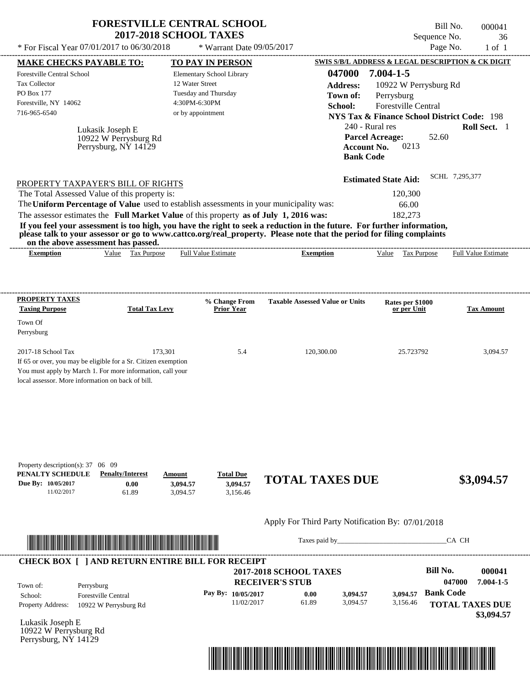|                                                                                                                                                                                                                                                                                                                                                                                                                                                                                                                             | <b>FORESTVILLE CENTRAL SCHOOL</b><br><b>2017-2018 SCHOOL TAXES</b>            |                                           |                                                      |                                                                                                                                                                                        |                                                                                       | Bill No.<br>Sequence No. |                            | 000041<br>36 |
|-----------------------------------------------------------------------------------------------------------------------------------------------------------------------------------------------------------------------------------------------------------------------------------------------------------------------------------------------------------------------------------------------------------------------------------------------------------------------------------------------------------------------------|-------------------------------------------------------------------------------|-------------------------------------------|------------------------------------------------------|----------------------------------------------------------------------------------------------------------------------------------------------------------------------------------------|---------------------------------------------------------------------------------------|--------------------------|----------------------------|--------------|
| * For Fiscal Year 07/01/2017 to 06/30/2018                                                                                                                                                                                                                                                                                                                                                                                                                                                                                  |                                                                               | * Warrant Date 09/05/2017                 |                                                      |                                                                                                                                                                                        |                                                                                       | Page No.                 |                            | $1$ of $1$   |
| <b>MAKE CHECKS PAYABLE TO:</b>                                                                                                                                                                                                                                                                                                                                                                                                                                                                                              |                                                                               | TO PAY IN PERSON                          |                                                      | SWIS S/B/L ADDRESS & LEGAL DESCRIPTION & CK DIGIT                                                                                                                                      |                                                                                       |                          |                            |              |
| Forestville Central School<br>Tax Collector<br>PO Box 177<br>Forestville, NY 14062<br>716-965-6540<br>Lukasik Joseph E<br>10922 W Perrysburg Rd<br>Perrysburg, NY 14129                                                                                                                                                                                                                                                                                                                                                     | 12 Water Street<br>Tuesday and Thursday<br>4:30PM-6:30PM<br>or by appointment | Elementary School Library                 | School:                                              | 047000<br><b>Address:</b><br>Town of:<br><b>NYS Tax &amp; Finance School District Code: 198</b><br>240 - Rural res<br><b>Parcel Acreage:</b><br><b>Account No.</b><br><b>Bank Code</b> | $7.004 - 1 - 5$<br>10922 W Perrysburg Rd<br>Perrysburg<br>Forestville Central<br>0213 | 52.60                    | Roll Sect. 1               |              |
| PROPERTY TAXPAYER'S BILL OF RIGHTS<br>The Total Assessed Value of this property is:<br>The Uniform Percentage of Value used to establish assessments in your municipality was:<br>The assessor estimates the Full Market Value of this property as of July 1, 2016 was:<br>If you feel your assessment is too high, you have the right to seek a reduction in the future. For further information,<br>please talk to your assessor or go to www.cattco.org/real_property. Please note that the period for filing complaints |                                                                               |                                           |                                                      | <b>Estimated State Aid:</b>                                                                                                                                                            | 120,300<br>66.00<br>182,273                                                           |                          | SCHL 7,295,377             |              |
| on the above assessment has passed.<br>Value Tax Purpose<br><b>Exemption</b>                                                                                                                                                                                                                                                                                                                                                                                                                                                |                                                                               | <b>Full Value Estimate</b>                | <b>Exemption</b>                                     |                                                                                                                                                                                        | Value Tax Purpose                                                                     |                          | <b>Full Value Estimate</b> |              |
|                                                                                                                                                                                                                                                                                                                                                                                                                                                                                                                             |                                                                               |                                           |                                                      |                                                                                                                                                                                        |                                                                                       |                          |                            |              |
| <b>PROPERTY TAXES</b><br><b>Taxing Purpose</b><br>Town Of<br>Perrysburg<br>2017-18 School Tax<br>If 65 or over, you may be eligible for a Sr. Citizen exemption<br>You must apply by March 1. For more information, call your<br>local assessor. More information on back of bill.                                                                                                                                                                                                                                          | <b>Total Tax Levy</b><br>173,301                                              | % Change From<br><b>Prior Year</b><br>5.4 | <b>Taxable Assessed Value or Units</b><br>120,300.00 |                                                                                                                                                                                        | Rates per \$1000<br>or per Unit<br>25.723792                                          |                          | <b>Tax Amount</b>          | 3,094.57     |
| Property description(s): $37 \quad 06 \quad 09$<br>PENALTY SCHEDULE<br><b>Penalty/Interest</b><br>Due By: 10/05/2017<br>0.00<br>11/02/2017<br>61.89                                                                                                                                                                                                                                                                                                                                                                         | Amount<br>3,094.57<br>3,094.57                                                | <b>Total Due</b><br>3,094.57<br>3,156.46  | <b>TOTAL TAXES DUE</b>                               |                                                                                                                                                                                        |                                                                                       |                          | \$3,094.57                 |              |
|                                                                                                                                                                                                                                                                                                                                                                                                                                                                                                                             |                                                                               |                                           | Apply For Third Party Notification By: 07/01/2018    |                                                                                                                                                                                        |                                                                                       |                          |                            |              |

|                          | <b>CHECK BOX     AND RETURN ENTIRE BILL FOR RECEIPT</b> | <b>2017-2018 SCHOOL TAXES</b><br><b>RECEIVER'S STUB</b> |       |          |          |                  | 000041<br>7.004-1-5                  |  |
|--------------------------|---------------------------------------------------------|---------------------------------------------------------|-------|----------|----------|------------------|--------------------------------------|--|
| Town of:<br>School:      | Perrysburg<br><b>Forestville Central</b>                | Pay By: $10/05/2017$                                    | 0.00  | 3.094.57 | 3.094.57 | <b>Bank Code</b> |                                      |  |
| <b>Property Address:</b> | 10922 W Perrysburg Rd                                   | 11/02/2017                                              | 61.89 | 3.094.57 | 3,156.46 |                  | <b>TOTAL TAXES DUE</b><br>\$3,094.57 |  |

Lukasik Joseph E 10922 W Perrysburg Rd Perrysburg, NY 14129

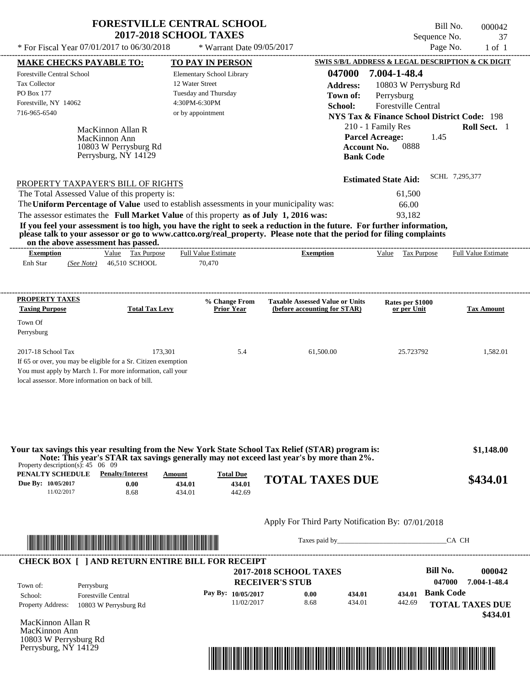| <b>FORESTVILLE CENTRAL SCHOOL</b> |
|-----------------------------------|
| <b>2017-2018 SCHOOL TAXES</b>     |

\* For Fiscal Year  $07/01/2017$  to  $06/30/2018$  \* Warrant Date  $09/05/2017$  Page No. 1 of 1

\* Warrant Date 09/05/2017

---------------------------------------------------------------------------------------------------------------------------------------------------------------------------------------------------- MacKinnon Allan R If 65 or over, you may be eligible for a Sr. Citizen exemption You must apply by March 1. For more information, call your local assessor. More information on back of bill. **MAKE CHECKS PAYABLE TO: TO PAY IN PERSON SWIS S/B/L ADDRESS & LEGAL DESCRIPTION & CK DIGIT 047000 7.004-1-48.4 Address:** 10803 W Perrysburg Rd Perrysburg **School:** Forestville Central **NYS Tax & Finance School District Code:** 198 210 - 1 Family Res **Roll Sect.** 1 1.45 **Account No.** 0888 **Bank Code Estimated State Aid:** SCHL 7,295,377 PROPERTY TAXPAYER'S BILL OF RIGHTS The assessor estimates the **Full Market Value** of this property **as of July 1, 2016 was:** 93,182 The Total Assessed Value of this property is: 61,500 The **Uniform Percentage of Value** used to establish assessments in your municipality was: 66.00 **If you feel your assessment is too high, you have the right to seek a reduction in the future. For further information, please talk to your assessor or go to www.cattco.org/real\_property. Please note that the period for filing complaints on the above assessment has passed. Exemption** Value Tax Purpose **PROPERTY TAXES Taxing Purpose Total Tax Levy Prior Year % Change From (before accounting for STAR) Taxable Assessed Value or Units or per Unit Rates per \$1000 Tax Amount PENALTY SCHEDULE Penalty/Interest Amount Total Due Due By: 10/05/2017** 11/02/2017 8.68 **0.00** 434.01 **434.01** 442.69 **434.01 TOTAL TAXES DUE \$434.01** Apply For Third Party Notification By: 07/01/2018 **RECEIVER'S STUB Bill No. 000042 Bank Code** Property Address: 10803 W Perrysburg Rd Perrysburg School: Forestville Central **TOTAL TAXES DUE** Enh Star (*See Note*) 46,510 SCHOOL 70,470 Elementary School Library 12 Water Street Tuesday and Thursday 4:30PM-6:30PM Forestville Central School Tax Collector PO Box 177 Forestville, NY 14062  **2017-2018 SCHOOL TAXES** 716-965-6540 or by appointment **Parcel Acreage:** Town Of Perrysburg 2017-18 School Tax 173,301 5.4 61,500.00 25.723792 1,582.01  **\$1,148.00 047000 7.004-1-48.4 Pay By: 10/05/2017** 11/02/2017 8.68 **0.00** 434.01 **434.01** 442.69 **434.01** MacKinnon Ann Full Value Estimate Taxes paid by Taxes and by Taxes paid by  $\overline{C}$  CA CH ---------------------------------------------------------------------------------------------------------------------------------------------------------------------------------------------------- ---------------------------------------------------------------------------------------------------------------------------------------------------------------------------------------------------- Property description(s): 45 06 09 Town of: **Town of:** 10803 W Perrysburg Rd Perrysburg, NY 14129 **Exemption** Value Tax Purpose Full Value Estimate **Your tax savings this year resulting from the New York State School Tax Relief (STAR) program is: Note: This year's STAR tax savings generally may not exceed last year's by more than 2%.** ---------------------------------------------------------------------------------------------------------------------------------------------------------------------------------------------------- **CHECK BOX [ ] AND RETURN ENTIRE BILL FOR RECEIPT** \*04700000004200000000043401\*

MacKinnon Allan R MacKinnon Ann 10803 W Perrysburg Rd Perrysburg, NY 14129



Bill No. 000042

Sequence No. 37

 **\$434.01**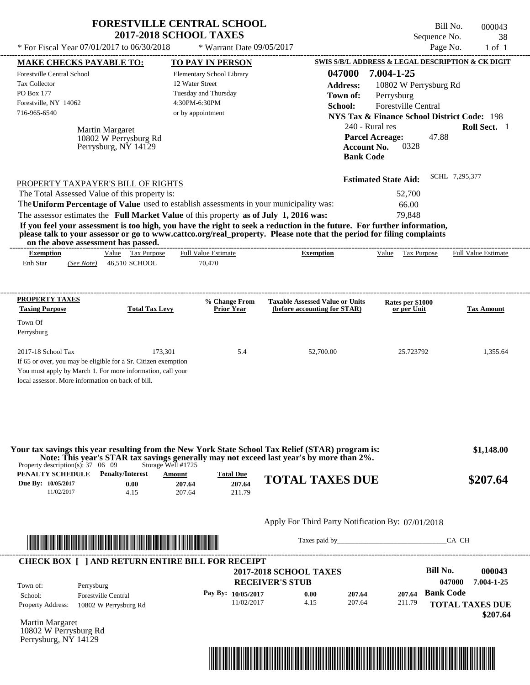|                                                                                                                                                                                                                                  | <b>FORESTVILLE CENTRAL SCHOOL</b>             | <b>2017-2018 SCHOOL TAXES</b>                                                                              |                           |                                                                                                                                                                                                                         |                                                                                                                                                       | Bill No.<br>Sequence No. | 000043<br>38                                    |
|----------------------------------------------------------------------------------------------------------------------------------------------------------------------------------------------------------------------------------|-----------------------------------------------|------------------------------------------------------------------------------------------------------------|---------------------------|-------------------------------------------------------------------------------------------------------------------------------------------------------------------------------------------------------------------------|-------------------------------------------------------------------------------------------------------------------------------------------------------|--------------------------|-------------------------------------------------|
| * For Fiscal Year 07/01/2017 to 06/30/2018                                                                                                                                                                                       |                                               |                                                                                                            | * Warrant Date 09/05/2017 |                                                                                                                                                                                                                         |                                                                                                                                                       | Page No.                 | $1$ of $1$                                      |
| <b>MAKE CHECKS PAYABLE TO:</b>                                                                                                                                                                                                   |                                               | <b>TO PAY IN PERSON</b>                                                                                    |                           |                                                                                                                                                                                                                         | SWIS S/B/L ADDRESS & LEGAL DESCRIPTION & CK DIGIT                                                                                                     |                          |                                                 |
| Forestville Central School<br><b>Tax Collector</b><br>PO Box 177<br>Forestville, NY 14062<br>716-965-6540                                                                                                                        | Martin Margaret                               | Elementary School Library<br>12 Water Street<br>Tuesday and Thursday<br>4:30PM-6:30PM<br>or by appointment |                           | 047000<br><b>Address:</b><br>Town of:<br>School:                                                                                                                                                                        | 7.004-1-25<br>10802 W Perrysburg Rd<br>Perrysburg<br>Forestville Central<br><b>NYS Tax &amp; Finance School District Code: 198</b><br>240 - Rural res |                          | Roll Sect. 1                                    |
|                                                                                                                                                                                                                                  | 10802 W Perrysburg Rd<br>Perrysburg, NY 14129 |                                                                                                            |                           |                                                                                                                                                                                                                         | <b>Parcel Acreage:</b><br>0328<br><b>Account No.</b><br><b>Bank Code</b>                                                                              | 47.88                    |                                                 |
| PROPERTY TAXPAYER'S BILL OF RIGHTS                                                                                                                                                                                               |                                               |                                                                                                            |                           |                                                                                                                                                                                                                         | <b>Estimated State Aid:</b>                                                                                                                           | SCHL 7,295,377           |                                                 |
| The Total Assessed Value of this property is:                                                                                                                                                                                    |                                               |                                                                                                            |                           |                                                                                                                                                                                                                         | 52,700                                                                                                                                                |                          |                                                 |
| The Uniform Percentage of Value used to establish assessments in your municipality was:                                                                                                                                          |                                               |                                                                                                            |                           |                                                                                                                                                                                                                         | 66.00                                                                                                                                                 |                          |                                                 |
|                                                                                                                                                                                                                                  |                                               |                                                                                                            |                           |                                                                                                                                                                                                                         |                                                                                                                                                       |                          |                                                 |
| on the above assessment has passed.<br><b>Exemption</b><br>Enh Star<br>(See Note)                                                                                                                                                | Value Tax Purpose<br>46,510 SCHOOL            | <b>Full Value Estimate</b><br>70,470                                                                       |                           | <b>Exemption</b>                                                                                                                                                                                                        | Value<br>Tax Purpose                                                                                                                                  |                          |                                                 |
| please talk to your assessor or go to www.cattco.org/real_property. Please note that the period for filing complaints                                                                                                            |                                               |                                                                                                            | % Change From             | <b>Taxable Assessed Value or Units</b>                                                                                                                                                                                  | Rates per \$1000                                                                                                                                      |                          |                                                 |
| <b>Taxing Purpose</b><br>Town Of<br>Perrysburg                                                                                                                                                                                   | <b>Total Tax Levy</b>                         |                                                                                                            | <b>Prior Year</b>         | (before accounting for STAR)                                                                                                                                                                                            | or per Unit                                                                                                                                           |                          | <b>Full Value Estimate</b><br><b>Tax Amount</b> |
| <b>PROPERTY TAXES</b><br>2017-18 School Tax<br>If 65 or over, you may be eligible for a Sr. Citizen exemption<br>You must apply by March 1. For more information, call your<br>local assessor. More information on back of bill. |                                               | 173,301                                                                                                    | 5.4                       | 52,700.00                                                                                                                                                                                                               | 25.723792                                                                                                                                             |                          | 1,355.64                                        |
| Property description(s): $37 \quad 06 \quad 09$<br>PENALTY SCHEDULE                                                                                                                                                              | <b>Penalty/Interest</b>                       | Storage Well #1725<br>Amount                                                                               | <b>Total Due</b>          | Your tax savings this year resulting from the New York State School Tax Relief (STAR) program is:<br>Note: This year's STAR tax savings generally may not exceed last year's by more than 2%.<br><b>TOTAL TAXES DUE</b> |                                                                                                                                                       |                          | \$1,148.00<br>\$207.64                          |



207.64

11/02/2017 4.15

Taxes paid by\_\_\_\_\_\_\_\_\_\_\_\_\_\_\_\_\_\_\_\_\_\_\_\_\_\_\_\_\_\_\_CA CH

| Town of:                 | Perrysburg                 | <b>2017-2018 SCHOOL TAXES</b><br><b>RECEIVER'S STUB</b> |      |        |        | Bill No.<br>047000     | 000043<br>7.004-1-25 |
|--------------------------|----------------------------|---------------------------------------------------------|------|--------|--------|------------------------|----------------------|
| School:                  | <b>Forestville Central</b> | Pay By: $10/05/2017$                                    | 0.00 | 207.64 | 207.64 | <b>Bank Code</b>       |                      |
| <b>Property Address:</b> | 10802 W Perrysburg Rd      | 11/02/2017                                              | 4.15 | 207.64 | 211.79 | <b>TOTAL TAXES DUE</b> |                      |

211.79

Martin Margaret 10802 W Perrysburg Rd Perrysburg, NY 14129

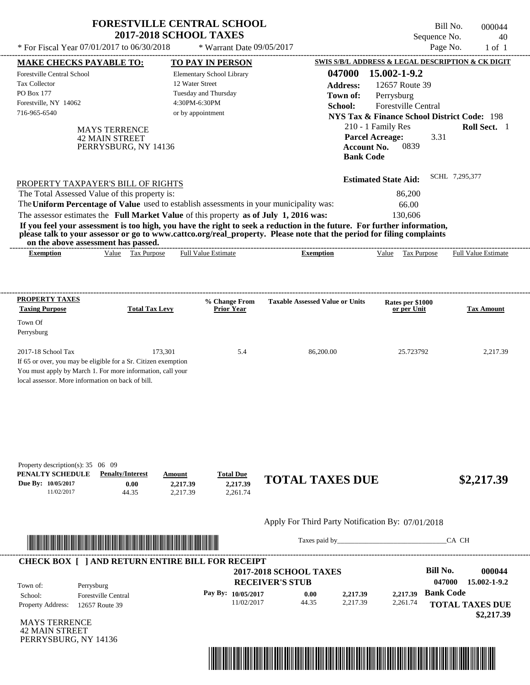| * For Fiscal Year 07/01/2017 to 06/30/2018                                                                                                                                                              | <b>FORESTVILLE CENTRAL SCHOOL</b><br><b>2017-2018 SCHOOL TAXES</b>                                                                                                               | * Warrant Date 09/05/2017                                                                         |                                                                                                                                                                                                                                                  | Sequence No.                                                                                                                                                                                  | Bill No.<br>000044<br>40<br>Page No.<br>$1$ of $1$ |
|---------------------------------------------------------------------------------------------------------------------------------------------------------------------------------------------------------|----------------------------------------------------------------------------------------------------------------------------------------------------------------------------------|---------------------------------------------------------------------------------------------------|--------------------------------------------------------------------------------------------------------------------------------------------------------------------------------------------------------------------------------------------------|-----------------------------------------------------------------------------------------------------------------------------------------------------------------------------------------------|----------------------------------------------------|
|                                                                                                                                                                                                         |                                                                                                                                                                                  |                                                                                                   |                                                                                                                                                                                                                                                  | SWIS S/B/L ADDRESS & LEGAL DESCRIPTION & CK DIGIT                                                                                                                                             |                                                    |
| <b>MAKE CHECKS PAYABLE TO:</b><br>Forestville Central School<br><b>Tax Collector</b><br>PO Box 177<br>Forestville, NY 14062<br>716-965-6540                                                             | 12 Water Street<br>4:30PM-6:30PM<br><b>MAYS TERRENCE</b><br><b>42 MAIN STREET</b><br>PERRYSBURG, NY 14136                                                                        | <b>TO PAY IN PERSON</b><br>Elementary School Library<br>Tuesday and Thursday<br>or by appointment | 047000<br><b>Address:</b><br>Town of:<br>School:<br><b>Account No.</b><br><b>Bank Code</b>                                                                                                                                                       | 15.002-1-9.2<br>12657 Route 39<br>Perrysburg<br>Forestville Central<br><b>NYS Tax &amp; Finance School District Code: 198</b><br>210 - 1 Family Res<br><b>Parcel Acreage:</b><br>3.31<br>0839 | Roll Sect. 1                                       |
| PROPERTY TAXPAYER'S BILL OF RIGHTS<br>The Total Assessed Value of this property is:<br>on the above assessment has passed.                                                                              | The Uniform Percentage of Value used to establish assessments in your municipality was:<br>The assessor estimates the Full Market Value of this property as of July 1, 2016 was: |                                                                                                   | If you feel your assessment is too high, you have the right to seek a reduction in the future. For further information,<br>please talk to your assessor or go to www.cattco.org/real_property. Please note that the period for filing complaints | <b>Estimated State Aid:</b><br>86,200<br>66.00<br>130,606                                                                                                                                     | SCHL 7,295,377                                     |
| <b>Exemption</b>                                                                                                                                                                                        | Value Tax Purpose                                                                                                                                                                | <b>Full Value Estimate</b>                                                                        | <b>Exemption</b>                                                                                                                                                                                                                                 | Value<br>Tax Purpose                                                                                                                                                                          | <b>Full Value Estimate</b>                         |
| PROPERTY TAXES<br><b>Taxing Purpose</b><br>Town Of<br>Perrysburg                                                                                                                                        | <b>Total Tax Levy</b>                                                                                                                                                            | % Change From<br>Prior Year                                                                       | <b>Taxable Assessed Value or Units</b>                                                                                                                                                                                                           | Rates per \$1000<br>or per Unit                                                                                                                                                               | <b>Tax Amount</b>                                  |
| 2017-18 School Tax<br>If 65 or over, you may be eligible for a Sr. Citizen exemption<br>You must apply by March 1. For more information, call your<br>local assessor. More information on back of bill. | 173,301                                                                                                                                                                          | 5.4                                                                                               | 86,200.00                                                                                                                                                                                                                                        | 25.723792                                                                                                                                                                                     | 2,217.39                                           |
| Property description(s): 35 06 09<br>PENALTY SCHEDULE<br>Due By: 10/05/2017<br>11/02/2017                                                                                                               | <b>Penalty/Interest</b><br>Amount<br>0.00<br>2,217.39<br>2.217.39<br>44.35                                                                                                       | <b>Total Due</b><br>2,217.39<br>2.261.74                                                          | <b>TOTAL TAXES DUE</b>                                                                                                                                                                                                                           |                                                                                                                                                                                               | \$2,217.39                                         |
|                                                                                                                                                                                                         |                                                                                                                                                                                  |                                                                                                   | Apply For Third Party Notification By: 07/01/2018                                                                                                                                                                                                |                                                                                                                                                                                               |                                                    |
|                                                                                                                                                                                                         | <u> 1989 - An Dùbhlachd ann an Dùbhan Dùbhaidh ann an Dùbhan Dùbhan Dùbhan Dùbhan Dùbhan Dùbhan Dùbhan Dùbhan Dùb</u>                                                            |                                                                                                   |                                                                                                                                                                                                                                                  |                                                                                                                                                                                               | CA CH                                              |
|                                                                                                                                                                                                         | <b>CHECK BOX [ ] AND RETURN ENTIRE BILL FOR RECEIPT</b>                                                                                                                          |                                                                                                   |                                                                                                                                                                                                                                                  |                                                                                                                                                                                               |                                                    |
|                                                                                                                                                                                                         |                                                                                                                                                                                  |                                                                                                   | <b>2017-2018 SCHOOL TAXES</b>                                                                                                                                                                                                                    | <b>Bill No.</b>                                                                                                                                                                               | 000044                                             |

|                          |                                               | 2017-2010 SUNUUL TAALS |       |          |          | <u>рш гус.</u>   | vvvv++                 |
|--------------------------|-----------------------------------------------|------------------------|-------|----------|----------|------------------|------------------------|
| Town of:                 | Perrysburg                                    | <b>RECEIVER'S STUB</b> |       |          |          | 047000           | 15.002-1-9.2           |
| School:                  | <b>Forestville Central</b>                    | Pay By: $10/05/2017$   | 0.00  | 2,217.39 | 2.217.39 | <b>Bank Code</b> |                        |
| <b>Property Address:</b> | 12657 Route 39                                | 11/02/2017             | 44.35 | 2,217.39 | 2,261.74 |                  | <b>TOTAL TAXES DUE</b> |
|                          | - - · ---- <del>---</del> - -- - <del>-</del> |                        |       |          |          |                  | \$2,217.39             |

MAYS TERRENCE 42 MAIN STREET PERRYSBURG, NY 14136

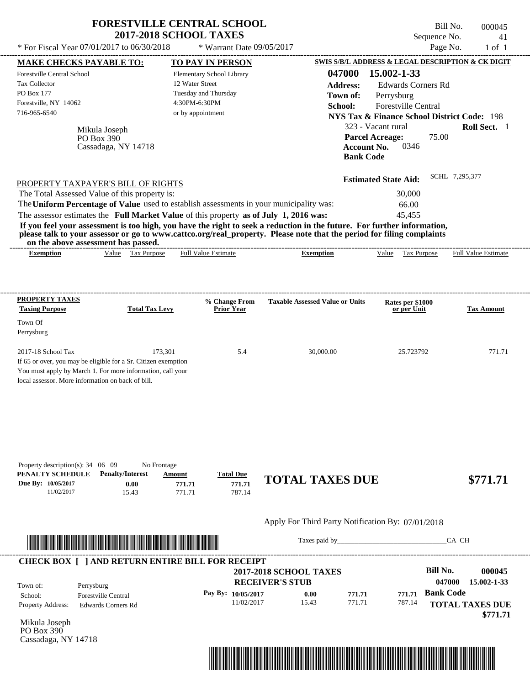|                                                                                                                                                                                                           |                                                      | <b>FORESTVILLE CENTRAL SCHOOL</b><br><b>2017-2018 SCHOOL TAXES</b>                                         |                                                                                                                                                                                                                                                  | Bill No.<br>Sequence No.                                                                                                                                                                                 | 000045<br>41               |
|-----------------------------------------------------------------------------------------------------------------------------------------------------------------------------------------------------------|------------------------------------------------------|------------------------------------------------------------------------------------------------------------|--------------------------------------------------------------------------------------------------------------------------------------------------------------------------------------------------------------------------------------------------|----------------------------------------------------------------------------------------------------------------------------------------------------------------------------------------------------------|----------------------------|
| * For Fiscal Year 07/01/2017 to 06/30/2018                                                                                                                                                                |                                                      | * Warrant Date 09/05/2017                                                                                  |                                                                                                                                                                                                                                                  | Page No.                                                                                                                                                                                                 | $1$ of $1$                 |
| <b>MAKE CHECKS PAYABLE TO:</b>                                                                                                                                                                            |                                                      | TO PAY IN PERSON                                                                                           |                                                                                                                                                                                                                                                  | SWIS S/B/L ADDRESS & LEGAL DESCRIPTION & CK DIGIT                                                                                                                                                        |                            |
| <b>Forestville Central School</b><br>Tax Collector<br>PO Box 177<br>Forestville, NY 14062<br>716-965-6540                                                                                                 | Mikula Joseph<br>PO Box $390$<br>Cassadaga, NY 14718 | Elementary School Library<br>12 Water Street<br>Tuesday and Thursday<br>4:30PM-6:30PM<br>or by appointment | 047000<br><b>Address:</b><br>Town of:<br>School:<br><b>Account No.</b><br><b>Bank Code</b>                                                                                                                                                       | 15.002-1-33<br><b>Edwards Corners Rd</b><br>Perrysburg<br>Forestville Central<br><b>NYS Tax &amp; Finance School District Code: 198</b><br>323 - Vacant rural<br><b>Parcel Acreage:</b><br>75.00<br>0346 | Roll Sect. 1               |
| PROPERTY TAXPAYER'S BILL OF RIGHTS                                                                                                                                                                        |                                                      |                                                                                                            |                                                                                                                                                                                                                                                  | <b>Estimated State Aid:</b>                                                                                                                                                                              | SCHL 7,295,377             |
| The Total Assessed Value of this property is:                                                                                                                                                             |                                                      |                                                                                                            |                                                                                                                                                                                                                                                  | 30,000                                                                                                                                                                                                   |                            |
|                                                                                                                                                                                                           |                                                      |                                                                                                            |                                                                                                                                                                                                                                                  | 66.00<br>45,455                                                                                                                                                                                          |                            |
| on the above assessment has passed.                                                                                                                                                                       |                                                      |                                                                                                            | If you feel your assessment is too high, you have the right to seek a reduction in the future. For further information,<br>please talk to your assessor or go to www.cattco.org/real_property. Please note that the period for filing complaints |                                                                                                                                                                                                          |                            |
| <b>Exemption</b>                                                                                                                                                                                          | Value Tax Purpose                                    | <b>Full Value Estimate</b>                                                                                 | <b>Exemption</b>                                                                                                                                                                                                                                 | Value Tax Purpose                                                                                                                                                                                        | <b>Full Value Estimate</b> |
| The Uniform Percentage of Value used to establish assessments in your municipality was:<br>The assessor estimates the Full Market Value of this property as of July 1, 2016 was:<br><b>PROPERTY TAXES</b> |                                                      | % Change From                                                                                              | <b>Taxable Assessed Value or Units</b>                                                                                                                                                                                                           | Rates per \$1000                                                                                                                                                                                         |                            |
| <b>Taxing Purpose</b><br>Town Of<br>Perrysburg                                                                                                                                                            | <b>Total Tax Levy</b>                                | <b>Prior Year</b>                                                                                          |                                                                                                                                                                                                                                                  | or per Unit                                                                                                                                                                                              | <b>Tax Amount</b>          |



Taxes paid by\_\_\_\_\_\_\_\_\_\_\_\_\_\_\_\_\_\_\_\_\_\_\_\_\_\_\_\_\_\_\_CA CH

| Town of:                 | Perrysburg                 | <b>2017-2018 SCHOOL TAXES</b><br><b>RECEIVER'S STUB</b> |       |        |        | Bill No.<br>047000 | 000045<br>15.002-1-33              |
|--------------------------|----------------------------|---------------------------------------------------------|-------|--------|--------|--------------------|------------------------------------|
| School:                  | <b>Forestville Central</b> | Pay By: $10/05/2017$                                    | 0.00  | 771.71 | 771.71 | <b>Bank Code</b>   |                                    |
| <b>Property Address:</b> | Edwards Corners Rd         | 11/02/2017                                              | 15.43 | 771.71 | 787.14 |                    | <b>TOTAL TAXES DUE</b><br>\$771.71 |

Mikula Joseph PO Box 390 Cassadaga, NY 14718

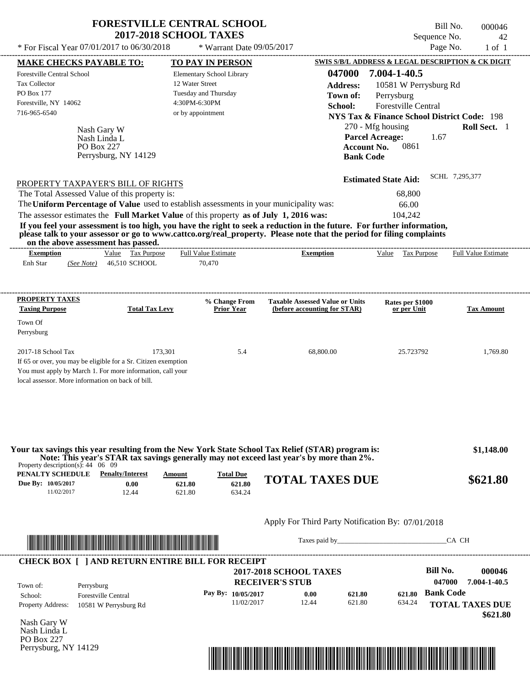| * For Fiscal Year 07/01/2017 to 06/30/2018                                              | <b>2017-2018 SCHOOL TAXES</b> | <b>FORESTVILLE CENTRAL SCHOOL</b><br>* Warrant Date 09/05/2017 |                                                                                                                                                                                                                                                  | Sequence No.<br>Page No.                                                          | Bill No.<br>000046<br>42<br>$1$ of $1$ |
|-----------------------------------------------------------------------------------------|-------------------------------|----------------------------------------------------------------|--------------------------------------------------------------------------------------------------------------------------------------------------------------------------------------------------------------------------------------------------|-----------------------------------------------------------------------------------|----------------------------------------|
|                                                                                         |                               |                                                                |                                                                                                                                                                                                                                                  | SWIS S/B/L ADDRESS & LEGAL DESCRIPTION & CK DIGIT                                 |                                        |
| MAKE CHECKS PAYABLE TO:                                                                 |                               | TO PAY IN PERSON                                               |                                                                                                                                                                                                                                                  |                                                                                   |                                        |
| <b>Forestville Central School</b>                                                       |                               | Elementary School Library                                      | 047000                                                                                                                                                                                                                                           | 7.004-1-40.5                                                                      |                                        |
| <b>Tax Collector</b>                                                                    |                               | 12 Water Street                                                | <b>Address:</b>                                                                                                                                                                                                                                  | 10581 W Perrysburg Rd                                                             |                                        |
| PO Box 177                                                                              |                               | Tuesday and Thursday                                           | Town of:                                                                                                                                                                                                                                         | Perrysburg                                                                        |                                        |
| Forestville, NY 14062                                                                   |                               | 4:30PM-6:30PM                                                  | School:                                                                                                                                                                                                                                          | <b>Forestville Central</b>                                                        |                                        |
| 716-965-6540                                                                            |                               | or by appointment                                              |                                                                                                                                                                                                                                                  | <b>NYS Tax &amp; Finance School District Code: 198</b>                            |                                        |
| Nash Gary W<br>Nash Linda L<br><b>PO Box 227</b>                                        | Perrysburg, NY 14129          |                                                                | <b>Bank Code</b>                                                                                                                                                                                                                                 | 270 - Mfg housing<br><b>Parcel Acreage:</b><br>1.67<br>0861<br><b>Account No.</b> | Roll Sect. 1                           |
| PROPERTY TAXPAYER'S BILL OF RIGHTS<br>The Total Assessed Value of this property is:     |                               |                                                                |                                                                                                                                                                                                                                                  | <b>Estimated State Aid:</b><br>68,800                                             | SCHL 7,295,377                         |
| The Uniform Percentage of Value used to establish assessments in your municipality was: |                               |                                                                |                                                                                                                                                                                                                                                  | 66.00                                                                             |                                        |
| The assessor estimates the Full Market Value of this property as of July 1, 2016 was:   |                               |                                                                |                                                                                                                                                                                                                                                  | 104,242                                                                           |                                        |
| on the above assessment has passed.                                                     |                               | ----------------------                                         | If you feel your assessment is too high, you have the right to seek a reduction in the future. For further information,<br>please talk to your assessor or go to www.cattco.org/real property. Please note that the period for filing complaints |                                                                                   |                                        |
| <b>Exemption</b>                                                                        | Value Tax Purpose             | <b>Full Value Estimate</b>                                     | <b>Exemption</b>                                                                                                                                                                                                                                 | Value Tax Purpose                                                                 | <b>Full Value Estimate</b>             |
| Enh Star<br>(See Note)                                                                  | 46,510 SCHOOL                 | 70,470                                                         |                                                                                                                                                                                                                                                  |                                                                                   |                                        |
| PROPERTY TAXES                                                                          |                               | % Change From                                                  | <b>Taxable Assessed Value or Units</b>                                                                                                                                                                                                           | Rates per \$1000                                                                  |                                        |
| <b>Taxing Purpose</b>                                                                   | <b>Total Tax Levy</b>         | <b>Prior Year</b>                                              | (before accounting for STAR)                                                                                                                                                                                                                     | or per Unit                                                                       | <b>Tax Amount</b>                      |
| Town Of                                                                                 |                               |                                                                |                                                                                                                                                                                                                                                  |                                                                                   |                                        |
| Perrysburg                                                                              |                               |                                                                |                                                                                                                                                                                                                                                  |                                                                                   |                                        |
|                                                                                         |                               |                                                                |                                                                                                                                                                                                                                                  |                                                                                   |                                        |
| 2017-18 School Tax                                                                      | 173.301                       | 5.4                                                            | 68,800.00                                                                                                                                                                                                                                        | 25.723792                                                                         | 1.769.80                               |

|                                                 |                         |               |                  | Your tax savings this year resulting from the New York State School Tax Relief (STAR) program is: | \$1,148.00 |
|-------------------------------------------------|-------------------------|---------------|------------------|---------------------------------------------------------------------------------------------------|------------|
|                                                 |                         |               |                  | Note: This year's STAR tax savings generally may not exceed last year's by more than 2%.          |            |
| Property description(s): $44 \quad 06 \quad 09$ |                         |               |                  |                                                                                                   |            |
| PENALTY SCHEDULE                                | <b>Penalty/Interest</b> | <u>Amount</u> | <b>Total Due</b> |                                                                                                   |            |
| Due By: 10/05/2017                              | 0.00                    | 621.80        | 621.80           | <b>TOTAL TAXES DUE</b>                                                                            | \$621.80   |
| 11/02/2017                                      | 12.44                   | 621.80        | 634.24           |                                                                                                   |            |



You must apply by March 1. For more information, call your

local assessor. More information on back of bill.

Taxes paid by\_\_\_\_\_\_\_\_\_\_\_\_\_\_\_\_\_\_\_\_\_\_\_\_\_\_\_\_\_\_\_CA CH

| Town of:                 | Perrysburg                 | <b>RECEIVER'S STUB</b> |       |        |        | 047000           | 7.004-1-40.5           |
|--------------------------|----------------------------|------------------------|-------|--------|--------|------------------|------------------------|
| School:                  | <b>Forestville Central</b> | Pay By: $10/05/2017$   | 0.00  | 621.80 | 621.80 | <b>Bank Code</b> |                        |
| <b>Property Address:</b> | 10581 W Perrysburg Rd      | 11/02/2017             | 12.44 | 621.80 | 634.24 |                  | <b>TOTAL TAXES DUE</b> |
|                          |                            |                        |       |        |        |                  |                        |

Nash Gary W Nash Linda L PO Box 227 Perrysburg, NY 14129

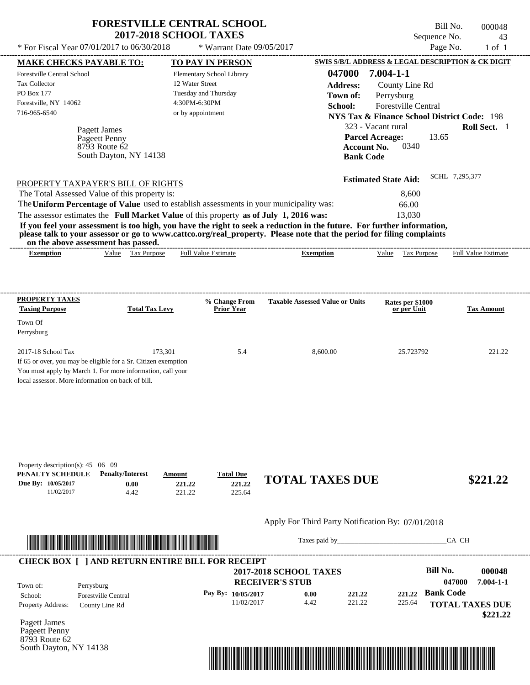| <b>FORESTVILLE CENTRAL SCHOOL</b> |
|-----------------------------------|
| <b>2017-2018 SCHOOL TAXES</b>     |

 $*$  For Fiscal Year 07/01/2017 to 06/30/2018

8793 Route 62

South Dayton, NY 14138

\* Warrant Date 09/05/2017

Bill No. 000048 Sequence No. 43<br>Page No. 1 of 1

| <b>MAKE CHECKS PAYABLE TO:</b>                    |                                                                                                                        |                            | <b>TO PAY IN PERSON</b>          |                                                                                                                         |                             | SWIS S/B/L ADDRESS & LEGAL DESCRIPTION & CK DIGIT      |
|---------------------------------------------------|------------------------------------------------------------------------------------------------------------------------|----------------------------|----------------------------------|-------------------------------------------------------------------------------------------------------------------------|-----------------------------|--------------------------------------------------------|
| Forestville Central School                        |                                                                                                                        |                            | Elementary School Library        |                                                                                                                         | 047000 7.004-1-1            |                                                        |
| Tax Collector                                     |                                                                                                                        | 12 Water Street            |                                  | <b>Address:</b>                                                                                                         | County Line Rd              |                                                        |
| PO Box 177                                        |                                                                                                                        | Tuesday and Thursday       |                                  | Town of:                                                                                                                | Perrysburg                  |                                                        |
| Forestville, NY 14062                             |                                                                                                                        | 4:30PM-6:30PM              |                                  | School:                                                                                                                 | Forestville Central         |                                                        |
| 716-965-6540                                      |                                                                                                                        | or by appointment          |                                  |                                                                                                                         |                             | <b>NYS Tax &amp; Finance School District Code: 198</b> |
|                                                   |                                                                                                                        |                            |                                  |                                                                                                                         | 323 - Vacant rural          | Roll Sect. 1                                           |
|                                                   | Pagett James<br>Pageett Penny                                                                                          |                            |                                  |                                                                                                                         | <b>Parcel Acreage:</b>      | 13.65                                                  |
|                                                   | 8793 Route 62                                                                                                          |                            |                                  |                                                                                                                         | 0340<br><b>Account No.</b>  |                                                        |
|                                                   | South Dayton, NY 14138                                                                                                 |                            |                                  |                                                                                                                         | <b>Bank Code</b>            |                                                        |
|                                                   |                                                                                                                        |                            |                                  |                                                                                                                         |                             |                                                        |
|                                                   | PROPERTY TAXPAYER'S BILL OF RIGHTS                                                                                     |                            |                                  |                                                                                                                         | <b>Estimated State Aid:</b> | SCHL 7,295,377                                         |
|                                                   | The Total Assessed Value of this property is:                                                                          |                            |                                  |                                                                                                                         | 8,600                       |                                                        |
|                                                   |                                                                                                                        |                            |                                  | The Uniform Percentage of Value used to establish assessments in your municipality was:                                 | 66.00                       |                                                        |
|                                                   | The assessor estimates the Full Market Value of this property as of July 1, 2016 was:                                  |                            |                                  |                                                                                                                         | 13,030                      |                                                        |
|                                                   |                                                                                                                        |                            |                                  | If you feel your assessment is too high, you have the right to seek a reduction in the future. For further information, |                             |                                                        |
|                                                   |                                                                                                                        |                            |                                  | please talk to your assessor or go to www.cattco.org/real_property. Please note that the period for filing complaints   |                             |                                                        |
|                                                   | on the above assessment has passed.                                                                                    |                            |                                  |                                                                                                                         |                             |                                                        |
| <b>Exemption</b>                                  | Value Tax Purpose                                                                                                      | <b>Full Value Estimate</b> |                                  | <b>Exemption</b>                                                                                                        | Value Tax Purpose           | <b>Full Value Estimate</b>                             |
|                                                   |                                                                                                                        |                            |                                  |                                                                                                                         |                             |                                                        |
|                                                   |                                                                                                                        |                            |                                  |                                                                                                                         |                             |                                                        |
| <b>PROPERTY TAXES</b>                             |                                                                                                                        |                            | % Change From                    | <b>Taxable Assessed Value or Units</b>                                                                                  | Rates per \$1000            |                                                        |
| <b>Taxing Purpose</b>                             | <b>Total Tax Levy</b>                                                                                                  |                            | Prior Year                       |                                                                                                                         | or per Unit                 | <b>Tax Amount</b>                                      |
| Town Of                                           |                                                                                                                        |                            |                                  |                                                                                                                         |                             |                                                        |
| Perrysburg                                        |                                                                                                                        |                            |                                  |                                                                                                                         |                             |                                                        |
| 2017-18 School Tax                                | 173,301                                                                                                                |                            | 5.4                              | 8,600.00                                                                                                                | 25.723792                   | 221.22                                                 |
|                                                   | If 65 or over, you may be eligible for a Sr. Citizen exemption                                                         |                            |                                  |                                                                                                                         |                             |                                                        |
|                                                   | You must apply by March 1. For more information, call your                                                             |                            |                                  |                                                                                                                         |                             |                                                        |
| local assessor. More information on back of bill. |                                                                                                                        |                            |                                  |                                                                                                                         |                             |                                                        |
|                                                   |                                                                                                                        |                            |                                  |                                                                                                                         |                             |                                                        |
|                                                   |                                                                                                                        |                            |                                  |                                                                                                                         |                             |                                                        |
|                                                   |                                                                                                                        |                            |                                  |                                                                                                                         |                             |                                                        |
|                                                   |                                                                                                                        |                            |                                  |                                                                                                                         |                             |                                                        |
|                                                   |                                                                                                                        |                            |                                  |                                                                                                                         |                             |                                                        |
|                                                   |                                                                                                                        |                            |                                  |                                                                                                                         |                             |                                                        |
| Property description(s): $45 \quad 06 \quad 09$   |                                                                                                                        |                            |                                  |                                                                                                                         |                             |                                                        |
| PENALTY SCHEDULE                                  | <b>Penalty/Interest</b>                                                                                                | Amount                     | <b>Total Due</b>                 | <b>TOTAL TAXES DUE</b>                                                                                                  |                             | \$221.22                                               |
| Due By: 10/05/2017<br>11/02/2017                  | 0.00<br>4.42                                                                                                           | 221.22<br>221.22           | 221.22<br>225.64                 |                                                                                                                         |                             |                                                        |
|                                                   |                                                                                                                        |                            |                                  |                                                                                                                         |                             |                                                        |
|                                                   |                                                                                                                        |                            |                                  |                                                                                                                         |                             |                                                        |
|                                                   |                                                                                                                        |                            |                                  |                                                                                                                         |                             |                                                        |
|                                                   |                                                                                                                        |                            |                                  | Apply For Third Party Notification By: 07/01/2018                                                                       |                             |                                                        |
|                                                   |                                                                                                                        |                            |                                  |                                                                                                                         |                             |                                                        |
|                                                   | <u> 1999 - An Dùbhlachd ann an Dùbhlachd ann an Dùbhlachd ann an Dùbhlachd ann an Dùbhlachd ann an Dùbhlachd an Dù</u> |                            |                                  |                                                                                                                         |                             | CA CH                                                  |
|                                                   | <b>CHECK BOX [ ] AND RETURN ENTIRE BILL FOR RECEIPT</b>                                                                |                            |                                  |                                                                                                                         |                             |                                                        |
|                                                   |                                                                                                                        |                            |                                  | <b>2017-2018 SCHOOL TAXES</b>                                                                                           |                             | <b>Bill No.</b>                                        |
|                                                   |                                                                                                                        |                            |                                  | <b>RECEIVER'S STUB</b>                                                                                                  |                             | 047000                                                 |
|                                                   | Perrysburg                                                                                                             |                            |                                  | 0.00                                                                                                                    | 221.22                      | 000048<br>$7.004 - 1 - 1$<br><b>Bank Code</b>          |
|                                                   | <b>Forestville Central</b>                                                                                             |                            | Pay By: 10/05/2017<br>11/02/2017 | 221.22<br>4.42<br>221.22                                                                                                | 225.64                      |                                                        |
| Town of:<br>School:<br><b>Property Address:</b>   | County Line Rd                                                                                                         |                            |                                  |                                                                                                                         |                             | <b>TOTAL TAXES DUE</b>                                 |
| Pagett James                                      |                                                                                                                        |                            |                                  |                                                                                                                         |                             | \$221.22                                               |

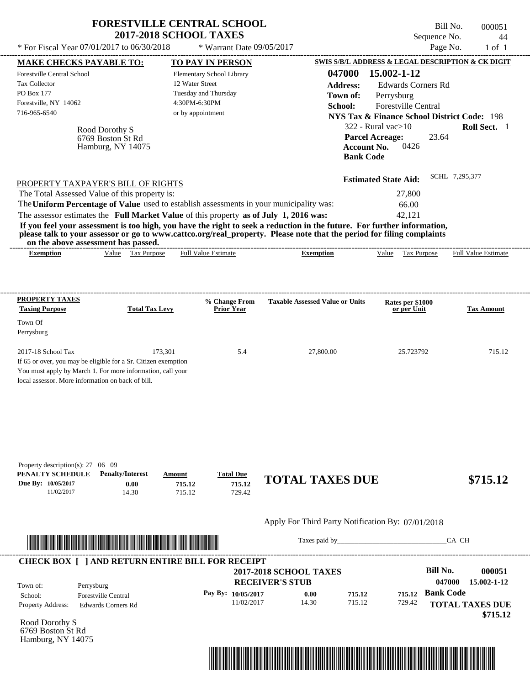|                                                                                                                                                                                                                                                                                                                                                                                                                                                                                                                             | <b>FORESTVILLE CENTRAL SCHOOL</b><br><b>2017-2018 SCHOOL TAXES</b>                                         |                                                  | Sequence No.                                                                                                                                                                                                                                                   | Bill No.<br>000051<br>44   |
|-----------------------------------------------------------------------------------------------------------------------------------------------------------------------------------------------------------------------------------------------------------------------------------------------------------------------------------------------------------------------------------------------------------------------------------------------------------------------------------------------------------------------------|------------------------------------------------------------------------------------------------------------|--------------------------------------------------|----------------------------------------------------------------------------------------------------------------------------------------------------------------------------------------------------------------------------------------------------------------|----------------------------|
| * For Fiscal Year 07/01/2017 to 06/30/2018                                                                                                                                                                                                                                                                                                                                                                                                                                                                                  | * Warrant Date $09/05/2017$                                                                                |                                                  | Page No.                                                                                                                                                                                                                                                       | $1$ of $1$                 |
| <b>MAKE CHECKS PAYABLE TO:</b>                                                                                                                                                                                                                                                                                                                                                                                                                                                                                              | <b>TO PAY IN PERSON</b>                                                                                    |                                                  | <b>SWIS S/B/L ADDRESS &amp; LEGAL DESCRIPTION &amp; CK DIGIT</b>                                                                                                                                                                                               |                            |
| Forestville Central School<br><b>Tax Collector</b><br>PO Box 177<br>Forestville, NY 14062<br>716-965-6540<br>Rood Dorothy S<br>6769 Boston St Rd<br>Hamburg, NY 14075                                                                                                                                                                                                                                                                                                                                                       | Elementary School Library<br>12 Water Street<br>Tuesday and Thursday<br>4:30PM-6:30PM<br>or by appointment | 047000<br><b>Address:</b><br>Town of:<br>School: | 15.002-1-12<br><b>Edwards Corners Rd</b><br>Perrysburg<br><b>Forestville Central</b><br><b>NYS Tax &amp; Finance School District Code: 198</b><br>$322$ - Rural vac $>10$<br><b>Parcel Acreage:</b><br>23.64<br>0426<br><b>Account No.</b><br><b>Bank Code</b> | Roll Sect. 1               |
| PROPERTY TAXPAYER'S BILL OF RIGHTS<br>The Total Assessed Value of this property is:<br>The Uniform Percentage of Value used to establish assessments in your municipality was:<br>The assessor estimates the Full Market Value of this property as of July 1, 2016 was:<br>If you feel your assessment is too high, you have the right to seek a reduction in the future. For further information,<br>please talk to your assessor or go to www.cattco.org/real_property. Please note that the period for filing complaints |                                                                                                            |                                                  | <b>Estimated State Aid:</b><br>27,800<br>66.00<br>42.121                                                                                                                                                                                                       | SCHL 7,295,377             |
| on the above assessment has passed.<br>Value Tax Purpose<br><b>Exemption</b>                                                                                                                                                                                                                                                                                                                                                                                                                                                | <b>Full Value Estimate</b>                                                                                 | <b>Exemption</b>                                 | Value Tax Purpose                                                                                                                                                                                                                                              | <b>Full Value Estimate</b> |
| PROPERTY TAXES<br><b>Taxing Purpose</b><br><b>Total Tax Levy</b><br>Town Of<br>Perrysburg                                                                                                                                                                                                                                                                                                                                                                                                                                   | % Change From<br><b>Prior Year</b>                                                                         | <b>Taxable Assessed Value or Units</b>           | Rates per \$1000<br>or per Unit                                                                                                                                                                                                                                | <b>Tax Amount</b>          |
| 2017-18 School Tax<br>If 65 or over, you may be eligible for a Sr. Citizen exemption<br>You must apply by March 1. For more information, call your<br>local assessor. More information on back of bill.                                                                                                                                                                                                                                                                                                                     | 173,301<br>5.4                                                                                             | 27,800.00                                        | 25.723792                                                                                                                                                                                                                                                      | 715.12                     |
|                                                                                                                                                                                                                                                                                                                                                                                                                                                                                                                             |                                                                                                            |                                                  |                                                                                                                                                                                                                                                                |                            |

| Property description(s): $27 - 00 - 09$ |                         |        |                  |                        |          |
|-----------------------------------------|-------------------------|--------|------------------|------------------------|----------|
| PENALTY SCHEDULE                        | <b>Penalty/Interest</b> | Amount | <b>Total Due</b> |                        |          |
| Due By: 10/05/2017                      | $0.00\,$                | 715.12 | 715.12           | <b>TOTAL TAXES DUE</b> | \$715.12 |
| 11/02/2017                              | 14.30                   |        | 729.42           |                        |          |



Taxes paid by\_\_\_\_\_\_\_\_\_\_\_\_\_\_\_\_\_\_\_\_\_\_\_\_\_\_\_\_\_\_\_CA CH

| Town of:                 | Perrysburg                 | <b>2017-2018 SCHOOL TAXES</b><br><b>RECEIVER'S STUB</b> |       |        |        | Bill No.<br>047000 | 000051<br>15.002-1-12              |
|--------------------------|----------------------------|---------------------------------------------------------|-------|--------|--------|--------------------|------------------------------------|
| School:                  | <b>Forestville Central</b> | Pay By: $10/05/2017$                                    | 0.00  | 715.12 | 715.12 | <b>Bank Code</b>   |                                    |
| <b>Property Address:</b> | Edwards Corners Rd         | 11/02/2017                                              | 14.30 | 715.12 | 729.42 |                    | <b>TOTAL TAXES DUE</b><br>\$715.12 |

Rood Dorothy S 6769 Boston St Rd Hamburg, NY 14075

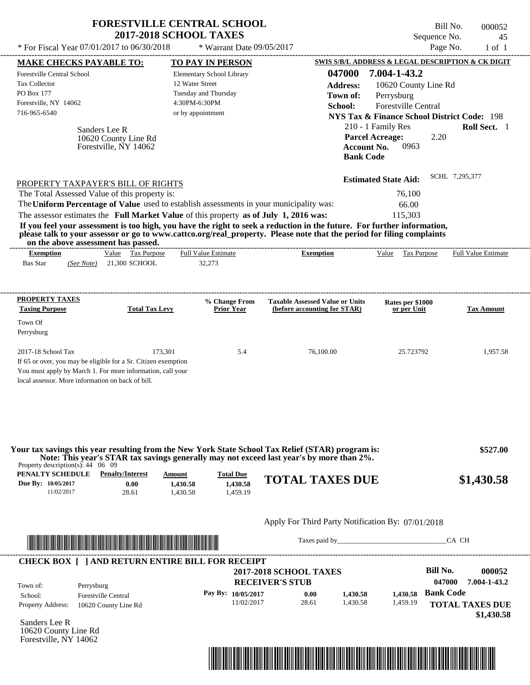|                                                                                                                                                                                   | <b>FORESTVILLE CENTRAL SCHOOL</b><br><b>2017-2018 SCHOOL TAXES</b> |                                                                                         |                                                                                                                                                                                                                                                  | Sequence No.                                                                                                                                                     | Bill No.<br>000052<br>45      |
|-----------------------------------------------------------------------------------------------------------------------------------------------------------------------------------|--------------------------------------------------------------------|-----------------------------------------------------------------------------------------|--------------------------------------------------------------------------------------------------------------------------------------------------------------------------------------------------------------------------------------------------|------------------------------------------------------------------------------------------------------------------------------------------------------------------|-------------------------------|
| * For Fiscal Year 07/01/2017 to 06/30/2018                                                                                                                                        |                                                                    | * Warrant Date 09/05/2017                                                               |                                                                                                                                                                                                                                                  |                                                                                                                                                                  | Page No.<br>$1$ of $1$        |
| <b>MAKE CHECKS PAYABLE TO:</b>                                                                                                                                                    |                                                                    | TO PAY IN PERSON                                                                        |                                                                                                                                                                                                                                                  | <b>SWIS S/B/L ADDRESS &amp; LEGAL DESCRIPTION &amp; CK DIGIT</b>                                                                                                 |                               |
| Forestville Central School<br><b>Tax Collector</b><br>PO Box 177<br>Forestville, NY 14062<br>716-965-6540                                                                         | 12 Water Street                                                    | Elementary School Library<br>Tuesday and Thursday<br>4:30PM-6:30PM<br>or by appointment | 047000<br><b>Address:</b><br>Town of:<br>School:                                                                                                                                                                                                 | 7.004-1-43.2<br>10620 County Line Rd<br>Perrysburg<br><b>Forestville Central</b>                                                                                 |                               |
| Sanders Lee R                                                                                                                                                                     | 10620 County Line Rd<br>Forestville, NY 14062                      |                                                                                         |                                                                                                                                                                                                                                                  | <b>NYS Tax &amp; Finance School District Code: 198</b><br>210 - 1 Family Res<br><b>Parcel Acreage:</b><br>2.20<br>0963<br><b>Account No.</b><br><b>Bank Code</b> | Roll Sect. 1                  |
| PROPERTY TAXPAYER'S BILL OF RIGHTS<br>The Total Assessed Value of this property is:<br>The Uniform Percentage of Value used to establish assessments in your municipality was:    |                                                                    |                                                                                         |                                                                                                                                                                                                                                                  | <b>Estimated State Aid:</b><br>76,100<br>66.00                                                                                                                   | SCHL 7,295,377                |
| The assessor estimates the Full Market Value of this property as of July 1, 2016 was:<br>on the above assessment has passed.                                                      |                                                                    |                                                                                         | If you feel your assessment is too high, you have the right to seek a reduction in the future. For further information,<br>please talk to your assessor or go to www.cattco.org/real_property. Please note that the period for filing complaints | 115,303                                                                                                                                                          |                               |
| <b>Exemption</b>                                                                                                                                                                  | Value Tax Purpose                                                  | <b>Full Value Estimate</b>                                                              | <b>Exemption</b>                                                                                                                                                                                                                                 | Value Tax Purpose                                                                                                                                                | Full Value Estimate           |
| <b>Taxing Purpose</b><br>Town Of<br>Perrysburg<br>2017-18 School Tax                                                                                                              | <b>Total Tax Levy</b><br>173,301                                   | <b>Prior Year</b><br>5.4                                                                | (before accounting for STAR)<br>76,100.00                                                                                                                                                                                                        | or per Unit<br>25.723792                                                                                                                                         | <b>Tax Amount</b><br>1,957.58 |
| If 65 or over, you may be eligible for a Sr. Citizen exemption<br>You must apply by March 1. For more information, call your<br>local assessor. More information on back of bill. |                                                                    |                                                                                         |                                                                                                                                                                                                                                                  |                                                                                                                                                                  |                               |
| Your tax savings this year resulting from the New York State School Tax Relief (STAR) program is:<br>Property description(s): $44 \quad 06 \quad 09$                              |                                                                    |                                                                                         | Note: This year's STAR tax savings generally may not exceed last year's by more than 2%.                                                                                                                                                         |                                                                                                                                                                  | \$527.00                      |
| <b>PENALTY SCHEDULE</b> Penalty/Interest<br>Due By: 10/05/2017<br>11/02/2017                                                                                                      | Amount<br>0.00<br>1,430.58<br>28.61<br>1,430.58                    | <b>Total Due</b><br>1,430.58<br>1,459.19                                                | <b>TOTAL TAXES DUE</b>                                                                                                                                                                                                                           |                                                                                                                                                                  | \$1,430.58                    |
|                                                                                                                                                                                   |                                                                    |                                                                                         | Apply For Third Party Notification By: 07/01/2018                                                                                                                                                                                                |                                                                                                                                                                  |                               |
|                                                                                                                                                                                   | <u> 1989 - Johann Stoff, Amerikaansk politiker (</u>               |                                                                                         |                                                                                                                                                                                                                                                  |                                                                                                                                                                  | CA CH                         |
| <b>CHECK BOX [ ] AND RETURN ENTIRE BILL FOR RECEIPT</b>                                                                                                                           |                                                                    |                                                                                         |                                                                                                                                                                                                                                                  |                                                                                                                                                                  |                               |

| Town of:                 | Perrysburg                 |                    | <b>2017-2018 SCHOOL TAXES</b><br><b>RECEIVER'S STUB</b> |          |          | <b>Bill No.</b><br>047000 | 000052<br>7.004-1-43.2               |
|--------------------------|----------------------------|--------------------|---------------------------------------------------------|----------|----------|---------------------------|--------------------------------------|
| School:                  | <b>Forestville Central</b> | Pay By: 10/05/2017 | 0.00                                                    | 1.430.58 | 1.430.58 | <b>Bank Code</b>          |                                      |
| <b>Property Address:</b> | 10620 County Line Rd       | 11/02/2017         | 28.61                                                   | 1.430.58 | 1,459.19 |                           | <b>TOTAL TAXES DUE</b><br>\$1,430.58 |

Sanders Lee R 10620 County Line Rd Forestville, NY 14062

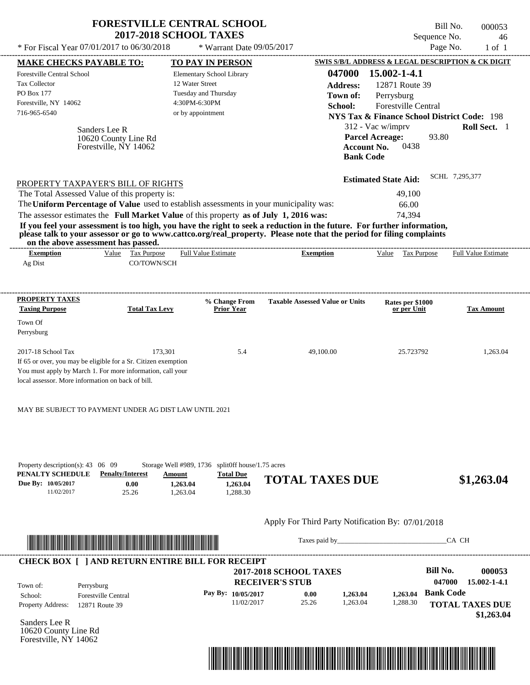|                                                                                                                                                                                                         | <b>2017-2018 SCHOOL TAXES</b>                      | <b>FORESTVILLE CENTRAL SCHOOL</b>                                                                                     |                                                                                                                                           | Bill No.<br>Sequence No.                                                      | 000053<br>46               |
|---------------------------------------------------------------------------------------------------------------------------------------------------------------------------------------------------------|----------------------------------------------------|-----------------------------------------------------------------------------------------------------------------------|-------------------------------------------------------------------------------------------------------------------------------------------|-------------------------------------------------------------------------------|----------------------------|
| * For Fiscal Year 07/01/2017 to 06/30/2018                                                                                                                                                              |                                                    | * Warrant Date 09/05/2017                                                                                             |                                                                                                                                           | Page No.                                                                      | $1$ of $1$                 |
| <b>MAKE CHECKS PAYABLE TO:</b>                                                                                                                                                                          |                                                    | <b>TO PAY IN PERSON</b>                                                                                               |                                                                                                                                           | SWIS S/B/L ADDRESS & LEGAL DESCRIPTION & CK DIGIT                             |                            |
| <b>Forestville Central School</b><br><b>Tax Collector</b>                                                                                                                                               |                                                    | Elementary School Library<br>12 Water Street                                                                          | 047000                                                                                                                                    | $15.002 - 1 - 4.1$                                                            |                            |
| PO Box 177                                                                                                                                                                                              |                                                    | Tuesday and Thursday                                                                                                  | <b>Address:</b>                                                                                                                           | 12871 Route 39                                                                |                            |
| Forestville, NY 14062                                                                                                                                                                                   |                                                    | 4:30PM-6:30PM                                                                                                         | Town of:                                                                                                                                  | Perrysburg                                                                    |                            |
| 716-965-6540                                                                                                                                                                                            |                                                    | or by appointment                                                                                                     | School:                                                                                                                                   | Forestville Central<br><b>NYS Tax &amp; Finance School District Code: 198</b> |                            |
|                                                                                                                                                                                                         |                                                    |                                                                                                                       |                                                                                                                                           |                                                                               |                            |
|                                                                                                                                                                                                         | Sanders Lee R                                      |                                                                                                                       |                                                                                                                                           | 312 - Vac w/imprv<br><b>Parcel Acreage:</b><br>93.80                          | Roll Sect. 1               |
|                                                                                                                                                                                                         | 10620 County Line Rd<br>Forestville, NY 14062      |                                                                                                                       | <b>Account No.</b><br><b>Bank Code</b>                                                                                                    | 0438                                                                          |                            |
| PROPERTY TAXPAYER'S BILL OF RIGHTS                                                                                                                                                                      |                                                    |                                                                                                                       |                                                                                                                                           | <b>Estimated State Aid:</b>                                                   | SCHL 7,295,377             |
| The Total Assessed Value of this property is:                                                                                                                                                           |                                                    |                                                                                                                       |                                                                                                                                           | 49,100                                                                        |                            |
|                                                                                                                                                                                                         |                                                    | The Uniform Percentage of Value used to establish assessments in your municipality was:                               |                                                                                                                                           | 66.00                                                                         |                            |
|                                                                                                                                                                                                         |                                                    | The assessor estimates the Full Market Value of this property as of July 1, 2016 was:                                 |                                                                                                                                           | 74,394                                                                        |                            |
| on the above assessment has passed.<br><b>Exemption</b><br>Ag Dist                                                                                                                                      | Value Tax Purpose<br>CO/TOWN/SCH                   | <b>Full Value Estimate</b>                                                                                            | please talk to your assessor or go to www.cattco.org/real_property. Please note that the period for filing complaints<br><b>Exemption</b> | Value Tax Purpose                                                             | <b>Full Value Estimate</b> |
| <b>PROPERTY TAXES</b><br><b>Taxing Purpose</b><br>Town Of<br>Perrysburg                                                                                                                                 | <b>Total Tax Levy</b>                              | % Change From<br><b>Prior Year</b>                                                                                    | <b>Taxable Assessed Value or Units</b>                                                                                                    | Rates per \$1000<br>or per Unit                                               | <b>Tax Amount</b>          |
| 2017-18 School Tax<br>If 65 or over, you may be eligible for a Sr. Citizen exemption<br>You must apply by March 1. For more information, call your<br>local assessor. More information on back of bill. | 173,301                                            | 5.4                                                                                                                   | 49,100.00                                                                                                                                 | 25.723792                                                                     | 1,263.04                   |
| MAY BE SUBJECT TO PAYMENT UNDER AG DIST LAW UNTIL 2021                                                                                                                                                  |                                                    |                                                                                                                       |                                                                                                                                           |                                                                               |                            |
| Property description(s): $43 \quad 06 \quad 09$<br>PENALTY SCHEDULE<br>Due By: 10/05/2017<br>11/02/2017                                                                                                 | <b>Penalty/Interest</b><br>Amount<br>0.00<br>25.26 | Storage Well #989, 1736 split0ff house/1.75 acres<br><b>Total Due</b><br>1,263.04<br>1,263.04<br>1,263.04<br>1,288.30 | <b>TOTAL TAXES DUE</b>                                                                                                                    |                                                                               | \$1,263.04                 |
|                                                                                                                                                                                                         |                                                    |                                                                                                                       | Apply For Third Party Notification By: 07/01/2018                                                                                         |                                                                               |                            |
|                                                                                                                                                                                                         |                                                    |                                                                                                                       |                                                                                                                                           |                                                                               | CA CH                      |
|                                                                                                                                                                                                         |                                                    | <b>CHECK BOX [ ] AND RETURN ENTIRE BILL FOR RECEIPT</b>                                                               |                                                                                                                                           |                                                                               |                            |
|                                                                                                                                                                                                         |                                                    |                                                                                                                       | <b>2017-2018 SCHOOL TAXES</b>                                                                                                             | <b>Bill No.</b>                                                               | 000053                     |
| Town of:<br>Perrysburg                                                                                                                                                                                  |                                                    | <b>RECEIVER'S STUB</b>                                                                                                |                                                                                                                                           | 047000                                                                        | 15.002-1-4.1               |
| School:                                                                                                                                                                                                 | <b>Forestville Central</b>                         | Pay By: 10/05/2017                                                                                                    | 0.00<br>1,263.04                                                                                                                          | <b>Bank Code</b><br>1,263.04                                                  |                            |
| Property Address:<br>12871 Route 39                                                                                                                                                                     |                                                    | 11/02/2017                                                                                                            | 1,263.04<br>25.26                                                                                                                         | 1,288.30                                                                      | <b>TOTAL TAXES DUE</b>     |

Sanders Lee R 10620 County Line Rd Forestville, NY 14062



 **\$1,263.04**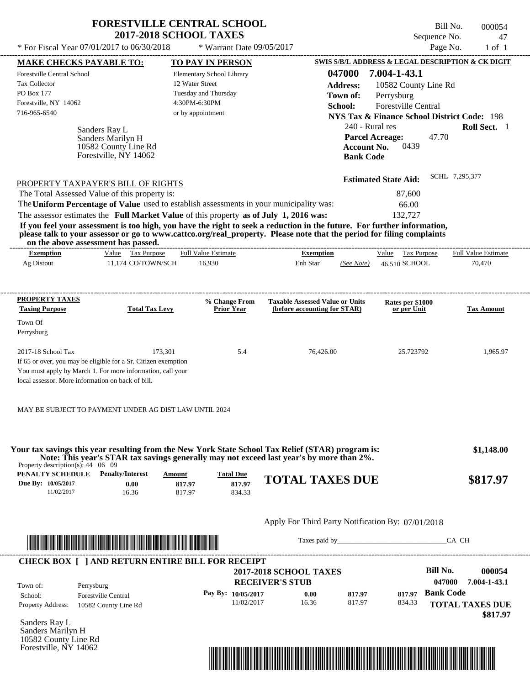|                                     | * For Fiscal Year $07/01/2017$ to $06/30/2018$                                      | <b>FORESTVILLE CENTRAL SCHOOL</b><br><b>2017-2018 SCHOOL TAXES</b><br>* Warrant Date 09/05/2017 |                                                                                                                                                                                                                                                  | Sequence No.                                                                                         | Bill No.<br>000054<br>47<br>Page No.<br>$1$ of $1$ |
|-------------------------------------|-------------------------------------------------------------------------------------|-------------------------------------------------------------------------------------------------|--------------------------------------------------------------------------------------------------------------------------------------------------------------------------------------------------------------------------------------------------|------------------------------------------------------------------------------------------------------|----------------------------------------------------|
|                                     |                                                                                     |                                                                                                 |                                                                                                                                                                                                                                                  |                                                                                                      |                                                    |
| <b>MAKE CHECKS PAYABLE TO:</b>      |                                                                                     | TO PAY IN PERSON                                                                                |                                                                                                                                                                                                                                                  | SWIS S/B/L ADDRESS & LEGAL DESCRIPTION & CK DIGIT                                                    |                                                    |
| Forestville Central School          |                                                                                     | Elementary School Library                                                                       | 047000                                                                                                                                                                                                                                           | 7.004-1-43.1                                                                                         |                                                    |
| <b>Tax Collector</b>                |                                                                                     | 12 Water Street                                                                                 | <b>Address:</b>                                                                                                                                                                                                                                  | 10582 County Line Rd                                                                                 |                                                    |
| PO Box 177                          |                                                                                     | Tuesday and Thursday                                                                            | Town of:                                                                                                                                                                                                                                         | Perrysburg                                                                                           |                                                    |
| Forestville, NY 14062               |                                                                                     | 4:30PM-6:30PM                                                                                   | School:                                                                                                                                                                                                                                          | <b>Forestville Central</b>                                                                           |                                                    |
| 716-965-6540                        |                                                                                     | or by appointment                                                                               |                                                                                                                                                                                                                                                  | <b>NYS Tax &amp; Finance School District Code: 198</b>                                               |                                                    |
|                                     | Sanders Ray L<br>Sanders Marilyn H<br>10582 County Line Rd<br>Forestville, NY 14062 |                                                                                                 |                                                                                                                                                                                                                                                  | 240 - Rural res<br><b>Parcel Acreage:</b><br>47.70<br>0439<br><b>Account No.</b><br><b>Bank Code</b> | Roll Sect. 1                                       |
|                                     | PROPERTY TAXPAYER'S BILL OF RIGHTS<br>The Total Assessed Value of this property is: |                                                                                                 |                                                                                                                                                                                                                                                  | <b>Estimated State Aid:</b><br>87,600                                                                | SCHL 7,295,377                                     |
|                                     |                                                                                     | The Uniform Percentage of Value used to establish assessments in your municipality was:         |                                                                                                                                                                                                                                                  | 66.00                                                                                                |                                                    |
|                                     |                                                                                     | The assessor estimates the Full Market Value of this property as of July 1, 2016 was:           |                                                                                                                                                                                                                                                  | 132,727                                                                                              |                                                    |
| on the above assessment has passed. |                                                                                     |                                                                                                 | If you feel your assessment is too high, you have the right to seek a reduction in the future. For further information,<br>please talk to your assessor or go to www.cattco.org/real_property. Please note that the period for filing complaints |                                                                                                      |                                                    |
| <b>Exemption</b>                    | Value Tax Purpose                                                                   | Full Value Estimate                                                                             | <b>Exemption</b>                                                                                                                                                                                                                                 | Tax Purpose<br>Value                                                                                 | <b>Full Value Estimate</b>                         |
| Ag Distout                          | 11,174 CO/TOWN/SCH                                                                  | 16,930                                                                                          | Enh Star<br>(See Note)                                                                                                                                                                                                                           | 46.510 SCHOOL                                                                                        | 70,470                                             |
| PROPERTY TAXES                      |                                                                                     | % Change From                                                                                   | <b>Taxable Assessed Value or Units</b>                                                                                                                                                                                                           | Rates per \$1000                                                                                     |                                                    |
| <b>Taxing Purpose</b>               | <b>Total Tax Levy</b>                                                               | <b>Prior Year</b>                                                                               | (before accounting for STAR)                                                                                                                                                                                                                     | or per Unit                                                                                          | <b>Tax Amount</b>                                  |
| Town Of                             |                                                                                     |                                                                                                 |                                                                                                                                                                                                                                                  |                                                                                                      |                                                    |
| D <sub>arrre</sub> hura             |                                                                                     |                                                                                                 |                                                                                                                                                                                                                                                  |                                                                                                      |                                                    |

| Perrysburg                                                     |         |     |           |           |          |
|----------------------------------------------------------------|---------|-----|-----------|-----------|----------|
| $2017-18$ School Tax                                           | 173.301 | 5.4 | 76,426.00 | 25.723792 | 1.965.97 |
| If 65 or over, you may be eligible for a Sr. Citizen exemption |         |     |           |           |          |
| You must apply by March 1. For more information, call your     |         |     |           |           |          |
| local assessor. More information on back of bill.              |         |     |           |           |          |

| MAY BE SUBJECT TO PAYMENT UNDER AG DIST LAW UNTIL 2024 |
|--------------------------------------------------------|
|--------------------------------------------------------|

| Property description(s): $44 \quad 06 \quad 09$ |                         |        |                  | Your tax savings this year resulting from the New York State School Tax Relief (STAR) program is:<br>Note: This year's STAR tax savings generally may not exceed last year's by more than 2%. | \$1,148.00 |
|-------------------------------------------------|-------------------------|--------|------------------|-----------------------------------------------------------------------------------------------------------------------------------------------------------------------------------------------|------------|
| PENALTY SCHEDULE                                | <b>Penalty/Interest</b> | Amount | <b>Total Due</b> |                                                                                                                                                                                               |            |
| Due By: 10/05/2017                              | 0.00                    | 817.97 | 817.97           | <b>TOTAL TAXES DUE</b>                                                                                                                                                                        | \$817.97   |
| 11/02/2017                                      | 16.36                   | 817.97 | 834.33           |                                                                                                                                                                                               |            |
|                                                 |                         |        |                  | Apply For Third Party Notification By: 07/01/2018                                                                                                                                             |            |
| <b>TELEVISION IN THE REAL PROPERTY</b>          |                         |        |                  | Taxes paid by                                                                                                                                                                                 | CA CH      |



Sanders Ray L Sanders Marilyn H 10582 County Line Rd Forestville, NY 14062

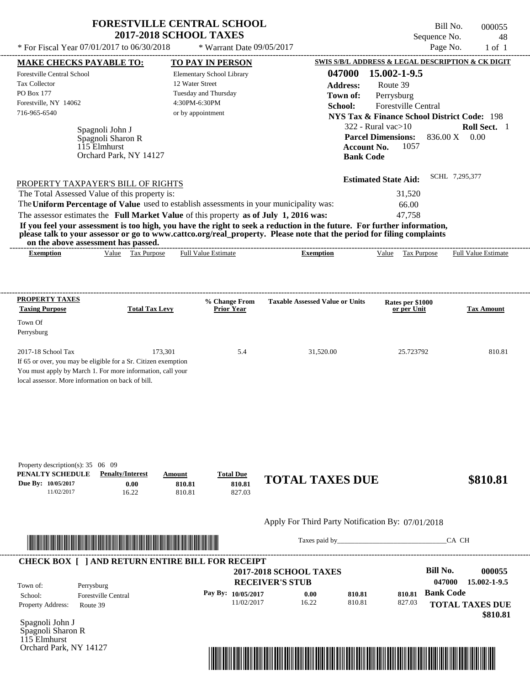|                                                                                                                                                              | <b>FORESTVILLE CENTRAL SCHOOL</b>          |                                        | Bill No.                                          | 000055                     |
|--------------------------------------------------------------------------------------------------------------------------------------------------------------|--------------------------------------------|----------------------------------------|---------------------------------------------------|----------------------------|
|                                                                                                                                                              | <b>2017-2018 SCHOOL TAXES</b>              |                                        | Sequence No.                                      | 48                         |
| * For Fiscal Year 07/01/2017 to 06/30/2018                                                                                                                   | * Warrant Date $09/05/2017$                |                                        | Page No.                                          | $1$ of $1$                 |
| <b>MAKE CHECKS PAYABLE TO:</b>                                                                                                                               | <b>TO PAY IN PERSON</b>                    |                                        | SWIS S/B/L ADDRESS & LEGAL DESCRIPTION & CK DIGIT |                            |
| <b>Forestville Central School</b>                                                                                                                            | Elementary School Library                  | 047000                                 | 15.002-1-9.5                                      |                            |
| <b>Tax Collector</b>                                                                                                                                         | 12 Water Street                            | Address:                               | Route 39                                          |                            |
| <b>PO Box 177</b>                                                                                                                                            | Tuesday and Thursday                       | Town of:                               | Perrysburg                                        |                            |
| Forestville, NY 14062                                                                                                                                        | 4:30PM-6:30PM                              | School:                                | <b>Forestville Central</b>                        |                            |
| 716-965-6540                                                                                                                                                 | or by appointment                          |                                        | NYS Tax & Finance School District Code: 198       |                            |
| Spagnoli John J                                                                                                                                              |                                            | $322 - Rural vac > 10$                 |                                                   | Roll Sect. 1               |
| Spagnoli Sharon R                                                                                                                                            |                                            |                                        | <b>Parcel Dimensions:</b><br>836.00 X             | 0.00                       |
| 115 Elmhurst                                                                                                                                                 |                                            | <b>Account No.</b>                     | 1057                                              |                            |
| Orchard Park, NY 14127                                                                                                                                       |                                            | <b>Bank Code</b>                       |                                                   |                            |
|                                                                                                                                                              |                                            |                                        |                                                   |                            |
| PROPERTY TAXPAYER'S BILL OF RIGHTS                                                                                                                           |                                            |                                        | SCHL 7.295.377<br><b>Estimated State Aid:</b>     |                            |
| The Total Assessed Value of this property is:                                                                                                                |                                            |                                        | 31,520                                            |                            |
| The Uniform Percentage of Value used to establish assessments in your municipality was:                                                                      |                                            |                                        | 66.00                                             |                            |
| The assessor estimates the Full Market Value of this property as of July 1, 2016 was:                                                                        |                                            |                                        | 47.758                                            |                            |
| If you feel your assessment is too high, you have the right to seek a reduction in the future. For further information,                                      |                                            |                                        |                                                   |                            |
| please talk to your assessor or go to www.cattco.org/real_property. Please note that the period for filing complaints<br>on the above assessment has passed. |                                            |                                        |                                                   |                            |
| Tax Purpose<br><b>Exemption</b><br>Value                                                                                                                     | <b>Full Value Estimate</b>                 | <b>Exemption</b>                       | Value<br>Tax Purpose                              | <b>Full Value Estimate</b> |
|                                                                                                                                                              |                                            |                                        |                                                   |                            |
| PROPERTY TAXES                                                                                                                                               | % Change From                              | <b>Taxable Assessed Value or Units</b> | Rates per \$1000                                  |                            |
| <b>Taxing Purpose</b>                                                                                                                                        | <b>Total Tax Levy</b><br><b>Prior Year</b> |                                        | or per Unit                                       | <b>Tax Amount</b>          |

| Property description(s): $35 \quad 06 \quad 09$ |                         |        |                  |                        |          |
|-------------------------------------------------|-------------------------|--------|------------------|------------------------|----------|
| PENALTY SCHEDULE                                | <b>Penalty/Interest</b> | Amount | <b>Total Due</b> | <b>TOTAL TAXES DUE</b> | \$810.81 |
| Due By: 10/05/2017                              | 0.00                    | 810.81 | 810.81           |                        |          |
| 11/02/2017                                      | 16.22                   | 810.81 | 827.03           |                        |          |

2017-18 School Tax 173,301 173,301 5.4 31,520.00 25.723792 810.81

### Apply For Third Party Notification By: 07/01/2018



If 65 or over, you may be eligible for a Sr. Citizen exemption You must apply by March 1. For more information, call your

local assessor. More information on back of bill.

Town Of Perrysburg

Taxes paid by\_\_\_\_\_\_\_\_\_\_\_\_\_\_\_\_\_\_\_\_\_\_\_\_\_\_\_\_\_\_\_CA CH

| Town of:                 | Perrysburg                 | <b>2017-2018 SCHOOL TAXES</b><br><b>RECEIVER'S STUB</b> |       |        |        | Bill No.<br>047000 | 000055<br>15.002-1-9.5 |
|--------------------------|----------------------------|---------------------------------------------------------|-------|--------|--------|--------------------|------------------------|
| School:                  | <b>Forestville Central</b> | Pay By: $10/05/2017$                                    | 0.00  | 810.81 | 810.81 | <b>Bank Code</b>   |                        |
| <b>Property Address:</b> | Route 39                   | 11/02/2017                                              | 16.22 | 810.81 | 827.03 |                    | <b>TOTAL TAXES DUE</b> |

Spagnoli John J Spagnoli Sharon R 115 Elmhurst Orchard Park, NY 14127

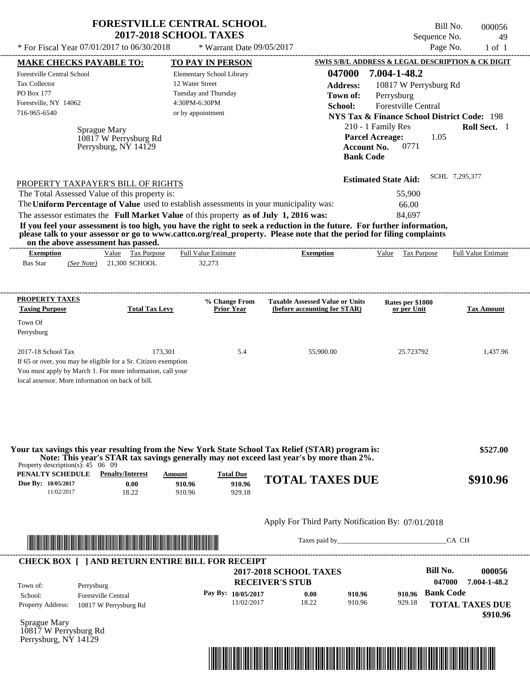|                                                                                         | <b>FORESTVILLE CENTRAL SCHOOL</b>   | <b>2017-2018 SCHOOL TAXES</b> |                                    |                                                                                                                         |                                                        | Bill No.<br>Sequence No. | 000056<br>49        |
|-----------------------------------------------------------------------------------------|-------------------------------------|-------------------------------|------------------------------------|-------------------------------------------------------------------------------------------------------------------------|--------------------------------------------------------|--------------------------|---------------------|
| * For Fiscal Year 07/01/2017 to 06/30/2018                                              |                                     |                               | * Warrant Date 09/05/2017          |                                                                                                                         |                                                        | Page No.                 | $1$ of $1$          |
| <b>MAKE CHECKS PAYABLE TO:</b>                                                          |                                     |                               | <b>TO PAY IN PERSON</b>            |                                                                                                                         | SWIS S/B/L ADDRESS & LEGAL DESCRIPTION & CK DIGIT      |                          |                     |
| <b>Forestville Central School</b>                                                       |                                     |                               | Elementary School Library          | 047000                                                                                                                  | 7.004-1-48.2                                           |                          |                     |
| <b>Tax Collector</b>                                                                    |                                     | 12 Water Street               |                                    | <b>Address:</b>                                                                                                         | 10817 W Perrysburg Rd                                  |                          |                     |
| PO Box 177                                                                              |                                     | Tuesday and Thursday          |                                    | Town of:                                                                                                                | Perrysburg                                             |                          |                     |
| Forestville, NY 14062                                                                   |                                     | 4:30PM-6:30PM                 |                                    | School:                                                                                                                 | Forestville Central                                    |                          |                     |
| 716-965-6540                                                                            |                                     | or by appointment             |                                    |                                                                                                                         | <b>NYS Tax &amp; Finance School District Code: 198</b> |                          |                     |
|                                                                                         | Sprague Mary                        |                               |                                    |                                                                                                                         | 210 - 1 Family Res                                     |                          | Roll Sect. 1        |
|                                                                                         | 10817 W Perrysburg Rd               |                               |                                    |                                                                                                                         | <b>Parcel Acreage:</b>                                 | 1.05                     |                     |
|                                                                                         | Perrysburg, NY 14129                |                               |                                    |                                                                                                                         | 0771<br><b>Account No.</b>                             |                          |                     |
|                                                                                         |                                     |                               |                                    |                                                                                                                         | <b>Bank Code</b>                                       |                          |                     |
|                                                                                         |                                     |                               |                                    |                                                                                                                         | <b>Estimated State Aid:</b>                            | SCHL 7,295,377           |                     |
| PROPERTY TAXPAYER'S BILL OF RIGHTS<br>The Total Assessed Value of this property is:     |                                     |                               |                                    |                                                                                                                         | 55,900                                                 |                          |                     |
| The Uniform Percentage of Value used to establish assessments in your municipality was: |                                     |                               |                                    |                                                                                                                         | 66.00                                                  |                          |                     |
| The assessor estimates the Full Market Value of this property as of July 1, 2016 was:   |                                     |                               |                                    |                                                                                                                         | 84.697                                                 |                          |                     |
|                                                                                         |                                     |                               |                                    | If you feel your assessment is too high, you have the right to seek a reduction in the future. For further information, |                                                        |                          |                     |
|                                                                                         | on the above assessment has passed. |                               |                                    | please talk to your assessor or go to www.cattco.org/real_property. Please note that the period for filing complaints   |                                                        |                          |                     |
|                                                                                         | Value Tax Purpose                   | <b>Full Value Estimate</b>    |                                    |                                                                                                                         |                                                        |                          |                     |
| <b>Exemption</b><br><b>Bas Star</b><br>(See Note)                                       | 21,300 SCHOOL                       | 32,273                        |                                    | <b>Exemption</b>                                                                                                        | Value<br>Tax Purpose                                   |                          | Full Value Estimate |
| PROPERTY TAXES<br><b>Taxing Purpose</b><br>Town Of<br>Perrysburg                        | <b>Total Tax Levy</b>               |                               | % Change From<br><b>Prior Year</b> | <b>Taxable Assessed Value or Units</b><br>(before accounting for STAR)                                                  | Rates per \$1000<br>or per Unit                        |                          | <b>Tax Amount</b>   |



Taxes paid by\_\_\_\_\_\_\_\_\_\_\_\_\_\_\_\_\_\_\_\_\_\_\_\_\_\_\_\_\_\_\_CA CH

| Town of:                 | Perrysburg                 | <b>2017-2018 SCHOOL TAXES</b><br><b>RECEIVER'S STUB</b> |       |        |        | <b>Bill No.</b><br>047000 | 000056<br>7.004-1-48.2 |
|--------------------------|----------------------------|---------------------------------------------------------|-------|--------|--------|---------------------------|------------------------|
| School:                  | <b>Forestville Central</b> | Pay By: 10/05/2017                                      | 0.00  | 910.96 | 910.96 | <b>Bank Code</b>          |                        |
| <b>Property Address:</b> | 10817 W Perrysburg Rd      | 11/02/2017                                              | 18.22 | 910.96 | 929.18 |                           | <b>TOTAL TAXES DUE</b> |

Sprague Mary 10817 W Perrysburg Rd Perrysburg, NY 14129

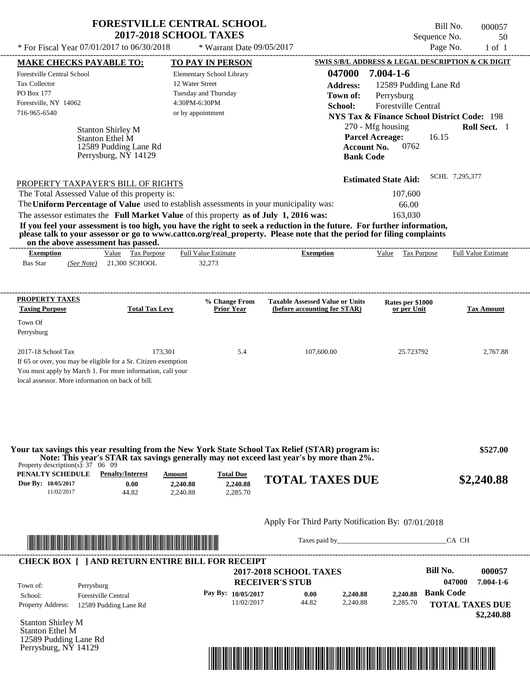|                                                | <b>FORESTVILLE CENTRAL SCHOOL</b><br><b>2017-2018 SCHOOL TAXES</b> |          | Bill No.<br>Sequence No.                          | 000057<br>50 |
|------------------------------------------------|--------------------------------------------------------------------|----------|---------------------------------------------------|--------------|
| * For Fiscal Year $07/01/2017$ to $06/30/2018$ | $*$ Warrant Date 09/05/2017                                        |          | Page No.                                          | 1 of 1       |
| <b>MAKE CHECKS PAYABLE TO:</b>                 | <b>TO PAY IN PERSON</b>                                            |          | SWIS S/B/L ADDRESS & LEGAL DESCRIPTION & CK DIGIT |              |
| <b>Forestville Central School</b>              | <b>Elementary School Library</b>                                   | 047000   | 7.004-1-6                                         |              |
| Tax Collector                                  | 12 Water Street                                                    | Address: | 12589 Pudding Lane Rd                             |              |

|                                               |                                                                                                                                                                                                                                                  | лиш сээ.           | $12,001$ and $\lim_{\epsilon \to 0}$ Ru |                                                        |
|-----------------------------------------------|--------------------------------------------------------------------------------------------------------------------------------------------------------------------------------------------------------------------------------------------------|--------------------|-----------------------------------------|--------------------------------------------------------|
| PO Box 177                                    | Tuesday and Thursday                                                                                                                                                                                                                             | Town of:           | Perrysburg                              |                                                        |
| Forestville, NY 14062                         | 4:30PM-6:30PM                                                                                                                                                                                                                                    | School:            | <b>Forestville Central</b>              |                                                        |
| 716-965-6540                                  | or by appointment                                                                                                                                                                                                                                |                    |                                         | <b>NYS Tax &amp; Finance School District Code: 198</b> |
| Stanton Shirley M                             |                                                                                                                                                                                                                                                  |                    | $270 - Mfg$ housing                     | <b>Roll Sect.</b> 1                                    |
| <b>Stanton Ethel M</b>                        |                                                                                                                                                                                                                                                  |                    | <b>Parcel Acreage:</b>                  | 16.15                                                  |
| 12589 Pudding Lane Rd                         |                                                                                                                                                                                                                                                  | <b>Account No.</b> | 0762                                    |                                                        |
| Perrysburg, NY 14129                          |                                                                                                                                                                                                                                                  | <b>Bank Code</b>   |                                         |                                                        |
| PROPERTY TAXPAYER'S BILL OF RIGHTS            |                                                                                                                                                                                                                                                  |                    | <b>Estimated State Aid:</b>             | SCHL 7,295,377                                         |
| The Total Assessed Value of this property is: |                                                                                                                                                                                                                                                  |                    | 107,600                                 |                                                        |
|                                               | The Uniform Percentage of Value used to establish assessments in your municipality was:                                                                                                                                                          |                    | 66.00                                   |                                                        |
|                                               | The assessor estimates the Full Market Value of this property as of July 1, 2016 was:                                                                                                                                                            |                    | 163.030                                 |                                                        |
|                                               | If you feel your assessment is too high, you have the right to seek a reduction in the future. For further information,<br>please talk to your assessor or go to www.cattco.org/real_property. Please note that the period for filing complaints |                    |                                         |                                                        |

**on the above assessment has passed.**

| vn me above assessment nas basseu. |            |              |             |                            |           |       |                  |                            |
|------------------------------------|------------|--------------|-------------|----------------------------|-----------|-------|------------------|----------------------------|
| Exemption                          |            | <u>Value</u> | Tax Purpose | <b>Full Value Estimate</b> | Exemption | Value | Tax<br>: Purpose | <b>Full Value Estimate</b> |
| Bas Star                           | (See Note) |              | .300 SCHOOL | 32.273                     |           |       |                  |                            |
|                                    |            |              |             |                            |           |       |                  |                            |

| <b>PROPERTY TAXES</b><br><b>Taxing Purpose</b>             | <b>Total Tax Levy</b>                                          | % Change From<br><b>Prior Year</b> | <b>Taxable Assessed Value or Units</b><br>(before accounting for STAR) | Rates per \$1000<br>or per Unit | <b>Tax Amount</b> |  |  |  |
|------------------------------------------------------------|----------------------------------------------------------------|------------------------------------|------------------------------------------------------------------------|---------------------------------|-------------------|--|--|--|
| Town Of                                                    |                                                                |                                    |                                                                        |                                 |                   |  |  |  |
|                                                            |                                                                |                                    |                                                                        |                                 |                   |  |  |  |
| Perrysburg                                                 |                                                                |                                    |                                                                        |                                 |                   |  |  |  |
|                                                            |                                                                |                                    |                                                                        |                                 |                   |  |  |  |
| $2017-18$ School Tax                                       | 173.301                                                        | 5.4                                | 107,600.00                                                             | 25.723792                       | 2,767.88          |  |  |  |
|                                                            | If 65 or over, you may be eligible for a Sr. Citizen exemption |                                    |                                                                        |                                 |                   |  |  |  |
| You must apply by March 1. For more information, call your |                                                                |                                    |                                                                        |                                 |                   |  |  |  |
| local assessor. More information on back of bill.          |                                                                |                                    |                                                                        |                                 |                   |  |  |  |

| Your tax savings this year resulting from the New York State School Tax Relief (STAR) program is:<br>Note: This year's STAR tax savings generally may not exceed last year's by more than 2%.<br>Property description(s): $37 \quad 06 \quad 09$ | \$527.00                |               |                  |                        |            |
|--------------------------------------------------------------------------------------------------------------------------------------------------------------------------------------------------------------------------------------------------|-------------------------|---------------|------------------|------------------------|------------|
| PENALTY SCHEDULE                                                                                                                                                                                                                                 | <b>Penalty/Interest</b> | <u>Amount</u> | <b>Total Due</b> |                        |            |
| Due By: 10/05/2017                                                                                                                                                                                                                               | 0.00                    | 2,240.88      | 2.240.88         | <b>TOTAL TAXES DUE</b> | \$2,240.88 |
| 11/02/2017                                                                                                                                                                                                                                       | 44.82                   | 2.240.88      | 2.285.70         |                        |            |

### Apply For Third Party Notification By: 07/01/2018



Taxes paid by\_\_\_\_\_\_\_\_\_\_\_\_\_\_\_\_\_\_\_\_\_\_\_\_\_\_\_\_\_\_\_CA CH

| Town of:                 | Perrysburg                 | <b>2017-2018 SCHOOL TAXES</b><br><b>RECEIVER'S STUB</b> |       |          |          | <b>Bill No.</b><br>047000 | 000057<br>$7.004 - 1 - 6$ |
|--------------------------|----------------------------|---------------------------------------------------------|-------|----------|----------|---------------------------|---------------------------|
| School:                  | <b>Forestville Central</b> | Pay By: $10/05/2017$                                    | 0.00  | 2,240.88 | 2.240.88 | <b>Bank Code</b>          |                           |
| <b>Property Address:</b> | 12589 Pudding Lane Rd      | 11/02/2017                                              | 44.82 | 2.240.88 | 2,285.70 | <b>TOTAL TAXES DUE</b>    |                           |

Stanton Shirley M Stanton Ethel M 12589 Pudding Lane Rd Perrysburg, NY 14129

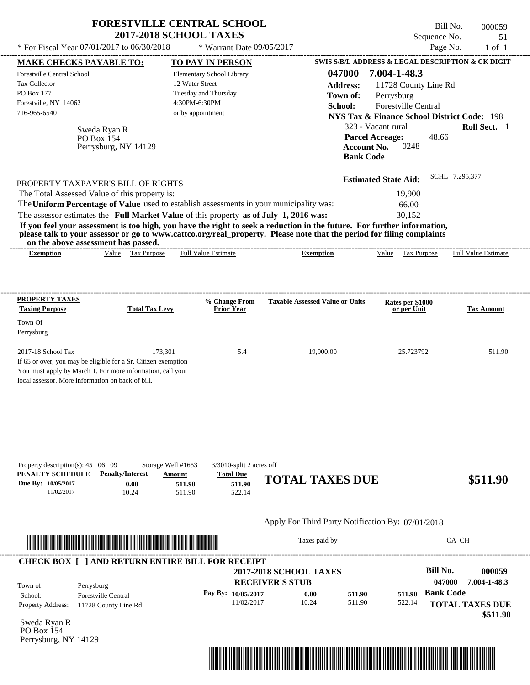| Page No.<br>* For Fiscal Year 07/01/2017 to 06/30/2018<br>* Warrant Date 09/05/2017<br>SWIS S/B/L ADDRESS & LEGAL DESCRIPTION & CK DIGIT<br><b>MAKE CHECKS PAYABLE TO:</b><br><b>TO PAY IN PERSON</b><br>047000<br>7.004-1-48.3<br><b>Forestville Central School</b><br>Elementary School Library<br>12 Water Street<br><b>Tax Collector</b><br><b>Address:</b><br>11728 County Line Rd<br>PO Box 177<br>Tuesday and Thursday<br>Town of:<br>Perrysburg<br>4:30PM-6:30PM<br>Forestville, NY 14062<br>Forestville Central<br>School:<br>716-965-6540<br>or by appointment<br><b>NYS Tax &amp; Finance School District Code: 198</b><br>323 - Vacant rural<br>Sweda Ryan R<br><b>Parcel Acreage:</b><br>48.66<br>PO Box 154<br><b>Account No.</b><br>0248<br>Perrysburg, NY 14129<br><b>Bank Code</b><br>SCHL 7,295,377<br><b>Estimated State Aid:</b><br>PROPERTY TAXPAYER'S BILL OF RIGHTS<br>The Total Assessed Value of this property is:<br>19,900<br>The Uniform Percentage of Value used to establish assessments in your municipality was:<br>66.00<br>The assessor estimates the Full Market Value of this property as of July 1, 2016 was:<br>30,152<br>If you feel your assessment is too high, you have the right to seek a reduction in the future. For further information,<br>please talk to your assessor or go to www.cattco.org/real_property. Please note that the period for filing complaints<br>on the above assessment has passed.<br>Value Tax Purpose<br><b>Exemption</b><br><b>Full Value Estimate</b><br><b>Exemption</b><br>Value Tax Purpose<br><b>Taxable Assessed Value or Units</b><br>% Change From<br>Rates per \$1000<br>Prior Year<br><b>Taxing Purpose</b><br>or per Unit<br><b>Total Tax Levy</b><br>Town Of<br>Perrysburg<br>2017-18 School Tax<br>173,301<br>5.4<br>19,900.00<br>25.723792<br>If 65 or over, you may be eligible for a Sr. Citizen exemption<br>You must apply by March 1. For more information, call your<br>local assessor. More information on back of bill.<br>Property description(s): 45 06 09<br>Storage Well #1653<br>$3/3010$ -split 2 acres off<br>PENALTY SCHEDULE<br><b>Penalty/Interest</b><br><b>Total Due</b><br>Amount<br><b>TOTAL TAXES DUE</b><br>\$511.90<br>Due By: 10/05/2017<br>511.90<br>0.00<br>511.90 |                       | <b>FORESTVILLE CENTRAL SCHOOL</b><br><b>2017-2018 SCHOOL TAXES</b> | Bill No.<br>Sequence No. | 000059<br>51                |
|--------------------------------------------------------------------------------------------------------------------------------------------------------------------------------------------------------------------------------------------------------------------------------------------------------------------------------------------------------------------------------------------------------------------------------------------------------------------------------------------------------------------------------------------------------------------------------------------------------------------------------------------------------------------------------------------------------------------------------------------------------------------------------------------------------------------------------------------------------------------------------------------------------------------------------------------------------------------------------------------------------------------------------------------------------------------------------------------------------------------------------------------------------------------------------------------------------------------------------------------------------------------------------------------------------------------------------------------------------------------------------------------------------------------------------------------------------------------------------------------------------------------------------------------------------------------------------------------------------------------------------------------------------------------------------------------------------------------------------------------------------------------------------------------------------------------------------------------------------------------------------------------------------------------------------------------------------------------------------------------------------------------------------------------------------------------------------------------------------------------------------------------------------------------------------------------------------------------------------------------------------------------------------------|-----------------------|--------------------------------------------------------------------|--------------------------|-----------------------------|
|                                                                                                                                                                                                                                                                                                                                                                                                                                                                                                                                                                                                                                                                                                                                                                                                                                                                                                                                                                                                                                                                                                                                                                                                                                                                                                                                                                                                                                                                                                                                                                                                                                                                                                                                                                                                                                                                                                                                                                                                                                                                                                                                                                                                                                                                                      |                       |                                                                    |                          | $1$ of $1$                  |
|                                                                                                                                                                                                                                                                                                                                                                                                                                                                                                                                                                                                                                                                                                                                                                                                                                                                                                                                                                                                                                                                                                                                                                                                                                                                                                                                                                                                                                                                                                                                                                                                                                                                                                                                                                                                                                                                                                                                                                                                                                                                                                                                                                                                                                                                                      |                       |                                                                    |                          |                             |
|                                                                                                                                                                                                                                                                                                                                                                                                                                                                                                                                                                                                                                                                                                                                                                                                                                                                                                                                                                                                                                                                                                                                                                                                                                                                                                                                                                                                                                                                                                                                                                                                                                                                                                                                                                                                                                                                                                                                                                                                                                                                                                                                                                                                                                                                                      |                       |                                                                    |                          | Roll Sect. 1                |
|                                                                                                                                                                                                                                                                                                                                                                                                                                                                                                                                                                                                                                                                                                                                                                                                                                                                                                                                                                                                                                                                                                                                                                                                                                                                                                                                                                                                                                                                                                                                                                                                                                                                                                                                                                                                                                                                                                                                                                                                                                                                                                                                                                                                                                                                                      |                       |                                                                    |                          |                             |
|                                                                                                                                                                                                                                                                                                                                                                                                                                                                                                                                                                                                                                                                                                                                                                                                                                                                                                                                                                                                                                                                                                                                                                                                                                                                                                                                                                                                                                                                                                                                                                                                                                                                                                                                                                                                                                                                                                                                                                                                                                                                                                                                                                                                                                                                                      |                       |                                                                    |                          |                             |
|                                                                                                                                                                                                                                                                                                                                                                                                                                                                                                                                                                                                                                                                                                                                                                                                                                                                                                                                                                                                                                                                                                                                                                                                                                                                                                                                                                                                                                                                                                                                                                                                                                                                                                                                                                                                                                                                                                                                                                                                                                                                                                                                                                                                                                                                                      |                       |                                                                    |                          |                             |
|                                                                                                                                                                                                                                                                                                                                                                                                                                                                                                                                                                                                                                                                                                                                                                                                                                                                                                                                                                                                                                                                                                                                                                                                                                                                                                                                                                                                                                                                                                                                                                                                                                                                                                                                                                                                                                                                                                                                                                                                                                                                                                                                                                                                                                                                                      |                       |                                                                    |                          |                             |
|                                                                                                                                                                                                                                                                                                                                                                                                                                                                                                                                                                                                                                                                                                                                                                                                                                                                                                                                                                                                                                                                                                                                                                                                                                                                                                                                                                                                                                                                                                                                                                                                                                                                                                                                                                                                                                                                                                                                                                                                                                                                                                                                                                                                                                                                                      |                       |                                                                    |                          | <b>Full Value Estimate</b>  |
|                                                                                                                                                                                                                                                                                                                                                                                                                                                                                                                                                                                                                                                                                                                                                                                                                                                                                                                                                                                                                                                                                                                                                                                                                                                                                                                                                                                                                                                                                                                                                                                                                                                                                                                                                                                                                                                                                                                                                                                                                                                                                                                                                                                                                                                                                      |                       |                                                                    |                          |                             |
|                                                                                                                                                                                                                                                                                                                                                                                                                                                                                                                                                                                                                                                                                                                                                                                                                                                                                                                                                                                                                                                                                                                                                                                                                                                                                                                                                                                                                                                                                                                                                                                                                                                                                                                                                                                                                                                                                                                                                                                                                                                                                                                                                                                                                                                                                      |                       |                                                                    |                          | <b>Tax Amount</b><br>511.90 |
| 11/02/2017<br>10.24<br>522.14<br>511.90                                                                                                                                                                                                                                                                                                                                                                                                                                                                                                                                                                                                                                                                                                                                                                                                                                                                                                                                                                                                                                                                                                                                                                                                                                                                                                                                                                                                                                                                                                                                                                                                                                                                                                                                                                                                                                                                                                                                                                                                                                                                                                                                                                                                                                              | <b>PROPERTY TAXES</b> |                                                                    |                          |                             |



511.90

11/02/2017 10.24

Taxes paid by\_\_\_\_\_\_\_\_\_\_\_\_\_\_\_\_\_\_\_\_\_\_\_\_\_\_\_\_\_\_\_CA CH

| Town of:                 | Perrysburg                 | <b>2017-2018 SCHOOL TAXES</b><br><b>RECEIVER'S STUB</b> |       |        |        | Bill No.<br>047000 | 000059<br>7.004-1-48.3 |
|--------------------------|----------------------------|---------------------------------------------------------|-------|--------|--------|--------------------|------------------------|
| School:                  | <b>Forestville Central</b> | Pay By: $10/05/2017$                                    | 0.00  | 511.90 | 511.90 | <b>Bank Code</b>   |                        |
| <b>Property Address:</b> | 11728 County Line Rd       | 11/02/2017                                              | 10.24 | 511.90 | 522.14 |                    | <b>TOTAL TAXES DUE</b> |

Sweda Ryan R PO Box 154 Perrysburg, NY 14129

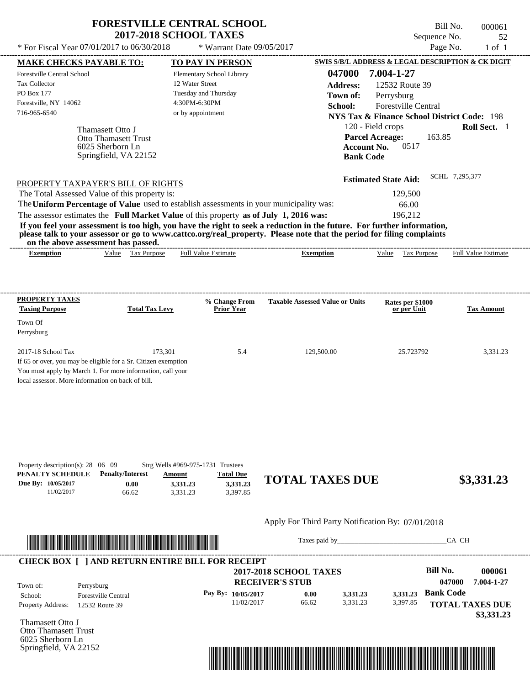| * For Fiscal Year 07/01/2017 to 06/30/2018                                            | <b>FORESTVILLE CENTRAL SCHOOL</b><br><b>2017-2018 SCHOOL TAXES</b><br>* Warrant Date $09/05/2017$                                                                                                                                                                                                |                 |                                                                                               | Bill No.<br>Sequence No.<br>Page No. | 000061<br>52<br>$1$ of $1$ |
|---------------------------------------------------------------------------------------|--------------------------------------------------------------------------------------------------------------------------------------------------------------------------------------------------------------------------------------------------------------------------------------------------|-----------------|-----------------------------------------------------------------------------------------------|--------------------------------------|----------------------------|
| <b>MAKE CHECKS PAYABLE TO:</b>                                                        | <b>TO PAY IN PERSON</b>                                                                                                                                                                                                                                                                          |                 | <b>SWIS S/B/L ADDRESS &amp; LEGAL DESCRIPTION &amp; CK DIGIT</b>                              |                                      |                            |
| Forestville Central School                                                            | Elementary School Library                                                                                                                                                                                                                                                                        | 047000          | 7.004-1-27                                                                                    |                                      |                            |
| <b>Tax Collector</b>                                                                  | 12 Water Street                                                                                                                                                                                                                                                                                  | <b>Address:</b> | 12532 Route 39                                                                                |                                      |                            |
| <b>PO Box 177</b>                                                                     | Tuesday and Thursday                                                                                                                                                                                                                                                                             | Town of:        | Perrysburg                                                                                    |                                      |                            |
| Forestville, NY 14062                                                                 | 4:30PM-6:30PM                                                                                                                                                                                                                                                                                    | School:         | <b>Forestville Central</b>                                                                    |                                      |                            |
| 716-965-6540                                                                          | or by appointment                                                                                                                                                                                                                                                                                |                 | <b>NYS Tax &amp; Finance School District Code: 198</b>                                        |                                      |                            |
| Thamasett Otto J<br>Otto Thamasett Trust<br>6025 Sherborn Ln<br>Springfield, VA 22152 |                                                                                                                                                                                                                                                                                                  |                 | 120 - Field crops<br><b>Parcel Acreage:</b><br>0517<br><b>Account No.</b><br><b>Bank Code</b> | 163.85                               | <b>Roll Sect.</b> 1        |
| PROPERTY TAXPAYER'S BILL OF RIGHTS                                                    |                                                                                                                                                                                                                                                                                                  |                 | <b>Estimated State Aid:</b>                                                                   | SCHL 7,295,377                       |                            |
| The Total Assessed Value of this property is:                                         |                                                                                                                                                                                                                                                                                                  |                 | 129,500                                                                                       |                                      |                            |
|                                                                                       | The Uniform Percentage of Value used to establish assessments in your municipality was:                                                                                                                                                                                                          |                 | 66.00                                                                                         |                                      |                            |
|                                                                                       | The assessor estimates the Full Market Value of this property as of July 1, 2016 was:                                                                                                                                                                                                            |                 | 196,212                                                                                       |                                      |                            |
| on the above assessment has passed.                                                   | If you feel your assessment is too high, you have the right to seek a reduction in the future. For further information,<br>please talk to your assessor or go to www.cattco.org/real_property. Please note that the period for filing complaints                                                 |                 |                                                                                               |                                      |                            |
|                                                                                       | $\mathbf{F}$ and $\mathbf{F}$ and $\mathbf{F}$ and $\mathbf{F}$ and $\mathbf{F}$ and $\mathbf{F}$ and $\mathbf{F}$ and $\mathbf{F}$ and $\mathbf{F}$ and $\mathbf{F}$ and $\mathbf{F}$ and $\mathbf{F}$ and $\mathbf{F}$ and $\mathbf{F}$ and $\mathbf{F}$ and $\mathbf{F}$ and $\mathbf{F}$ and |                 |                                                                                               |                                      |                            |

| . _ _ _ _ _ _ _ _ _ _ _ _ _ _ _ _ _ _<br>xemption | /alue | Гaх<br>Purpose | -------------<br>-------<br>Estimate<br>∺uı. | --------------------------<br>-------<br>xemption | Value | Purpose<br>1 aa | Full<br>alue<br>.stimate |
|---------------------------------------------------|-------|----------------|----------------------------------------------|---------------------------------------------------|-------|-----------------|--------------------------|
|                                                   |       |                |                                              |                                                   |       |                 |                          |

| <b>PROPERTY TAXES</b><br><b>Taxing Purpose</b>                 | <b>Total Tax Levy</b> | % Change From<br><b>Prior Year</b> | <b>Taxable Assessed Value or Units</b> | Rates per \$1000<br>or per Unit | <b>Tax Amount</b> |
|----------------------------------------------------------------|-----------------------|------------------------------------|----------------------------------------|---------------------------------|-------------------|
| Town Of                                                        |                       |                                    |                                        |                                 |                   |
| Perrysburg                                                     |                       |                                    |                                        |                                 |                   |
| $2017-18$ School Tax                                           | 173.301               | 5.4                                | 129,500.00                             | 25.723792                       | 3,331.23          |
| If 65 or over, you may be eligible for a Sr. Citizen exemption |                       |                                    |                                        |                                 |                   |
| You must apply by March 1. For more information, call your     |                       |                                    |                                        |                                 |                   |
| local assessor. More information on back of bill.              |                       |                                    |                                        |                                 |                   |

| Property description(s): $28 \quad 06 \quad 09$<br>PENALTY SCHEDULE | <b>Penalty/Interest</b> | $Strg$ Wells #969-975-1731 Trustees<br>Amount | <b>Total Due</b>     | <b>TOTAL TAXES DUE</b> | \$3,331.23 |
|---------------------------------------------------------------------|-------------------------|-----------------------------------------------|----------------------|------------------------|------------|
| Due By: 10/05/2017<br>11/02/2017                                    | 0.00<br>66.62           | 3.331.23<br>3.331.23                          | 3,331.23<br>3.397.85 |                        |            |



Taxes paid by\_\_\_\_\_\_\_\_\_\_\_\_\_\_\_\_\_\_\_\_\_\_\_\_\_\_\_\_\_\_\_CA CH

| Town of:                 | Perrysburg                 | <b>2017-2018 SCHOOL TAXES</b><br><b>RECEIVER'S STUB</b> |       |          |          | Bill No.<br>047000     | 000061<br>7.004-1-27 |
|--------------------------|----------------------------|---------------------------------------------------------|-------|----------|----------|------------------------|----------------------|
| School:                  | <b>Forestville Central</b> | Pay By: $10/05/2017$                                    | 0.00  | 3.331.23 | 3.331.23 | <b>Bank Code</b>       |                      |
| <b>Property Address:</b> | 12532 Route 39             | 11/02/2017                                              | 66.62 | 3.331.23 | 3,397.85 | <b>TOTAL TAXES DUE</b> |                      |

Thamasett Otto J Otto Thamasett Trust 6025 Sherborn Ln Springfield, VA 22152

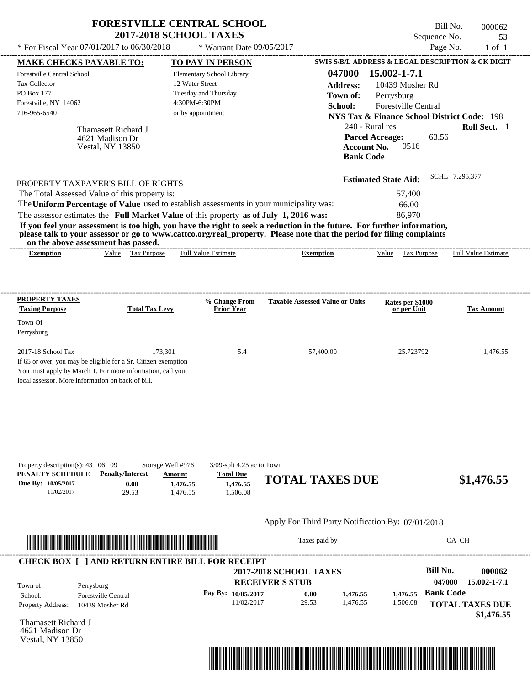| * For Fiscal Year 07/01/2017 to 06/30/2018                                                                                                                                                                                                                                                                                                                                                                                                                                                                                  | <b>FORESTVILLE CENTRAL SCHOOL</b><br><b>2017-2018 SCHOOL TAXES</b><br>* Warrant Date 09/05/2017                                       |                                                                                            | Sequence No.<br>Page No.                                                                                                                                                                                                                                 | Bill No.<br>000062<br>53<br>$1$ of $1$ |
|-----------------------------------------------------------------------------------------------------------------------------------------------------------------------------------------------------------------------------------------------------------------------------------------------------------------------------------------------------------------------------------------------------------------------------------------------------------------------------------------------------------------------------|---------------------------------------------------------------------------------------------------------------------------------------|--------------------------------------------------------------------------------------------|----------------------------------------------------------------------------------------------------------------------------------------------------------------------------------------------------------------------------------------------------------|----------------------------------------|
|                                                                                                                                                                                                                                                                                                                                                                                                                                                                                                                             |                                                                                                                                       |                                                                                            |                                                                                                                                                                                                                                                          |                                        |
| <u>MAKE CHECKS PAYABLE TO:</u><br>Forestville Central School<br><b>Tax Collector</b><br>PO Box 177<br>Forestville, NY 14062<br>716-965-6540<br>Thamasett Richard J<br>4621 Madison Dr<br><b>Vestal, NY 13850</b>                                                                                                                                                                                                                                                                                                            | <b>TO PAY IN PERSON</b><br>Elementary School Library<br>12 Water Street<br>Tuesday and Thursday<br>4:30PM-6:30PM<br>or by appointment | 047000<br><b>Address:</b><br>Town of:<br>School:<br><b>Account No.</b><br><b>Bank Code</b> | SWIS S/B/L ADDRESS & LEGAL DESCRIPTION & CK DIGIT<br>15.002-1-7.1<br>10439 Mosher Rd<br>Perrysburg<br><b>Forestville Central</b><br><b>NYS Tax &amp; Finance School District Code: 198</b><br>240 - Rural res<br>63.56<br><b>Parcel Acreage:</b><br>0516 | Roll Sect. 1                           |
| PROPERTY TAXPAYER'S BILL OF RIGHTS<br>The Total Assessed Value of this property is:<br>The Uniform Percentage of Value used to establish assessments in your municipality was:<br>The assessor estimates the Full Market Value of this property as of July 1, 2016 was:<br>If you feel your assessment is too high, you have the right to seek a reduction in the future. For further information,<br>please talk to your assessor or go to www.cattco.org/real_property. Please note that the period for filing complaints |                                                                                                                                       |                                                                                            | <b>Estimated State Aid:</b><br>57,400<br>66.00<br>86,970                                                                                                                                                                                                 | SCHL 7,295,377                         |
|                                                                                                                                                                                                                                                                                                                                                                                                                                                                                                                             |                                                                                                                                       |                                                                                            |                                                                                                                                                                                                                                                          |                                        |
| on the above assessment has passed.<br>Value Tax Purpose<br><b>Exemption</b>                                                                                                                                                                                                                                                                                                                                                                                                                                                | <b>Full Value Estimate</b>                                                                                                            | <b>Exemption</b>                                                                           | Tax Purpose<br>Value                                                                                                                                                                                                                                     | Full Value Estimate                    |
| PROPERTY TAXES<br><b>Taxing Purpose</b><br><b>Total Tax Levy</b><br>Town Of<br>Perrysburg<br>2017-18 School Tax<br>If 65 or over, you may be eligible for a Sr. Citizen exemption<br>You must apply by March 1. For more information, call your<br>local assessor. More information on back of bill.                                                                                                                                                                                                                        | % Change From<br><b>Prior Year</b><br>173,301<br>5.4                                                                                  | <b>Taxable Assessed Value or Units</b><br>57,400.00                                        | Rates per \$1000<br>or per Unit<br>25.723792                                                                                                                                                                                                             | <b>Tax Amount</b><br>1,476.55          |



Taxes paid by\_\_\_\_\_\_\_\_\_\_\_\_\_\_\_\_\_\_\_\_\_\_\_\_\_\_\_\_\_\_\_CA CH

| Town of:                 | Perrysburg                 | <b>2017-2018 SCHOOL TAXES</b><br><b>RECEIVER'S STUB</b> |       |          |          | Bill No.<br>047000 | 000062<br>15.002-1-7.1 |
|--------------------------|----------------------------|---------------------------------------------------------|-------|----------|----------|--------------------|------------------------|
| School:                  | <b>Forestville Central</b> | Pay By: $10/05/2017$                                    | 0.00  | 1.476.55 | 1.476.55 | <b>Bank Code</b>   |                        |
| <b>Property Address:</b> | 10439 Mosher Rd            | 11/02/2017                                              | 29.53 | 1.476.55 | 1,506.08 |                    | <b>TOTAL TAXES DUE</b> |

Thamasett Richard J 4621 Madison Dr Vestal, NY 13850

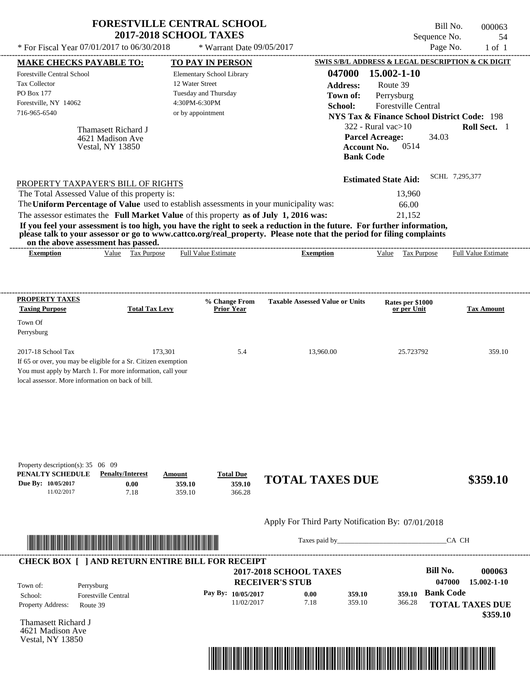| * For Fiscal Year 07/01/2017 to 06/30/2018                                                                                                                                                              | <b>FORESTVILLE CENTRAL SCHOOL</b><br><b>2017-2018 SCHOOL TAXES</b> | * Warrant Date 09/05/2017                         |                                                                                                                      | Bill No.<br>Sequence No.<br>Page No.                                                                                                                                      | 000063<br>54<br>$1$ of $1$ |
|---------------------------------------------------------------------------------------------------------------------------------------------------------------------------------------------------------|--------------------------------------------------------------------|---------------------------------------------------|----------------------------------------------------------------------------------------------------------------------|---------------------------------------------------------------------------------------------------------------------------------------------------------------------------|----------------------------|
| <u>MAKE CHECKS PAYABLE TO:</u>                                                                                                                                                                          |                                                                    | <b>TO PAY IN PERSON</b>                           |                                                                                                                      | SWIS S/B/L ADDRESS & LEGAL DESCRIPTION & CK DIGIT                                                                                                                         |                            |
| Forestville Central School<br><b>Tax Collector</b><br>PO Box 177<br>Forestville, NY 14062<br>716-965-6540<br>Thamasett Richard J<br>4621 Madison Ave<br><b>Vestal, NY 13850</b>                         | 12 Water Street<br>4:30PM-6:30PM<br>or by appointment              | Elementary School Library<br>Tuesday and Thursday | 047000<br><b>Address:</b><br>Town of:<br>School:<br><b>Parcel Acreage:</b><br><b>Account No.</b><br><b>Bank Code</b> | 15.002-1-10<br>Route 39<br>Perrysburg<br><b>Forestville Central</b><br><b>NYS Tax &amp; Finance School District Code: 198</b><br>$322$ - Rural vac $>10$<br>34.03<br>0514 | Roll Sect. 1               |
| PROPERTY TAXPAYER'S BILL OF RIGHTS                                                                                                                                                                      |                                                                    |                                                   |                                                                                                                      | <b>Estimated State Aid:</b>                                                                                                                                               | SCHL 7,295,377             |
| The Total Assessed Value of this property is:                                                                                                                                                           |                                                                    |                                                   |                                                                                                                      | 13,960                                                                                                                                                                    |                            |
| The Uniform Percentage of Value used to establish assessments in your municipality was:                                                                                                                 |                                                                    |                                                   |                                                                                                                      | 66.00                                                                                                                                                                     |                            |
| The assessor estimates the Full Market Value of this property as of July 1, 2016 was:                                                                                                                   |                                                                    |                                                   |                                                                                                                      | 21,152                                                                                                                                                                    |                            |
| please talk to your assessor or go to www.cattco.org/real_property. Please note that the period for filing complaints<br>on the above assessment has passed.<br><b>Exemption</b>                        | Value Tax Purpose                                                  | <b>Full Value Estimate</b>                        | <b>Exemption</b>                                                                                                     | <b>Tax Purpose</b><br>Value                                                                                                                                               |                            |
| <b>Taxing Purpose</b>                                                                                                                                                                                   | <b>Total Tax Levy</b>                                              | % Change From<br><b>Prior Year</b>                | <b>Taxable Assessed Value or Units</b>                                                                               | Rates per \$1000<br>or per Unit                                                                                                                                           | <b>Tax Amount</b>          |
| PROPERTY TAXES<br>Town Of<br>Perrysburg                                                                                                                                                                 |                                                                    |                                                   |                                                                                                                      |                                                                                                                                                                           | Full Value Estimate        |
| 2017-18 School Tax<br>If 65 or over, you may be eligible for a Sr. Citizen exemption<br>You must apply by March 1. For more information, call your<br>local assessor. More information on back of bill. | 173,301                                                            | 5.4                                               | 13,960.00                                                                                                            | 25.723792                                                                                                                                                                 | 359.10                     |



Taxes paid by\_\_\_\_\_\_\_\_\_\_\_\_\_\_\_\_\_\_\_\_\_\_\_\_\_\_\_\_\_\_\_CA CH



Thamasett Richard J 4621 Madison Ave Vestal, NY 13850

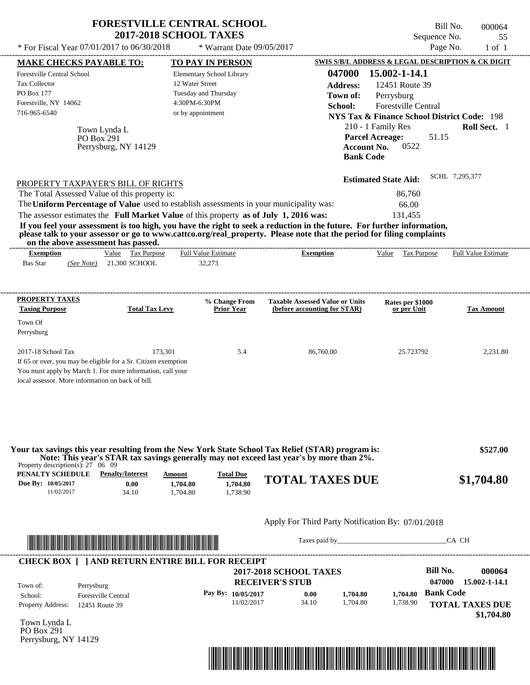| * For Fiscal Year 07/01/2017 to 06/30/2018                                                                                                                                                              |                                                                                                                                                                                                                                      | <b>FORESTVILLE CENTRAL SCHOOL</b><br><b>2017-2018 SCHOOL TAXES</b><br>* Warrant Date 09/05/2017                                                                                  |                                                                                                                                                                                                                                                  | Bill No.<br>Sequence No.<br>Page No.                                                                                                                                                            | 000064<br>55<br>$1$ of $1$ |
|---------------------------------------------------------------------------------------------------------------------------------------------------------------------------------------------------------|--------------------------------------------------------------------------------------------------------------------------------------------------------------------------------------------------------------------------------------|----------------------------------------------------------------------------------------------------------------------------------------------------------------------------------|--------------------------------------------------------------------------------------------------------------------------------------------------------------------------------------------------------------------------------------------------|-------------------------------------------------------------------------------------------------------------------------------------------------------------------------------------------------|----------------------------|
| <b>MAKE CHECKS PAYABLE TO:</b>                                                                                                                                                                          |                                                                                                                                                                                                                                      | TO PAY IN PERSON                                                                                                                                                                 |                                                                                                                                                                                                                                                  | SWIS S/B/L ADDRESS & LEGAL DESCRIPTION & CK DIGIT                                                                                                                                               |                            |
| Forestville Central School<br><b>Tax Collector</b><br>PO Box 177<br>Forestville, NY 14062<br>716-965-6540                                                                                               | Town Lynda L<br><b>PO Box 291</b><br>Perrysburg, NY 14129                                                                                                                                                                            | Elementary School Library<br>12 Water Street<br>Tuesday and Thursday<br>4:30PM-6:30PM<br>or by appointment                                                                       | 047000<br><b>Address:</b><br>Town of:<br>School:<br><b>Account No.</b><br><b>Bank Code</b>                                                                                                                                                       | 15.002-1-14.1<br>12451 Route 39<br>Perrysburg<br>Forestville Central<br><b>NYS Tax &amp; Finance School District Code: 198</b><br>210 - 1 Family Res<br><b>Parcel Acreage:</b><br>51.15<br>0522 | Roll Sect. 1               |
| PROPERTY TAXPAYER'S BILL OF RIGHTS<br>The Total Assessed Value of this property is:                                                                                                                     |                                                                                                                                                                                                                                      | The Uniform Percentage of Value used to establish assessments in your municipality was:<br>The assessor estimates the Full Market Value of this property as of July 1, 2016 was: | If you feel your assessment is too high, you have the right to seek a reduction in the future. For further information,<br>please talk to your assessor or go to www.cattco.org/real_property. Please note that the period for filing complaints | <b>Estimated State Aid:</b><br>86,760<br>66.00<br>131,455                                                                                                                                       | SCHL 7,295,377             |
| on the above assessment has passed.<br><b>Exemption</b><br><b>Bas Star</b>                                                                                                                              | Value Tax Purpose<br>(See Note) 21,300 SCHOOL                                                                                                                                                                                        | <b>Full Value Estimate</b><br>32,273                                                                                                                                             | <b>Exemption</b>                                                                                                                                                                                                                                 | Value Tax Purpose                                                                                                                                                                               | <b>Full Value Estimate</b> |
| PROPERTY TAXES<br><b>Taxing Purpose</b><br>Town Of<br>Perrysburg                                                                                                                                        | <b>Total Tax Levy</b>                                                                                                                                                                                                                | % Change From<br><b>Prior Year</b>                                                                                                                                               | <b>Taxable Assessed Value or Units</b><br>(before accounting for STAR)                                                                                                                                                                           | Rates per \$1000<br>or per Unit                                                                                                                                                                 | <b>Tax Amount</b>          |
| 2017-18 School Tax<br>If 65 or over, you may be eligible for a Sr. Citizen exemption<br>You must apply by March 1. For more information, call your<br>local assessor. More information on back of bill. | 173,301                                                                                                                                                                                                                              | 5.4                                                                                                                                                                              | 86,760.00                                                                                                                                                                                                                                        | 25.723792                                                                                                                                                                                       | 2,231.80                   |
| Property description(s): $27 \quad 06 \quad 09$                                                                                                                                                         |                                                                                                                                                                                                                                      |                                                                                                                                                                                  | Your tax savings this year resulting from the New York State School Tax Relief (STAR) program is:<br>Note: This year's STAR tax savings generally may not exceed last year's by more than 2%.                                                    |                                                                                                                                                                                                 | \$527.00                   |
| <b>PENALTY SCHEDULE</b> Penalty/Interest<br>Due By: 10/05/2017<br>11/02/2017                                                                                                                            | 0.00<br>34.10                                                                                                                                                                                                                        | <b>Total Due</b><br>Amount<br>1,704.80<br>1,704.80<br>1,704.80<br>1,738.90                                                                                                       | <b>TOTAL TAXES DUE</b>                                                                                                                                                                                                                           |                                                                                                                                                                                                 | \$1,704.80                 |
|                                                                                                                                                                                                         |                                                                                                                                                                                                                                      |                                                                                                                                                                                  | Apply For Third Party Notification By: 07/01/2018                                                                                                                                                                                                |                                                                                                                                                                                                 |                            |
|                                                                                                                                                                                                         | <u> In the second contract of the second contract of the second contract of the second contract of the second contract of the second contract of the second contract of the second contract of the second contract of the second</u> |                                                                                                                                                                                  |                                                                                                                                                                                                                                                  |                                                                                                                                                                                                 | CA CH                      |

| <b>RECEIVER'S STUB</b>       |          | 047000<br>15.002-1-14.1 |
|------------------------------|----------|-------------------------|
| Pay By: $10/05/2017$<br>0.00 | 1.704.80 | <b>Bank Code</b>        |
| 11/02/2017<br>34.10          | 1,738.90 | <b>TOTAL TAXES DUE</b>  |
|                              |          | 1,704.80<br>1.704.80    |

Town Lynda L PO Box 291 Perrysburg, NY 14129

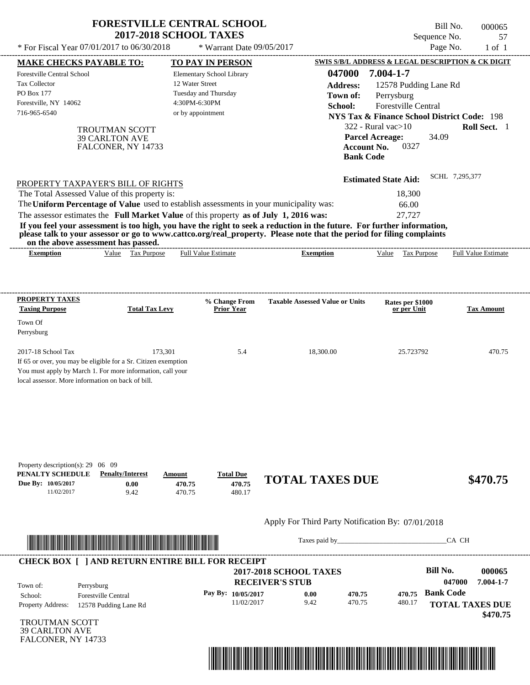| * For Fiscal Year 07/01/2017 to 06/30/2018                                              | <b>FORESTVILLE CENTRAL SCHOOL</b><br><b>2017-2018 SCHOOL TAXES</b> | * Warrant Date 09/05/2017          |                                                                                                                         | Bill No.<br>Sequence No.<br>Page No.                           | 000065<br>57<br>$1$ of $1$ |
|-----------------------------------------------------------------------------------------|--------------------------------------------------------------------|------------------------------------|-------------------------------------------------------------------------------------------------------------------------|----------------------------------------------------------------|----------------------------|
|                                                                                         |                                                                    |                                    |                                                                                                                         |                                                                |                            |
| <b>MAKE CHECKS PAYABLE TO:</b>                                                          |                                                                    | <b>TO PAY IN PERSON</b>            | 047000                                                                                                                  | SWIS S/B/L ADDRESS & LEGAL DESCRIPTION & CK DIGIT<br>7.004-1-7 |                            |
| <b>Forestville Central School</b><br><b>Tax Collector</b>                               | 12 Water Street                                                    | Elementary School Library          |                                                                                                                         |                                                                |                            |
| PO Box 177                                                                              |                                                                    | Tuesday and Thursday               | <b>Address:</b>                                                                                                         | 12578 Pudding Lane Rd                                          |                            |
| Forestville, NY 14062                                                                   | 4:30PM-6:30PM                                                      |                                    | Town of:                                                                                                                | Perrysburg                                                     |                            |
| 716-965-6540                                                                            | or by appointment                                                  |                                    | School:                                                                                                                 | Forestville Central                                            |                            |
|                                                                                         |                                                                    |                                    |                                                                                                                         | <b>NYS Tax &amp; Finance School District Code: 198</b>         |                            |
| <b>TROUTMAN SCOTT</b>                                                                   |                                                                    |                                    | $322$ - Rural vac $>10$                                                                                                 |                                                                | Roll Sect. 1               |
| <b>39 CARLTON AVE</b>                                                                   |                                                                    |                                    | <b>Parcel Acreage:</b><br><b>Account No.</b>                                                                            | 34.09<br>0327                                                  |                            |
| FALCONER, NY 14733                                                                      |                                                                    |                                    | <b>Bank Code</b>                                                                                                        |                                                                |                            |
| PROPERTY TAXPAYER'S BILL OF RIGHTS                                                      |                                                                    |                                    |                                                                                                                         | <b>Estimated State Aid:</b>                                    | SCHL 7,295,377             |
| The Total Assessed Value of this property is:                                           |                                                                    |                                    |                                                                                                                         | 18,300                                                         |                            |
| The Uniform Percentage of Value used to establish assessments in your municipality was: |                                                                    |                                    |                                                                                                                         | 66.00                                                          |                            |
| The assessor estimates the Full Market Value of this property as of July 1, 2016 was:   |                                                                    |                                    |                                                                                                                         | 27,727                                                         |                            |
|                                                                                         |                                                                    |                                    | If you feel your assessment is too high, you have the right to seek a reduction in the future. For further information, |                                                                |                            |
| on the above assessment has passed.                                                     |                                                                    |                                    | please talk to your assessor or go to www.cattco.org/real_property. Please note that the period for filing complaints   |                                                                |                            |
| <b>Exemption</b>                                                                        | Value Tax Purpose                                                  | <b>Full Value Estimate</b>         | <b>Exemption</b>                                                                                                        | Value Tax Purpose                                              | <b>Full Value Estimate</b> |
| <b>PROPERTY TAXES</b><br><b>Taxing Purpose</b>                                          | <b>Total Tax Levy</b>                                              | % Change From<br><b>Prior Year</b> | <b>Taxable Assessed Value or Units</b>                                                                                  | Rates per \$1000<br>or per Unit                                | <b>Tax Amount</b>          |
| Town Of                                                                                 |                                                                    |                                    |                                                                                                                         |                                                                |                            |
| Perrysburg                                                                              |                                                                    |                                    |                                                                                                                         |                                                                |                            |
| 2017-18 School Tax                                                                      | 173,301                                                            | 5.4                                | 18,300.00                                                                                                               | 25.723792                                                      | 470.75                     |
| If 65 or over, you may be eligible for a Sr. Citizen exemption                          |                                                                    |                                    |                                                                                                                         |                                                                |                            |
| You must apply by March 1. For more information, call your                              |                                                                    |                                    |                                                                                                                         |                                                                |                            |
| local assessor. More information on back of bill.                                       |                                                                    |                                    |                                                                                                                         |                                                                |                            |
|                                                                                         |                                                                    |                                    |                                                                                                                         |                                                                |                            |
|                                                                                         |                                                                    |                                    |                                                                                                                         |                                                                |                            |
|                                                                                         |                                                                    |                                    |                                                                                                                         |                                                                |                            |
| Property description(s): 29 06 09                                                       |                                                                    |                                    |                                                                                                                         |                                                                |                            |
| PENALTY SCHEDULE<br><b>Penalty/Interest</b>                                             | Amount                                                             | <b>Total Due</b>                   | <b>TOTAL TAXES DUE</b>                                                                                                  |                                                                | \$470.75                   |
| Due By: 10/05/2017<br>0.00                                                              | 470.75                                                             | 470.75                             |                                                                                                                         |                                                                |                            |
| 11/02/2017<br>9.42                                                                      | 470.75                                                             | 480.17                             |                                                                                                                         |                                                                |                            |
|                                                                                         |                                                                    |                                    | Apply For Third Party Notification By: 07/01/2018                                                                       |                                                                |                            |
|                                                                                         |                                                                    |                                    |                                                                                                                         |                                                                | CA CH                      |
| <b>CHECK BOX [ ] AND RETURN ENTIRE BILL FOR RECEIPT</b>                                 |                                                                    |                                    |                                                                                                                         | <b>Bill No.</b>                                                | 000065                     |
|                                                                                         |                                                                    |                                    | <b>2017-2018 SCHOOL TAXES</b><br><b>RECEIVER'S STUB</b>                                                                 |                                                                | 7.004-1-7<br>047000        |
| Town of:<br>Perrysburg                                                                  |                                                                    |                                    |                                                                                                                         |                                                                |                            |

| Town of:                            | Perrysburg                                          | <b>RECEIVER'S STUB</b>             |              |                  |        | 047000                                     | 7.004-1-7 |
|-------------------------------------|-----------------------------------------------------|------------------------------------|--------------|------------------|--------|--------------------------------------------|-----------|
| School:<br><b>Property Address:</b> | <b>Forestville Central</b><br>12578 Pudding Lane Rd | Pay By: $10/05/2017$<br>11/02/2017 | 0.00<br>9.42 | 470.75<br>470.75 | 480.17 | 470.75 Bank Code<br><b>TOTAL TAXES DUE</b> |           |
|                                     |                                                     |                                    |              |                  |        |                                            | \$470.75  |

TROUTMAN SCOTT 39 CARLTON AVE FALCONER, NY 14733

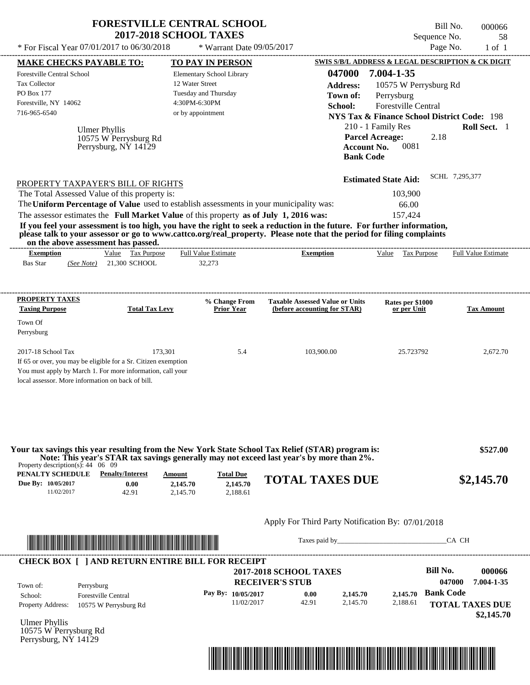|                                                                                                                                                                                                         | <b>FORESTVILLE CENTRAL SCHOOL</b><br><b>2017-2018 SCHOOL TAXES</b>                                                                                                               |                                                                                                            |                                                                                                                                                                                                                                                  | Bill No.<br>Sequence No.                                                                                                                                                 | 000066<br>58               |
|---------------------------------------------------------------------------------------------------------------------------------------------------------------------------------------------------------|----------------------------------------------------------------------------------------------------------------------------------------------------------------------------------|------------------------------------------------------------------------------------------------------------|--------------------------------------------------------------------------------------------------------------------------------------------------------------------------------------------------------------------------------------------------|--------------------------------------------------------------------------------------------------------------------------------------------------------------------------|----------------------------|
| * For Fiscal Year 07/01/2017 to 06/30/2018                                                                                                                                                              |                                                                                                                                                                                  | * Warrant Date 09/05/2017                                                                                  |                                                                                                                                                                                                                                                  | Page No.                                                                                                                                                                 | $1$ of $1$                 |
| <b>MAKE CHECKS PAYABLE TO:</b>                                                                                                                                                                          |                                                                                                                                                                                  | <b>TO PAY IN PERSON</b>                                                                                    |                                                                                                                                                                                                                                                  | SWIS S/B/L ADDRESS & LEGAL DESCRIPTION & CK DIGIT                                                                                                                        |                            |
| <b>Forestville Central School</b><br><b>Tax Collector</b><br>PO Box 177<br>Forestville, NY 14062<br>716-965-6540<br><b>Ulmer Phyllis</b>                                                                | 10575 W Perrysburg Rd<br>Perrysburg, NY 14129                                                                                                                                    | Elementary School Library<br>12 Water Street<br>Tuesday and Thursday<br>4:30PM-6:30PM<br>or by appointment | 047000<br><b>Address:</b><br>Town of:<br>School:<br><b>Parcel Acreage:</b><br><b>Account No.</b><br><b>Bank Code</b>                                                                                                                             | 7.004-1-35<br>10575 W Perrysburg Rd<br>Perrysburg<br>Forestville Central<br><b>NYS Tax &amp; Finance School District Code: 198</b><br>210 - 1 Family Res<br>2.18<br>0081 | Roll Sect. 1               |
| PROPERTY TAXPAYER'S BILL OF RIGHTS<br>The Total Assessed Value of this property is:<br>on the above assessment has passed.                                                                              | The Uniform Percentage of Value used to establish assessments in your municipality was:<br>The assessor estimates the Full Market Value of this property as of July 1, 2016 was: |                                                                                                            | If you feel your assessment is too high, you have the right to seek a reduction in the future. For further information,<br>please talk to your assessor or go to www.cattco.org/real_property. Please note that the period for filing complaints | <b>Estimated State Aid:</b><br>103,900<br>66.00<br>157,424                                                                                                               | SCHL 7,295,377             |
| <b>Exemption</b><br><b>Bas Star</b><br><b>PROPERTY TAXES</b>                                                                                                                                            | Value Tax Purpose<br>(See Note) 21,300 SCHOOL                                                                                                                                    | <b>Full Value Estimate</b><br>32,273                                                                       | <b>Exemption</b>                                                                                                                                                                                                                                 | Value Tax Purpose                                                                                                                                                        | <b>Full Value Estimate</b> |
| <b>Taxing Purpose</b><br>Town Of<br>Perrysburg                                                                                                                                                          | <b>Total Tax Levy</b>                                                                                                                                                            | % Change From<br>Prior Year                                                                                | <b>Taxable Assessed Value or Units</b><br>(before accounting for STAR)                                                                                                                                                                           | Rates per \$1000<br>or per Unit                                                                                                                                          | <b>Tax Amount</b>          |
| 2017-18 School Tax<br>If 65 or over, you may be eligible for a Sr. Citizen exemption<br>You must apply by March 1. For more information, call your<br>local assessor. More information on back of bill. | 173,301                                                                                                                                                                          | 5.4                                                                                                        | 103,900.00                                                                                                                                                                                                                                       | 25.723792                                                                                                                                                                | 2,672.70                   |
| Property description(s): $44 \quad 06 \quad 09$                                                                                                                                                         |                                                                                                                                                                                  |                                                                                                            | Your tax savings this year resulting from the New York State School Tax Relief (STAR) program is:<br>Note: This year's STAR tax savings generally may not exceed last year's by more than 2%.                                                    |                                                                                                                                                                          | \$527.00                   |
| PENALTY SCHEDULE<br>Due By: 10/05/2017<br>11/02/2017                                                                                                                                                    | <b>Penalty/Interest</b><br>Amount<br>0.00<br>2,145.70<br>42.91<br>2,145.70                                                                                                       | <b>Total Due</b><br>2,145.70<br>2,188.61                                                                   | <b>TOTAL TAXES DUE</b>                                                                                                                                                                                                                           |                                                                                                                                                                          | \$2,145.70                 |
|                                                                                                                                                                                                         |                                                                                                                                                                                  |                                                                                                            | Apply For Third Party Notification By: 07/01/2018                                                                                                                                                                                                |                                                                                                                                                                          |                            |



Taxes paid by\_\_\_\_\_\_\_\_\_\_\_\_\_\_\_\_\_\_\_\_\_\_\_\_\_\_\_\_\_\_\_CA CH



Ulmer Phyllis 10575 W Perrysburg Rd Perrysburg, NY 14129

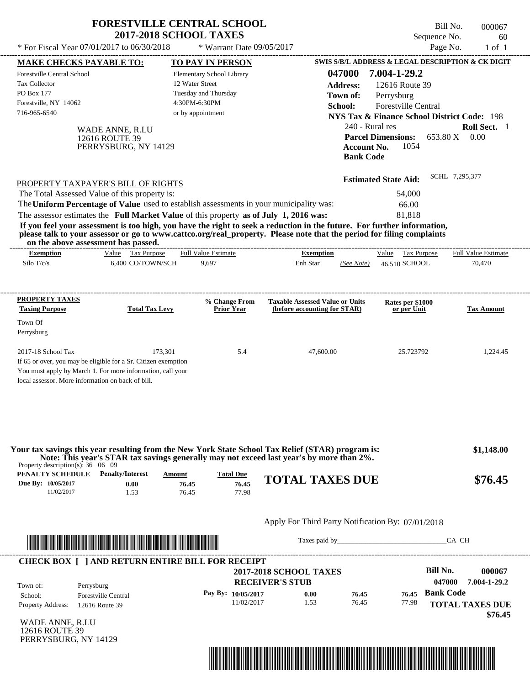| <b>2017-2018 SCHOOL TAXES</b><br>* For Fiscal Year 07/01/2017 to 06/30/2018<br><b>MAKE CHECKS PAYABLE TO:</b> | * Warrant Date 09/05/2017<br>TO PAY IN PERSON                                                                                                    |                                        |                                                                                                                                                                                  | Sequence No.                                           | 60<br>Page No.<br>$1$ of $1$                                                                                                                                                                                                                                                                                                                                                                                      |
|---------------------------------------------------------------------------------------------------------------|--------------------------------------------------------------------------------------------------------------------------------------------------|----------------------------------------|----------------------------------------------------------------------------------------------------------------------------------------------------------------------------------|--------------------------------------------------------|-------------------------------------------------------------------------------------------------------------------------------------------------------------------------------------------------------------------------------------------------------------------------------------------------------------------------------------------------------------------------------------------------------------------|
|                                                                                                               |                                                                                                                                                  |                                        |                                                                                                                                                                                  |                                                        |                                                                                                                                                                                                                                                                                                                                                                                                                   |
|                                                                                                               |                                                                                                                                                  |                                        |                                                                                                                                                                                  | SWIS S/B/L ADDRESS & LEGAL DESCRIPTION & CK DIGIT      |                                                                                                                                                                                                                                                                                                                                                                                                                   |
|                                                                                                               | Elementary School Library                                                                                                                        |                                        | 047000                                                                                                                                                                           | 7.004-1-29.2                                           |                                                                                                                                                                                                                                                                                                                                                                                                                   |
|                                                                                                               | 12 Water Street                                                                                                                                  |                                        | <b>Address:</b>                                                                                                                                                                  | 12616 Route 39                                         |                                                                                                                                                                                                                                                                                                                                                                                                                   |
|                                                                                                               | Tuesday and Thursday                                                                                                                             |                                        | Town of:                                                                                                                                                                         | Perrysburg                                             |                                                                                                                                                                                                                                                                                                                                                                                                                   |
|                                                                                                               | 4:30PM-6:30PM                                                                                                                                    |                                        | School:                                                                                                                                                                          | Forestville Central                                    |                                                                                                                                                                                                                                                                                                                                                                                                                   |
|                                                                                                               | or by appointment                                                                                                                                |                                        |                                                                                                                                                                                  | <b>NYS Tax &amp; Finance School District Code: 198</b> |                                                                                                                                                                                                                                                                                                                                                                                                                   |
|                                                                                                               |                                                                                                                                                  |                                        |                                                                                                                                                                                  |                                                        | Roll Sect. 1                                                                                                                                                                                                                                                                                                                                                                                                      |
|                                                                                                               |                                                                                                                                                  |                                        |                                                                                                                                                                                  |                                                        | 0.00                                                                                                                                                                                                                                                                                                                                                                                                              |
|                                                                                                               |                                                                                                                                                  |                                        |                                                                                                                                                                                  |                                                        |                                                                                                                                                                                                                                                                                                                                                                                                                   |
|                                                                                                               |                                                                                                                                                  |                                        |                                                                                                                                                                                  |                                                        |                                                                                                                                                                                                                                                                                                                                                                                                                   |
|                                                                                                               |                                                                                                                                                  |                                        |                                                                                                                                                                                  |                                                        | SCHL 7,295,377                                                                                                                                                                                                                                                                                                                                                                                                    |
|                                                                                                               |                                                                                                                                                  |                                        |                                                                                                                                                                                  |                                                        |                                                                                                                                                                                                                                                                                                                                                                                                                   |
|                                                                                                               |                                                                                                                                                  |                                        |                                                                                                                                                                                  |                                                        |                                                                                                                                                                                                                                                                                                                                                                                                                   |
|                                                                                                               |                                                                                                                                                  |                                        |                                                                                                                                                                                  | 66.00                                                  |                                                                                                                                                                                                                                                                                                                                                                                                                   |
|                                                                                                               |                                                                                                                                                  |                                        |                                                                                                                                                                                  |                                                        |                                                                                                                                                                                                                                                                                                                                                                                                                   |
| on the above assessment has passed.<br>Value Tax Purpose                                                      | Full Value Estimate                                                                                                                              |                                        |                                                                                                                                                                                  |                                                        |                                                                                                                                                                                                                                                                                                                                                                                                                   |
|                                                                                                               |                                                                                                                                                  |                                        |                                                                                                                                                                                  |                                                        |                                                                                                                                                                                                                                                                                                                                                                                                                   |
| 6,400 CO/TOWN/SCH                                                                                             | 9,697                                                                                                                                            | <b>Exemption</b><br>Enh Star           | (See Note)                                                                                                                                                                       | Value Tax Purpose<br>46,510 SCHOOL                     | Full Value Estimate<br>70,470                                                                                                                                                                                                                                                                                                                                                                                     |
|                                                                                                               |                                                                                                                                                  |                                        |                                                                                                                                                                                  |                                                        |                                                                                                                                                                                                                                                                                                                                                                                                                   |
|                                                                                                               | % Change From                                                                                                                                    | <b>Taxable Assessed Value or Units</b> |                                                                                                                                                                                  | Rates per \$1000                                       |                                                                                                                                                                                                                                                                                                                                                                                                                   |
| <b>Total Tax Levy</b>                                                                                         | <b>Prior Year</b>                                                                                                                                | (before accounting for STAR)           |                                                                                                                                                                                  | or per Unit                                            |                                                                                                                                                                                                                                                                                                                                                                                                                   |
|                                                                                                               |                                                                                                                                                  |                                        |                                                                                                                                                                                  |                                                        |                                                                                                                                                                                                                                                                                                                                                                                                                   |
|                                                                                                               |                                                                                                                                                  |                                        |                                                                                                                                                                                  |                                                        | <b>Tax Amount</b>                                                                                                                                                                                                                                                                                                                                                                                                 |
| 173.301                                                                                                       | 5.4                                                                                                                                              | 47,600.00                              |                                                                                                                                                                                  | 25.723792                                              | 1.224.45                                                                                                                                                                                                                                                                                                                                                                                                          |
| If 65 or over, you may be eligible for a Sr. Citizen exemption                                                |                                                                                                                                                  |                                        |                                                                                                                                                                                  |                                                        |                                                                                                                                                                                                                                                                                                                                                                                                                   |
| You must apply by March 1. For more information, call your                                                    |                                                                                                                                                  |                                        |                                                                                                                                                                                  |                                                        |                                                                                                                                                                                                                                                                                                                                                                                                                   |
|                                                                                                               | WADE ANNE, R.LU<br>12616 ROUTE 39<br>PERRYSBURG, NY 14129<br>PROPERTY TAXPAYER'S BILL OF RIGHTS<br>The Total Assessed Value of this property is: |                                        | The Uniform Percentage of Value used to establish assessments in your municipality was:<br>The assessor estimates the Full Market Value of this property as of July 1, 2016 was: |                                                        | 240 - Rural res<br><b>Parcel Dimensions:</b><br>653.80 X<br><b>Account No.</b><br>1054<br><b>Bank Code</b><br><b>Estimated State Aid:</b><br>54,000<br>81.818<br>If you feel your assessment is too high, you have the right to seek a reduction in the future. For further information,<br>please talk to your assessor or go to www.cattco.org/real_property. Please note that the period for filing complaints |

Property description(s): 36 06 09 **Note: This year's STAR tax savings generally may not exceed last year's by more than 2%.**

| $1$ roperty description(s). 50 00 05<br>PENALTY SCHEDULE | <b>Penalty/Interest</b> | Amount | <b>Total Due</b> |                        |         |
|----------------------------------------------------------|-------------------------|--------|------------------|------------------------|---------|
| Due By: 10/05/2017                                       | $0.00\,$                | 76.45  | 76.45            | <b>TOTAL TAXES DUE</b> | \$76.45 |
| 1/02/2017                                                |                         | 76.45  | 77.98            |                        |         |

# Apply For Third Party Notification By: 07/01/2018



Taxes paid by\_\_\_\_\_\_\_\_\_\_\_\_\_\_\_\_\_\_\_\_\_\_\_\_\_\_\_\_\_\_\_CA CH

| Town of:<br>Perrysburg                     | <b>2017-2018 SCHOOL TAXES</b><br><b>RECEIVER'S STUB</b> |      |       |       | Bill No.<br>047000 | 000067<br>7.004-1-29.2 |
|--------------------------------------------|---------------------------------------------------------|------|-------|-------|--------------------|------------------------|
| <b>Forestville Central</b><br>School:      | Pay By: $10/05/2017$                                    | 0.00 | 76.45 | 76.45 | <b>Bank Code</b>   |                        |
| <b>Property Address:</b><br>12616 Route 39 | 11/02/2017                                              | .53  | 76.45 | 77.98 |                    | <b>TOTAL TAXES DUE</b> |

WADE ANNE, R.LU 12616 ROUTE 39 PERRYSBURG, NY 14129

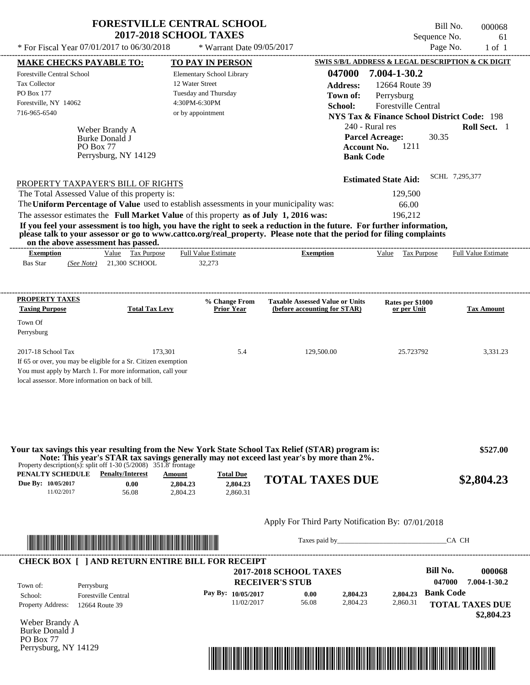| 61                         | Sequence No.                                                                                  |                  | <b>2017-2018 SCHOOL TAXES</b>                                                                                                                                                                                                                    |                                                |                                               |                                   |
|----------------------------|-----------------------------------------------------------------------------------------------|------------------|--------------------------------------------------------------------------------------------------------------------------------------------------------------------------------------------------------------------------------------------------|------------------------------------------------|-----------------------------------------------|-----------------------------------|
| $1$ of $1$                 | Page No.                                                                                      |                  | * Warrant Date $09/05/2017$                                                                                                                                                                                                                      | * For Fiscal Year $07/01/2017$ to $06/30/2018$ |                                               |                                   |
|                            | SWIS S/B/L ADDRESS & LEGAL DESCRIPTION & CK DIGIT                                             |                  | TO PAY IN PERSON                                                                                                                                                                                                                                 |                                                |                                               | <b>MAKE CHECKS PAYABLE TO:</b>    |
|                            | 7.004-1-30.2                                                                                  | 047000           | Elementary School Library                                                                                                                                                                                                                        |                                                |                                               | <b>Forestville Central School</b> |
|                            | 12664 Route 39                                                                                | Address:         | 12 Water Street                                                                                                                                                                                                                                  |                                                |                                               | <b>Tax Collector</b>              |
|                            | Perrysburg                                                                                    | Town of:         | Tuesday and Thursday                                                                                                                                                                                                                             |                                                |                                               | <b>PO Box 177</b>                 |
|                            | <b>Forestville Central</b>                                                                    | School:          | 4:30PM-6:30PM                                                                                                                                                                                                                                    |                                                |                                               | Forestville, NY 14062             |
|                            | <b>NYS Tax &amp; Finance School District Code: 198</b>                                        |                  | or by appointment                                                                                                                                                                                                                                |                                                |                                               | 716-965-6540                      |
| Roll Sect. 1               | 240 - Rural res<br><b>Parcel Acreage:</b><br>30.35<br>1211<br>Account No.<br><b>Bank Code</b> |                  |                                                                                                                                                                                                                                                  | Perrysburg, NY 14129                           | Weber Brandy A<br>Burke Donald J<br>PO Box 77 |                                   |
| SCHL 7.295.377             | <b>Estimated State Aid:</b>                                                                   |                  |                                                                                                                                                                                                                                                  | PROPERTY TAXPAYER'S BILL OF RIGHTS             |                                               |                                   |
|                            | 129,500                                                                                       |                  |                                                                                                                                                                                                                                                  | The Total Assessed Value of this property is:  |                                               |                                   |
|                            | 66.00                                                                                         |                  | The Uniform Percentage of Value used to establish assessments in your municipality was:                                                                                                                                                          |                                                |                                               |                                   |
|                            | 196.212                                                                                       |                  | The assessor estimates the Full Market Value of this property as of July 1, 2016 was:                                                                                                                                                            |                                                |                                               |                                   |
|                            |                                                                                               |                  | If you feel your assessment is too high, you have the right to seek a reduction in the future. For further information,<br>please talk to your assessor or go to www.cattco.org/real_property. Please note that the period for filing complaints | on the above assessment has passed.            |                                               |                                   |
| <b>Full Value Estimate</b> | Value<br>Tax Purpose                                                                          | <b>Exemption</b> | <b>Full Value Estimate</b>                                                                                                                                                                                                                       | Value Tax Purpose                              |                                               | <b>Exemption</b>                  |
|                            |                                                                                               |                  | 32,273                                                                                                                                                                                                                                           | 21,300 SCHOOL                                  | (See Note)                                    | <b>Bas Star</b>                   |

| <b>PROPERTY TAXES</b><br><b>Taxing Purpose</b>    | <b>Total Tax Levy</b>                                          | % Change From<br><b>Prior Year</b> | <b>Taxable Assessed Value or Units</b><br>(before accounting for STAR) | Rates per \$1000<br>or per Unit | <b>Tax Amount</b> |
|---------------------------------------------------|----------------------------------------------------------------|------------------------------------|------------------------------------------------------------------------|---------------------------------|-------------------|
| Town Of                                           |                                                                |                                    |                                                                        |                                 |                   |
| Perrysburg                                        |                                                                |                                    |                                                                        |                                 |                   |
| $2017-18$ School Tax                              | 173.301                                                        | 5.4                                | 129,500.00                                                             | 25.723792                       | 3.331.23          |
|                                                   | If 65 or over, you may be eligible for a Sr. Citizen exemption |                                    |                                                                        |                                 |                   |
|                                                   | You must apply by March 1. For more information, call your     |                                    |                                                                        |                                 |                   |
| local assessor. More information on back of bill. |                                                                |                                    |                                                                        |                                 |                   |

| Property description(s): split off $1-30$ (5/2008) 351.8' frontage<br>PENALTY SCHEDULE |                         |          |                                                                                  |            |
|----------------------------------------------------------------------------------------|-------------------------|----------|----------------------------------------------------------------------------------|------------|
| 0.00                                                                                   | 2.804.23                | 2,804.23 | <b>TOTAL TAXES DUE</b>                                                           | \$2,804.23 |
| 56.08                                                                                  | 2.804.23                | 2.860.31 |                                                                                  |            |
|                                                                                        |                         |          |                                                                                  |            |
|                                                                                        |                         |          | Apply For Third Party Notification By: 07/01/2018                                |            |
|                                                                                        |                         |          |                                                                                  | CA CH      |
|                                                                                        | <b>Penalty/Interest</b> | Amount   | <b>Total Due</b><br><u> 1989 - Andrea Stadt Britain, Amerikaansk politiker (</u> |            |

| <b>CHECK BOX 1</b>       | <b>I AND RETURN ENTIRE BILL FOR RECEIPT</b> | <b>2017-2018 SCHOOL TAXES</b>                |       |          |          | Bill No.                   | 000068                               |
|--------------------------|---------------------------------------------|----------------------------------------------|-------|----------|----------|----------------------------|--------------------------------------|
| Town of:<br>School:      | Perrysburg<br><b>Forestville Central</b>    | <b>RECEIVER'S STUB</b><br>Pay By: 10/05/2017 | 0.00  | 2,804.23 | 2.804.23 | 047000<br><b>Bank Code</b> | 7.004-1-30.2                         |
| <b>Property Address:</b> | 12664 Route 39                              | 11/02/2017                                   | 56.08 | 2.804.23 | 2,860.31 |                            | <b>TOTAL TAXES DUE</b><br>\$2,804.23 |

Weber Brandy A Burke Donald J PO Box 77 Perrysburg, NY 14129

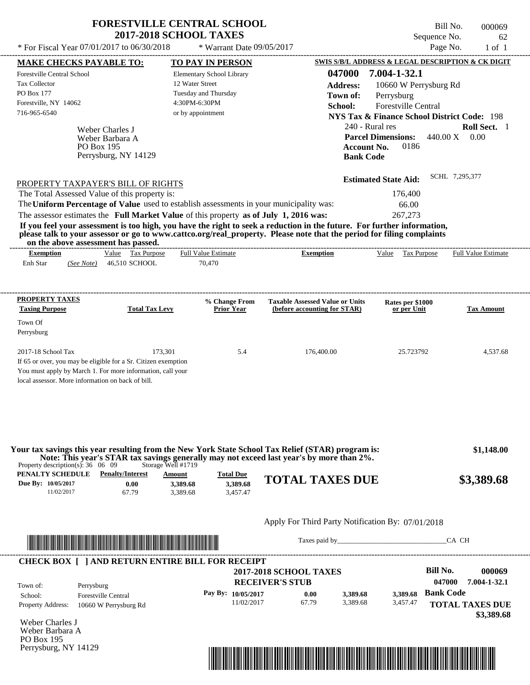|                                                                                                                                                                                                     |                                                            | <b>FORESTVILLE CENTRAL SCHOOL</b><br><b>2017-2018 SCHOOL TAXES</b> |                                                                                                                                                                                                                                                  |                                                                                                                               | Bill No.<br>Sequence No.                    | 000069<br>62               |
|-----------------------------------------------------------------------------------------------------------------------------------------------------------------------------------------------------|------------------------------------------------------------|--------------------------------------------------------------------|--------------------------------------------------------------------------------------------------------------------------------------------------------------------------------------------------------------------------------------------------|-------------------------------------------------------------------------------------------------------------------------------|---------------------------------------------|----------------------------|
| * For Fiscal Year 07/01/2017 to 06/30/2018                                                                                                                                                          |                                                            | * Warrant Date $09/05/2017$                                        |                                                                                                                                                                                                                                                  |                                                                                                                               | Page No.                                    | $1$ of $1$                 |
| <b>MAKE CHECKS PAYABLE TO:</b>                                                                                                                                                                      |                                                            | <b>TO PAY IN PERSON</b>                                            |                                                                                                                                                                                                                                                  | SWIS S/B/L ADDRESS & LEGAL DESCRIPTION & CK DIGIT                                                                             |                                             |                            |
| Forestville Central School                                                                                                                                                                          |                                                            | Elementary School Library                                          | 047000                                                                                                                                                                                                                                           | 7.004-1-32.1                                                                                                                  |                                             |                            |
| <b>Tax Collector</b>                                                                                                                                                                                |                                                            | 12 Water Street                                                    | <b>Address:</b>                                                                                                                                                                                                                                  | 10660 W Perrysburg Rd                                                                                                         |                                             |                            |
| <b>PO Box 177</b>                                                                                                                                                                                   |                                                            | Tuesday and Thursday                                               | Town of:                                                                                                                                                                                                                                         | Perrysburg                                                                                                                    |                                             |                            |
| Forestville, NY 14062                                                                                                                                                                               |                                                            | 4:30PM-6:30PM                                                      | School:                                                                                                                                                                                                                                          | <b>Forestville Central</b>                                                                                                    |                                             |                            |
| 716-965-6540                                                                                                                                                                                        |                                                            | or by appointment                                                  |                                                                                                                                                                                                                                                  | <b>NYS Tax &amp; Finance School District Code: 198</b>                                                                        |                                             |                            |
| <b>PO Box 195</b><br>PROPERTY TAXPAYER'S BILL OF RIGHTS<br>The Total Assessed Value of this property is:<br>The Uniform Percentage of Value used to establish assessments in your municipality was: | Weber Charles J<br>Weber Barbara A<br>Perrysburg, NY 14129 |                                                                    | <b>Bank Code</b>                                                                                                                                                                                                                                 | 240 - Rural res<br><b>Parcel Dimensions:</b><br>0186<br><b>Account No.</b><br><b>Estimated State Aid:</b><br>176,400<br>66.00 | $440.00 \text{ X} = 0.00$<br>SCHL 7,295,377 | Roll Sect. 1               |
| The assessor estimates the Full Market Value of this property as of July 1, 2016 was:                                                                                                               |                                                            |                                                                    |                                                                                                                                                                                                                                                  | 267,273                                                                                                                       |                                             |                            |
| on the above assessment has passed.                                                                                                                                                                 |                                                            |                                                                    | If you feel your assessment is too high, you have the right to seek a reduction in the future. For further information,<br>please talk to your assessor or go to www.cattco.org/real_property. Please note that the period for filing complaints |                                                                                                                               |                                             |                            |
| <b>Exemption</b>                                                                                                                                                                                    | Value Tax Purpose                                          | <b>Full Value Estimate</b>                                         | <b>Exemption</b>                                                                                                                                                                                                                                 | Value Tax Purpose                                                                                                             |                                             | <b>Full Value Estimate</b> |
| Enh Star<br>(See Note)                                                                                                                                                                              | 46,510 SCHOOL                                              | 70,470                                                             |                                                                                                                                                                                                                                                  |                                                                                                                               |                                             |                            |
| PROPERTY TAXES<br><b>Taxing Purpose</b><br>Town Of                                                                                                                                                  | <b>Total Tax Levy</b>                                      | % Change From<br><b>Prior Year</b>                                 | <b>Taxable Assessed Value or Units</b><br>(before accounting for STAR)                                                                                                                                                                           | Rates per \$1000<br>or per Unit                                                                                               |                                             | <b>Tax Amount</b>          |

| Perrysburg                                                     |         |     |            |           |          |  |  |  |  |
|----------------------------------------------------------------|---------|-----|------------|-----------|----------|--|--|--|--|
| $2017-18$ School Tax                                           | 173.301 | 5.4 | 176,400.00 | 25.723792 | 4,537.68 |  |  |  |  |
| If 65 or over, you may be eligible for a Sr. Citizen exemption |         |     |            |           |          |  |  |  |  |
| You must apply by March 1. For more information, call your     |         |     |            |           |          |  |  |  |  |
| local assessor. More information on back of bill.              |         |     |            |           |          |  |  |  |  |

| Your tax savings this year resulting from the New York State School Tax Relief (STAR) program is:<br>Note: This year's STAR tax savings generally may not exceed last year's by more than 2%.<br>Storage Well #1719<br>Property description(s): $36 \quad 06 \quad 09$ |                         |                      |                      |                                                   |  |              |  |  |
|------------------------------------------------------------------------------------------------------------------------------------------------------------------------------------------------------------------------------------------------------------------------|-------------------------|----------------------|----------------------|---------------------------------------------------|--|--------------|--|--|
| PENALTY SCHEDULE                                                                                                                                                                                                                                                       | <b>Penalty/Interest</b> | Amount               | <b>Total Due</b>     | <b>TOTAL TAXES DUE</b>                            |  | \$3,389.68   |  |  |
| Due By: 10/05/2017<br>11/02/2017                                                                                                                                                                                                                                       | 0.00<br>67.79           | 3.389.68<br>3.389.68 | 3,389.68<br>3.457.47 |                                                   |  |              |  |  |
|                                                                                                                                                                                                                                                                        |                         |                      |                      | Apply For Third Party Notification By: 07/01/2018 |  |              |  |  |
| <u> 1989 - Andrea Stadt British, markanistan bilan bilan bilan bilan bilan bilan bilan bilan bilan bilan bilan b</u>                                                                                                                                                   |                         |                      |                      | Taxes poid by                                     |  | <b>CA CH</b> |  |  |

|                          |                                                         |                               | Taxes paid by |          |          | CA CH            |                                      |
|--------------------------|---------------------------------------------------------|-------------------------------|---------------|----------|----------|------------------|--------------------------------------|
|                          | <b>CHECK BOX [ ] AND RETURN ENTIRE BILL FOR RECEIPT</b> |                               |               |          |          |                  |                                      |
|                          |                                                         | <b>2017-2018 SCHOOL TAXES</b> |               |          |          | <b>Bill No.</b>  | 000069                               |
| Town of:                 | Perrysburg                                              | <b>RECEIVER'S STUB</b>        |               |          | 047000   |                  | 7.004-1-32.1                         |
| School:                  | <b>Forestville Central</b>                              | Pay By: 10/05/2017            | 0.00          | 3,389.68 | 3.389.68 | <b>Bank Code</b> |                                      |
| <b>Property Address:</b> | 10660 W Perrysburg Rd                                   | 11/02/2017                    | 67.79         | 3.389.68 | 3,457.47 |                  | <b>TOTAL TAXES DUE</b><br>\$3,389.68 |

Weber Charles J Weber Barbara A PO Box 195 Perrysburg, NY 14129

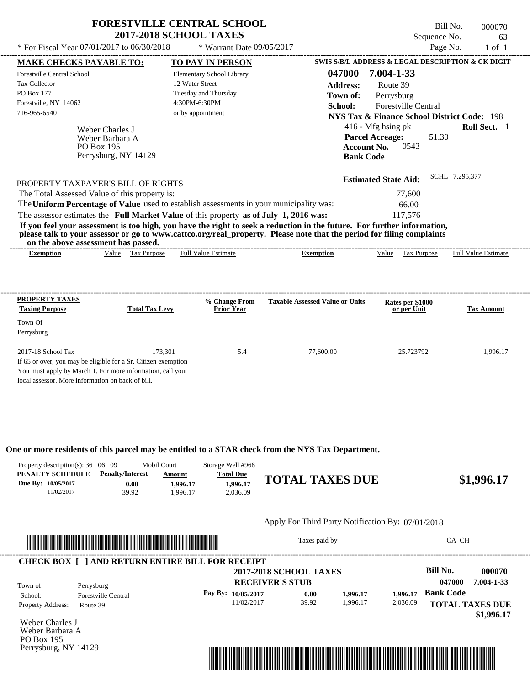| * For Fiscal Year 07/01/2017 to 06/30/2018                                                                                                                                     |                       | <b>FORESTVILLE CENTRAL SCHOOL</b><br><b>2017-2018 SCHOOL TAXES</b><br>* Warrant Date 09/05/2017 |                                                                                                                                                                                                                                                  | Sequence No.                                                                                            | Bill No.<br>Page No. | 000070<br>63<br>$1$ of $1$ |
|--------------------------------------------------------------------------------------------------------------------------------------------------------------------------------|-----------------------|-------------------------------------------------------------------------------------------------|--------------------------------------------------------------------------------------------------------------------------------------------------------------------------------------------------------------------------------------------------|---------------------------------------------------------------------------------------------------------|----------------------|----------------------------|
| <b>MAKE CHECKS PAYABLE TO:</b>                                                                                                                                                 |                       | TO PAY IN PERSON                                                                                |                                                                                                                                                                                                                                                  | SWIS S/B/L ADDRESS & LEGAL DESCRIPTION & CK DIGIT                                                       |                      |                            |
| <b>Forestville Central School</b>                                                                                                                                              |                       | Elementary School Library                                                                       | 047000                                                                                                                                                                                                                                           | 7.004-1-33                                                                                              |                      |                            |
| <b>Tax Collector</b>                                                                                                                                                           |                       | 12 Water Street                                                                                 | Address:                                                                                                                                                                                                                                         | Route 39                                                                                                |                      |                            |
| <b>PO Box 177</b>                                                                                                                                                              |                       | Tuesday and Thursday                                                                            | Town of:                                                                                                                                                                                                                                         | Perrysburg                                                                                              |                      |                            |
| Forestville, NY 14062                                                                                                                                                          |                       | 4:30PM-6:30PM                                                                                   | School:                                                                                                                                                                                                                                          | <b>Forestville Central</b>                                                                              |                      |                            |
| 716-965-6540                                                                                                                                                                   |                       | or by appointment                                                                               |                                                                                                                                                                                                                                                  | NYS Tax & Finance School District Code: 198                                                             |                      |                            |
| Weber Charles J<br>Weber Barbara A<br><b>PO Box 195</b>                                                                                                                        | Perrysburg, NY 14129  |                                                                                                 |                                                                                                                                                                                                                                                  | 416 - Mfg hsing pk<br><b>Parcel Acreage:</b><br>51.30<br>0543<br><b>Account No.</b><br><b>Bank Code</b> |                      | Roll Sect. 1               |
| PROPERTY TAXPAYER'S BILL OF RIGHTS<br>The Total Assessed Value of this property is:<br>The Uniform Percentage of Value used to establish assessments in your municipality was: |                       |                                                                                                 |                                                                                                                                                                                                                                                  | <b>Estimated State Aid:</b><br>77,600                                                                   | SCHL 7,295,377       |                            |
|                                                                                                                                                                                |                       |                                                                                                 |                                                                                                                                                                                                                                                  | 66.00                                                                                                   |                      |                            |
| The assessor estimates the Full Market Value of this property as of July 1, 2016 was:<br>on the above assessment has passed.                                                   |                       |                                                                                                 | If you feel your assessment is too high, you have the right to seek a reduction in the future. For further information,<br>please talk to your assessor or go to www.cattco.org/real_property. Please note that the period for filing complaints | 117,576                                                                                                 |                      |                            |
| <b>Exemption</b>                                                                                                                                                               | Value Tax Purpose     | <b>Full Value Estimate</b>                                                                      | <b>Exemption</b>                                                                                                                                                                                                                                 | Value<br>Tax Purpose                                                                                    |                      | <b>Full Value Estimate</b> |
| PROPERTY TAXES                                                                                                                                                                 |                       | % Change From                                                                                   | <b>Taxable Assessed Value or Units</b>                                                                                                                                                                                                           | Rates per \$1000                                                                                        |                      |                            |
| <b>Taxing Purpose</b>                                                                                                                                                          | <b>Total Tax Levy</b> | <b>Prior Year</b>                                                                               |                                                                                                                                                                                                                                                  | or per Unit                                                                                             |                      | <b>Tax Amount</b>          |
| Town Of                                                                                                                                                                        |                       |                                                                                                 |                                                                                                                                                                                                                                                  |                                                                                                         |                      |                            |
| Perrychuro                                                                                                                                                                     |                       |                                                                                                 |                                                                                                                                                                                                                                                  |                                                                                                         |                      |                            |

| $\ldots$                                                       |         |     |           |           |          |
|----------------------------------------------------------------|---------|-----|-----------|-----------|----------|
| 2017-18 School Tax                                             | 173.301 | 5.4 | 77,600.00 | 25.723792 | . 996.17 |
| If 65 or over, you may be eligible for a Sr. Citizen exemption |         |     |           |           |          |
| You must apply by March 1. For more information, call your     |         |     |           |           |          |
| local assessor. More information on back of bill.              |         |     |           |           |          |

**One or more residents of this parcel may be entitled to a STAR check from the NYS Tax Department.**

| Property description(s): $36 \quad 06 \quad 09$ |                         | <b>Mobil Court</b> | Storage Well #968 |                        |            |
|-------------------------------------------------|-------------------------|--------------------|-------------------|------------------------|------------|
| PENALTY SCHEDULE                                | <b>Penalty/Interest</b> | Amount             | <b>Total Due</b>  |                        |            |
| Due By: 10/05/2017                              | 0.00                    | .996.17            | 1.996.17          | <b>TOTAL TAXES DUE</b> | \$1,996.17 |
| 11/02/2017                                      | 39.92                   | .996.17            | 2.036.09          |                        |            |

### Apply For Third Party Notification By: 07/01/2018



Taxes paid by\_\_\_\_\_\_\_\_\_\_\_\_\_\_\_\_\_\_\_\_\_\_\_\_\_\_\_\_\_\_\_CA CH

|                          |                                          | <b>2017-2018 SCHOOL TAXES</b><br><b>RECEIVER'S STUB</b> |       |          |          | <b>Bill No.</b><br>047000 | 000070<br>7.004-1-33 |
|--------------------------|------------------------------------------|---------------------------------------------------------|-------|----------|----------|---------------------------|----------------------|
| Town of:<br>School:      | Perrysburg<br><b>Forestville Central</b> | Pay By: $10/05/2017$                                    | 0.00  | 1.996.17 | 1.996.17 | <b>Bank Code</b>          |                      |
| <b>Property Address:</b> | Route 39                                 | 11/02/2017                                              | 39.92 | 1.996.17 | 2,036.09 | <b>TOTAL TAXES DUE</b>    |                      |

Weber Charles J Weber Barbara A PO Box 195 Perrysburg, NY 14129

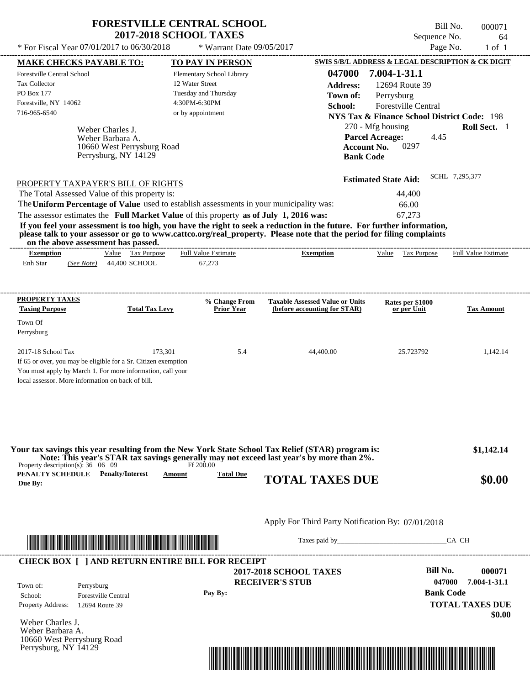| <b>FORESTVILLE CENTRAL SCHOOL</b> |
|-----------------------------------|
| <b>2017-2018 SCHOOL TAXES</b>     |

Forestville Central School

Forestville, NY 14062

Tax Collector PO Box 177

Weber Charles J.

Weber Barbara A.

716-965-6540 or by appointment

10660 West Perrysburg Road Perrysburg, NY 14129

\* Warrant Date 09/05/2017

Elementary School Library

12 Water Street Tuesday and Thursday 4:30PM-6:30PM

---------------------------------------------------------------------------------------------------------------------------------------------------------------------------------------------------- Bill No. 000071 Sequence No. 64 \* For Fiscal Year  $07/01/2017$  to  $06/30/2018$  \* Warrant Date  $09/05/2017$  Page No. 1 of 1 **MAKE CHECKS PAYABLE TO: TO PAY IN PERSON SWIS S/B/L ADDRESS & LEGAL DESCRIPTION & CK DIGIT 047000 7.004-1-31.1 Address:** 12694 Route 39 Perrysburg **School:** Forestville Central **NYS Tax & Finance School District Code:** 198 270 - Mfg housing **Roll Sect.** 1 4.45 **Account No.** 0297 **Bank Code Parcel Acreage: Town of:**

| PROPERTY TAXPAYER'S BILL OF RIGHTS                                                                                    | <b>Estimated State Aid:</b> | SCHL 7,295,377 |
|-----------------------------------------------------------------------------------------------------------------------|-----------------------------|----------------|
| The Total Assessed Value of this property is:                                                                         | 44,400                      |                |
| The Uniform Percentage of Value used to establish assessments in your municipality was:                               | 66.00                       |                |
| The assessor estimates the Full Market Value of this property as of July 1, 2016 was:                                 | 67.273                      |                |
| If you feel your assessment is too high you have the right to seek a reduction in the future. For further information |                             |                |

**If you feel your assessment is too high, you have the right to seek a reduction in the future. For further information, please talk to your assessor or go to www.cattco.org/real\_property. Please note that the period for filing complaints on the above assessment has passed.**

|                  | vn me above assessment nas basseu. |       |                            |                                         |           |       |                          |                            |
|------------------|------------------------------------|-------|----------------------------|-----------------------------------------|-----------|-------|--------------------------|----------------------------|
| <b>Exemption</b> |                                    | Value | $\sqrt{ }$<br>I'ax Purpose | <b>11 T T</b><br>Value Estimate<br>Full | Exemption | Value | $\sim$<br>Гaх<br>Purpose | <b>Full Value Estimate</b> |
| Enh Star         | (See Note)                         | 44.   | .400 SCHOOL                | $\sim$ $\sim$ $\sim$<br>0/2/3           |           |       |                          |                            |
|                  |                                    |       |                            |                                         |           |       |                          |                            |

| <b>PROPERTY TAXES</b><br><b>Taxing Purpose</b>    | <b>Total Tax Levy</b>                                          | % Change From<br><b>Prior Year</b> | <b>Taxable Assessed Value or Units</b><br>(before accounting for STAR) | Rates per \$1000<br>or per Unit | <b>Tax Amount</b> |
|---------------------------------------------------|----------------------------------------------------------------|------------------------------------|------------------------------------------------------------------------|---------------------------------|-------------------|
| Town Of                                           |                                                                |                                    |                                                                        |                                 |                   |
| Perrysburg                                        |                                                                |                                    |                                                                        |                                 |                   |
| $2017-18$ School Tax                              | 173.301                                                        | 5.4                                | 44,400.00                                                              | 25.723792                       | 1.142.14          |
|                                                   | If 65 or over, you may be eligible for a Sr. Citizen exemption |                                    |                                                                        |                                 |                   |
|                                                   | You must apply by March 1. For more information, call your     |                                    |                                                                        |                                 |                   |
| local assessor. More information on back of bill. |                                                                |                                    |                                                                        |                                 |                   |

| Your tax savings this year resulting from the New York State School Tax Relief (STAR) program is: |               |                  | Note: This year's STAR tax savings generally may not exceed last year's by more than 2%. | \$1,142.14 |
|---------------------------------------------------------------------------------------------------|---------------|------------------|------------------------------------------------------------------------------------------|------------|
| Property description(s): $36 \quad 06 \quad 09$                                                   |               | Ff 200.00        |                                                                                          |            |
| PENALTY SCHEDULE<br><b>Penalty/Interest</b>                                                       | <u>Amount</u> | <b>Total Due</b> | <b>TOTAL TAXES DUE</b>                                                                   | \$0.00     |
| Due By:                                                                                           |               |                  |                                                                                          |            |

Apply For Third Party Notification By: 07/01/2018



Taxes paid by\_\_\_\_\_\_\_\_\_\_\_\_\_\_\_\_\_\_\_\_\_\_\_\_\_\_\_\_\_\_\_CA CH

---------------------------------------------------------------------------------------------------------------------------------------------------------------------------------------------------- **CHECK BOX [ ] AND RETURN ENTIRE BILL FOR RECEIPT**

> **RECEIVER'S STUB 2017-2018 SCHOOL TAXES Pay By:**

**Bill No. 000071 Bank Code TOTAL TAXES DUE \$0.00 047000 7.004-1-31.1**

Weber Charles J. Weber Barbara A. 10660 West Perrysburg Road Perrysburg, NY 14129

Property Address: 12694 Route 39

Town of:

School: Forestville Central

Perrysburg

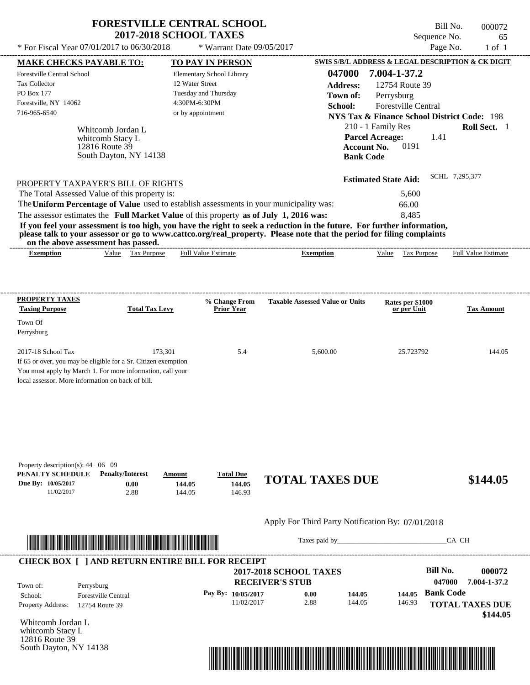| <b>FORESTVILLE CENTRAL SCHOOL</b><br><b>2017-2018 SCHOOL TAXES</b> |                             |  |
|--------------------------------------------------------------------|-----------------------------|--|
| Fiscal Year $07/01/2017$ to $06/30/2018$                           | $*$ Warrant Date 09/05/2017 |  |

Bill No. 000072 Sequence No. 65

| * For Fiscal Year 07/01/2017 to 06/30/2018                                                                                                                                                                                                                                                                                                                                                                                                                                                                                                                                                                                                                                                                                    | * Warrant Date 09/05/2017                                                                                  |                                                                                             |                                                                                                                                                                                                                    | Page No.<br>$1$ of $1$                                                                            |
|-------------------------------------------------------------------------------------------------------------------------------------------------------------------------------------------------------------------------------------------------------------------------------------------------------------------------------------------------------------------------------------------------------------------------------------------------------------------------------------------------------------------------------------------------------------------------------------------------------------------------------------------------------------------------------------------------------------------------------|------------------------------------------------------------------------------------------------------------|---------------------------------------------------------------------------------------------|--------------------------------------------------------------------------------------------------------------------------------------------------------------------------------------------------------------------|---------------------------------------------------------------------------------------------------|
| <b>MAKE CHECKS PAYABLE TO:</b>                                                                                                                                                                                                                                                                                                                                                                                                                                                                                                                                                                                                                                                                                                | <b>TO PAY IN PERSON</b>                                                                                    |                                                                                             |                                                                                                                                                                                                                    | SWIS S/B/L ADDRESS & LEGAL DESCRIPTION & CK DIGIT                                                 |
| Forestville Central School<br>Tax Collector<br><b>PO Box 177</b><br>Forestville, NY 14062<br>716-965-6540<br>Whitcomb Jordan L<br>whitcomb Stacy L<br>12816 Route 39<br>South Dayton, NY 14138<br>PROPERTY TAXPAYER'S BILL OF RIGHTS<br>The Total Assessed Value of this property is:<br>The Uniform Percentage of Value used to establish assessments in your municipality was:<br>The assessor estimates the Full Market Value of this property as of July 1, 2016 was:<br>If you feel your assessment is too high, you have the right to seek a reduction in the future. For further information,<br>please talk to your assessor or go to www.cattco.org/real_property. Please note that the period for filing complaints | Elementary School Library<br>12 Water Street<br>Tuesday and Thursday<br>4:30PM-6:30PM<br>or by appointment | 047000<br><b>Address:</b><br>Town of:<br>School:<br><b>Bank Code</b>                        | 7.004-1-37.2<br>12754 Route 39<br>Perrysburg<br><b>Forestville Central</b><br>210 - 1 Family Res<br><b>Parcel Acreage:</b><br>0191<br><b>Account No.</b><br><b>Estimated State Aid:</b><br>5,600<br>66.00<br>8,485 | <b>NYS Tax &amp; Finance School District Code: 198</b><br>Roll Sect. 1<br>1.41<br>SCHL 7,295,377  |
| on the above assessment has passed.<br>Value Tax Purpose<br><b>Exemption</b>                                                                                                                                                                                                                                                                                                                                                                                                                                                                                                                                                                                                                                                  | <b>Full Value Estimate</b>                                                                                 | <b>Exemption</b>                                                                            | Value Tax Purpose                                                                                                                                                                                                  | Full Value Estimate                                                                               |
| <b>PROPERTY TAXES</b><br><b>Taxing Purpose</b><br><b>Total Tax Levy</b><br>Town Of<br>Perrysburg<br>2017-18 School Tax<br>173,301<br>If 65 or over, you may be eligible for a Sr. Citizen exemption<br>You must apply by March 1. For more information, call your                                                                                                                                                                                                                                                                                                                                                                                                                                                             | % Change From<br><b>Prior Year</b><br>5.4                                                                  | <b>Taxable Assessed Value or Units</b><br>5,600.00                                          | Rates per \$1000<br>or per Unit<br>25.723792                                                                                                                                                                       | <b>Tax Amount</b><br>144.05                                                                       |
| local assessor. More information on back of bill.<br>Property description(s): $44 \quad 06 \quad 09$<br>PENALTY SCHEDULE<br><b>Penalty/Interest</b><br>Due By: 10/05/2017<br>0.00<br>2.88<br>11/02/2017                                                                                                                                                                                                                                                                                                                                                                                                                                                                                                                       | <b>Total Due</b><br>Amount<br>144.05<br>144.05<br>144.05<br>146.93                                         | <b>TOTAL TAXES DUE</b>                                                                      |                                                                                                                                                                                                                    | \$144.05                                                                                          |
| <u> Indian American State and The Communication of the Communication of the Communication of the Communication of the Communication of the Communication of the Communication of the Communication of the Communication of the C</u>                                                                                                                                                                                                                                                                                                                                                                                                                                                                                          |                                                                                                            | Apply For Third Party Notification By: 07/01/2018<br>Taxes paid by                          |                                                                                                                                                                                                                    | CA CH                                                                                             |
|                                                                                                                                                                                                                                                                                                                                                                                                                                                                                                                                                                                                                                                                                                                               |                                                                                                            |                                                                                             |                                                                                                                                                                                                                    |                                                                                                   |
| <b>CHECK BOX [ ] AND RETURN ENTIRE BILL FOR RECEIPT</b><br>Town of:<br>Perrysburg<br>School:<br><b>Forestville Central</b><br>Property Address:<br>12754 Route 39                                                                                                                                                                                                                                                                                                                                                                                                                                                                                                                                                             | Pay By: 10/05/2017<br>11/02/2017                                                                           | <b>2017-2018 SCHOOL TAXES</b><br><b>RECEIVER'S STUB</b><br>0.00<br>144.05<br>2.88<br>144.05 | 144.05<br>146.93                                                                                                                                                                                                   | <b>Bill No.</b><br>000072<br>047000<br>7.004-1-37.2<br><b>Bank Code</b><br><b>TOTAL TAXES DUE</b> |
| Whitcomb Jordan L<br>whitcomb Stacy L                                                                                                                                                                                                                                                                                                                                                                                                                                                                                                                                                                                                                                                                                         |                                                                                                            |                                                                                             |                                                                                                                                                                                                                    | \$144.05                                                                                          |



12816 Route 39

South Dayton, NY 14138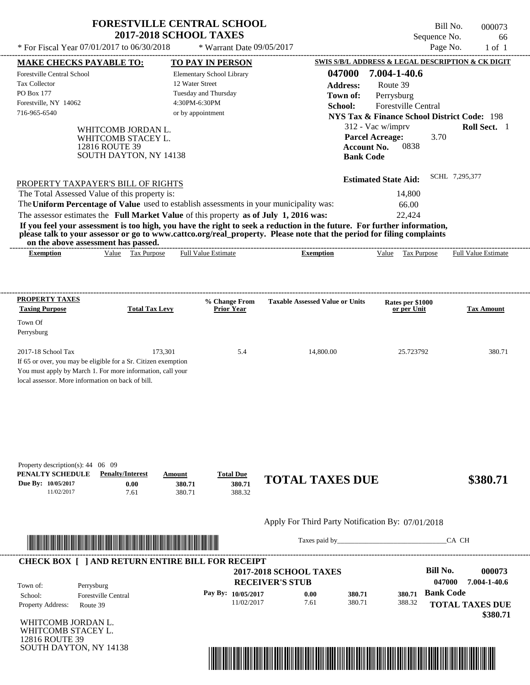| * For Fiscal Year 07/01/2017 to 06/30/2018<br>Page No.<br>* Warrant Date 09/05/2017<br><b>SWIS S/B/L ADDRESS &amp; LEGAL DESCRIPTION &amp; CK DIGIT</b><br><b>MAKE CHECKS PAYABLE TO:</b><br><b>TO PAY IN PERSON</b><br>7.004-1-40.6<br>047000<br>Forestville Central School<br>Elementary School Library<br><b>Tax Collector</b><br>12 Water Street<br><b>Address:</b><br>Route 39<br><b>PO Box 177</b><br>Tuesday and Thursday<br>Town of:<br>Perrysburg<br>Forestville, NY 14062<br>4:30PM-6:30PM<br><b>Forestville Central</b><br>School:<br>716-965-6540<br>or by appointment<br><b>NYS Tax &amp; Finance School District Code: 198</b><br>312 - Vac w/imprv<br><b>Roll Sect.</b> 1<br>WHITCOMB JORDAN L.<br><b>Parcel Acreage:</b><br>3.70<br>WHITCOMB STACEY L.<br>0838<br>12816 ROUTE 39<br><b>Account No.</b><br>SOUTH DAYTON, NY 14138<br><b>Bank Code</b><br>SCHL 7.295.377<br><b>Estimated State Aid:</b><br>PROPERTY TAXPAYER'S BILL OF RIGHTS |
|-------------------------------------------------------------------------------------------------------------------------------------------------------------------------------------------------------------------------------------------------------------------------------------------------------------------------------------------------------------------------------------------------------------------------------------------------------------------------------------------------------------------------------------------------------------------------------------------------------------------------------------------------------------------------------------------------------------------------------------------------------------------------------------------------------------------------------------------------------------------------------------------------------------------------------------------------------------|
|                                                                                                                                                                                                                                                                                                                                                                                                                                                                                                                                                                                                                                                                                                                                                                                                                                                                                                                                                             |
|                                                                                                                                                                                                                                                                                                                                                                                                                                                                                                                                                                                                                                                                                                                                                                                                                                                                                                                                                             |
|                                                                                                                                                                                                                                                                                                                                                                                                                                                                                                                                                                                                                                                                                                                                                                                                                                                                                                                                                             |
|                                                                                                                                                                                                                                                                                                                                                                                                                                                                                                                                                                                                                                                                                                                                                                                                                                                                                                                                                             |
|                                                                                                                                                                                                                                                                                                                                                                                                                                                                                                                                                                                                                                                                                                                                                                                                                                                                                                                                                             |
|                                                                                                                                                                                                                                                                                                                                                                                                                                                                                                                                                                                                                                                                                                                                                                                                                                                                                                                                                             |
|                                                                                                                                                                                                                                                                                                                                                                                                                                                                                                                                                                                                                                                                                                                                                                                                                                                                                                                                                             |
|                                                                                                                                                                                                                                                                                                                                                                                                                                                                                                                                                                                                                                                                                                                                                                                                                                                                                                                                                             |
|                                                                                                                                                                                                                                                                                                                                                                                                                                                                                                                                                                                                                                                                                                                                                                                                                                                                                                                                                             |
|                                                                                                                                                                                                                                                                                                                                                                                                                                                                                                                                                                                                                                                                                                                                                                                                                                                                                                                                                             |
|                                                                                                                                                                                                                                                                                                                                                                                                                                                                                                                                                                                                                                                                                                                                                                                                                                                                                                                                                             |
| The Total Assessed Value of this property is:<br>14,800<br>The Uniform Percentage of Value used to establish assessments in your municipality was:<br>66.00<br>The assessor estimates the Full Market Value of this property as of July 1, 2016 was:<br>22,424<br>If you feel your assessment is too high, you have the right to seek a reduction in the future. For further information,<br>please talk to your assessor or go to www.cattco.org/real_property. Please note that the period for filing complaints<br>on the above assessment has passed.<br><b>Full Value Estimate</b><br><b>Full Value Estimate</b><br>Value Tax Purpose<br>Value Tax Purpose<br><b>Exemption</b><br><b>Exemption</b>                                                                                                                                                                                                                                                     |
|                                                                                                                                                                                                                                                                                                                                                                                                                                                                                                                                                                                                                                                                                                                                                                                                                                                                                                                                                             |
| <b>PROPERTY TAXES</b><br>% Change From<br><b>Taxable Assessed Value or Units</b><br>Rates per \$1000                                                                                                                                                                                                                                                                                                                                                                                                                                                                                                                                                                                                                                                                                                                                                                                                                                                        |
| <b>Taxing Purpose</b><br><b>Total Tax Levy</b><br><b>Prior Year</b><br>or per Unit<br><b>Tax Amount</b>                                                                                                                                                                                                                                                                                                                                                                                                                                                                                                                                                                                                                                                                                                                                                                                                                                                     |
|                                                                                                                                                                                                                                                                                                                                                                                                                                                                                                                                                                                                                                                                                                                                                                                                                                                                                                                                                             |
|                                                                                                                                                                                                                                                                                                                                                                                                                                                                                                                                                                                                                                                                                                                                                                                                                                                                                                                                                             |
|                                                                                                                                                                                                                                                                                                                                                                                                                                                                                                                                                                                                                                                                                                                                                                                                                                                                                                                                                             |
| Town Of<br>Perrysburg<br>2017-18 School Tax<br>173.301<br>5.4<br>25.723792<br>14,800.00<br>If 65 or over, you may be eligible for a Sr. Citizen exemption                                                                                                                                                                                                                                                                                                                                                                                                                                                                                                                                                                                                                                                                                                                                                                                                   |

| Property description(s): $44 \quad 06 \quad 09$ |                         |        |                  |                        |          |
|-------------------------------------------------|-------------------------|--------|------------------|------------------------|----------|
| PENALTY SCHEDULE                                | <b>Penalty/Interest</b> | Amount | <b>Total Due</b> |                        |          |
| Due By: 10/05/2017                              | $0.00\,$                | 380.71 | 380.71           | <b>TOTAL TAXES DUE</b> | \$380.71 |
| 11/02/2017                                      | 7.61                    | 380.71 | 388.32           |                        |          |



Taxes paid by\_\_\_\_\_\_\_\_\_\_\_\_\_\_\_\_\_\_\_\_\_\_\_\_\_\_\_\_\_\_\_CA CH



WHITCOMB JORDAN L. WHITCOMB STACEY L. 12816 ROUTE 39 SOUTH DAYTON, NY 14138

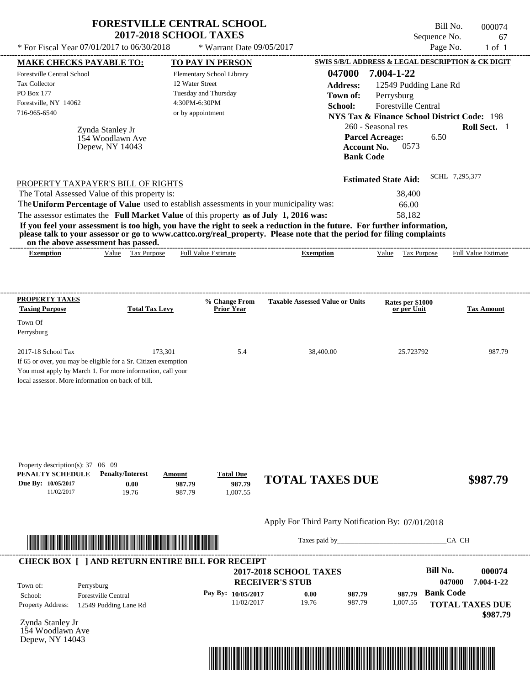| * For Fiscal Year 07/01/2017 to 06/30/2018                                                                                                                                                              |                                                         | <b>FORESTVILLE CENTRAL SCHOOL</b><br><b>2017-2018 SCHOOL TAXES</b><br>* Warrant Date 09/05/2017                                                                                  |                                                                                                                                                                                                                                                  | Bill No.<br>Sequence No.<br>Page No.                                                                                                                                                                                     | 000074<br>67<br>$1$ of $1$ |
|---------------------------------------------------------------------------------------------------------------------------------------------------------------------------------------------------------|---------------------------------------------------------|----------------------------------------------------------------------------------------------------------------------------------------------------------------------------------|--------------------------------------------------------------------------------------------------------------------------------------------------------------------------------------------------------------------------------------------------|--------------------------------------------------------------------------------------------------------------------------------------------------------------------------------------------------------------------------|----------------------------|
|                                                                                                                                                                                                         |                                                         |                                                                                                                                                                                  |                                                                                                                                                                                                                                                  | SWIS S/B/L ADDRESS & LEGAL DESCRIPTION & CK DIGIT                                                                                                                                                                        |                            |
| <b>MAKE CHECKS PAYABLE TO:</b><br>Forestville Central School<br><b>Tax Collector</b><br>PO Box 177<br>Forestville, NY 14062<br>716-965-6540                                                             | Zynda Stanley Jr<br>154 Woodlawn Ave<br>Depew, NY 14043 | TO PAY IN PERSON<br>Elementary School Library<br>12 Water Street<br>Tuesday and Thursday<br>4:30PM-6:30PM<br>or by appointment                                                   | 047000<br><b>Address:</b><br>Town of:<br>School:<br><b>Bank Code</b>                                                                                                                                                                             | 7.004-1-22<br>12549 Pudding Lane Rd<br>Perrysburg<br>Forestville Central<br><b>NYS Tax &amp; Finance School District Code: 198</b><br>260 - Seasonal res<br><b>Parcel Acreage:</b><br>6.50<br><b>Account No.</b><br>0573 | Roll Sect. 1               |
| PROPERTY TAXPAYER'S BILL OF RIGHTS<br>The Total Assessed Value of this property is:                                                                                                                     |                                                         | The Uniform Percentage of Value used to establish assessments in your municipality was:<br>The assessor estimates the Full Market Value of this property as of July 1, 2016 was: | If you feel your assessment is too high, you have the right to seek a reduction in the future. For further information,<br>please talk to your assessor or go to www.cattco.org/real_property. Please note that the period for filing complaints | <b>Estimated State Aid:</b><br>38,400<br>66.00<br>58,182                                                                                                                                                                 | SCHL 7,295,377             |
| on the above assessment has passed.<br><b>Exemption</b>                                                                                                                                                 | Value Tax Purpose                                       | <b>Full Value Estimate</b>                                                                                                                                                       | <b>Exemption</b>                                                                                                                                                                                                                                 | Value<br><b>Tax Purpose</b>                                                                                                                                                                                              | <b>Full Value Estimate</b> |
| <b>PROPERTY TAXES</b><br><b>Taxing Purpose</b><br>Town Of<br>Perrysburg                                                                                                                                 | <b>Total Tax Levy</b>                                   | % Change From<br>Prior Year                                                                                                                                                      | <b>Taxable Assessed Value or Units</b>                                                                                                                                                                                                           | Rates per \$1000<br>or per Unit                                                                                                                                                                                          | <b>Tax Amount</b>          |
| 2017-18 School Tax<br>If 65 or over, you may be eligible for a Sr. Citizen exemption<br>You must apply by March 1. For more information, call your<br>local assessor. More information on back of bill. | 173,301                                                 | 5.4                                                                                                                                                                              | 38,400.00                                                                                                                                                                                                                                        | 25.723792                                                                                                                                                                                                                | 987.79                     |
| Property description(s): 37 06 09<br>PENALTY SCHEDULE<br>Due By: 10/05/2017<br>11/02/2017                                                                                                               | <b>Penalty/Interest</b><br>0.00<br>19.76                | <b>Total Due</b><br>Amount<br>987.79<br>987.79<br>987.79<br>1.007.55                                                                                                             | <b>TOTAL TAXES DUE</b>                                                                                                                                                                                                                           |                                                                                                                                                                                                                          | \$987.79                   |
|                                                                                                                                                                                                         |                                                         |                                                                                                                                                                                  |                                                                                                                                                                                                                                                  |                                                                                                                                                                                                                          |                            |
|                                                                                                                                                                                                         |                                                         |                                                                                                                                                                                  | Apply For Third Party Notification By: 07/01/2018                                                                                                                                                                                                |                                                                                                                                                                                                                          |                            |

| Town of:                 | Perrysburg                 | <b>2017-2018 SCHOOL TAXES</b><br><b>RECEIVER'S STUB</b> |       |        |          | <b>Bill No.</b><br>047000 | 000074<br>7.004-1-22 |
|--------------------------|----------------------------|---------------------------------------------------------|-------|--------|----------|---------------------------|----------------------|
| School:                  | <b>Forestville Central</b> | Pay By: 10/05/2017                                      | 0.00  | 987.79 | 987.79   | <b>Bank Code</b>          |                      |
| <b>Property Address:</b> | 12549 Pudding Lane Rd      | 11/02/2017                                              | 19.76 | 987.79 | 1,007.55 | <b>TOTAL TAXES DUE</b>    |                      |

Zynda Stanley Jr 154 Woodlawn Ave Depew, NY 14043

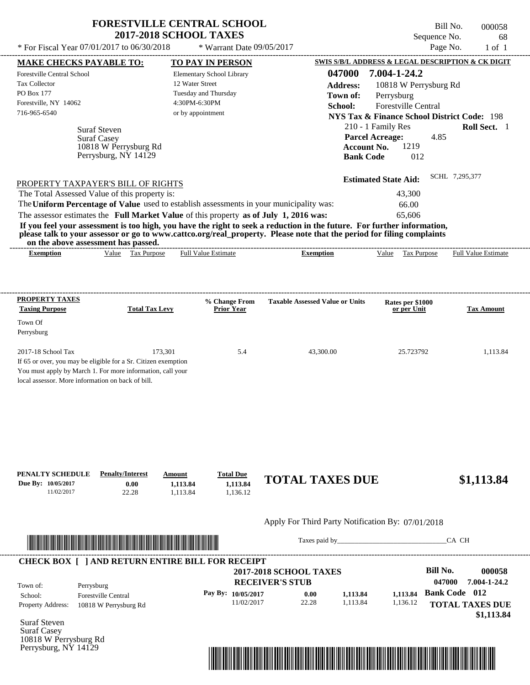|                                                | <b>FORESTVILLE CENTRAL SCHOOL</b><br><b>2017-2018 SCHOOL TAXES</b> |                 | Bill No.<br>Sequence No.                          | 000058<br>68 |
|------------------------------------------------|--------------------------------------------------------------------|-----------------|---------------------------------------------------|--------------|
| * For Fiscal Year $07/01/2017$ to $06/30/2018$ | * Warrant Date $09/05/2017$                                        |                 | Page No.                                          | $1$ of $1$   |
| <b>MAKE CHECKS PAYABLE TO:</b>                 | TO PAY IN PERSON                                                   |                 | SWIS S/B/L ADDRESS & LEGAL DESCRIPTION & CK DIGIT |              |
| Forestville Central School                     | <b>Elementary School Library</b>                                   | 047000          | 7.004-1-24.2                                      |              |
| Tax Collector                                  | 12 Water Street                                                    | <b>Address:</b> | 10818 W Perrysburg Rd                             |              |
| PO Box 177                                     | Tuesday and Thursday                                               | Town of:        | Perrysburg                                        |              |
| Forestville, NY 14062                          | 4:30PM-6:30PM                                                      | <b>School:</b>  | Forestville Central                               |              |

Suraf Steven **NYS Tax & Finance School District Code:** 198 210 - 1 Family Res **Roll Sect.** 1 4.85 **Account No.** 1219 **Bank Code** 012 **Estimated State Aid:** SCHL 7,295,377 PROPERTY TAXPAYER'S BILL OF RIGHTS The assessor estimates the **Full Market Value** of this property **as of July 1, 2016 was:** 65,606 The Total Assessed Value of this property is: 43,300 The **Uniform Percentage of Value** used to establish assessments in your municipality was: 66.00 **If you feel your assessment is too high, you have the right to seek a reduction in the future. For further information, Parcel Acreage:** Suraf Casey 10818 W Perrysburg Rd Perrysburg, NY 14129

**please talk to your assessor or go to www.cattco.org/real\_property. Please note that the period for filing complaints on the above assessment has passed.** ----------------------------------------------------------------------------------------------------------------------------------------------------------------------------------------------------

| xemption | ⁄ alue | ľаx<br>Purpose | Full<br>Estimate<br>Value | xemption | alue | <b>AITDOS</b><br>l ax | Estimate<br>alue<br>⊦u∏ |
|----------|--------|----------------|---------------------------|----------|------|-----------------------|-------------------------|
|          |        |                |                           |          |      |                       |                         |

| <b>PROPERTY TAXES</b><br><b>Taxing Purpose</b>                 | <b>Total Tax Levy</b> | % Change From<br><b>Prior Year</b> | <b>Taxable Assessed Value or Units</b> | Rates per \$1000<br>or per Unit | <b>Tax Amount</b> |
|----------------------------------------------------------------|-----------------------|------------------------------------|----------------------------------------|---------------------------------|-------------------|
| Town Of                                                        |                       |                                    |                                        |                                 |                   |
| Perrysburg                                                     |                       |                                    |                                        |                                 |                   |
| $2017-18$ School Tax                                           | 173.301               | 5.4                                | 43,300.00                              | 25.723792                       | 1,113.84          |
| If 65 or over, you may be eligible for a Sr. Citizen exemption |                       |                                    |                                        |                                 |                   |
| You must apply by March 1. For more information, call your     |                       |                                    |                                        |                                 |                   |
| local assessor. More information on back of bill.              |                       |                                    |                                        |                                 |                   |
|                                                                |                       |                                    |                                        |                                 |                   |

| PENALTY SCHEDULE<br>Due By: 10/05/2017 | <b>Penalty/Interest</b><br>$0.00\,$ | Amount<br>1.113.84 | <b>Total Due</b><br>1.113.84 | <b>TOTAL TAXES DUE</b> | \$1,113.84 |
|----------------------------------------|-------------------------------------|--------------------|------------------------------|------------------------|------------|
| 11/02/2017                             | 22.28                               | .113.84            | .136.12                      |                        |            |

# Apply For Third Party Notification By: 07/01/2018



716-965-6540 or by appointment

Taxes paid by\_\_\_\_\_\_\_\_\_\_\_\_\_\_\_\_\_\_\_\_\_\_\_\_\_\_\_\_\_\_\_CA CH

| Town of:                 | Perrysburg                 | <b>2017-2018 SCHOOL TAXES</b><br><b>RECEIVER'S STUB</b> |       |          |          | Bill No.<br>047000   | 000058<br>7.004-1-24.2 |
|--------------------------|----------------------------|---------------------------------------------------------|-------|----------|----------|----------------------|------------------------|
| School:                  | <b>Forestville Central</b> | Pay By: $10/05/2017$                                    | 0.00  | 1,113.84 | 1.113.84 | <b>Bank Code</b> 012 |                        |
| <b>Property Address:</b> | 10818 W Perrysburg Rd      | 11/02/2017                                              | 22.28 | 1,113.84 | 1,136.12 |                      | <b>TOTAL TAXES DUE</b> |

Suraf Steven Suraf Casey 10818 W Perrysburg Rd Perrysburg, NY 14129

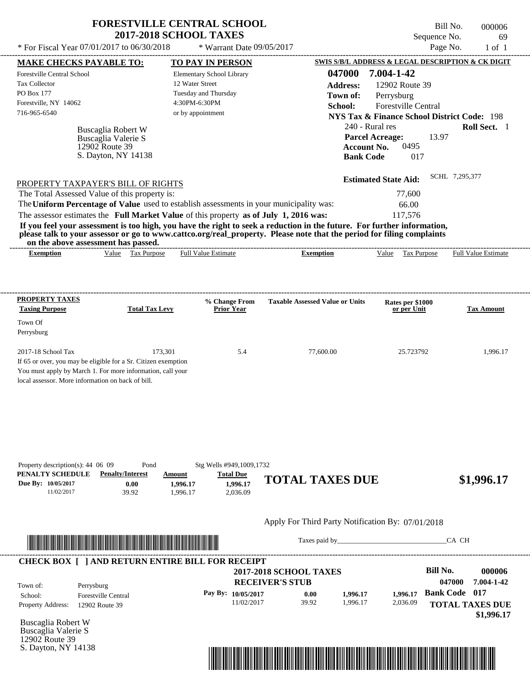| * For Fiscal Year 07/01/2017 to 06/30/2018              |                                       | * Warrant Date 09/05/2017                                                               |                                                                                                                                                                                                                                                  | Sequence No.                                           | 69<br>Page No.<br>$1$ of $1$ |
|---------------------------------------------------------|---------------------------------------|-----------------------------------------------------------------------------------------|--------------------------------------------------------------------------------------------------------------------------------------------------------------------------------------------------------------------------------------------------|--------------------------------------------------------|------------------------------|
| <b>MAKE CHECKS PAYABLE TO:</b>                          |                                       | TO PAY IN PERSON                                                                        |                                                                                                                                                                                                                                                  | SWIS S/B/L ADDRESS & LEGAL DESCRIPTION & CK DIGIT      |                              |
| <b>Forestville Central School</b>                       |                                       | Elementary School Library                                                               | 047000                                                                                                                                                                                                                                           | 7.004-1-42                                             |                              |
| <b>Tax Collector</b>                                    |                                       | 12 Water Street                                                                         |                                                                                                                                                                                                                                                  |                                                        |                              |
| <b>PO Box 177</b>                                       |                                       | Tuesday and Thursday                                                                    | <b>Address:</b>                                                                                                                                                                                                                                  | 12902 Route 39                                         |                              |
| Forestville, NY 14062                                   |                                       | 4:30PM-6:30PM                                                                           | Town of:                                                                                                                                                                                                                                         | Perrysburg                                             |                              |
| 716-965-6540                                            |                                       | or by appointment                                                                       | School:                                                                                                                                                                                                                                          | Forestville Central                                    |                              |
|                                                         |                                       |                                                                                         |                                                                                                                                                                                                                                                  | <b>NYS Tax &amp; Finance School District Code: 198</b> |                              |
|                                                         | Buscaglia Robert W                    |                                                                                         |                                                                                                                                                                                                                                                  | 240 - Rural res                                        | Roll Sect. 1                 |
|                                                         | Buscaglia Valerie S                   |                                                                                         |                                                                                                                                                                                                                                                  | 13.97<br><b>Parcel Acreage:</b>                        |                              |
|                                                         | 12902 Route 39<br>S. Dayton, NY 14138 |                                                                                         |                                                                                                                                                                                                                                                  | <b>Account No.</b><br>0495                             |                              |
|                                                         |                                       |                                                                                         | <b>Bank Code</b>                                                                                                                                                                                                                                 | 017                                                    |                              |
|                                                         |                                       |                                                                                         |                                                                                                                                                                                                                                                  | <b>Estimated State Aid:</b>                            | SCHL 7,295,377               |
|                                                         |                                       |                                                                                         |                                                                                                                                                                                                                                                  |                                                        |                              |
| PROPERTY TAXPAYER'S BILL OF RIGHTS                      |                                       |                                                                                         |                                                                                                                                                                                                                                                  |                                                        |                              |
| The Total Assessed Value of this property is:           |                                       |                                                                                         |                                                                                                                                                                                                                                                  | 77,600                                                 |                              |
|                                                         |                                       | The Uniform Percentage of Value used to establish assessments in your municipality was: |                                                                                                                                                                                                                                                  | 66.00                                                  |                              |
|                                                         |                                       | The assessor estimates the Full Market Value of this property as of July 1, 2016 was:   | If you feel your assessment is too high, you have the right to seek a reduction in the future. For further information,<br>please talk to your assessor or go to www.cattco.org/real_property. Please note that the period for filing complaints | 117,576                                                |                              |
| on the above assessment has passed.<br><b>Exemption</b> | Tax Purpose<br>Value                  | <b>Full Value Estimate</b>                                                              | <b>Exemption</b>                                                                                                                                                                                                                                 | Value<br>Tax Purpose                                   | <b>Full Value Estimate</b>   |
| PROPERTY TAXES<br><b>Taxing Purpose</b><br>Town Of      | <b>Total Tax Levy</b>                 | % Change From<br><b>Prior Year</b>                                                      | <b>Taxable Assessed Value or Units</b>                                                                                                                                                                                                           | Rates per \$1000<br>or per Unit                        |                              |
| Perrysburg                                              |                                       |                                                                                         |                                                                                                                                                                                                                                                  |                                                        | <b>Tax Amount</b>            |
| $2017-18$ School Tax                                    | 173,301                               | 5.4                                                                                     | 77,600.00                                                                                                                                                                                                                                        | 25.723792                                              | 1.996.17                     |

| Property description(s): $44\,06\,09$ | Pond                    |         | Stg Wells #949,1009,1732 |                        |            |
|---------------------------------------|-------------------------|---------|--------------------------|------------------------|------------|
| PENALTY SCHEDULE                      | <b>Penalty/Interest</b> | Amount  | <b>Total Due</b>         |                        |            |
| Due By: 10/05/2017                    | $0.00\,$                | .996.17 | 1.996.17                 | <b>TOTAL TAXES DUE</b> | \$1,996.17 |
| 1/02/2017                             | 39.92                   | .996.17 | 2.036.09                 |                        |            |



Taxes paid by\_\_\_\_\_\_\_\_\_\_\_\_\_\_\_\_\_\_\_\_\_\_\_\_\_\_\_\_\_\_\_CA CH



Buscaglia Robert W Buscaglia Valerie S 12902 Route 39 S. Dayton, NY 14138

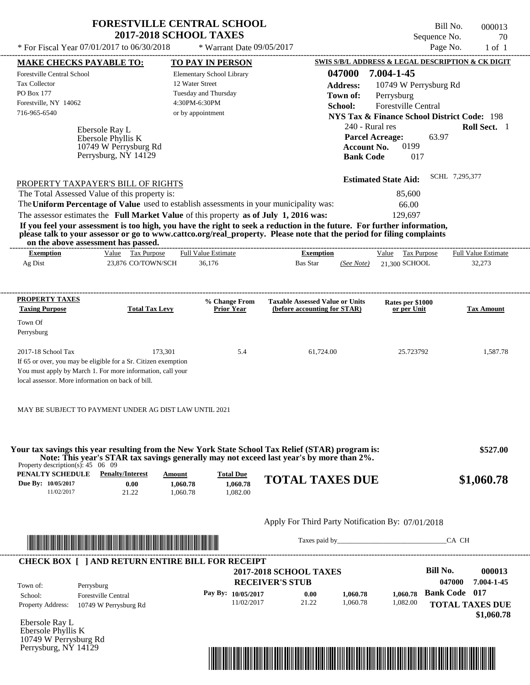| * For Fiscal Year 07/01/2017 to 06/30/2018                                                                                                                                                                                                                                                                                                                       | <b>FORESTVILLE CENTRAL SCHOOL</b><br><b>2017-2018 SCHOOL TAXES</b><br>* Warrant Date 09/05/2017 |                                                                        | Sequence No.                                                                                                                                                             | Bill No.<br>000013<br>70<br>Page No.<br>$1$ of $1$ |
|------------------------------------------------------------------------------------------------------------------------------------------------------------------------------------------------------------------------------------------------------------------------------------------------------------------------------------------------------------------|-------------------------------------------------------------------------------------------------|------------------------------------------------------------------------|--------------------------------------------------------------------------------------------------------------------------------------------------------------------------|----------------------------------------------------|
| <b>MAKE CHECKS PAYABLE TO:</b>                                                                                                                                                                                                                                                                                                                                   | TO PAY IN PERSON                                                                                |                                                                        | SWIS S/B/L ADDRESS & LEGAL DESCRIPTION & CK DIGIT                                                                                                                        |                                                    |
| Forestville Central School                                                                                                                                                                                                                                                                                                                                       | Elementary School Library                                                                       | 047000                                                                 | 7.004-1-45                                                                                                                                                               |                                                    |
| <b>Tax Collector</b>                                                                                                                                                                                                                                                                                                                                             | 12 Water Street                                                                                 | <b>Address:</b>                                                        | 10749 W Perrysburg Rd                                                                                                                                                    |                                                    |
| PO Box 177                                                                                                                                                                                                                                                                                                                                                       | Tuesday and Thursday                                                                            | Town of:                                                               | Perrysburg                                                                                                                                                               |                                                    |
| Forestville, NY 14062                                                                                                                                                                                                                                                                                                                                            | 4:30PM-6:30PM                                                                                   | School:                                                                | <b>Forestville Central</b>                                                                                                                                               |                                                    |
| 716-965-6540                                                                                                                                                                                                                                                                                                                                                     | or by appointment                                                                               |                                                                        | <b>NYS Tax &amp; Finance School District Code: 198</b>                                                                                                                   |                                                    |
| Ebersole Ray L<br>Ebersole Phyllis K<br>10749 W Perrysburg Rd<br>Perrysburg, NY 14129<br>PROPERTY TAXPAYER'S BILL OF RIGHTS<br>The Total Assessed Value of this property is:<br>The Uniform Percentage of Value used to establish assessments in your municipality was:<br>The assessor estimates the Full Market Value of this property as of July 1, 2016 was: |                                                                                                 |                                                                        | 240 - Rural res<br>63.97<br><b>Parcel Acreage:</b><br>0199<br><b>Account No.</b><br><b>Bank Code</b><br>017<br><b>Estimated State Aid:</b><br>85,600<br>66.00<br>129.697 | Roll Sect. 1<br>SCHL 7,295,377                     |
| If you feel your assessment is too high, you have the right to seek a reduction in the future. For further information,<br>please talk to your assessor or go to www.cattco.org/real_property. Please note that the period for filing complaints<br>on the above assessment has passed.                                                                          |                                                                                                 |                                                                        |                                                                                                                                                                          |                                                    |
| Value Tax Purpose<br><b>Exemption</b>                                                                                                                                                                                                                                                                                                                            | <b>Full Value Estimate</b>                                                                      | <b>Exemption</b>                                                       | <b>Tax Purpose</b><br>Value                                                                                                                                              | <b>Full Value Estimate</b>                         |
| Ag Dist<br>23,876 CO/TOWN/SCH                                                                                                                                                                                                                                                                                                                                    | 36.176                                                                                          | Bas Star<br>(See Note)                                                 | 21.300 SCHOOL                                                                                                                                                            | 32,273                                             |
| PROPERTY TAXES<br><b>Taxing Purpose</b><br><b>Total Tax Levy</b><br>Town Of<br>Perrysburg                                                                                                                                                                                                                                                                        | % Change From<br><b>Prior Year</b>                                                              | <b>Taxable Assessed Value or Units</b><br>(before accounting for STAR) | Rates per \$1000<br>or per Unit                                                                                                                                          | <b>Tax Amount</b>                                  |
|                                                                                                                                                                                                                                                                                                                                                                  |                                                                                                 |                                                                        |                                                                                                                                                                          |                                                    |

If 65 or over, you may be eligible for a Sr. Citizen exemption You must apply by March 1. For more information, call your

local assessor. More information on back of bill.

MAY BE SUBJECT TO PAYMENT UNDER AG DIST LAW UNTIL 2021

| PENALTY SCHEDULE<br>Due By: 10/05/2017<br>11/02/2017 | <b>Penalty/Interest</b><br>0.00<br>21.22                                                                             | Amount<br>1,060.78<br>1.060.78 | <b>Total Due</b><br>1,060.78<br>1,082.00 | <b>TOTAL TAXES DUE</b>                                  |                      |                      | \$1,060.78                                 |
|------------------------------------------------------|----------------------------------------------------------------------------------------------------------------------|--------------------------------|------------------------------------------|---------------------------------------------------------|----------------------|----------------------|--------------------------------------------|
|                                                      |                                                                                                                      |                                |                                          | Apply For Third Party Notification By: 07/01/2018       |                      |                      |                                            |
|                                                      |                                                                                                                      |                                |                                          |                                                         |                      |                      |                                            |
|                                                      | <u> 1989 - Johann Maria Maria Maria Maria Maria Maria Maria Maria Maria Maria Maria Maria Maria Maria Maria Mari</u> |                                |                                          |                                                         | Taxes paid by        |                      | CA CH                                      |
|                                                      | <b>CHECK BOX     AND RETURN ENTIRE BILL FOR RECEIPT</b>                                                              |                                |                                          |                                                         |                      |                      |                                            |
|                                                      |                                                                                                                      |                                |                                          | <b>2017-2018 SCHOOL TAXES</b><br><b>RECEIVER'S STUB</b> |                      |                      | Bill No.<br>000013<br>047000<br>7.004-1-45 |
| Town of:<br>School:                                  | Perrysburg<br><b>Forestville Central</b>                                                                             |                                | Pay By: 10/05/2017<br>11/02/2017         | 0.00<br>21.22                                           | 1,060.78<br>1,060.78 | 1.060.78<br>1,082.00 | <b>Bank Code</b> 017                       |

10749 W Perrysburg Rd Perrysburg, NY 14129

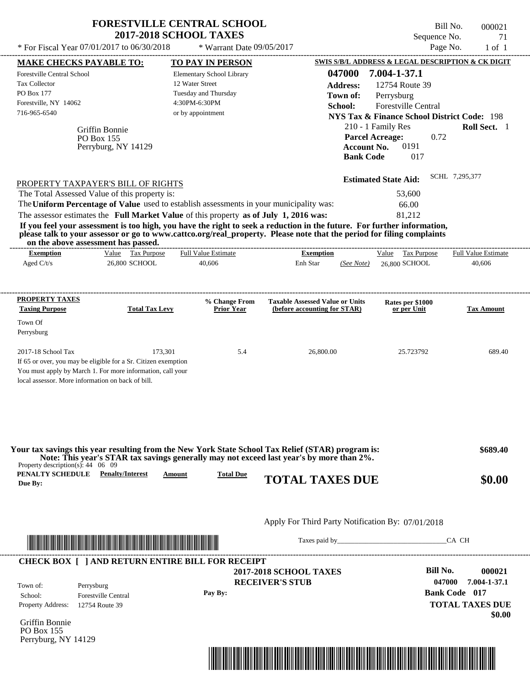|                                                                                                           |                                                                                                                                         | <b>FORESTVILLE CENTRAL SCHOOL</b><br><b>2017-2018 SCHOOL TAXES</b>                                                                                                               |                                                                                                                                                                                                                                                  | Sequence No.                                                                                                                                                                                                | Bill No.<br>000021<br>71   |
|-----------------------------------------------------------------------------------------------------------|-----------------------------------------------------------------------------------------------------------------------------------------|----------------------------------------------------------------------------------------------------------------------------------------------------------------------------------|--------------------------------------------------------------------------------------------------------------------------------------------------------------------------------------------------------------------------------------------------|-------------------------------------------------------------------------------------------------------------------------------------------------------------------------------------------------------------|----------------------------|
|                                                                                                           | * For Fiscal Year 07/01/2017 to 06/30/2018                                                                                              | * Warrant Date 09/05/2017                                                                                                                                                        |                                                                                                                                                                                                                                                  | Page No.                                                                                                                                                                                                    | $1$ of $1$                 |
| <b>MAKE CHECKS PAYABLE TO:</b>                                                                            |                                                                                                                                         | TO PAY IN PERSON                                                                                                                                                                 |                                                                                                                                                                                                                                                  | <b>SWIS S/B/L ADDRESS &amp; LEGAL DESCRIPTION &amp; CK DIGIT</b>                                                                                                                                            |                            |
| Forestville Central School<br><b>Tax Collector</b><br>PO Box 177<br>Forestville, NY 14062<br>716-965-6540 | Griffin Bonnie<br>PO Box 155<br>Perryburg, NY 14129                                                                                     | Elementary School Library<br>12 Water Street<br>Tuesday and Thursday<br>4:30PM-6:30PM<br>or by appointment                                                                       | 047000<br><b>Address:</b><br>Town of:<br>School:<br><b>Account No.</b><br><b>Bank Code</b>                                                                                                                                                       | 7.004-1-37.1<br>12754 Route 39<br>Perrysburg<br><b>Forestville Central</b><br><b>NYS Tax &amp; Finance School District Code: 198</b><br>210 - 1 Family Res<br><b>Parcel Acreage:</b><br>0.72<br>0191<br>017 | Roll Sect. 1               |
|                                                                                                           | PROPERTY TAXPAYER'S BILL OF RIGHTS<br>The Total Assessed Value of this property is:                                                     | The Uniform Percentage of Value used to establish assessments in your municipality was:<br>The assessor estimates the Full Market Value of this property as of July 1, 2016 was: | If you feel your assessment is too high, you have the right to seek a reduction in the future. For further information,<br>please talk to your assessor or go to www.cattco.org/real_property. Please note that the period for filing complaints | <b>Estimated State Aid:</b><br>53,600<br>66.00<br>81,212                                                                                                                                                    | SCHL 7,295,377             |
| on the above assessment has passed.<br><b>Exemption</b>                                                   | Value Tax Purpose                                                                                                                       | <b>Full Value Estimate</b>                                                                                                                                                       | <b>Exemption</b>                                                                                                                                                                                                                                 | Value Tax Purpose                                                                                                                                                                                           | <b>Full Value Estimate</b> |
| Aged $C/t/s$                                                                                              | 26,800 SCHOOL                                                                                                                           | 40,606                                                                                                                                                                           | Enh Star<br>(See Note)                                                                                                                                                                                                                           | 26,800 SCHOOL                                                                                                                                                                                               | 40,606                     |
| PROPERTY TAXES                                                                                            |                                                                                                                                         | % Change From                                                                                                                                                                    | <b>Taxable Assessed Value or Units</b>                                                                                                                                                                                                           | Rates per \$1000                                                                                                                                                                                            |                            |
| <b>Taxing Purpose</b>                                                                                     | <b>Total Tax Levy</b>                                                                                                                   | <b>Prior Year</b>                                                                                                                                                                | (before accounting for STAR)                                                                                                                                                                                                                     | or per Unit                                                                                                                                                                                                 | <b>Tax Amount</b>          |
| Town Of<br>Perrysburg                                                                                     |                                                                                                                                         |                                                                                                                                                                                  |                                                                                                                                                                                                                                                  |                                                                                                                                                                                                             |                            |
| 2017-18 School Tax<br>local assessor. More information on back of bill.                                   | 173,301<br>If 65 or over, you may be eligible for a Sr. Citizen exemption<br>You must apply by March 1. For more information, call your | 5.4                                                                                                                                                                              | 26,800.00                                                                                                                                                                                                                                        | 25.723792                                                                                                                                                                                                   | 689.40                     |
|                                                                                                           |                                                                                                                                         |                                                                                                                                                                                  |                                                                                                                                                                                                                                                  |                                                                                                                                                                                                             |                            |
|                                                                                                           |                                                                                                                                         |                                                                                                                                                                                  | Your tax savings this year resulting from the New York State School Tax Relief (STAR) program is:<br>Note: This year's STAR tax savings generally may not exceed last year's by more than 2%.                                                    |                                                                                                                                                                                                             | \$689.40                   |
| Property description(s): $44 \quad 06 \quad 09$<br><b>PENALTY SCHEDULE</b> Penalty/Interest<br>Due By:    | Amount                                                                                                                                  | <b>Total Due</b>                                                                                                                                                                 | <b>TOTAL TAXES DUE</b>                                                                                                                                                                                                                           |                                                                                                                                                                                                             | \$0.00                     |
|                                                                                                           |                                                                                                                                         |                                                                                                                                                                                  | Apply For Third Party Notification By: 07/01/2018                                                                                                                                                                                                |                                                                                                                                                                                                             |                            |
|                                                                                                           |                                                                                                                                         |                                                                                                                                                                                  |                                                                                                                                                                                                                                                  |                                                                                                                                                                                                             | CA CH                      |

Griffin Bonnie PO Box 155 Perryburg, NY 14129

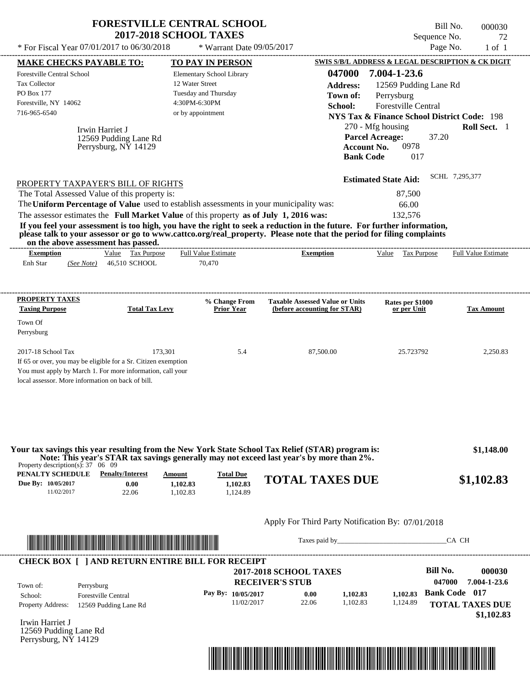|                                                                                                                                                                                                                                                                                                                                                                                                                                                                                                                             | <b>FORESTVILLE CENTRAL SCHOOL</b>                                                                                                    | <b>2017-2018 SCHOOL TAXES</b>                                                                              |                                          |                                                                        |                                                                                                                             | Sequence No.                                 | Bill No.       | 000030<br>72               |
|-----------------------------------------------------------------------------------------------------------------------------------------------------------------------------------------------------------------------------------------------------------------------------------------------------------------------------------------------------------------------------------------------------------------------------------------------------------------------------------------------------------------------------|--------------------------------------------------------------------------------------------------------------------------------------|------------------------------------------------------------------------------------------------------------|------------------------------------------|------------------------------------------------------------------------|-----------------------------------------------------------------------------------------------------------------------------|----------------------------------------------|----------------|----------------------------|
| * For Fiscal Year 07/01/2017 to 06/30/2018                                                                                                                                                                                                                                                                                                                                                                                                                                                                                  |                                                                                                                                      |                                                                                                            | * Warrant Date 09/05/2017                |                                                                        |                                                                                                                             |                                              | Page No.       | $1$ of $1$                 |
| <b>MAKE CHECKS PAYABLE TO:</b>                                                                                                                                                                                                                                                                                                                                                                                                                                                                                              |                                                                                                                                      | TO PAY IN PERSON                                                                                           |                                          | SWIS S/B/L ADDRESS & LEGAL DESCRIPTION & CK DIGIT                      |                                                                                                                             |                                              |                |                            |
| Forestville Central School<br>Tax Collector<br>PO Box 177<br>Forestville, NY 14062<br>716-965-6540                                                                                                                                                                                                                                                                                                                                                                                                                          |                                                                                                                                      | Elementary School Library<br>12 Water Street<br>Tuesday and Thursday<br>4:30PM-6:30PM<br>or by appointment |                                          | 047000<br><b>Address:</b><br>Town of:<br>School:                       | 7.004-1-23.6<br>Perrysburg                                                                                                  | 12569 Pudding Lane Rd<br>Forestville Central |                |                            |
|                                                                                                                                                                                                                                                                                                                                                                                                                                                                                                                             | Irwin Harriet J<br>12569 Pudding Lane Rd<br>Perrysburg, NY 14129                                                                     |                                                                                                            |                                          | <b>Bank Code</b>                                                       | <b>NYS Tax &amp; Finance School District Code: 198</b><br>270 - Mfg housing<br><b>Parcel Acreage:</b><br><b>Account No.</b> | 37.20<br>0978<br>017                         |                | Roll Sect. 1               |
| PROPERTY TAXPAYER'S BILL OF RIGHTS<br>The Total Assessed Value of this property is:<br>The Uniform Percentage of Value used to establish assessments in your municipality was:<br>The assessor estimates the Full Market Value of this property as of July 1, 2016 was:<br>If you feel your assessment is too high, you have the right to seek a reduction in the future. For further information,<br>please talk to your assessor or go to www.cattco.org/real_property. Please note that the period for filing complaints | on the above assessment has passed.                                                                                                  |                                                                                                            |                                          |                                                                        | <b>Estimated State Aid:</b><br>132,576                                                                                      | 87,500<br>66.00                              | SCHL 7,295,377 |                            |
| <b>Exemption</b>                                                                                                                                                                                                                                                                                                                                                                                                                                                                                                            | Value Tax Purpose                                                                                                                    | <b>Full Value Estimate</b><br>70,470                                                                       |                                          | <b>Exemption</b>                                                       |                                                                                                                             | Value Tax Purpose                            |                | <b>Full Value Estimate</b> |
| Enh Star<br>(See Note)                                                                                                                                                                                                                                                                                                                                                                                                                                                                                                      | 46,510 SCHOOL                                                                                                                        |                                                                                                            |                                          |                                                                        |                                                                                                                             |                                              |                |                            |
| PROPERTY TAXES<br><b>Taxing Purpose</b>                                                                                                                                                                                                                                                                                                                                                                                                                                                                                     | <b>Total Tax Levy</b>                                                                                                                |                                                                                                            | % Change From<br><b>Prior Year</b>       | <b>Taxable Assessed Value or Units</b><br>(before accounting for STAR) |                                                                                                                             | Rates per \$1000<br>or per Unit              |                | <b>Tax Amount</b>          |
| Town Of<br>Perrysburg                                                                                                                                                                                                                                                                                                                                                                                                                                                                                                       |                                                                                                                                      |                                                                                                            |                                          |                                                                        |                                                                                                                             |                                              |                |                            |
| 2017-18 School Tax<br>If 65 or over, you may be eligible for a Sr. Citizen exemption<br>You must apply by March 1. For more information, call your<br>local assessor. More information on back of bill.                                                                                                                                                                                                                                                                                                                     | 173,301                                                                                                                              |                                                                                                            | 5.4                                      | 87,500.00                                                              |                                                                                                                             | 25.723792                                    |                | 2,250.83                   |
| Your tax savings this year resulting from the New York State School Tax Relief (STAR) program is:<br>Property description(s): $37 \quad 06 \quad 09$<br>PENALTY SCHEDULE<br>Due By: 10/05/2017<br>11/02/2017                                                                                                                                                                                                                                                                                                                | Note: This year's STAR tax savings generally may not exceed last year's by more than 2%.<br><b>Penalty/Interest</b><br>0.00<br>22.06 | Amount<br>1,102.83<br>1,102.83                                                                             | <b>Total Due</b><br>1,102.83<br>1,124.89 | <b>TOTAL TAXES DUE</b>                                                 |                                                                                                                             |                                              |                | \$1,148.00<br>\$1,102.83   |
|                                                                                                                                                                                                                                                                                                                                                                                                                                                                                                                             |                                                                                                                                      |                                                                                                            |                                          |                                                                        |                                                                                                                             |                                              |                |                            |
|                                                                                                                                                                                                                                                                                                                                                                                                                                                                                                                             |                                                                                                                                      |                                                                                                            |                                          | Apply For Third Party Notification By: 07/01/2018                      |                                                                                                                             |                                              |                |                            |

|                          | <b>CHECK BOX [ ] AND RETURN ENTIRE BILL FOR RECEIPT</b> | <b>2017-2018 SCHOOL TAXES</b> | <b>Bill No.</b><br>000030      |          |          |                                                |
|--------------------------|---------------------------------------------------------|-------------------------------|--------------------------------|----------|----------|------------------------------------------------|
| Town of:<br>School:      | Perrysburg<br><b>Forestville Central</b>                | Pay By: $10/05/2017$          | <b>RECEIVER'S STUB</b><br>0.00 | 1.102.83 | 1.102.83 | 7.004-1-23.6<br>047000<br><b>Bank Code</b> 017 |
| <b>Property Address:</b> | 12569 Pudding Lane Rd                                   | 11/02/2017                    | 22.06                          | 1.102.83 | 1,124.89 | <b>TOTAL TAXES DUE</b><br>\$1,102.83           |

Irwin Harriet J 12569 Pudding Lane Rd Perrysburg, NY 14129

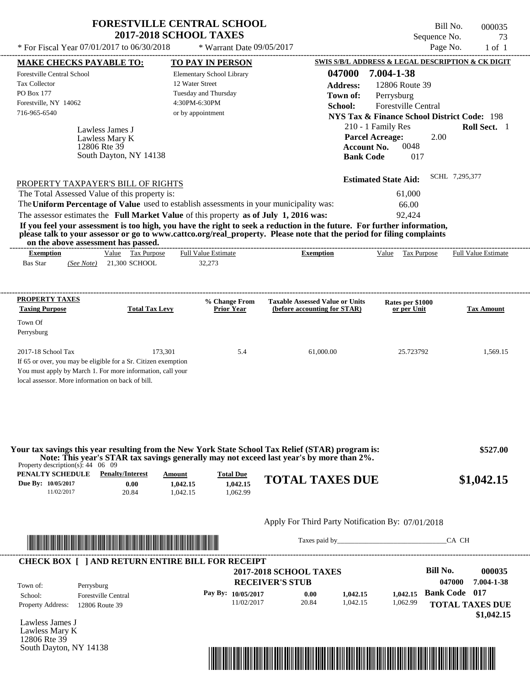| <b>FORESTVILLE CENTRAL SCHOOL</b> |  |
|-----------------------------------|--|
| <b>2017-2018 SCHOOL TAXES</b>     |  |

Forestville Central School

Forestville, NY 14062

Tax Collector PO Box 177

Lawless James J

Lawless Mary K

12806 Rte 39

---------------------------------------------------------------------------------------------------------------------------------------------------------------------------------------------------- If 65 or over, you may be eligible for a Sr. Citizen exemption You must apply by March 1. For more information, call your local assessor. More information on back of bill. Bill No. 000035 Sequence No. 23 \* For Fiscal Year  $07/01/2017$  to  $06/30/2018$  \* Warrant Date  $09/05/2017$  Page No. 1 of 1 **MAKE CHECKS PAYABLE TO: TO PAY IN PERSON SWIS S/B/L ADDRESS & LEGAL DESCRIPTION & CK DIGIT 047000 7.004-1-38 Address:** 12806 Route 39 Perrysburg **School:** Forestville Central **NYS Tax & Finance School District Code:** 198 210 - 1 Family Res **Roll Sect.** 1 2.00 Account No. 0048 **Bank Code** 017 **Estimated State Aid:** SCHL 7,295,377 PROPERTY TAXPAYER'S BILL OF RIGHTS The assessor estimates the **Full Market Value** of this property **as of July 1, 2016 was:** 92,424 The Total Assessed Value of this property is: 61,000 The **Uniform Percentage of Value** used to establish assessments in your municipality was: 66.00 **If you feel your assessment is too high, you have the right to seek a reduction in the future. For further information, please talk to your assessor or go to www.cattco.org/real\_property. Please note that the period for filing complaints on the above assessment has passed. Exemption** Value Tax Purpose **Taxing Purpose Total Tax Levy Prior Year % Change From (before accounting for STAR) Taxable Assessed Value or Units or per Unit Rates per \$1000 Tax Amount PENALTY SCHEDULE Penalty/Interest Amount Total Due** Bas Star 21,300 SCHOOL *(See Note)* 32,273 Elementary School Library 12 Water Street Tuesday and Thursday 4:30PM-6:30PM \* Warrant Date 09/05/2017 716-965-6540 or by appointment **Parcel Acreage:** 2017-18 School Tax 173,301 5.4 61,000.00 25.723792 1,569.15  **\$527.00** Full Value Estimate ---------------------------------------------------------------------------------------------------------------------------------------------------------------------------------------------------- ---------------------------------------------------------------------------------------------------------------------------------------------------------------------------------------------------- **Town of:** South Dayton, NY 14138 **Exemption** Value Tax Purpose Full Value Estimate **Your tax savings this year resulting from the New York State School Tax Relief (STAR) program is: Note: This year's STAR tax savings generally may not exceed last year's by more than 2%.**

| евласті эсперсее   | a chaily/and lot | лшоши    | Tutal Duc |                        |            |
|--------------------|------------------|----------|-----------|------------------------|------------|
| Due By: 10/05/2017 | $0.00\,$         | 1,042.15 | 1,042.15  | <b>TOTAL TAXES DUE</b> | \$1,042.15 |
| 1/02/2017          | 20.84            | .042.15  | .062.99   |                        |            |
|                    |                  |          |           |                        |            |

## Apply For Third Party Notification By: 07/01/2018



Taxes paid by\_\_\_\_\_\_\_\_\_\_\_\_\_\_\_\_\_\_\_\_\_\_\_\_\_\_\_\_\_\_\_CA CH

| Town of:                 | Perrysburg                 | <b>2017-2018 SCHOOL TAXES</b><br><b>RECEIVER'S STUB</b> |       |          |          | Bill No.<br>047000     | 000035<br>7.004-1-38 |
|--------------------------|----------------------------|---------------------------------------------------------|-------|----------|----------|------------------------|----------------------|
| School:                  | <b>Forestville Central</b> | Pay By: $10/05/2017$                                    | 0.00  | 1.042.15 | 1.042.15 | <b>Bank Code</b> 017   |                      |
| <b>Property Address:</b> | 12806 Route 39             | 11/02/2017                                              | 20.84 | 1.042.15 | 1.062.99 | <b>TOTAL TAXES DUE</b> |                      |

Lawless James J Lawless Mary K 12806 Rte 39 South Dayton, NY 14138

Property description(s): 44 06 09

**PROPERTY TAXES**

Town Of Perrysburg

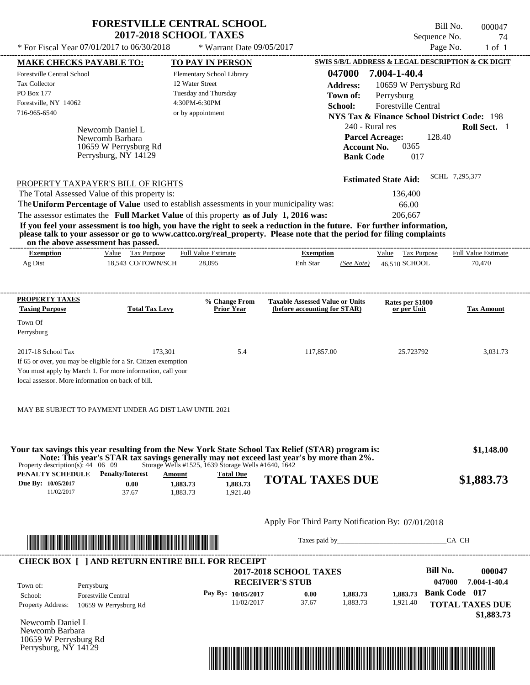| <b>FORESTVILLE CENTRAL SCHOOL</b>          |                             | Bill No.     | 000047 |
|--------------------------------------------|-----------------------------|--------------|--------|
| <b>2017-2018 SCHOOL TAXES</b>              |                             | Sequence No. | -74    |
| * For Fiscal Year 07/01/2017 to 06/30/2018 | $*$ Warrant Date 09/05/2017 | Page No.     | 1 of 1 |

Bill No. 000047 Sequence No. 74

| <b>MAKE CHECKS PAYABLE TO:</b>                                      |                                                                                                                                                                                                                                                                                         | <b>TO PAY IN PERSON</b>                                                           |                                                             |                                                                        |                                                   | SWIS S/B/L ADDRESS & LEGAL DESCRIPTION & CK DIGIT      |
|---------------------------------------------------------------------|-----------------------------------------------------------------------------------------------------------------------------------------------------------------------------------------------------------------------------------------------------------------------------------------|-----------------------------------------------------------------------------------|-------------------------------------------------------------|------------------------------------------------------------------------|---------------------------------------------------|--------------------------------------------------------|
| Forestville Central School                                          |                                                                                                                                                                                                                                                                                         | Elementary School Library                                                         |                                                             | 047000                                                                 | 7.004-1-40.4                                      |                                                        |
| Tax Collector                                                       |                                                                                                                                                                                                                                                                                         | 12 Water Street                                                                   |                                                             | <b>Address:</b>                                                        | 10659 W Perrysburg Rd                             |                                                        |
| PO Box 177                                                          |                                                                                                                                                                                                                                                                                         | Tuesday and Thursday                                                              |                                                             | Town of:                                                               | Perrysburg                                        |                                                        |
| Forestville, NY 14062                                               |                                                                                                                                                                                                                                                                                         | 4:30PM-6:30PM                                                                     |                                                             | School:                                                                | <b>Forestville Central</b>                        |                                                        |
| 716-965-6540                                                        |                                                                                                                                                                                                                                                                                         | or by appointment                                                                 |                                                             |                                                                        |                                                   | <b>NYS Tax &amp; Finance School District Code: 198</b> |
|                                                                     | Newcomb Daniel L                                                                                                                                                                                                                                                                        |                                                                                   |                                                             |                                                                        | 240 - Rural res                                   | Roll Sect. 1                                           |
|                                                                     | Newcomb Barbara                                                                                                                                                                                                                                                                         |                                                                                   |                                                             |                                                                        | <b>Parcel Acreage:</b>                            | 128.40                                                 |
|                                                                     | 10659 W Perrysburg Rd                                                                                                                                                                                                                                                                   |                                                                                   |                                                             |                                                                        | 0365<br><b>Account No.</b>                        |                                                        |
|                                                                     | Perrysburg, NY 14129                                                                                                                                                                                                                                                                    |                                                                                   |                                                             |                                                                        | <b>Bank Code</b><br>017                           |                                                        |
|                                                                     |                                                                                                                                                                                                                                                                                         |                                                                                   |                                                             |                                                                        |                                                   | SCHL 7,295,377                                         |
|                                                                     | PROPERTY TAXPAYER'S BILL OF RIGHTS                                                                                                                                                                                                                                                      |                                                                                   |                                                             |                                                                        | <b>Estimated State Aid:</b>                       |                                                        |
|                                                                     | The Total Assessed Value of this property is:                                                                                                                                                                                                                                           |                                                                                   |                                                             |                                                                        | 136,400                                           |                                                        |
|                                                                     | The Uniform Percentage of Value used to establish assessments in your municipality was:                                                                                                                                                                                                 |                                                                                   |                                                             |                                                                        | 66.00                                             |                                                        |
|                                                                     | The assessor estimates the Full Market Value of this property as of July 1, 2016 was:                                                                                                                                                                                                   |                                                                                   |                                                             |                                                                        | 206,667                                           |                                                        |
|                                                                     | If you feel your assessment is too high, you have the right to seek a reduction in the future. For further information,<br>please talk to your assessor or go to www.cattco.org/real_property. Please note that the period for filing complaints<br>on the above assessment has passed. |                                                                                   |                                                             |                                                                        |                                                   |                                                        |
| <b>Exemption</b>                                                    | Value Tax Purpose                                                                                                                                                                                                                                                                       | <b>Full Value Estimate</b>                                                        |                                                             | <b>Exemption</b>                                                       | Value Tax Purpose                                 | <b>Full Value Estimate</b>                             |
| Ag Dist                                                             | 18,543 CO/TOWN/SCH                                                                                                                                                                                                                                                                      | 28,095                                                                            |                                                             | Enh Star                                                               | (See Note) 46.510 SCHOOL                          | 70,470                                                 |
|                                                                     |                                                                                                                                                                                                                                                                                         |                                                                                   |                                                             |                                                                        |                                                   |                                                        |
| <b>PROPERTY TAXES</b>                                               |                                                                                                                                                                                                                                                                                         |                                                                                   |                                                             |                                                                        |                                                   |                                                        |
| <b>Taxing Purpose</b>                                               | <b>Total Tax Levy</b>                                                                                                                                                                                                                                                                   | % Change From<br><b>Prior Year</b>                                                |                                                             | <b>Taxable Assessed Value or Units</b><br>(before accounting for STAR) | Rates per \$1000<br>or per Unit                   | <b>Tax Amount</b>                                      |
| Town Of                                                             |                                                                                                                                                                                                                                                                                         |                                                                                   |                                                             |                                                                        |                                                   |                                                        |
| Perrysburg                                                          |                                                                                                                                                                                                                                                                                         |                                                                                   |                                                             |                                                                        |                                                   |                                                        |
| 2017-18 School Tax                                                  | 173,301                                                                                                                                                                                                                                                                                 |                                                                                   | 5.4                                                         | 117,857.00                                                             | 25.723792                                         | 3,031.73                                               |
|                                                                     | If 65 or over, you may be eligible for a Sr. Citizen exemption                                                                                                                                                                                                                          |                                                                                   |                                                             |                                                                        |                                                   |                                                        |
|                                                                     | You must apply by March 1. For more information, call your                                                                                                                                                                                                                              |                                                                                   |                                                             |                                                                        |                                                   |                                                        |
| local assessor. More information on back of bill.                   |                                                                                                                                                                                                                                                                                         |                                                                                   |                                                             |                                                                        |                                                   |                                                        |
|                                                                     |                                                                                                                                                                                                                                                                                         |                                                                                   |                                                             |                                                                        |                                                   |                                                        |
|                                                                     | MAY BE SUBJECT TO PAYMENT UNDER AG DIST LAW UNTIL 2021                                                                                                                                                                                                                                  |                                                                                   |                                                             |                                                                        |                                                   |                                                        |
|                                                                     | Your tax savings this year resulting from the New York State School Tax Relief (STAR) program is:<br>Note: This year's STAR tax savings generally may not exceed last year's by more than 2%.                                                                                           |                                                                                   |                                                             |                                                                        |                                                   | \$1,148.00                                             |
| Property description(s): $44 \quad 06 \quad 09$<br>PENALTY SCHEDULE | <b>Penalty/Interest</b>                                                                                                                                                                                                                                                                 | Storage Wells #1525, 1639 Storage Wells #1640, 1642<br><b>Total Due</b><br>Amount |                                                             |                                                                        |                                                   |                                                        |
| Due By: 10/05/2017                                                  | 0.00                                                                                                                                                                                                                                                                                    | 1,883.73<br>1,883.73                                                              |                                                             | <b>TOTAL TAXES DUE</b>                                                 |                                                   | \$1,883.73                                             |
| 11/02/2017                                                          | 37.67                                                                                                                                                                                                                                                                                   | 1,921.40<br>1,883.73                                                              |                                                             |                                                                        |                                                   |                                                        |
|                                                                     |                                                                                                                                                                                                                                                                                         |                                                                                   |                                                             |                                                                        |                                                   |                                                        |
|                                                                     |                                                                                                                                                                                                                                                                                         |                                                                                   |                                                             |                                                                        | Apply For Third Party Notification By: 07/01/2018 |                                                        |
|                                                                     | <u> Literatura de la contrada de la contrada de la contrada de la contrada de la contrada de la contrada de la co</u>                                                                                                                                                                   |                                                                                   |                                                             |                                                                        | Taxes paid by                                     | CA CH                                                  |
|                                                                     | <b>CHECK BOX [ ] AND RETURN ENTIRE BILL FOR RECEIPT</b>                                                                                                                                                                                                                                 |                                                                                   |                                                             |                                                                        |                                                   |                                                        |
|                                                                     |                                                                                                                                                                                                                                                                                         |                                                                                   | <b>2017-2018 SCHOOL TAXES</b>                               |                                                                        |                                                   | <b>Bill No.</b><br>000047                              |
| Town of:                                                            | Perrysburg                                                                                                                                                                                                                                                                              |                                                                                   | <b>RECEIVER'S STUB</b>                                      |                                                                        |                                                   | 047000<br>7.004-1-40.4                                 |
| School:                                                             | <b>Forestville Central</b>                                                                                                                                                                                                                                                              | Pay By: 10/05/2017                                                                |                                                             | 0.00<br>1,883.73                                                       | 1,883.73                                          | <b>Bank Code 017</b>                                   |
| <b>Property Address:</b>                                            | 10659 W Perrysburg Rd                                                                                                                                                                                                                                                                   |                                                                                   | 11/02/2017                                                  | 37.67<br>1,883.73                                                      | 1,921.40                                          | <b>TOTAL TAXES DUE</b>                                 |
|                                                                     |                                                                                                                                                                                                                                                                                         |                                                                                   |                                                             |                                                                        |                                                   | \$1,883.73                                             |
| Newcomb Daniel L<br>Newcomb Barbara                                 |                                                                                                                                                                                                                                                                                         |                                                                                   |                                                             |                                                                        |                                                   |                                                        |
| 10659 W Perrysburg Rd                                               |                                                                                                                                                                                                                                                                                         |                                                                                   |                                                             |                                                                        |                                                   |                                                        |
| Perrysburg, NY 14129                                                |                                                                                                                                                                                                                                                                                         |                                                                                   |                                                             |                                                                        |                                                   |                                                        |
|                                                                     |                                                                                                                                                                                                                                                                                         |                                                                                   |                                                             |                                                                        |                                                   |                                                        |
|                                                                     |                                                                                                                                                                                                                                                                                         |                                                                                   | <u> 1989 - Johann Stoff, Amerikaansk politiker († 1908)</u> |                                                                        |                                                   |                                                        |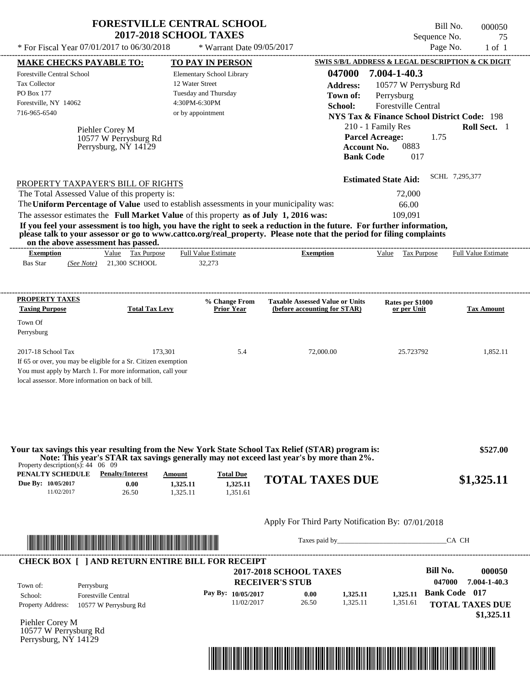|                                                                                                                                                                                                                  | <b>FORESTVILLE CENTRAL SCHOOL</b><br><b>2017-2018 SCHOOL TAXES</b> |                                                                        | Bill No.<br>Sequence No.                               | 000050<br>75               |
|------------------------------------------------------------------------------------------------------------------------------------------------------------------------------------------------------------------|--------------------------------------------------------------------|------------------------------------------------------------------------|--------------------------------------------------------|----------------------------|
| * For Fiscal Year 07/01/2017 to 06/30/2018                                                                                                                                                                       | * Warrant Date 09/05/2017                                          |                                                                        | Page No.                                               | $1$ of $1$                 |
| <b>MAKE CHECKS PAYABLE TO:</b>                                                                                                                                                                                   | TO PAY IN PERSON                                                   |                                                                        | SWIS S/B/L ADDRESS & LEGAL DESCRIPTION & CK DIGIT      |                            |
| Forestville Central School                                                                                                                                                                                       | Elementary School Library                                          | 047000                                                                 | 7.004-1-40.3                                           |                            |
| <b>Tax Collector</b>                                                                                                                                                                                             | 12 Water Street                                                    | <b>Address:</b>                                                        | 10577 W Perrysburg Rd                                  |                            |
| PO Box 177                                                                                                                                                                                                       | Tuesday and Thursday                                               | Town of:                                                               | Perrysburg                                             |                            |
| Forestville, NY 14062                                                                                                                                                                                            | 4:30PM-6:30PM                                                      | School:                                                                | <b>Forestville Central</b>                             |                            |
| 716-965-6540                                                                                                                                                                                                     | or by appointment                                                  |                                                                        | <b>NYS Tax &amp; Finance School District Code: 198</b> |                            |
|                                                                                                                                                                                                                  |                                                                    |                                                                        |                                                        |                            |
| Piehler Corey M                                                                                                                                                                                                  |                                                                    |                                                                        | 210 - 1 Family Res                                     | Roll Sect. 1               |
| 10577 W Perrysburg Rd                                                                                                                                                                                            |                                                                    | <b>Parcel Acreage:</b>                                                 | 1.75                                                   |                            |
| Perrysburg, NY 14129                                                                                                                                                                                             |                                                                    | <b>Account No.</b>                                                     | 0883                                                   |                            |
|                                                                                                                                                                                                                  |                                                                    | <b>Bank Code</b>                                                       | 017                                                    |                            |
|                                                                                                                                                                                                                  |                                                                    |                                                                        | <b>Estimated State Aid:</b>                            | SCHL 7,295,377             |
| PROPERTY TAXPAYER'S BILL OF RIGHTS                                                                                                                                                                               |                                                                    |                                                                        |                                                        |                            |
| The Total Assessed Value of this property is:                                                                                                                                                                    |                                                                    |                                                                        | 72,000                                                 |                            |
| The Uniform Percentage of Value used to establish assessments in your municipality was:                                                                                                                          |                                                                    |                                                                        | 66.00                                                  |                            |
| The assessor estimates the Full Market Value of this property as of July 1, 2016 was:<br>If you feel your assessment is too high, you have the right to seek a reduction in the future. For further information, |                                                                    |                                                                        | 109,091                                                |                            |
| please talk to your assessor or go to www.cattco.org/real_property. Please note that the period for filing complaints<br>on the above assessment has passed.                                                     |                                                                    |                                                                        |                                                        |                            |
| Value Tax Purpose<br><b>Exemption</b><br><b>Bas Star</b><br>(See Note) 21,300 SCHOOL                                                                                                                             | <b>Full Value Estimate</b><br>32,273                               | <b>Exemption</b>                                                       | Value Tax Purpose                                      | <b>Full Value Estimate</b> |
| PROPERTY TAXES<br><b>Taxing Purpose</b><br><b>Total Tax Levy</b>                                                                                                                                                 | % Change From<br><b>Prior Year</b>                                 | <b>Taxable Assessed Value or Units</b><br>(before accounting for STAR) | Rates per \$1000<br>or per Unit                        | <b>Tax Amount</b>          |
| Town Of                                                                                                                                                                                                          |                                                                    |                                                                        |                                                        |                            |
| Perrysburg                                                                                                                                                                                                       |                                                                    |                                                                        |                                                        |                            |
|                                                                                                                                                                                                                  |                                                                    |                                                                        |                                                        |                            |
| 2017-18 School Tax<br>If 65 or over, you may be eligible for a Sr. Citizen exemption<br>You must apply by March 1. For more information, call your<br>local assessor. More information on back of bill.          | 173,301<br>5.4                                                     | 72,000.00                                                              | 25.723792                                              | 1,852.11                   |



Taxes paid by\_\_\_\_\_\_\_\_\_\_\_\_\_\_\_\_\_\_\_\_\_\_\_\_\_\_\_\_\_\_\_CA CH

#### **RECEIVER'S STUB Bill No. 000050 Bank Code 017** Property Address: 10577 W Perrysburg Rd Perrysburg School: Forestville Central **TOTAL TAXES DUE \$1,325.11 2017-2018 SCHOOL TAXES 047000 7.004-1-40.3 Pay By: 10/05/2017** 11/02/2017 26.50 **0.00** 1,325.11 **1,325.11** 1,351.61 **1,325.11** Town of: ---------------------------------------------------------------------------------------------------------------------------------------------------------------------------------------------------- **CHECK BOX [ ] AND RETURN ENTIRE BILL FOR RECEIPT**

Piehler Corey M 10577 W Perrysburg Rd Perrysburg, NY 14129

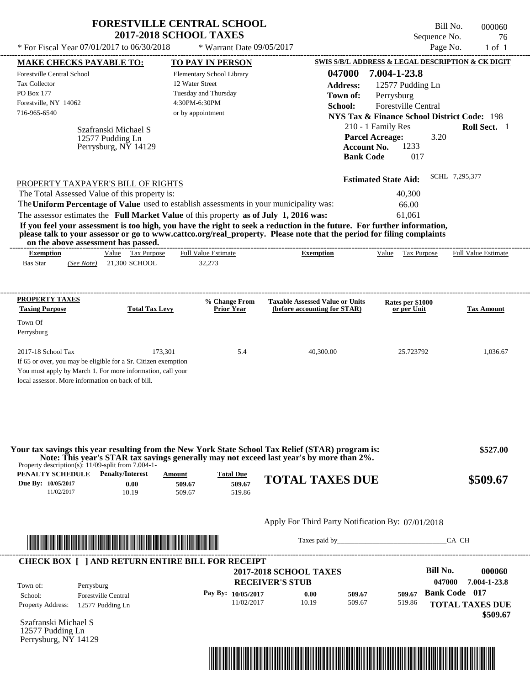|                                                                                          |                                    | <b>2017-2018 SCHOOL TAXES</b>                                                                                                                                                    |                                                                                                                                                                                                                                                  | Bill No.<br>Sequence No.                               | 000060<br>76                                    |
|------------------------------------------------------------------------------------------|------------------------------------|----------------------------------------------------------------------------------------------------------------------------------------------------------------------------------|--------------------------------------------------------------------------------------------------------------------------------------------------------------------------------------------------------------------------------------------------|--------------------------------------------------------|-------------------------------------------------|
| * For Fiscal Year 07/01/2017 to 06/30/2018                                               |                                    | * Warrant Date 09/05/2017                                                                                                                                                        |                                                                                                                                                                                                                                                  |                                                        | Page No.<br>$1$ of $1$                          |
| <b>MAKE CHECKS PAYABLE TO:</b>                                                           |                                    | TO PAY IN PERSON                                                                                                                                                                 |                                                                                                                                                                                                                                                  | SWIS S/B/L ADDRESS & LEGAL DESCRIPTION & CK DIGIT      |                                                 |
| <b>Forestville Central School</b>                                                        |                                    | Elementary School Library                                                                                                                                                        | 047000                                                                                                                                                                                                                                           | 7.004-1-23.8                                           |                                                 |
| Tax Collector                                                                            |                                    | 12 Water Street                                                                                                                                                                  | <b>Address:</b>                                                                                                                                                                                                                                  | 12577 Pudding Ln                                       |                                                 |
| PO Box 177                                                                               |                                    | Tuesday and Thursday                                                                                                                                                             | Town of:                                                                                                                                                                                                                                         | Perrysburg                                             |                                                 |
| Forestville, NY 14062                                                                    |                                    | 4:30PM-6:30PM                                                                                                                                                                    | School:                                                                                                                                                                                                                                          | <b>Forestville Central</b>                             |                                                 |
| 716-965-6540                                                                             |                                    | or by appointment                                                                                                                                                                |                                                                                                                                                                                                                                                  | <b>NYS Tax &amp; Finance School District Code: 198</b> |                                                 |
|                                                                                          | Szafranski Michael S               |                                                                                                                                                                                  |                                                                                                                                                                                                                                                  | 210 - 1 Family Res                                     | Roll Sect. 1                                    |
|                                                                                          | 12577 Pudding Ln                   |                                                                                                                                                                                  |                                                                                                                                                                                                                                                  | <b>Parcel Acreage:</b><br>3.20                         |                                                 |
|                                                                                          | Perrysburg, $N\bar{Y}$ 14129       |                                                                                                                                                                                  |                                                                                                                                                                                                                                                  | 1233<br><b>Account No.</b><br><b>Bank Code</b><br>017  |                                                 |
|                                                                                          | PROPERTY TAXPAYER'S BILL OF RIGHTS |                                                                                                                                                                                  |                                                                                                                                                                                                                                                  | <b>Estimated State Aid:</b>                            | SCHL 7,295,377                                  |
|                                                                                          |                                    |                                                                                                                                                                                  |                                                                                                                                                                                                                                                  | 40.300                                                 |                                                 |
|                                                                                          |                                    |                                                                                                                                                                                  |                                                                                                                                                                                                                                                  |                                                        |                                                 |
| The Total Assessed Value of this property is:                                            |                                    |                                                                                                                                                                                  |                                                                                                                                                                                                                                                  |                                                        |                                                 |
|                                                                                          |                                    | The Uniform Percentage of Value used to establish assessments in your municipality was:<br>The assessor estimates the Full Market Value of this property as of July 1, 2016 was: | If you feel your assessment is too high, you have the right to seek a reduction in the future. For further information,<br>please talk to your assessor or go to www.cattco.org/real_property. Please note that the period for filing complaints | 66.00<br>61,061                                        |                                                 |
| on the above assessment has passed.<br><b>Exemption</b><br><b>Bas Star</b><br>(See Note) | Value Tax Purpose<br>21,300 SCHOOL | <b>Full Value Estimate</b><br>32,273                                                                                                                                             | <b>Exemption</b>                                                                                                                                                                                                                                 | Value Tax Purpose                                      |                                                 |
| <b>PROPERTY TAXES</b><br><b>Taxing Purpose</b>                                           | <b>Total Tax Levy</b>              | % Change From<br><b>Prior Year</b>                                                                                                                                               | <b>Taxable Assessed Value or Units</b><br>(before accounting for STAR)                                                                                                                                                                           | Rates per \$1000<br>or per Unit                        |                                                 |
| Town Of<br>Perrysburg                                                                    |                                    |                                                                                                                                                                                  |                                                                                                                                                                                                                                                  |                                                        | <b>Full Value Estimate</b><br><b>Tax Amount</b> |

| PENALTY SCHEDULE   | <b>Penalty/Interest</b> | Amount | <b>Total Due</b> |                        |          |
|--------------------|-------------------------|--------|------------------|------------------------|----------|
| Due By: 10/05/2017 | $0.00\,$                | 509.67 | 509.67           | <b>TOTAL TAXES DUE</b> | \$509.67 |
| 1/02/2017          | 10.19                   | 509.67 | 519.86           |                        |          |



Taxes paid by\_\_\_\_\_\_\_\_\_\_\_\_\_\_\_\_\_\_\_\_\_\_\_\_\_\_\_\_\_\_\_CA CH

|                          |                            | <b>2017-2018 SCHOOL TAXES</b> |       |        |        | Bill No.             | 000060                 |
|--------------------------|----------------------------|-------------------------------|-------|--------|--------|----------------------|------------------------|
| Town of:                 | Perrysburg                 | <b>RECEIVER'S STUB</b>        |       |        |        | 047000               | 7.004-1-23.8           |
| School:                  | <b>Forestville Central</b> | Pay By: $10/05/2017$          | 0.00  | 509.67 | 509.67 | <b>Bank Code</b> 017 |                        |
| <b>Property Address:</b> | 12577 Pudding Ln           | 11/02/2017                    | 10.19 | 509.67 | 519.86 |                      | <b>TOTAL TAXES DUE</b> |

Szafranski Michael S 12577 Pudding Ln Perrysburg, NY 14129

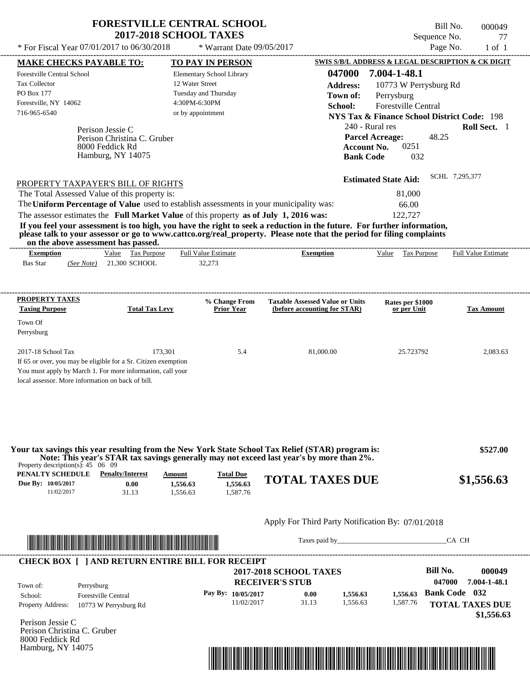| <b>FORESTVILLE CENTRAL SCHOOL</b> |
|-----------------------------------|
| <b>2017-2018 SCHOOL TAXES</b>     |

\* For Fiscal Year  $07/01/2017$  to  $06/30/2018$  \* Warrant Date  $09/05/2017$  Page No. 1 of 1

\* Warrant Date 09/05/2017

Perison Jessie C If 65 or over, you may be eligible for a Sr. Citizen exemption You must apply by March 1. For more information, call your local assessor. More information on back of bill. **MAKE CHECKS PAYABLE TO: TO PAY IN PERSON SWIS S/B/L ADDRESS & LEGAL DESCRIPTION & CK DIGIT 047000 7.004-1-48.1 Address:** 10773 W Perrysburg Rd Perrysburg **School:** Forestville Central **NYS Tax & Finance School District Code:** 198 240 - Rural res **Roll Sect.** 1 48.25 **Account No.** 0251 **Bank Code** 032 **Estimated State Aid:** SCHL 7,295,377 PROPERTY TAXPAYER'S BILL OF RIGHTS The assessor estimates the **Full Market Value** of this property **as of July 1, 2016 was:** 122,727 The Total Assessed Value of this property is: 81,000 The **Uniform Percentage of Value** used to establish assessments in your municipality was: 66.00 **If you feel your assessment is too high, you have the right to seek a reduction in the future. For further information, please talk to your assessor or go to www.cattco.org/real\_property. Please note that the period for filing complaints on the above assessment has passed. Exemption** Value Tax Purpose **PROPERTY TAXES Taxing Purpose Total Tax Levy Prior Year % Change From (before accounting for STAR) Taxable Assessed Value or Units or per Unit Rates per \$1000 Tax Amount PENALTY SCHEDULE Penalty/Interest Amount Total Due Due By: 10/05/2017** 11/02/2017 31.13 **0.00** 1,556.63 **1,556.63** 1,587.76 **1,556.63 TOTAL TAXES DUE \$1,556.63** Apply For Third Party Notification By: 07/01/2018 Perison Jessie C **RECEIVER'S STUB Bill No. 000049 Bank Code 032** Property Address: 10773 W Perrysburg Rd Perrysburg School: Forestville Central **TOTAL TAXES DUE \$1,556.63** Bas Star 21,300 SCHOOL *(See Note)* 32,273 Elementary School Library 12 Water Street Tuesday and Thursday 4:30PM-6:30PM Forestville Central School Tax Collector PO Box 177 Forestville, NY 14062  **2017-2018 SCHOOL TAXES** 716-965-6540 or by appointment **Parcel Acreage:** Town Of Perrysburg 2017-18 School Tax 2,083.63 173,301 5.4 81,000.00 25.723792 2,083.63  **\$527.00 047000 7.004-1-48.1 Pay By: 10/05/2017** 11/02/2017 31.13 **0.00** 1,556.63 **1,556.63** 1,587.76 **1,556.63** Perison Christina C. Gruber Perison Christina C. Gruber Full Value Estimate Taxes paid by Taxes and by Taxes paid by  $\overline{C}$  CA CH ---------------------------------------------------------------------------------------------------------------------------------------------------------------------------------------------------- ---------------------------------------------------------------------------------------------------------------------------------------------------------------------------------------------------- Property description(s): 45 06 09 Town of: **Town of:** 8000 Feddick Rd Hamburg, NY 14075 8000 Feddick Rd Hamburg, NY 14075 **Exemption** Value Tax Purpose Full Value Estimate **Your tax savings this year resulting from the New York State School Tax Relief (STAR) program is: Note: This year's STAR tax savings generally may not exceed last year's by more than 2%.** ---------------------------------------------------------------------------------------------------------------------------------------------------------------------------------------------------- **CHECK BOX [ ] AND RETURN ENTIRE BILL FOR RECEIPT** \*04700000004900000000155663\*



----------------------------------------------------------------------------------------------------------------------------------------------------------------------------------------------------

| Bill No.     | 000049 |
|--------------|--------|
| Sequence No. | 77     |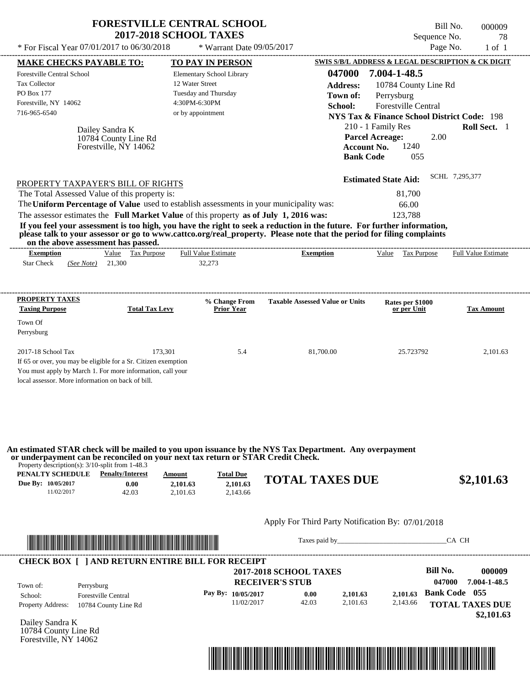| * For Fiscal Year $07/01/2017$ to $06/30/2018$                                                                                                   |                                               | <b>FORESTVILLE CENTRAL SCHOOL</b><br><b>2017-2018 SCHOOL TAXES</b><br>* Warrant Date $09/05/2017$ |                                                                                                                                                                                                                                                                      | Sequence No.                                                     | Bill No.<br>000009<br>78<br>Page No.<br>$1$ of $1$ |
|--------------------------------------------------------------------------------------------------------------------------------------------------|-----------------------------------------------|---------------------------------------------------------------------------------------------------|----------------------------------------------------------------------------------------------------------------------------------------------------------------------------------------------------------------------------------------------------------------------|------------------------------------------------------------------|----------------------------------------------------|
| <b>MAKE CHECKS PAYABLE TO:</b>                                                                                                                   |                                               | TO PAY IN PERSON                                                                                  |                                                                                                                                                                                                                                                                      | <b>SWIS S/B/L ADDRESS &amp; LEGAL DESCRIPTION &amp; CK DIGIT</b> |                                                    |
| <b>Forestville Central School</b>                                                                                                                |                                               | Elementary School Library                                                                         | 047000                                                                                                                                                                                                                                                               | 7.004-1-48.5                                                     |                                                    |
| <b>Tax Collector</b>                                                                                                                             |                                               | 12 Water Street                                                                                   | <b>Address:</b>                                                                                                                                                                                                                                                      | 10784 County Line Rd                                             |                                                    |
| PO Box 177                                                                                                                                       |                                               | Tuesday and Thursday                                                                              | Town of:                                                                                                                                                                                                                                                             | Perrysburg                                                       |                                                    |
| Forestville, NY 14062                                                                                                                            |                                               | 4:30PM-6:30PM                                                                                     | School:                                                                                                                                                                                                                                                              | Forestville Central                                              |                                                    |
| 716-965-6540                                                                                                                                     |                                               | or by appointment                                                                                 |                                                                                                                                                                                                                                                                      | NYS Tax & Finance School District Code: 198                      |                                                    |
|                                                                                                                                                  |                                               |                                                                                                   |                                                                                                                                                                                                                                                                      | 210 - 1 Family Res                                               | Roll Sect. 1                                       |
| Dailey Sandra K                                                                                                                                  |                                               |                                                                                                   |                                                                                                                                                                                                                                                                      | <b>Parcel Acreage:</b><br>2.00                                   |                                                    |
|                                                                                                                                                  | 10784 County Line Rd<br>Forestville, NY 14062 |                                                                                                   | <b>Account No.</b>                                                                                                                                                                                                                                                   | 1240                                                             |                                                    |
|                                                                                                                                                  |                                               |                                                                                                   | <b>Bank Code</b>                                                                                                                                                                                                                                                     | 055                                                              |                                                    |
| The assessor estimates the Full Market Value of this property as of July 1, 2016 was:<br>on the above assessment has passed.<br><b>Exemption</b> | Value Tax Purpose                             | <b>Full Value Estimate</b>                                                                        | If you feel your assessment is too high, you have the right to seek a reduction in the future. For further information,<br>please talk to your assessor or go to www.cattco.org/real_property. Please note that the period for filing complaints<br><b>Exemption</b> | 123,788<br>Value Tax Purpose                                     | <b>Full Value Estimate</b>                         |
| <b>Star Check</b><br>(See Note)                                                                                                                  | 21,300                                        | 32,273                                                                                            |                                                                                                                                                                                                                                                                      |                                                                  |                                                    |
| PROPERTY TAXES<br><b>Taxing Purpose</b><br>Town Of<br>Perrysburg                                                                                 | <b>Total Tax Levy</b>                         | % Change From<br><b>Prior Year</b>                                                                | <b>Taxable Assessed Value or Units</b>                                                                                                                                                                                                                               | Rates per \$1000<br>or per Unit                                  | <b>Tax Amount</b>                                  |
| 2017-18 School Tax                                                                                                                               | 173,301                                       | 5.4                                                                                               | 81,700.00                                                                                                                                                                                                                                                            | 25.723792                                                        | 2,101.63                                           |
| If 65 or over, you may be eligible for a Sr. Citizen exemption                                                                                   |                                               |                                                                                                   |                                                                                                                                                                                                                                                                      |                                                                  |                                                    |
| You must apply by March 1. For more information, call your                                                                                       |                                               |                                                                                                   |                                                                                                                                                                                                                                                                      |                                                                  |                                                    |
| local assessor. More information on back of bill.                                                                                                |                                               |                                                                                                   |                                                                                                                                                                                                                                                                      |                                                                  |                                                    |

**An estimated STAR check will be mailed to you upon issuance by the NYS Tax Department. Any overpayment or underpayment can be reconciled on your next tax return or STAR Credit Check.**

Property description(s): 3/10-split from 1-48.3

| PENALTY SCHEDULE   | <b>Penalty/Interest</b> | Amount   | <b>Total Due</b> |                        |            |
|--------------------|-------------------------|----------|------------------|------------------------|------------|
| Due By: 10/05/2017 | $0.00\,$                | 2,101.63 | 2.101.63         | <b>TOTAL TAXES DUE</b> | \$2,101.63 |
| 1/02/2017          | 42.03                   | 2.101.63 | 2.143.66         |                        |            |

## Apply For Third Party Notification By: 07/01/2018



Taxes paid by\_\_\_\_\_\_\_\_\_\_\_\_\_\_\_\_\_\_\_\_\_\_\_\_\_\_\_\_\_\_\_CA CH

| Town of:                 | Perrysburg                 | <b>2017-2018 SCHOOL TAXES</b><br><b>RECEIVER'S STUB</b> |       |          |          | Bill No.<br>047000   | 000009<br>7.004-1-48.5 |
|--------------------------|----------------------------|---------------------------------------------------------|-------|----------|----------|----------------------|------------------------|
| School:                  | <b>Forestville Central</b> | Pay By: 10/05/2017                                      | 0.00  | 2.101.63 | 2.101.63 | <b>Bank Code</b> 055 |                        |
| <b>Property Address:</b> | 10784 County Line Rd       | 11/02/2017                                              | 42.03 | 2.101.63 | 2,143.66 |                      | <b>TOTAL TAXES DUE</b> |

Dailey Sandra K 10784 County Line Rd Forestville, NY 14062

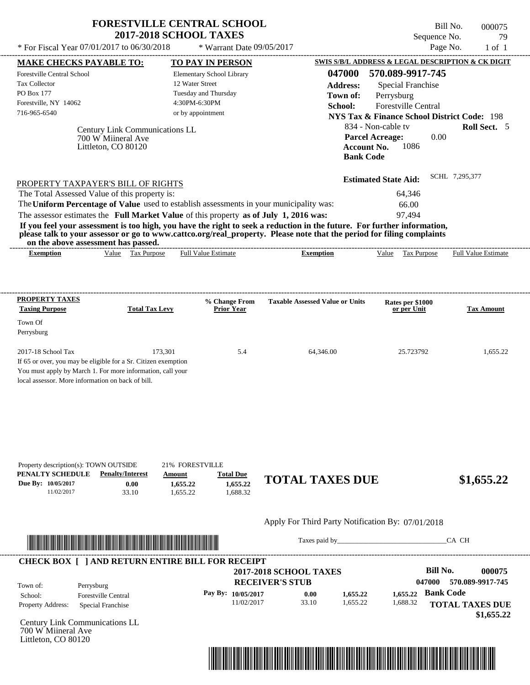| <b>FORESTVILLE CENTRAL SCHOOL</b> |  |
|-----------------------------------|--|
| <b>2017-2018 SCHOOL TAXES</b>     |  |

\* Warrant Date 09/05/2017

 $*$  For Fiscal Year 07/01/2017 to 06/30/2018

---------------------------------------------------------------------------------------------------------------------------------------------------------------------------------------------------- Bill No. 000075 Sequence No. 29

| <b>MAKE CHECKS PAYABLE TO:</b>                                                                                                                                                                                                                   | <b>TO PAY IN PERSON</b>                            |                                                   | <b>SWIS S/B/L ADDRESS &amp; LEGAL DESCRIPTION &amp; CK DIGIT</b> |                            |
|--------------------------------------------------------------------------------------------------------------------------------------------------------------------------------------------------------------------------------------------------|----------------------------------------------------|---------------------------------------------------|------------------------------------------------------------------|----------------------------|
| Forestville Central School                                                                                                                                                                                                                       | Elementary School Library                          | 047000                                            | 570.089-9917-745                                                 |                            |
| Tax Collector                                                                                                                                                                                                                                    | 12 Water Street                                    | <b>Address:</b>                                   | <b>Special Franchise</b>                                         |                            |
| PO Box 177                                                                                                                                                                                                                                       | Tuesday and Thursday                               | Town of:                                          | Perrysburg                                                       |                            |
| Forestville, NY 14062                                                                                                                                                                                                                            | 4:30PM-6:30PM                                      | School:                                           | Forestville Central                                              |                            |
| 716-965-6540                                                                                                                                                                                                                                     | or by appointment                                  |                                                   | <b>NYS Tax &amp; Finance School District Code: 198</b>           |                            |
| Century Link Communications LL                                                                                                                                                                                                                   |                                                    |                                                   | 834 - Non-cable tv                                               | Roll Sect. 5               |
| 700 W Miineral Ave                                                                                                                                                                                                                               |                                                    | <b>Parcel Acreage:</b>                            | 0.00                                                             |                            |
| Littleton, CO 80120                                                                                                                                                                                                                              |                                                    | <b>Account No.</b>                                | 1086                                                             |                            |
|                                                                                                                                                                                                                                                  |                                                    | <b>Bank Code</b>                                  |                                                                  |                            |
|                                                                                                                                                                                                                                                  |                                                    |                                                   | <b>Estimated State Aid:</b>                                      | SCHL 7,295,377             |
| PROPERTY TAXPAYER'S BILL OF RIGHTS                                                                                                                                                                                                               |                                                    |                                                   |                                                                  |                            |
| The Total Assessed Value of this property is:                                                                                                                                                                                                    |                                                    |                                                   | 64,346                                                           |                            |
| The Uniform Percentage of Value used to establish assessments in your municipality was:                                                                                                                                                          |                                                    |                                                   | 66.00                                                            |                            |
| The assessor estimates the Full Market Value of this property as of July 1, 2016 was:                                                                                                                                                            |                                                    |                                                   | 97.494                                                           |                            |
| If you feel your assessment is too high, you have the right to seek a reduction in the future. For further information,<br>please talk to your assessor or go to www.cattco.org/real_property. Please note that the period for filing complaints |                                                    |                                                   |                                                                  |                            |
| on the above assessment has passed.                                                                                                                                                                                                              |                                                    |                                                   |                                                                  |                            |
| Value Tax Purpose<br><b>Exemption</b>                                                                                                                                                                                                            | <b>Full Value Estimate</b>                         | <b>Exemption</b>                                  | Value Tax Purpose                                                | <b>Full Value Estimate</b> |
|                                                                                                                                                                                                                                                  |                                                    |                                                   |                                                                  |                            |
|                                                                                                                                                                                                                                                  |                                                    | -----------                                       |                                                                  |                            |
| <b>PROPERTY TAXES</b><br><b>Taxing Purpose</b><br><b>Total Tax Levy</b>                                                                                                                                                                          | % Change From<br><b>Prior Year</b>                 | <b>Taxable Assessed Value or Units</b>            | Rates per \$1000<br>or per Unit                                  | <b>Tax Amount</b>          |
|                                                                                                                                                                                                                                                  |                                                    |                                                   |                                                                  |                            |
| Town Of<br>Perrysburg                                                                                                                                                                                                                            |                                                    |                                                   |                                                                  |                            |
| 2017-18 School Tax                                                                                                                                                                                                                               | 173,301<br>5.4                                     | 64,346.00                                         | 25.723792                                                        | 1,655.22                   |
| If 65 or over, you may be eligible for a Sr. Citizen exemption                                                                                                                                                                                   |                                                    |                                                   |                                                                  |                            |
| You must apply by March 1. For more information, call your                                                                                                                                                                                       |                                                    |                                                   |                                                                  |                            |
| local assessor. More information on back of bill.                                                                                                                                                                                                |                                                    |                                                   |                                                                  |                            |
|                                                                                                                                                                                                                                                  |                                                    |                                                   |                                                                  |                            |
|                                                                                                                                                                                                                                                  |                                                    |                                                   |                                                                  |                            |
|                                                                                                                                                                                                                                                  |                                                    |                                                   |                                                                  |                            |
|                                                                                                                                                                                                                                                  |                                                    |                                                   |                                                                  |                            |
|                                                                                                                                                                                                                                                  |                                                    |                                                   |                                                                  |                            |
| Property description(s): TOWN OUTSIDE                                                                                                                                                                                                            | 21% FORESTVILLE                                    |                                                   |                                                                  |                            |
| PENALTY SCHEDULE<br><b>Penalty/Interest</b><br>Due By: 10/05/2017<br>0.00                                                                                                                                                                        | <b>Total Due</b><br>Amount<br>1,655.22<br>1,655.22 | <b>TOTAL TAXES DUE</b>                            |                                                                  | \$1,655.22                 |
| 11/02/2017<br>33.10                                                                                                                                                                                                                              | 1,688.32<br>1,655.22                               |                                                   |                                                                  |                            |
|                                                                                                                                                                                                                                                  |                                                    |                                                   |                                                                  |                            |
|                                                                                                                                                                                                                                                  |                                                    | Apply For Third Party Notification By: 07/01/2018 |                                                                  |                            |
|                                                                                                                                                                                                                                                  |                                                    |                                                   |                                                                  | CA CH                      |
| <u> 1989 - Johann Stoff, Amerikaansk politiker (</u>                                                                                                                                                                                             |                                                    |                                                   |                                                                  |                            |
| <b>CHECK BOX [ ] AND RETURN ENTIRE BILL FOR RECEIPT</b>                                                                                                                                                                                          |                                                    |                                                   | <b>Bill No.</b>                                                  | 000075                     |
|                                                                                                                                                                                                                                                  |                                                    | <b>2017-2018 SCHOOL TAXES</b>                     | 047000                                                           | 570.089-9917-745           |
| Town of:<br>Perrysburg                                                                                                                                                                                                                           |                                                    | <b>RECEIVER'S STUB</b>                            |                                                                  |                            |
| School:<br><b>Forestville Central</b>                                                                                                                                                                                                            | Pay By: 10/05/2017                                 | 0.00<br>1,655.22                                  | <b>Bank Code</b><br>1,655.22                                     |                            |
| Property Address:<br>Special Franchise                                                                                                                                                                                                           | 11/02/2017                                         | 33.10<br>1,655.22                                 | 1,688.32                                                         | <b>TOTAL TAXES DUE</b>     |
| Century Link Communications LL                                                                                                                                                                                                                   |                                                    |                                                   |                                                                  | \$1,655.22                 |
| 700 W Miineral Ave                                                                                                                                                                                                                               |                                                    |                                                   |                                                                  |                            |
| Littleton, CO 80120                                                                                                                                                                                                                              |                                                    |                                                   |                                                                  |                            |

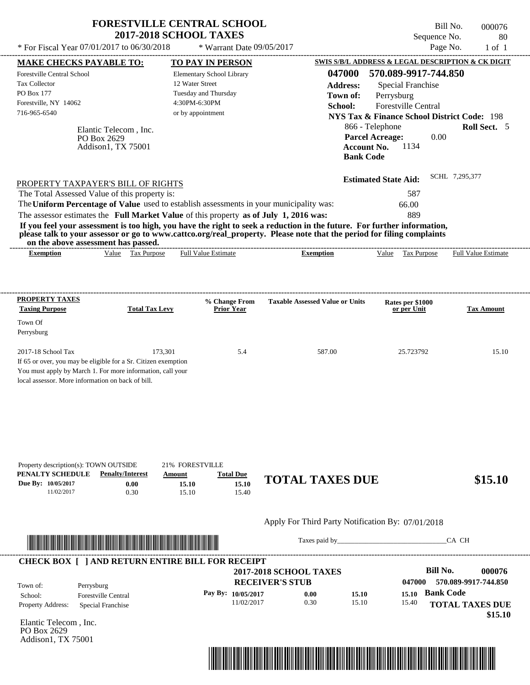| * For Fiscal Year 07/01/2017 to 06/30/2018                                                                                                                |                                                            | <b>2017-2018 SCHOOL TAXES</b><br>* Warrant Date 09/05/2017                                                                                                                                                                                                                                                                                                                                                                                                         |                                                                                            | Sequence No.                                                                                                                                                                                                                                                      | 80<br>Page No.<br>$1$ of $1$ |
|-----------------------------------------------------------------------------------------------------------------------------------------------------------|------------------------------------------------------------|--------------------------------------------------------------------------------------------------------------------------------------------------------------------------------------------------------------------------------------------------------------------------------------------------------------------------------------------------------------------------------------------------------------------------------------------------------------------|--------------------------------------------------------------------------------------------|-------------------------------------------------------------------------------------------------------------------------------------------------------------------------------------------------------------------------------------------------------------------|------------------------------|
| <b>MAKE CHECKS PAYABLE TO:</b><br><b>Forestville Central School</b><br><b>Tax Collector</b><br><b>PO Box 177</b><br>Forestville, NY 14062<br>716-965-6540 | Elantic Telecom. Inc.<br>PO Box 2629<br>Addison1, TX 75001 | <b>TO PAY IN PERSON</b><br><b>Elementary School Library</b><br>12 Water Street<br>Tuesday and Thursday<br>4:30PM-6:30PM<br>or by appointment                                                                                                                                                                                                                                                                                                                       | 047000<br><b>Address:</b><br>Town of:<br>School:<br><b>Account No.</b><br><b>Bank Code</b> | SWIS S/B/L ADDRESS & LEGAL DESCRIPTION & CK DIGIT<br>570.089-9917-744.850<br>Special Franchise<br>Perrysburg<br><b>Forestville Central</b><br><b>NYS Tax &amp; Finance School District Code: 198</b><br>866 - Telephone<br><b>Parcel Acreage:</b><br>0.00<br>1134 | Roll Sect. 5                 |
| PROPERTY TAXPAYER'S BILL OF RIGHTS                                                                                                                        |                                                            |                                                                                                                                                                                                                                                                                                                                                                                                                                                                    |                                                                                            |                                                                                                                                                                                                                                                                   |                              |
| The Total Assessed Value of this property is:<br>on the above assessment has passed.<br><b>Exemption</b>                                                  | Value Tax Purpose                                          | The Uniform Percentage of Value used to establish assessments in your municipality was:<br>The assessor estimates the Full Market Value of this property as of July 1, 2016 was:<br>If you feel your assessment is too high, you have the right to seek a reduction in the future. For further information,<br>please talk to your assessor or go to www.cattco.org/real_property. Please note that the period for filing complaints<br><b>Full Value Estimate</b> | <b>Exemption</b>                                                                           | 587<br>66.00<br>889<br>Value<br>Tax Purpose                                                                                                                                                                                                                       | Full Value Estimate          |
| PROPERTY TAXES<br><b>Taxing Purpose</b><br>Town Of<br>Perrysburg                                                                                          | <b>Total Tax Levy</b>                                      | <b>% Change From</b><br><b>Prior Year</b>                                                                                                                                                                                                                                                                                                                                                                                                                          | <b>Taxable Assessed Value or Units</b>                                                     | Rates per \$1000<br>or per Unit                                                                                                                                                                                                                                   | <b>Tax Amount</b>            |

| Property description(s): TOWN OUTSIDE |                         | 21% FORESTVILLE |                  |                        |         |
|---------------------------------------|-------------------------|-----------------|------------------|------------------------|---------|
| <b>PENALTY SCHEDULE</b>               | <b>Penalty/Interest</b> | <u>Amount</u>   | <b>Total Due</b> |                        |         |
| Due By: 10/05/2017                    | 0.00                    | 15.10           | 15.10            | <b>TOTAL TAXES DUE</b> | \$15.10 |
| 11/02/2017                            | 0.30                    | 15.10           | 15.40            |                        |         |

## Apply For Third Party Notification By: 07/01/2018



Taxes paid by\_\_\_\_\_\_\_\_\_\_\_\_\_\_\_\_\_\_\_\_\_\_\_\_\_\_\_\_\_\_\_CA CH

| Town of:                                            | <b>RECEIVER'S STUB</b> | <b>2017-2018 SCHOOL TAXES</b> |       | Bill No.<br>000076<br>570.089-9917-744.850<br>047000 |
|-----------------------------------------------------|------------------------|-------------------------------|-------|------------------------------------------------------|
| Perrysburg<br><b>Forestville Central</b><br>School: | Pay By: $10/05/2017$   | 0.00                          | 15.10 | <b>Bank Code</b><br>15.10                            |
| <b>Property Address:</b><br>Special Franchise       | 11/02/2017             | 0.30                          | 15.10 | 15.40<br><b>TOTAL TAXES DUE</b>                      |

Elantic Telecom , Inc. PO Box 2629 Addison1, TX 75001

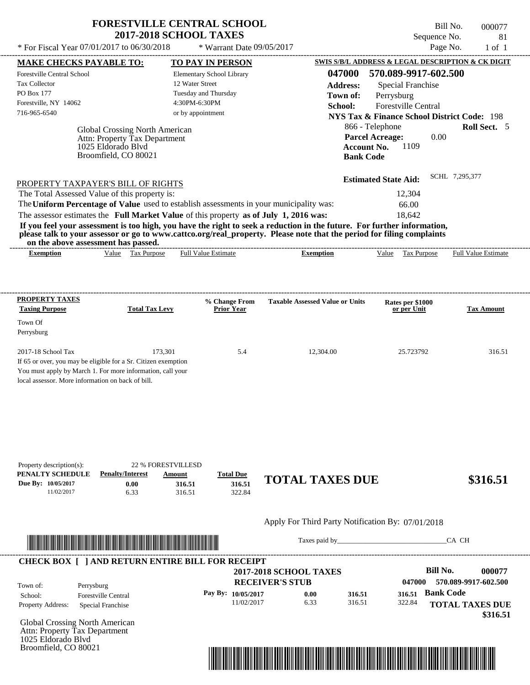| <b>FORESTVILLE CENTRAL SCHOOL</b> |
|-----------------------------------|
| <b>2017-2018 SCHOOL TAXES</b>     |

Bill No. 000077 Sequence No. 81<br>Page No. 1 of 1

| * For Fiscal Year 07/01/2017 to 06/30/2018                                                                                                                                                                                                                                              |                                                                         | * Warrant Date 09/05/2017            |                                                   |                                                        | Page No.<br>$1$ of $1$     |
|-----------------------------------------------------------------------------------------------------------------------------------------------------------------------------------------------------------------------------------------------------------------------------------------|-------------------------------------------------------------------------|--------------------------------------|---------------------------------------------------|--------------------------------------------------------|----------------------------|
| <b>MAKE CHECKS PAYABLE TO:</b>                                                                                                                                                                                                                                                          |                                                                         | <b>TO PAY IN PERSON</b>              |                                                   | SWIS S/B/L ADDRESS & LEGAL DESCRIPTION & CK DIGIT      |                            |
| Forestville Central School                                                                                                                                                                                                                                                              |                                                                         | Elementary School Library            | 047000                                            | 570.089-9917-602.500                                   |                            |
| Tax Collector                                                                                                                                                                                                                                                                           |                                                                         | 12 Water Street                      | <b>Address:</b>                                   | <b>Special Franchise</b>                               |                            |
| PO Box 177                                                                                                                                                                                                                                                                              |                                                                         | Tuesday and Thursday                 | Town of:                                          | Perrysburg                                             |                            |
| Forestville, NY 14062                                                                                                                                                                                                                                                                   |                                                                         | 4:30PM-6:30PM                        | School:                                           | <b>Forestville Central</b>                             |                            |
| 716-965-6540                                                                                                                                                                                                                                                                            |                                                                         | or by appointment                    |                                                   | <b>NYS Tax &amp; Finance School District Code: 198</b> |                            |
|                                                                                                                                                                                                                                                                                         | Global Crossing North American                                          |                                      |                                                   | 866 - Telephone                                        | Roll Sect. 5               |
|                                                                                                                                                                                                                                                                                         | Attn: Property Tax Department                                           |                                      |                                                   | 0.00<br><b>Parcel Acreage:</b>                         |                            |
| 1025 Eldorado Blvd                                                                                                                                                                                                                                                                      |                                                                         |                                      |                                                   | <b>Account No.</b><br>1109                             |                            |
| Broomfield, CO 80021                                                                                                                                                                                                                                                                    |                                                                         |                                      | <b>Bank Code</b>                                  |                                                        |                            |
|                                                                                                                                                                                                                                                                                         |                                                                         |                                      |                                                   | <b>Estimated State Aid:</b>                            | SCHL 7,295,377             |
| PROPERTY TAXPAYER'S BILL OF RIGHTS<br>The Total Assessed Value of this property is:                                                                                                                                                                                                     |                                                                         |                                      |                                                   | 12,304                                                 |                            |
| The Uniform Percentage of Value used to establish assessments in your municipality was:                                                                                                                                                                                                 |                                                                         |                                      |                                                   |                                                        |                            |
|                                                                                                                                                                                                                                                                                         |                                                                         |                                      |                                                   | 66.00                                                  |                            |
| The assessor estimates the Full Market Value of this property as of July 1, 2016 was:                                                                                                                                                                                                   |                                                                         |                                      |                                                   | 18,642                                                 |                            |
| If you feel your assessment is too high, you have the right to seek a reduction in the future. For further information,<br>please talk to your assessor or go to www.cattco.org/real_property. Please note that the period for filing complaints<br>on the above assessment has passed. |                                                                         |                                      |                                                   |                                                        |                            |
| <b>Exemption</b>                                                                                                                                                                                                                                                                        | Value Tax Purpose                                                       | Full Value Estimate                  | <b>Exemption</b>                                  | Value Tax Purpose                                      | <b>Full Value Estimate</b> |
| <b>PROPERTY TAXES</b><br><b>Taxing Purpose</b><br>Town Of<br>Perrysburg                                                                                                                                                                                                                 | <b>Total Tax Levy</b>                                                   | % Change From<br><b>Prior Year</b>   | <b>Taxable Assessed Value or Units</b>            | Rates per \$1000<br>or per Unit                        | <b>Tax Amount</b>          |
| 2017-18 School Tax<br>If 65 or over, you may be eligible for a Sr. Citizen exemption<br>You must apply by March 1. For more information, call your<br>local assessor. More information on back of bill.                                                                                 | 173,301                                                                 | 5.4                                  | 12,304.00                                         | 25.723792                                              | 316.51                     |
| Property description(s):<br>PENALTY SCHEDULE<br><b>Penalty/Interest</b><br>Due By: 10/05/2017<br>11/02/2017                                                                                                                                                                             | <b>22 % FORESTVILLESD</b><br>Amount<br>0.00<br>316.51<br>6.33<br>316.51 | <b>Total Due</b><br>316.51<br>322.84 | <b>TOTAL TAXES DUE</b>                            |                                                        | \$316.51                   |
|                                                                                                                                                                                                                                                                                         |                                                                         |                                      | Apply For Third Party Notification By: 07/01/2018 |                                                        |                            |
| <u> III de la contrada de la contrada de la contrada de la contrada de la contrada de la contrada de la contrada d</u>                                                                                                                                                                  |                                                                         |                                      |                                                   | Taxes paid by                                          | CA CH                      |
| <b>CHECK BOX [ ] AND RETURN ENTIRE BILL FOR RECEIPT</b>                                                                                                                                                                                                                                 |                                                                         |                                      |                                                   |                                                        |                            |
|                                                                                                                                                                                                                                                                                         |                                                                         |                                      | <b>2017-2018 SCHOOL TAXES</b>                     | <b>Bill No.</b>                                        | 000077                     |
|                                                                                                                                                                                                                                                                                         |                                                                         |                                      | <b>RECEIVER'S STUB</b>                            | 047000                                                 | 570.089-9917-602.500       |
| Town of:<br>Perrysburg                                                                                                                                                                                                                                                                  |                                                                         | Pay By: 10/05/2017                   | 316.51<br>0.00                                    | 316.51                                                 | <b>Bank Code</b>           |
| School:<br><b>Forestville Central</b>                                                                                                                                                                                                                                                   |                                                                         | 11/02/2017                           | 6.33<br>316.51                                    | 322.84                                                 |                            |
| Property Address:<br>Special Franchise                                                                                                                                                                                                                                                  |                                                                         |                                      |                                                   |                                                        | <b>TOTAL TAXES DUE</b>     |
| Global Crossing North American                                                                                                                                                                                                                                                          |                                                                         |                                      |                                                   |                                                        | \$316.51                   |
|                                                                                                                                                                                                                                                                                         |                                                                         |                                      |                                                   |                                                        |                            |



Attn: Property Tax Department 1025 Eldorado Blvd Broomfield, CO 80021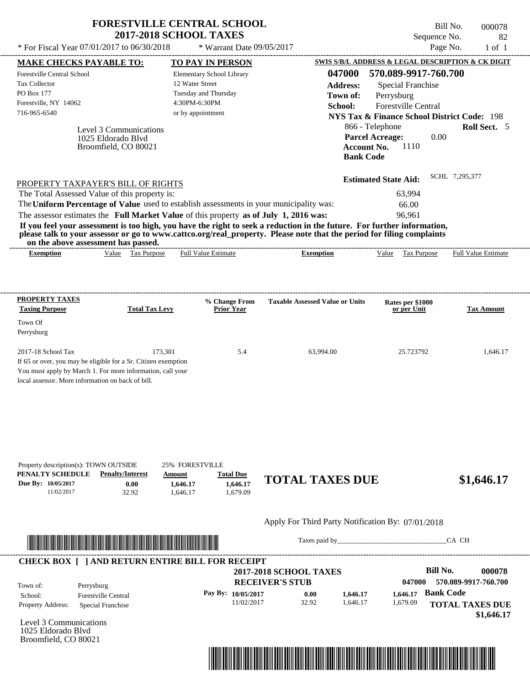| * For Fiscal Year 07/01/2017 to 06/30/2018                                                                                                                                                                                                                                                                                                                                                           | <b>2017-2018 SCHOOL TAXES</b> | * Warrant Date 09/05/2017          |                                        | Sequence No.<br>Page No.                               | 82<br>$1$ of $1$           |
|------------------------------------------------------------------------------------------------------------------------------------------------------------------------------------------------------------------------------------------------------------------------------------------------------------------------------------------------------------------------------------------------------|-------------------------------|------------------------------------|----------------------------------------|--------------------------------------------------------|----------------------------|
| <b>MAKE CHECKS PAYABLE TO:</b>                                                                                                                                                                                                                                                                                                                                                                       |                               | TO PAY IN PERSON                   |                                        | SWIS S/B/L ADDRESS & LEGAL DESCRIPTION & CK DIGIT      |                            |
| <b>Forestville Central School</b>                                                                                                                                                                                                                                                                                                                                                                    |                               | Elementary School Library          | 047000                                 | 570.089-9917-760.700                                   |                            |
| <b>Tax Collector</b>                                                                                                                                                                                                                                                                                                                                                                                 |                               | 12 Water Street                    | <b>Address:</b>                        | Special Franchise                                      |                            |
| PO Box 177                                                                                                                                                                                                                                                                                                                                                                                           |                               | Tuesday and Thursday               | Town of:                               | Perrysburg                                             |                            |
| Forestville, NY 14062                                                                                                                                                                                                                                                                                                                                                                                |                               | 4:30PM-6:30PM                      | School:                                | <b>Forestville Central</b>                             |                            |
| 716-965-6540                                                                                                                                                                                                                                                                                                                                                                                         |                               | or by appointment                  |                                        | <b>NYS Tax &amp; Finance School District Code: 198</b> |                            |
|                                                                                                                                                                                                                                                                                                                                                                                                      |                               |                                    |                                        | 866 - Telephone                                        | Roll Sect. 5               |
| Level 3 Communications                                                                                                                                                                                                                                                                                                                                                                               |                               |                                    |                                        | <b>Parcel Acreage:</b><br>0.00                         |                            |
| 1025 Eldorado Blvd<br>Broomfield, CO 80021                                                                                                                                                                                                                                                                                                                                                           |                               |                                    | <b>Account No.</b><br><b>Bank Code</b> | 1110                                                   |                            |
|                                                                                                                                                                                                                                                                                                                                                                                                      |                               |                                    |                                        |                                                        | SCHL 7.295.377             |
| PROPERTY TAXPAYER'S BILL OF RIGHTS                                                                                                                                                                                                                                                                                                                                                                   |                               |                                    |                                        | <b>Estimated State Aid:</b>                            |                            |
| The Total Assessed Value of this property is:                                                                                                                                                                                                                                                                                                                                                        |                               |                                    |                                        | 63,994                                                 |                            |
| The Uniform Percentage of Value used to establish assessments in your municipality was:                                                                                                                                                                                                                                                                                                              |                               |                                    |                                        | 66.00                                                  |                            |
|                                                                                                                                                                                                                                                                                                                                                                                                      |                               |                                    |                                        | 96,961                                                 |                            |
| The assessor estimates the Full Market Value of this property as of July 1, 2016 was:<br>If you feel your assessment is too high, you have the right to seek a reduction in the future. For further information,<br>please talk to your assessor or go to www.cattco.org/real_property. Please note that the period for filing complaints<br>on the above assessment has passed.<br><b>Exemption</b> | Value Tax Purpose             | <b>Full Value Estimate</b>         | <b>Exemption</b>                       | Value Tax Purpose                                      | <b>Full Value Estimate</b> |
|                                                                                                                                                                                                                                                                                                                                                                                                      |                               |                                    |                                        |                                                        |                            |
| PROPERTY TAXES<br><b>Taxing Purpose</b>                                                                                                                                                                                                                                                                                                                                                              | <b>Total Tax Levy</b>         | % Change From<br><b>Prior Year</b> | <b>Taxable Assessed Value or Units</b> | Rates per \$1000<br>or per Unit                        | <b>Tax Amount</b>          |
|                                                                                                                                                                                                                                                                                                                                                                                                      |                               |                                    |                                        |                                                        |                            |
|                                                                                                                                                                                                                                                                                                                                                                                                      |                               |                                    |                                        |                                                        |                            |
| Town Of<br>Perrysburg<br>2017-18 School Tax                                                                                                                                                                                                                                                                                                                                                          | 173.301                       | 5.4                                | 63,994.00                              | 25.723792                                              | 1.646.17                   |
| If 65 or over, you may be eligible for a Sr. Citizen exemption                                                                                                                                                                                                                                                                                                                                       |                               |                                    |                                        |                                                        |                            |

| Property description(s): TOWN OUTSIDE                   |                         | 25% FORESTVILLE |                  |                                                   |                                                   |
|---------------------------------------------------------|-------------------------|-----------------|------------------|---------------------------------------------------|---------------------------------------------------|
| PENALTY SCHEDULE                                        | <b>Penalty/Interest</b> | Amount          | <b>Total Due</b> | <b>TOTAL TAXES DUE</b>                            |                                                   |
| Due By: 10/05/2017                                      | 0.00                    | 1,646.17        | 1,646.17         |                                                   | \$1,646.17                                        |
| 11/02/2017                                              | 32.92                   | 1.646.17        | 1.679.09         |                                                   |                                                   |
|                                                         |                         |                 |                  | Apply For Third Party Notification By: 07/01/2018 |                                                   |
|                                                         |                         |                 |                  |                                                   | CA CH                                             |
| <b>CHECK BOX [ ] AND RETURN ENTIRE BILL FOR RECEIPT</b> |                         |                 |                  |                                                   |                                                   |
|                                                         |                         |                 |                  | <b>2017-2018 SCHOOL TAXES</b>                     | Bill No.<br>000078                                |
|                                                         |                         |                 |                  |                                                   | $\mathbf{a}$ $\mathbf{a}$<br>--^ ^^^ ^^-- --^ -^^ |

|                          |                            | 2017-2018 SCHOOL TAXES |       |          |           | DIII IAO.              |
|--------------------------|----------------------------|------------------------|-------|----------|-----------|------------------------|
| Town of:                 | Perrysburg                 | <b>RECEIVER'S STUB</b> |       |          | 047000    | 570.089-9917-760.700   |
| School:                  | <b>Forestville Central</b> | Pay By: 10/05/2017     | 0.00  | 1.646.17 | 1.646.17  | <b>Bank Code</b>       |
| <b>Property Address:</b> | Special Franchise          | 11/02/2017             | 32.92 | 1.646.17 | 679.09. ا | <b>TOTAL TAXES DUE</b> |
|                          |                            |                        |       |          |           | \$1,646.17             |

Level 3 Communications 1025 Eldorado Blvd Broomfield, CO 80021

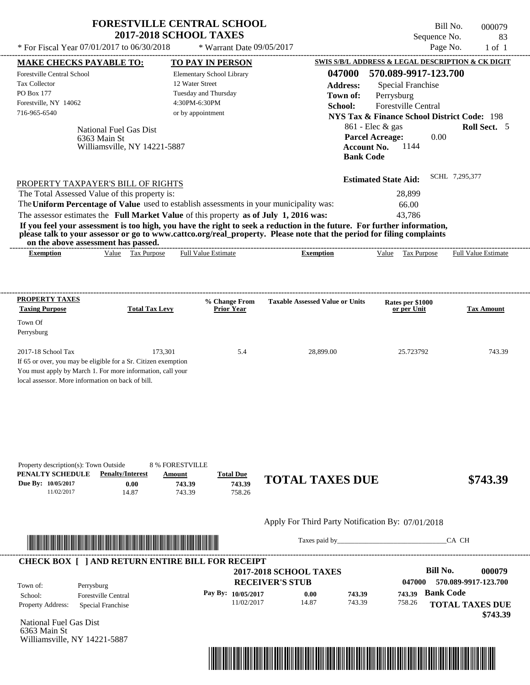| <b>FORESTVILLE CENTRAL SCHOOL</b> |  |
|-----------------------------------|--|
| <b>2017-2018 SCHOOL TAXES</b>     |  |

Bill No. 000079 Sequence No. 83

| * For Fiscal Year 07/01/2017 to 06/30/2018                                                                                                                                                                                                                                                                                                                                                                                                                                                                                                                         | * Warrant Date 09/05/2017                                                                                  |                                                                                              |                                                                                                                                                                                                                                                                | Page No.<br>$1$ of $1$                                               |
|--------------------------------------------------------------------------------------------------------------------------------------------------------------------------------------------------------------------------------------------------------------------------------------------------------------------------------------------------------------------------------------------------------------------------------------------------------------------------------------------------------------------------------------------------------------------|------------------------------------------------------------------------------------------------------------|----------------------------------------------------------------------------------------------|----------------------------------------------------------------------------------------------------------------------------------------------------------------------------------------------------------------------------------------------------------------|----------------------------------------------------------------------|
| <b>MAKE CHECKS PAYABLE TO:</b>                                                                                                                                                                                                                                                                                                                                                                                                                                                                                                                                     | <b>TO PAY IN PERSON</b>                                                                                    |                                                                                              | SWIS S/B/L ADDRESS & LEGAL DESCRIPTION & CK DIGIT                                                                                                                                                                                                              |                                                                      |
| Forestville Central School<br>Tax Collector<br><b>PO Box 177</b><br>Forestville, NY 14062<br>716-965-6540<br>National Fuel Gas Dist<br>6363 Main St<br>Williamsville, NY 14221-5887                                                                                                                                                                                                                                                                                                                                                                                | Elementary School Library<br>12 Water Street<br>Tuesday and Thursday<br>4:30PM-6:30PM<br>or by appointment | 047000<br><b>Address:</b><br>Town of:<br>School:                                             | 570.089-9917-123.700<br><b>Special Franchise</b><br>Perrysburg<br><b>Forestville Central</b><br><b>NYS Tax &amp; Finance School District Code: 198</b><br>861 - Elec & gas<br><b>Parcel Acreage:</b><br>0.00<br><b>Account No.</b><br>1144<br><b>Bank Code</b> | Roll Sect. 5                                                         |
| PROPERTY TAXPAYER'S BILL OF RIGHTS<br>The Total Assessed Value of this property is:<br>The Uniform Percentage of Value used to establish assessments in your municipality was:<br>The assessor estimates the Full Market Value of this property as of July 1, 2016 was:<br>If you feel your assessment is too high, you have the right to seek a reduction in the future. For further information,<br>please talk to your assessor or go to www.cattco.org/real_property. Please note that the period for filing complaints<br>on the above assessment has passed. |                                                                                                            |                                                                                              | <b>Estimated State Aid:</b><br>28,899<br>66.00<br>43,786                                                                                                                                                                                                       | SCHL 7,295,377                                                       |
| Value Tax Purpose<br><b>Exemption</b>                                                                                                                                                                                                                                                                                                                                                                                                                                                                                                                              | Full Value Estimate                                                                                        | <b>Exemption</b>                                                                             | Value Tax Purpose                                                                                                                                                                                                                                              | Full Value Estimate                                                  |
| <b>PROPERTY TAXES</b><br><b>Taxing Purpose</b><br><b>Total Tax Levy</b><br>Town Of<br>Perrysburg<br>2017-18 School Tax<br>If 65 or over, you may be eligible for a Sr. Citizen exemption<br>You must apply by March 1. For more information, call your<br>local assessor. More information on back of bill.                                                                                                                                                                                                                                                        | % Change From<br><b>Prior Year</b><br>173,301<br>5.4                                                       | <b>Taxable Assessed Value or Units</b><br>28,899.00                                          | Rates per \$1000<br>or per Unit<br>25.723792                                                                                                                                                                                                                   | <b>Tax Amount</b><br>743.39                                          |
| Property description(s): Town Outside<br>PENALTY SCHEDULE<br><b>Penalty/Interest</b><br>Due By: 10/05/2017<br>0.00<br>11/02/2017<br>14.87                                                                                                                                                                                                                                                                                                                                                                                                                          | <b>8% FORESTVILLE</b><br><b>Total Due</b><br>Amount<br>743.39<br>743.39<br>758.26<br>743.39                | <b>TOTAL TAXES DUE</b>                                                                       |                                                                                                                                                                                                                                                                | \$743.39                                                             |
| <u> In the second contract of the second contract of the second contract of the second contract of the second contract of the second contract of the second contract of the second contract of the second contract of the second</u>                                                                                                                                                                                                                                                                                                                               |                                                                                                            | Apply For Third Party Notification By: 07/01/2018                                            | Taxes paid by                                                                                                                                                                                                                                                  | CA CH                                                                |
| <b>CHECK BOX [ ] AND RETURN ENTIRE BILL FOR RECEIPT</b>                                                                                                                                                                                                                                                                                                                                                                                                                                                                                                            |                                                                                                            |                                                                                              |                                                                                                                                                                                                                                                                |                                                                      |
| Town of:<br>Perrysburg<br><b>Forestville Central</b><br>School:<br>Property Address:<br>Special Franchise<br>National Fuel Gas Dist<br>6363 Main St                                                                                                                                                                                                                                                                                                                                                                                                                | Pay By: 10/05/2017<br>11/02/2017                                                                           | <b>2017-2018 SCHOOL TAXES</b><br><b>RECEIVER'S STUB</b><br>743.39<br>0.00<br>14.87<br>743.39 | <b>Bill No.</b><br>047000<br>743.39 Bank Code<br>758.26                                                                                                                                                                                                        | 000079<br>570.089-9917-123.700<br><b>TOTAL TAXES DUE</b><br>\$743.39 |



Williamsville, NY 14221-5887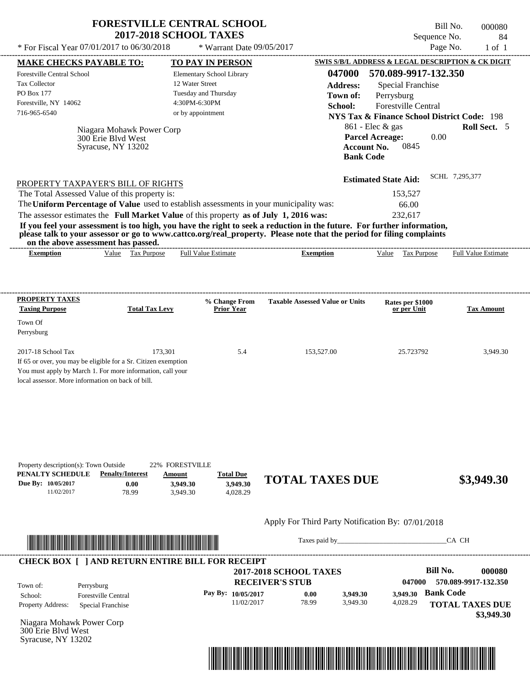|                                                 | <b>FORESTVILLE CENTRAL SCHOOL</b><br><b>2017-2018 SCHOOL TAXES</b> | Bill No.<br>000080<br>Sequence No.<br>84                                    |
|-------------------------------------------------|--------------------------------------------------------------------|-----------------------------------------------------------------------------|
| * For Fiscal Year $07/01/2017$ to $06/30/2018$  | * Warrant Date 09/05/2017                                          | Page No.<br>$1$ of $1$                                                      |
| <b>MAKE CHECKS PAYABLE TO:</b>                  | <b>TO PAY IN PERSON</b>                                            | SWIS S/B/L ADDRESS & LEGAL DESCRIPTION & CK DIGIT                           |
| Forestville Central School                      | Elementary School Library                                          | 570.089-9917-132.350<br>047000                                              |
| <b>Tax Collector</b>                            | 12 Water Street                                                    | Special Franchise<br><b>Address:</b>                                        |
| <b>PO Box 177</b>                               | Tuesday and Thursday                                               | Perrysburg<br>Town of:                                                      |
| Forestville, NY 14062                           | 4:30PM-6:30PM                                                      | <b>Forestville Central</b><br>School:                                       |
| 716-965-6540                                    | or by appointment                                                  | <b>NYS Tax &amp; Finance School District Code: 198</b>                      |
| Niagara Mohawk Power Corp<br>300 Erie Blyd West |                                                                    | <b>Roll Sect.</b> 5<br>$861$ - Elec & gas<br><b>Parcel Acreage:</b><br>0.00 |

| PROPERTY TAXPAYER'S BILL OF RIGHTS                                                                                   | <b>Estimated State Aid:</b> | SCHL 7,295,377 |
|----------------------------------------------------------------------------------------------------------------------|-----------------------------|----------------|
| The Total Assessed Value of this property is:                                                                        | 153.527                     |                |
| The Uniform Percentage of Value used to establish assessments in your municipality was:                              | 66.00                       |                |
| The assessor estimates the Full Market Value of this property as of July 1, 2016 was:                                | 232.617                     |                |
| If you feel your accomment is too high you have the wight to seek a weduction in the future. For further information |                             |                |

**If you feel your assessment is too high, you have the right to seek a reduction in the future. For further information, please talk to your assessor or go to www.cattco.org/real\_property. Please note that the period for filing complaints**

| or | assessment<br>the<br>. adov | has   | passed.      |                        |       |       |                                          |                                                                                                                                                                                                                                                                                                                                                                                                                                                                                                                      |
|----|-----------------------------|-------|--------------|------------------------|-------|-------|------------------------------------------|----------------------------------------------------------------------------------------------------------------------------------------------------------------------------------------------------------------------------------------------------------------------------------------------------------------------------------------------------------------------------------------------------------------------------------------------------------------------------------------------------------------------|
|    | *xemption                   | √alue | аx<br>.rdose | tstimate<br>Ful<br>. . | mtıon | √alue | $\sim$<br>$v_{\text{UfDO}}$<br>151<br>__ | $\frac{1}{2} \left( \frac{1}{2} \right) \left( \frac{1}{2} \right) \left( \frac{1}{2} \right) \left( \frac{1}{2} \right) \left( \frac{1}{2} \right) \left( \frac{1}{2} \right) \left( \frac{1}{2} \right) \left( \frac{1}{2} \right) \left( \frac{1}{2} \right) \left( \frac{1}{2} \right) \left( \frac{1}{2} \right) \left( \frac{1}{2} \right) \left( \frac{1}{2} \right) \left( \frac{1}{2} \right) \left( \frac{1}{2} \right) \left( \frac{1}{2} \right) \left( \frac$<br>- Full <sup>V</sup><br>Estimate<br>alu |
|    |                             |       |              |                        |       |       |                                          |                                                                                                                                                                                                                                                                                                                                                                                                                                                                                                                      |

| <b>PROPERTY TAXES</b>                                          |                       | % Change From     | <b>Taxable Assessed Value or Units</b> | Rates per \$1000 |                   |
|----------------------------------------------------------------|-----------------------|-------------------|----------------------------------------|------------------|-------------------|
| <b>Taxing Purpose</b>                                          | <b>Total Tax Levy</b> | <b>Prior Year</b> |                                        | or per Unit      | <b>Tax Amount</b> |
| Town Of                                                        |                       |                   |                                        |                  |                   |
| Perrysburg                                                     |                       |                   |                                        |                  |                   |
|                                                                |                       |                   |                                        |                  |                   |
| $2017-18$ School Tax                                           | 173.301               | 5.4               | 153,527.00                             | 25.723792        | 3,949.30          |
| If 65 or over, you may be eligible for a Sr. Citizen exemption |                       |                   |                                        |                  |                   |
| You must apply by March 1. For more information, call your     |                       |                   |                                        |                  |                   |
| local assessor. More information on back of bill.              |                       |                   |                                        |                  |                   |

| Property description(s): Town Outside |                         | 22% FORESTVILLE |                  |                        |            |
|---------------------------------------|-------------------------|-----------------|------------------|------------------------|------------|
| PENALTY SCHEDULE                      | <b>Penalty/Interest</b> | <u>Amount</u>   | <b>Total Due</b> |                        |            |
| Due By: 10/05/2017                    | 0.00                    | 3.949.30        | 3.949.30         | <b>TOTAL TAXES DUE</b> | \$3,949.30 |
| 11/02/2017                            | 78.99                   | 3.949.30        | 4.028.29         |                        |            |
|                                       |                         |                 |                  |                        |            |

## Apply For Third Party Notification By: 07/01/2018



Syracuse, NY 13202

Taxes paid by\_\_\_\_\_\_\_\_\_\_\_\_\_\_\_\_\_\_\_\_\_\_\_\_\_\_\_\_\_\_\_CA CH

**Account No.** 0845

**Bank Code**

| Town of:<br>Perrysburg                        | <b>2017-2018 SCHOOL TAXES</b><br><b>RECEIVER'S STUB</b> |       |          | 047000   | Bill No.<br>000080<br>570.089-9917-132.350 |
|-----------------------------------------------|---------------------------------------------------------|-------|----------|----------|--------------------------------------------|
| <b>Forestville Central</b><br>School:         | Pay By: 10/05/2017                                      | 0.00  | 3,949.30 | 3.949.30 | <b>Bank Code</b>                           |
| <b>Property Address:</b><br>Special Franchise | 11/02/2017                                              | 78.99 | 3.949.30 | 4,028.29 | <b>TOTAL TAXES DUE</b>                     |

Niagara Mohawk Power Corp 300 Erie Blvd West Syracuse, NY 13202

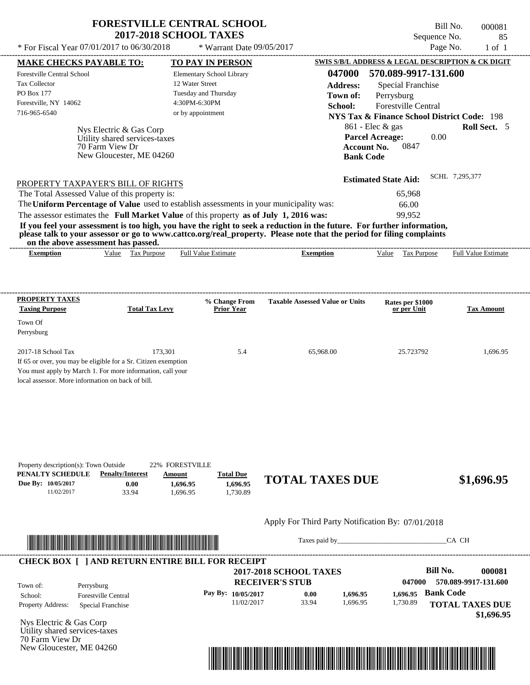| <b>FORESTVILLE CENTRAL SCHOOL</b> |
|-----------------------------------|
| <b>2017-2018 SCHOOL TAXES</b>     |

Tax Collector PO Box 177

Town Of Perrysburg

---------------------------------------------------------------------------------------------------------------------------------------------------------------------------------------------------- Nys Electric & Gas Corp If 65 or over, you may be eligible for a Sr. Citizen exemption You must apply by March 1. For more information, call your local assessor. More information on back of bill. Bill No. 000081 Sequence No. 85  $*$  For Fiscal Year 07/01/2017 to 06/30/2018  $*$  Warrant Date 09/05/2017 Page No. 1 of 1 **MAKE CHECKS PAYABLE TO: TO PAY IN PERSON SWIS S/B/L ADDRESS & LEGAL DESCRIPTION & CK DIGIT 047000 570.089-9917-131.600 Address:** Special Franchise Perrysburg **School:** Forestville Central **NYS Tax & Finance School District Code:** 198 861 - Elec & gas **Roll Sect.** 5 0.00 **Account No.** 0847 **Bank Code Estimated State Aid:** SCHL 7,295,377 PROPERTY TAXPAYER'S BILL OF RIGHTS The assessor estimates the **Full Market Value** of this property **as of July 1, 2016 was:** 99,952 The Total Assessed Value of this property is: 65,968 The **Uniform Percentage of Value** used to establish assessments in your municipality was: 66.00 **If you feel your assessment is too high, you have the right to seek a reduction in the future. For further information, please talk to your assessor or go to www.cattco.org/real\_property. Please note that the period for filing complaints on the above assessment has passed. Exemption** Value Tax Purpose **PROPERTY TAXES Taxing Purpose Total Tax Levy Prior Year % Change From Taxable Assessed Value or Units or per Unit Rates per \$1000 Tax Amount PENALTY SCHEDULE Penalty/Interest Amount Total Due Due By: 10/05/2017** 11/02/2017 33.94 **0.00** 1,696.95 **1,696.95** 1,730.89 **1,696.95 TOTAL TAXES DUE \$1,696.95** Apply For Third Party Notification By: 07/01/2018 Elementary School Library 12 Water Street Tuesday and Thursday 4:30PM-6:30PM Forestville Central School Forestville, NY 14062 **2017-2018 SCHOOL TAXES** 716-965-6540 or by appointment **Parcel Acreage:** 2017-18 School Tax 173,301 1,696.95 1,696.95 1,696.95 1,696.95 1,696.95 1,696.95 Utility shared services-taxes Full Value Estimate Taxes paid by Taxes and by Taxes paid by Taxes and by Taxes and by Taxes and the CA CH ---------------------------------------------------------------------------------------------------------------------------------------------------------------------------------------------------- ---------------------------------------------------------------------------------------------------------------------------------------------------------------------------------------------------- Property description(s): Town Outside 22% FORESTVILLE **Town of:** 70 Farm View Dr New Gloucester, ME 04260 **Exemption** Value Tax Purpose Full Value Estimate \*04700000008100000000169695\*



**Pay By: 10/05/2017**

| Town of:                 | Perrysburg                 |
|--------------------------|----------------------------|
| School:                  | <b>Forestville Central</b> |
| <b>Property Address:</b> | Special Franchise          |

Nys Electric & Gas Corp Utility shared services-taxes 70 Farm View Dr New Gloucester, ME 04260



11/02/2017 33.94 **0.00** 1,696.95 **1,696.95**

**Bank Code 047000 570.089-9917-131.600** 1,730.89 **1,696.95**

**TOTAL TAXES DUE**

 **\$1,696.95**

**Bill No. 000081**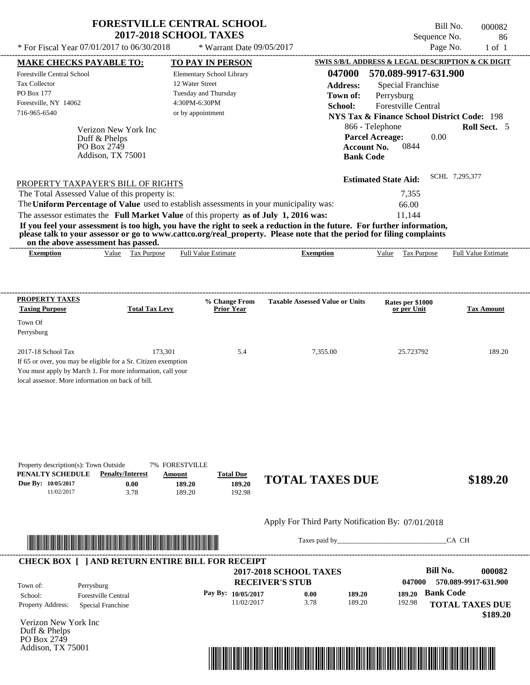| <b>FORESTVILLE CENTRAL SCHOOL</b> |  |
|-----------------------------------|--|
| <b>2017-2018 SCHOOL TAXES</b>     |  |

 $*$  For Fiscal Year 07/01/2017 to 06/30/2018

\* Warrant Date 09/05/2017

---------------------------------------------------------------------------------------------------------------------------------------------------------------------------------------------------- Bill No. 000082 Sequence No. 86

|                                                                                                                                                                                                                                      |                                  |                         |                                         |                           |                                                                                                                         |                  | SWIS S/B/L ADDRESS & LEGAL DESCRIPTION & CK DIGIT      |                  |                            |
|--------------------------------------------------------------------------------------------------------------------------------------------------------------------------------------------------------------------------------------|----------------------------------|-------------------------|-----------------------------------------|---------------------------|-------------------------------------------------------------------------------------------------------------------------|------------------|--------------------------------------------------------|------------------|----------------------------|
| <b>MAKE CHECKS PAYABLE TO:</b>                                                                                                                                                                                                       |                                  |                         |                                         | <b>TO PAY IN PERSON</b>   |                                                                                                                         |                  |                                                        |                  |                            |
| Forestville Central School                                                                                                                                                                                                           |                                  |                         |                                         | Elementary School Library |                                                                                                                         | 047000           | 570.089-9917-631.900                                   |                  |                            |
| Tax Collector<br>PO Box 177                                                                                                                                                                                                          |                                  |                         | 12 Water Street<br>Tuesday and Thursday |                           |                                                                                                                         | <b>Address:</b>  | Special Franchise                                      |                  |                            |
| Forestville, NY 14062                                                                                                                                                                                                                |                                  |                         | 4:30PM-6:30PM                           |                           |                                                                                                                         | Town of:         | Perrysburg                                             |                  |                            |
| 716-965-6540                                                                                                                                                                                                                         |                                  |                         | or by appointment                       |                           |                                                                                                                         | School:          | Forestville Central                                    |                  |                            |
|                                                                                                                                                                                                                                      |                                  |                         |                                         |                           |                                                                                                                         |                  | <b>NYS Tax &amp; Finance School District Code: 198</b> |                  |                            |
|                                                                                                                                                                                                                                      | Verizon New York Inc             |                         |                                         |                           |                                                                                                                         |                  | 866 - Telephone                                        |                  | Roll Sect. 5               |
|                                                                                                                                                                                                                                      | Duff & Phelps                    |                         |                                         |                           |                                                                                                                         |                  | <b>Parcel Acreage:</b>                                 | 0.00             |                            |
|                                                                                                                                                                                                                                      | PO Box 2749<br>Addison, TX 75001 |                         |                                         |                           |                                                                                                                         |                  | <b>Account No.</b><br>0844                             |                  |                            |
|                                                                                                                                                                                                                                      |                                  |                         |                                         |                           |                                                                                                                         | <b>Bank Code</b> |                                                        |                  |                            |
|                                                                                                                                                                                                                                      |                                  |                         |                                         |                           |                                                                                                                         |                  |                                                        | SCHL 7,295,377   |                            |
| PROPERTY TAXPAYER'S BILL OF RIGHTS                                                                                                                                                                                                   |                                  |                         |                                         |                           |                                                                                                                         |                  | <b>Estimated State Aid:</b>                            |                  |                            |
| The Total Assessed Value of this property is:                                                                                                                                                                                        |                                  |                         |                                         |                           |                                                                                                                         |                  | 7,355                                                  |                  |                            |
|                                                                                                                                                                                                                                      |                                  |                         |                                         |                           | The Uniform Percentage of Value used to establish assessments in your municipality was:                                 |                  | 66.00                                                  |                  |                            |
|                                                                                                                                                                                                                                      |                                  |                         |                                         |                           | The assessor estimates the Full Market Value of this property as of July 1, 2016 was:                                   |                  | 11.144                                                 |                  |                            |
|                                                                                                                                                                                                                                      |                                  |                         |                                         |                           | If you feel your assessment is too high, you have the right to seek a reduction in the future. For further information, |                  |                                                        |                  |                            |
|                                                                                                                                                                                                                                      |                                  |                         |                                         |                           | please talk to your assessor or go to www.cattco.org/real_property. Please note that the period for filing complaints   |                  |                                                        |                  |                            |
| on the above assessment has passed.                                                                                                                                                                                                  |                                  |                         |                                         |                           |                                                                                                                         |                  |                                                        |                  |                            |
| <b>Exemption</b>                                                                                                                                                                                                                     |                                  | Value Tax Purpose       | <b>Full Value Estimate</b>              |                           | <b>Exemption</b>                                                                                                        |                  | Value Tax Purpose                                      |                  | <b>Full Value Estimate</b> |
|                                                                                                                                                                                                                                      |                                  |                         |                                         |                           |                                                                                                                         |                  |                                                        |                  |                            |
|                                                                                                                                                                                                                                      |                                  |                         |                                         |                           |                                                                                                                         |                  |                                                        |                  |                            |
|                                                                                                                                                                                                                                      |                                  |                         |                                         |                           |                                                                                                                         |                  |                                                        |                  |                            |
| <b>PROPERTY TAXES</b>                                                                                                                                                                                                                |                                  |                         |                                         | % Change From             | <b>Taxable Assessed Value or Units</b>                                                                                  |                  | Rates per \$1000                                       |                  |                            |
| <b>Taxing Purpose</b>                                                                                                                                                                                                                |                                  | <b>Total Tax Levy</b>   |                                         | <b>Prior Year</b>         |                                                                                                                         |                  | or per Unit                                            |                  | <b>Tax Amount</b>          |
| Town Of                                                                                                                                                                                                                              |                                  |                         |                                         |                           |                                                                                                                         |                  |                                                        |                  |                            |
| Perrysburg                                                                                                                                                                                                                           |                                  |                         |                                         |                           |                                                                                                                         |                  |                                                        |                  |                            |
|                                                                                                                                                                                                                                      |                                  |                         |                                         |                           |                                                                                                                         |                  |                                                        |                  |                            |
| 2017-18 School Tax                                                                                                                                                                                                                   |                                  | 173,301                 |                                         | 5.4                       | 7,355.00                                                                                                                |                  | 25.723792                                              |                  | 189.20                     |
| If 65 or over, you may be eligible for a Sr. Citizen exemption                                                                                                                                                                       |                                  |                         |                                         |                           |                                                                                                                         |                  |                                                        |                  |                            |
| You must apply by March 1. For more information, call your                                                                                                                                                                           |                                  |                         |                                         |                           |                                                                                                                         |                  |                                                        |                  |                            |
| local assessor. More information on back of bill.                                                                                                                                                                                    |                                  |                         |                                         |                           |                                                                                                                         |                  |                                                        |                  |                            |
|                                                                                                                                                                                                                                      |                                  |                         |                                         |                           |                                                                                                                         |                  |                                                        |                  |                            |
|                                                                                                                                                                                                                                      |                                  |                         |                                         |                           |                                                                                                                         |                  |                                                        |                  |                            |
|                                                                                                                                                                                                                                      |                                  |                         |                                         |                           |                                                                                                                         |                  |                                                        |                  |                            |
|                                                                                                                                                                                                                                      |                                  |                         |                                         |                           |                                                                                                                         |                  |                                                        |                  |                            |
|                                                                                                                                                                                                                                      |                                  |                         |                                         |                           |                                                                                                                         |                  |                                                        |                  |                            |
|                                                                                                                                                                                                                                      |                                  |                         |                                         |                           |                                                                                                                         |                  |                                                        |                  |                            |
|                                                                                                                                                                                                                                      |                                  |                         | <b>7% FORESTVILLE</b>                   |                           |                                                                                                                         |                  |                                                        |                  |                            |
| Property description(s): Town Outside<br>PENALTY SCHEDULE                                                                                                                                                                            |                                  | <b>Penalty/Interest</b> | Amount                                  | <b>Total Due</b>          |                                                                                                                         |                  |                                                        |                  |                            |
| Due By: 10/05/2017                                                                                                                                                                                                                   |                                  | 0.00                    | 189.20                                  | 189.20                    | <b>TOTAL TAXES DUE</b>                                                                                                  |                  |                                                        |                  | \$189.20                   |
| 11/02/2017                                                                                                                                                                                                                           |                                  | 3.78                    | 189.20                                  | 192.98                    |                                                                                                                         |                  |                                                        |                  |                            |
|                                                                                                                                                                                                                                      |                                  |                         |                                         |                           |                                                                                                                         |                  |                                                        |                  |                            |
|                                                                                                                                                                                                                                      |                                  |                         |                                         |                           |                                                                                                                         |                  |                                                        |                  |                            |
|                                                                                                                                                                                                                                      |                                  |                         |                                         |                           | Apply For Third Party Notification By: 07/01/2018                                                                       |                  |                                                        |                  |                            |
|                                                                                                                                                                                                                                      |                                  |                         |                                         |                           |                                                                                                                         |                  |                                                        |                  |                            |
| <u> Indian American State and The Communication of the Communication of the Communication of the Communication of the Communication of the Communication of the Communication of the Communication of the Communication of the C</u> |                                  |                         |                                         |                           |                                                                                                                         |                  |                                                        |                  | CA CH                      |
|                                                                                                                                                                                                                                      |                                  |                         |                                         |                           |                                                                                                                         |                  |                                                        |                  |                            |
| <b>CHECK BOX [ ] AND RETURN ENTIRE BILL FOR RECEIPT</b>                                                                                                                                                                              |                                  |                         |                                         |                           |                                                                                                                         |                  |                                                        |                  |                            |
|                                                                                                                                                                                                                                      |                                  |                         |                                         |                           | <b>2017-2018 SCHOOL TAXES</b>                                                                                           |                  |                                                        | <b>Bill No.</b>  | 000082                     |
| Town of:                                                                                                                                                                                                                             | Perrysburg                       |                         |                                         |                           | <b>RECEIVER'S STUB</b>                                                                                                  |                  | 047000                                                 |                  | 570.089-9917-631.900       |
| School:                                                                                                                                                                                                                              | <b>Forestville Central</b>       |                         |                                         | Pay By: 10/05/2017        | 0.00                                                                                                                    | 189.20           | 189.20                                                 | <b>Bank Code</b> |                            |
| <b>Property Address:</b>                                                                                                                                                                                                             | Special Franchise                |                         |                                         | 11/02/2017                | 3.78                                                                                                                    | 189.20           | 192.98                                                 |                  | <b>TOTAL TAXES DUE</b>     |
|                                                                                                                                                                                                                                      |                                  |                         |                                         |                           |                                                                                                                         |                  |                                                        |                  | \$189.20                   |
| Verizon New York Inc                                                                                                                                                                                                                 |                                  |                         |                                         |                           |                                                                                                                         |                  |                                                        |                  |                            |
| Duff & Phelps                                                                                                                                                                                                                        |                                  |                         |                                         |                           |                                                                                                                         |                  |                                                        |                  |                            |
| PO Box 2749<br>Addison, TX 75001                                                                                                                                                                                                     |                                  |                         |                                         |                           |                                                                                                                         |                  |                                                        |                  |                            |
|                                                                                                                                                                                                                                      |                                  |                         |                                         |                           |                                                                                                                         |                  |                                                        |                  |                            |
|                                                                                                                                                                                                                                      |                                  |                         |                                         |                           | <u> 1989 - Johann Stoff, fransk politik format (f. 1989)</u>                                                            |                  |                                                        |                  |                            |
|                                                                                                                                                                                                                                      |                                  |                         |                                         |                           |                                                                                                                         |                  |                                                        |                  |                            |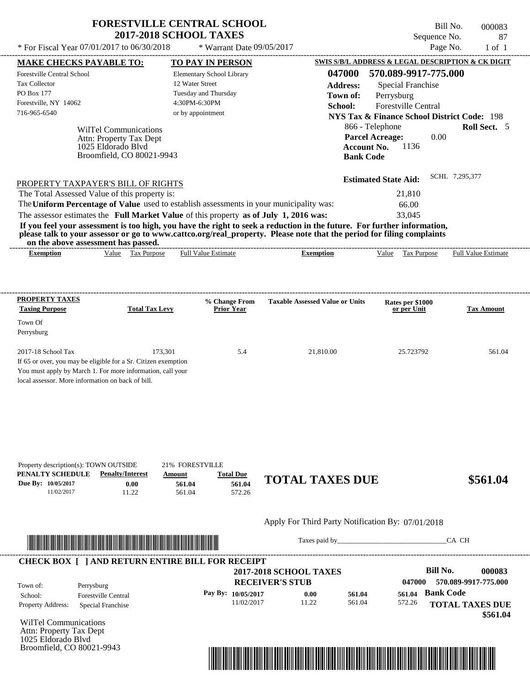| <b>FORESTVILLE CENTRAL SCHOOL</b> |
|-----------------------------------|
| <b>2017-2018 SCHOOL TAXES</b>     |

Bill No. 000083 Sequence No. 87

 **\$561.04**

| * For Fiscal Year 07/01/2017 to 06/30/2018                                                                                                                                                              |                                                                                                     | * Warrant Date 09/05/2017                                                                                  |                                                                                                                                                                                                                                                  | Page No.                                                                                                                                        | $1$ of $1$                 |
|---------------------------------------------------------------------------------------------------------------------------------------------------------------------------------------------------------|-----------------------------------------------------------------------------------------------------|------------------------------------------------------------------------------------------------------------|--------------------------------------------------------------------------------------------------------------------------------------------------------------------------------------------------------------------------------------------------|-------------------------------------------------------------------------------------------------------------------------------------------------|----------------------------|
| <b>MAKE CHECKS PAYABLE TO:</b>                                                                                                                                                                          |                                                                                                     | <b>TO PAY IN PERSON</b>                                                                                    |                                                                                                                                                                                                                                                  | <b>SWIS S/B/L ADDRESS &amp; LEGAL DESCRIPTION &amp; CK DIGIT</b>                                                                                |                            |
| Forestville Central School<br>Tax Collector<br>PO Box 177<br>Forestville, NY 14062<br>716-965-6540                                                                                                      |                                                                                                     | Elementary School Library<br>12 Water Street<br>Tuesday and Thursday<br>4:30PM-6:30PM<br>or by appointment | 047000<br><b>Address:</b><br>Town of:<br>School:                                                                                                                                                                                                 | 570.089-9917-775.000<br><b>Special Franchise</b><br>Perrysburg<br>Forestville Central<br><b>NYS Tax &amp; Finance School District Code: 198</b> |                            |
|                                                                                                                                                                                                         | WilTel Communications<br>Attn: Property Tax Dept<br>1025 Eldorado Blyd<br>Broomfield, CO 80021-9943 |                                                                                                            | <b>Bank Code</b>                                                                                                                                                                                                                                 | 866 - Telephone<br><b>Parcel Acreage:</b><br>0.00<br>1136<br><b>Account No.</b>                                                                 | Roll Sect. 5               |
| PROPERTY TAXPAYER'S BILL OF RIGHTS<br>The Total Assessed Value of this property is:<br>The Uniform Percentage of Value used to establish assessments in your municipality was:                          |                                                                                                     |                                                                                                            |                                                                                                                                                                                                                                                  | <b>Estimated State Aid:</b><br>21,810<br>66.00                                                                                                  | SCHL 7,295,377             |
| The assessor estimates the Full Market Value of this property as of July 1, 2016 was:<br>on the above assessment has passed.                                                                            |                                                                                                     |                                                                                                            | If you feel your assessment is too high, you have the right to seek a reduction in the future. For further information,<br>please talk to your assessor or go to www.cattco.org/real_property. Please note that the period for filing complaints | 33,045                                                                                                                                          |                            |
| <b>Exemption</b>                                                                                                                                                                                        | Value Tax Purpose                                                                                   | <b>Full Value Estimate</b>                                                                                 | <b>Exemption</b>                                                                                                                                                                                                                                 | Value Tax Purpose                                                                                                                               | <b>Full Value Estimate</b> |
| <b>PROPERTY TAXES</b>                                                                                                                                                                                   |                                                                                                     |                                                                                                            |                                                                                                                                                                                                                                                  |                                                                                                                                                 |                            |
| <b>Taxing Purpose</b><br>Town Of                                                                                                                                                                        | <b>Total Tax Levy</b>                                                                               | % Change From<br><b>Prior Year</b>                                                                         | <b>Taxable Assessed Value or Units</b>                                                                                                                                                                                                           | Rates per \$1000<br>or per Unit                                                                                                                 | <b>Tax Amount</b>          |
| Perrysburg                                                                                                                                                                                              |                                                                                                     |                                                                                                            |                                                                                                                                                                                                                                                  |                                                                                                                                                 |                            |
| 2017-18 School Tax<br>If 65 or over, you may be eligible for a Sr. Citizen exemption<br>You must apply by March 1. For more information, call your<br>local assessor. More information on back of bill. | 173,301                                                                                             | 5.4                                                                                                        | 21,810.00                                                                                                                                                                                                                                        | 25.723792                                                                                                                                       | 561.04                     |
| Property description(s): TOWN OUTSIDE<br>PENALTY SCHEDULE<br>Due By: 10/05/2017                                                                                                                         | <b>Penalty/Interest</b><br>Amount<br>0.00                                                           | 21% FORESTVILLE<br><b>Total Due</b><br>561.04<br>561.04                                                    | <b>TOTAL TAXES DUE</b>                                                                                                                                                                                                                           |                                                                                                                                                 | \$561.04                   |
| 11/02/2017                                                                                                                                                                                              | 11.22                                                                                               | 561.04<br>572.26                                                                                           |                                                                                                                                                                                                                                                  |                                                                                                                                                 |                            |
|                                                                                                                                                                                                         |                                                                                                     |                                                                                                            | Apply For Third Party Notification By: 07/01/2018                                                                                                                                                                                                |                                                                                                                                                 |                            |
| <u> Literatura de la contrada de la contrada de la contrada de la contrada de la contrada de la contrada de la c</u>                                                                                    |                                                                                                     |                                                                                                            | Taxes paid by                                                                                                                                                                                                                                    |                                                                                                                                                 | CA CH                      |
| <b>CHECK BOX [ ] AND RETURN ENTIRE BILL FOR RECEIPT</b>                                                                                                                                                 |                                                                                                     |                                                                                                            | <b>2017-2018 SCHOOL TAXES</b>                                                                                                                                                                                                                    | <b>Bill No.</b>                                                                                                                                 | 000083                     |
| Town of:<br>Perrysburg<br><b>Forestville Central</b><br>School:                                                                                                                                         |                                                                                                     | Pay By: 10/05/2017                                                                                         | <b>RECEIVER'S STUB</b><br>561.04<br>0.00                                                                                                                                                                                                         | 047000<br><b>Bank Code</b><br>561.04                                                                                                            | 570.089-9917-775.000       |
| Property Address:<br>Special Franchise                                                                                                                                                                  |                                                                                                     | 11/02/2017                                                                                                 | 561.04<br>11.22                                                                                                                                                                                                                                  | 572.26                                                                                                                                          | <b>TOTAL TAXES DUE</b>     |

WilTel Communications Attn: Property Tax Dept 1025 Eldorado Blvd Broomfield, CO 80021-9943

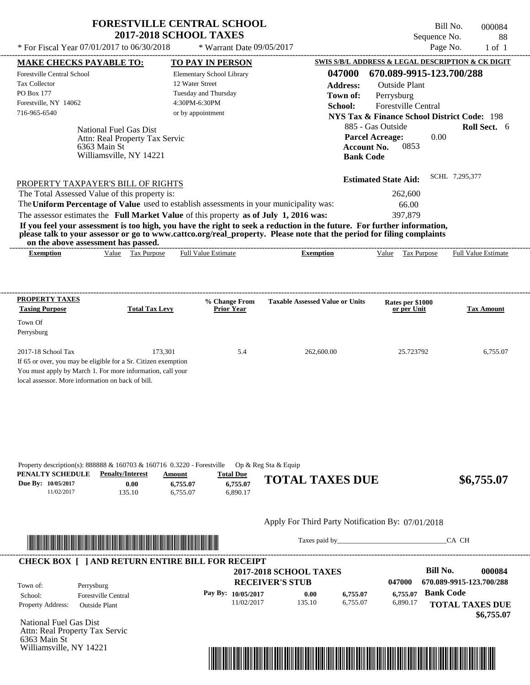| <b>FORESTVILLE CENTRAL SCHOOL</b> |
|-----------------------------------|
| <b>2017-2018 SCHOOL TAXES</b>     |

Bill No. 000084 Sequence No. 88  $*$  For Fiscal Year 07/01/2017 to 06/30/2018  $*$  Warrant Date 09/05/2017 Page No. 1 of 1

|                                                | <b>MAKE CHECKS PAYABLE TO:</b>                                         | <b>TO PAY IN PERSON</b>                                                                 |                                                                                                                                                                                                                                      | <b>SWIS S/B/L ADDRESS &amp; LEGAL DESCRIPTION &amp; CK DIGIT</b> |                          |
|------------------------------------------------|------------------------------------------------------------------------|-----------------------------------------------------------------------------------------|--------------------------------------------------------------------------------------------------------------------------------------------------------------------------------------------------------------------------------------|------------------------------------------------------------------|--------------------------|
| Forestville Central School                     |                                                                        | Elementary School Library                                                               | 047000                                                                                                                                                                                                                               | 670.089-9915-123.700/288                                         |                          |
| <b>Tax Collector</b>                           |                                                                        | 12 Water Street                                                                         | <b>Address:</b>                                                                                                                                                                                                                      | <b>Outside Plant</b>                                             |                          |
| PO Box 177                                     |                                                                        | Tuesday and Thursday                                                                    | Town of:                                                                                                                                                                                                                             | Perrysburg                                                       |                          |
| Forestville, NY 14062                          |                                                                        | 4:30PM-6:30PM                                                                           | School:                                                                                                                                                                                                                              | <b>Forestville Central</b>                                       |                          |
| 716-965-6540                                   |                                                                        | or by appointment                                                                       |                                                                                                                                                                                                                                      | <b>NYS Tax &amp; Finance School District Code: 198</b>           |                          |
|                                                | National Fuel Gas Dist                                                 |                                                                                         |                                                                                                                                                                                                                                      | 885 - Gas Outside                                                | Roll Sect. 6             |
|                                                | Attn: Real Property Tax Servic                                         |                                                                                         |                                                                                                                                                                                                                                      | 0.00<br><b>Parcel Acreage:</b>                                   |                          |
|                                                | 6363 Main St                                                           |                                                                                         | <b>Account No.</b>                                                                                                                                                                                                                   | 0853                                                             |                          |
|                                                | Williamsville, NY 14221                                                |                                                                                         | <b>Bank Code</b>                                                                                                                                                                                                                     |                                                                  |                          |
|                                                |                                                                        |                                                                                         |                                                                                                                                                                                                                                      |                                                                  |                          |
|                                                | PROPERTY TAXPAYER'S BILL OF RIGHTS                                     |                                                                                         |                                                                                                                                                                                                                                      | <b>Estimated State Aid:</b>                                      | SCHL 7.295.377           |
|                                                | The Total Assessed Value of this property is:                          |                                                                                         |                                                                                                                                                                                                                                      | 262,600                                                          |                          |
|                                                |                                                                        | The Uniform Percentage of Value used to establish assessments in your municipality was: |                                                                                                                                                                                                                                      | 66.00                                                            |                          |
|                                                |                                                                        | The assessor estimates the Full Market Value of this property as of July 1, 2016 was:   |                                                                                                                                                                                                                                      | 397,879                                                          |                          |
|                                                |                                                                        |                                                                                         | If you feel your assessment is too high, you have the right to seek a reduction in the future. For further information,                                                                                                              |                                                                  |                          |
|                                                | on the above assessment has passed.                                    |                                                                                         | please talk to your assessor or go to www.cattco.org/real_property. Please note that the period for filing complaints                                                                                                                |                                                                  |                          |
| <b>Exemption</b>                               | Value Tax Purpose                                                      | <b>Full Value Estimate</b>                                                              | <b>Exemption</b>                                                                                                                                                                                                                     | Value Tax Purpose Full Value Estimate                            |                          |
|                                                |                                                                        |                                                                                         |                                                                                                                                                                                                                                      |                                                                  |                          |
|                                                |                                                                        |                                                                                         |                                                                                                                                                                                                                                      |                                                                  |                          |
|                                                |                                                                        |                                                                                         |                                                                                                                                                                                                                                      |                                                                  |                          |
| PROPERTY TAXES                                 |                                                                        | % Change From                                                                           | <b>Taxable Assessed Value or Units</b>                                                                                                                                                                                               |                                                                  |                          |
| <b>Taxing Purpose</b>                          | <b>Total Tax Levy</b>                                                  | <b>Prior Year</b>                                                                       |                                                                                                                                                                                                                                      | Rates per \$1000<br>or per Unit                                  | <b>Tax Amount</b>        |
| Town Of                                        |                                                                        |                                                                                         |                                                                                                                                                                                                                                      |                                                                  |                          |
| Perrysburg                                     |                                                                        |                                                                                         |                                                                                                                                                                                                                                      |                                                                  |                          |
|                                                |                                                                        |                                                                                         |                                                                                                                                                                                                                                      |                                                                  |                          |
| 2017-18 School Tax                             | 173,301                                                                | 5.4                                                                                     | 262,600.00                                                                                                                                                                                                                           | 25.723792                                                        | 6,755.07                 |
|                                                | If 65 or over, you may be eligible for a Sr. Citizen exemption         |                                                                                         |                                                                                                                                                                                                                                      |                                                                  |                          |
|                                                | You must apply by March 1. For more information, call your             |                                                                                         |                                                                                                                                                                                                                                      |                                                                  |                          |
|                                                | local assessor. More information on back of bill.                      |                                                                                         |                                                                                                                                                                                                                                      |                                                                  |                          |
|                                                |                                                                        |                                                                                         |                                                                                                                                                                                                                                      |                                                                  |                          |
|                                                |                                                                        |                                                                                         |                                                                                                                                                                                                                                      |                                                                  |                          |
|                                                |                                                                        |                                                                                         |                                                                                                                                                                                                                                      |                                                                  |                          |
|                                                |                                                                        |                                                                                         |                                                                                                                                                                                                                                      |                                                                  |                          |
|                                                |                                                                        |                                                                                         |                                                                                                                                                                                                                                      |                                                                  |                          |
|                                                |                                                                        |                                                                                         |                                                                                                                                                                                                                                      |                                                                  |                          |
|                                                | Property description(s): 888888 & 160703 & 160716 0.3220 - Forestville |                                                                                         | Op & Reg Sta & Equip                                                                                                                                                                                                                 |                                                                  |                          |
| PENALTY SCHEDULE                               | <b>Penalty/Interest</b>                                                | <b>Total Due</b><br>Amount                                                              | <b>TOTAL TAXES DUE</b>                                                                                                                                                                                                               |                                                                  | \$6,755.07               |
| Due By: 10/05/2017                             | 0.00                                                                   | 6,755.07<br>6,755.07                                                                    |                                                                                                                                                                                                                                      |                                                                  |                          |
| 11/02/2017                                     | 135.10                                                                 | 6,890.17<br>6,755.07                                                                    |                                                                                                                                                                                                                                      |                                                                  |                          |
|                                                |                                                                        |                                                                                         |                                                                                                                                                                                                                                      |                                                                  |                          |
|                                                |                                                                        |                                                                                         | Apply For Third Party Notification By: 07/01/2018                                                                                                                                                                                    |                                                                  |                          |
|                                                |                                                                        |                                                                                         |                                                                                                                                                                                                                                      |                                                                  |                          |
|                                                |                                                                        |                                                                                         | Taxes paid by Taxes and the Taxes and the Taxes and the Taxes are the Taxes and the Taxes and the Taxes and the Taxes and the Taxes and the Taxes and the Taxes and the Taxes and the Taxes and the Taxes and the Taxes and th       |                                                                  | CA CH                    |
|                                                |                                                                        |                                                                                         |                                                                                                                                                                                                                                      |                                                                  |                          |
|                                                |                                                                        | <b>CHECK BOX [ ] AND RETURN ENTIRE BILL FOR RECEIPT</b>                                 |                                                                                                                                                                                                                                      |                                                                  |                          |
|                                                |                                                                        |                                                                                         | <b>2017-2018 SCHOOL TAXES</b>                                                                                                                                                                                                        | <b>Bill No.</b>                                                  | 000084                   |
| Town of:                                       | Perrysburg                                                             |                                                                                         | <b>RECEIVER'S STUB</b>                                                                                                                                                                                                               | 047000                                                           | 670.089-9915-123.700/288 |
| School:                                        | <b>Forestville Central</b>                                             | Pay By: 10/05/2017                                                                      | 0.00<br>6,755.07                                                                                                                                                                                                                     | <b>Bank Code</b><br>6,755.07                                     |                          |
| Property Address:                              | <b>Outside Plant</b>                                                   | 11/02/2017                                                                              | 135.10<br>6,755.07                                                                                                                                                                                                                   | 6,890.17                                                         | <b>TOTAL TAXES DUE</b>   |
|                                                |                                                                        |                                                                                         |                                                                                                                                                                                                                                      |                                                                  | \$6,755.07               |
| National Fuel Gas Dist                         |                                                                        |                                                                                         |                                                                                                                                                                                                                                      |                                                                  |                          |
| Attn: Real Property Tax Servic<br>6363 Main St |                                                                        |                                                                                         |                                                                                                                                                                                                                                      |                                                                  |                          |
| Williamsville, NY 14221                        |                                                                        |                                                                                         |                                                                                                                                                                                                                                      |                                                                  |                          |
|                                                |                                                                        |                                                                                         | <u> 1989 - Andrea Stadt British Stadt British Stadt British Stadt British Stadt British Stadt British Stadt British Stadt British Stadt British Stadt British Stadt British Stadt British Stadt British Stadt British Stadt Brit</u> |                                                                  |                          |
|                                                |                                                                        |                                                                                         |                                                                                                                                                                                                                                      |                                                                  |                          |
|                                                |                                                                        |                                                                                         |                                                                                                                                                                                                                                      |                                                                  |                          |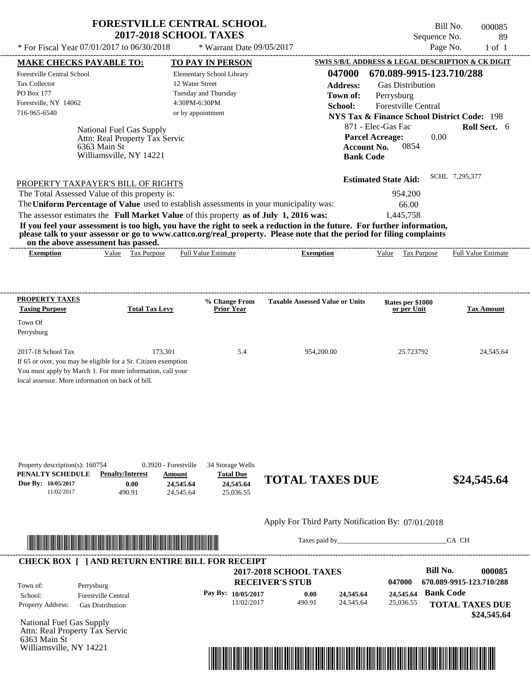| <b>FORESTVILLE CENTRAL SCHOOL</b> |
|-----------------------------------|
| <b>2017-2018 SCHOOL TAXES</b>     |

Tax Collector PO Box 177

Town Of Perrysburg

---------------------------------------------------------------------------------------------------------------------------------------------------------------------------------------------------- National Fuel Gas Supply If 65 or over, you may be eligible for a Sr. Citizen exemption You must apply by March 1. For more information, call your local assessor. More information on back of bill. Sequence No. 89  $*$  For Fiscal Year 07/01/2017 to 06/30/2018  $*$  Warrant Date 09/05/2017 Page No. 1 of 1 **MAKE CHECKS PAYABLE TO: TO PAY IN PERSON SWIS S/B/L ADDRESS & LEGAL DESCRIPTION & CK DIGIT 047000 670.089-9915-123.710/288 Address:** Gas Distribution Perrysburg **School:** Forestville Central **NYS Tax & Finance School District Code:** 198 871 - Elec-Gas Fac **Roll Sect.** 6 0.00 **Account No.** 0854 **Bank Code Estimated State Aid:** SCHL 7,295,377 PROPERTY TAXPAYER'S BILL OF RIGHTS The assessor estimates the **Full Market Value** of this property **as of July 1, 2016 was:** 1,445,758 The Total Assessed Value of this property is: 954,200 The **Uniform Percentage of Value** used to establish assessments in your municipality was: 66.00 **If you feel your assessment is too high, you have the right to seek a reduction in the future. For further information, please talk to your assessor or go to www.cattco.org/real\_property. Please note that the period for filing complaints on the above assessment has passed. Exemption** Value Tax Purpose **PROPERTY TAXES Taxing Purpose Total Tax Levy Prior Year % Change From Taxable Assessed Value or Units or per Unit Rates per \$1000 Tax Amount PENALTY SCHEDULE Penalty/Interest Amount Total Due Due By: 10/05/2017** 11/02/2017 490.91 **0.00** 24,545.64 **24,545.64** 25,036.55 <u>**24,545.64 TOTAL TAXES DUE** \$24,545.64</u> Apply For Third Party Notification By: 07/01/2018 Elementary School Library 12 Water Street Tuesday and Thursday 4:30PM-6:30PM Forestville Central School Forestville, NY 14062 **2017-2018 SCHOOL TAXES** 716-965-6540 or by appointment **Parcel Acreage:** 2017-18 School Tax 24,545.64 173,301 5.4 954,200.00 25.723792 24,545.64 Attn: Real Property Tax Servic Full Value Estimate ---------------------------------------------------------------------------------------------------------------------------------------------------------------------------------------------------- ---------------------------------------------------------------------------------------------------------------------------------------------------------------------------------------------------- Property description(s): 160754 0.3920 - Forestville 34 Storage Wells **Town of:** 6363 Main St Williamsville, NY 14221 **Exemption** Value Tax Purpose Full Value Estimate



Taxes paid by\_\_\_\_\_\_\_\_\_\_\_\_\_\_\_\_\_\_\_\_\_\_\_\_\_\_\_\_\_\_\_CA CH

Bill No. 000085

|                          |                            | <b>2017-2018 SCHOOL TAXES</b> |        |           |           | Bill No.                 | 000085      |
|--------------------------|----------------------------|-------------------------------|--------|-----------|-----------|--------------------------|-------------|
| Town of:                 | Perrysburg                 | <b>RECEIVER'S STUB</b>        |        |           | 047000    | 670.089-9915-123.710/288 |             |
| School:                  | <b>Forestville Central</b> | Pay By: $10/05/2017$          | 0.00   | 24,545,64 | 24,545.64 | <b>Bank Code</b>         |             |
| <b>Property Address:</b> | <b>Gas Distribution</b>    | 11/02/2017                    | 490.91 | 24.545.64 | 25,036.55 | <b>TOTAL TAXES DUE</b>   |             |
|                          |                            |                               |        |           |           |                          | \$24,545.64 |

National Fuel Gas Supply Attn: Real Property Tax Servic 6363 Main St Williamsville, NY 14221

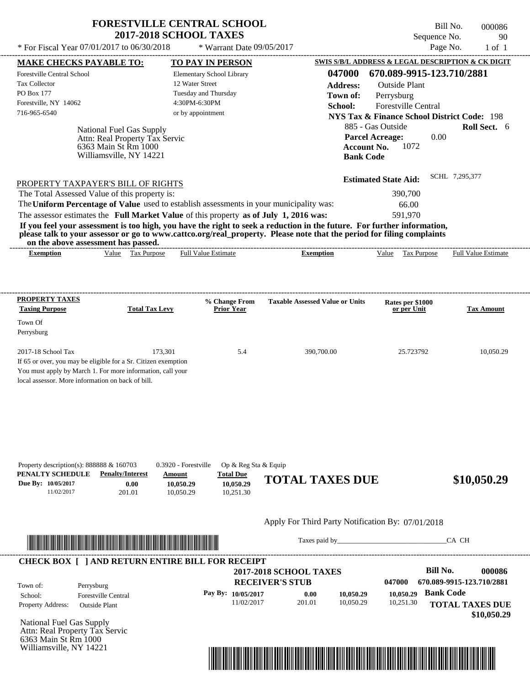| <b>FORESTVILLE CENTRAL SCHOOL</b> |
|-----------------------------------|
| <b>2017-2018 SCHOOL TAXES</b>     |

\* For Fiscal Year  $07/01/2017$  to  $06/30/2018$  \* Warrant Date  $09/05/2017$  Page No. 1 of 1

 $*$  Warrant Date 09/05/2017

Bill No. 000086 Sequence No. 90<br>Page No. 1 of 1

| <b>MAKE CHECKS PAYABLE TO:</b>                                  |                                                                                                                                                                                                                                      | <b>TO PAY IN PERSON</b>                                                                 |                                                                                                                         | <b>SWIS S/B/L ADDRESS &amp; LEGAL DESCRIPTION &amp; CK DIGIT</b> |                           |
|-----------------------------------------------------------------|--------------------------------------------------------------------------------------------------------------------------------------------------------------------------------------------------------------------------------------|-----------------------------------------------------------------------------------------|-------------------------------------------------------------------------------------------------------------------------|------------------------------------------------------------------|---------------------------|
| Forestville Central School                                      |                                                                                                                                                                                                                                      | Elementary School Library                                                               | 047000                                                                                                                  | 670.089-9915-123.710/2881                                        |                           |
| <b>Tax Collector</b>                                            |                                                                                                                                                                                                                                      | 12 Water Street                                                                         | <b>Address:</b>                                                                                                         | <b>Outside Plant</b>                                             |                           |
| PO Box 177                                                      |                                                                                                                                                                                                                                      | Tuesday and Thursday                                                                    | Town of:                                                                                                                | Perrysburg                                                       |                           |
| Forestville, NY 14062                                           |                                                                                                                                                                                                                                      | 4:30PM-6:30PM                                                                           | School:                                                                                                                 | <b>Forestville Central</b>                                       |                           |
| 716-965-6540                                                    |                                                                                                                                                                                                                                      | or by appointment                                                                       |                                                                                                                         | <b>NYS Tax &amp; Finance School District Code: 198</b>           |                           |
|                                                                 | National Fuel Gas Supply                                                                                                                                                                                                             |                                                                                         |                                                                                                                         | 885 - Gas Outside                                                | Roll Sect. 6              |
|                                                                 | Attn: Real Property Tax Servic                                                                                                                                                                                                       |                                                                                         |                                                                                                                         | 0.00<br><b>Parcel Acreage:</b>                                   |                           |
|                                                                 | 6363 Main St Rm 1000                                                                                                                                                                                                                 |                                                                                         | <b>Account No.</b>                                                                                                      | 1072                                                             |                           |
|                                                                 | Williamsville, NY 14221                                                                                                                                                                                                              |                                                                                         | <b>Bank Code</b>                                                                                                        |                                                                  |                           |
|                                                                 |                                                                                                                                                                                                                                      |                                                                                         |                                                                                                                         |                                                                  |                           |
|                                                                 | PROPERTY TAXPAYER'S BILL OF RIGHTS                                                                                                                                                                                                   |                                                                                         |                                                                                                                         | <b>Estimated State Aid:</b>                                      | SCHL 7.295.377            |
|                                                                 | The Total Assessed Value of this property is:                                                                                                                                                                                        |                                                                                         |                                                                                                                         | 390,700                                                          |                           |
|                                                                 |                                                                                                                                                                                                                                      | The Uniform Percentage of Value used to establish assessments in your municipality was: |                                                                                                                         | 66.00                                                            |                           |
|                                                                 |                                                                                                                                                                                                                                      | The assessor estimates the Full Market Value of this property as of July 1, 2016 was:   |                                                                                                                         | 591,970                                                          |                           |
|                                                                 |                                                                                                                                                                                                                                      |                                                                                         | If you feel your assessment is too high, you have the right to seek a reduction in the future. For further information, |                                                                  |                           |
|                                                                 | on the above assessment has passed.                                                                                                                                                                                                  |                                                                                         | please talk to your assessor or go to www.cattco.org/real_property. Please note that the period for filing complaints   |                                                                  |                           |
| <b>Exemption</b>                                                | Value Tax Purpose                                                                                                                                                                                                                    | <b>Full Value Estimate</b>                                                              | <b>Exemption</b>                                                                                                        | Value Tax Purpose Full Value Estimate                            |                           |
|                                                                 |                                                                                                                                                                                                                                      |                                                                                         |                                                                                                                         |                                                                  |                           |
|                                                                 |                                                                                                                                                                                                                                      |                                                                                         |                                                                                                                         |                                                                  |                           |
|                                                                 |                                                                                                                                                                                                                                      |                                                                                         |                                                                                                                         |                                                                  |                           |
| PROPERTY TAXES                                                  |                                                                                                                                                                                                                                      | % Change From                                                                           | <b>Taxable Assessed Value or Units</b>                                                                                  | Rates per \$1000                                                 |                           |
| <b>Taxing Purpose</b>                                           | <b>Total Tax Levy</b>                                                                                                                                                                                                                | <b>Prior Year</b>                                                                       |                                                                                                                         | or per Unit                                                      | <b>Tax Amount</b>         |
| Town Of                                                         |                                                                                                                                                                                                                                      |                                                                                         |                                                                                                                         |                                                                  |                           |
| Perrysburg                                                      |                                                                                                                                                                                                                                      |                                                                                         |                                                                                                                         |                                                                  |                           |
|                                                                 |                                                                                                                                                                                                                                      |                                                                                         |                                                                                                                         |                                                                  |                           |
| 2017-18 School Tax                                              | 173,301<br>If 65 or over, you may be eligible for a Sr. Citizen exemption                                                                                                                                                            | 5.4                                                                                     | 390,700.00                                                                                                              | 25.723792                                                        | 10,050.29                 |
|                                                                 | You must apply by March 1. For more information, call your                                                                                                                                                                           |                                                                                         |                                                                                                                         |                                                                  |                           |
| local assessor. More information on back of bill.               |                                                                                                                                                                                                                                      |                                                                                         |                                                                                                                         |                                                                  |                           |
|                                                                 |                                                                                                                                                                                                                                      |                                                                                         |                                                                                                                         |                                                                  |                           |
|                                                                 |                                                                                                                                                                                                                                      |                                                                                         |                                                                                                                         |                                                                  |                           |
|                                                                 |                                                                                                                                                                                                                                      |                                                                                         |                                                                                                                         |                                                                  |                           |
|                                                                 |                                                                                                                                                                                                                                      |                                                                                         |                                                                                                                         |                                                                  |                           |
|                                                                 |                                                                                                                                                                                                                                      |                                                                                         |                                                                                                                         |                                                                  |                           |
|                                                                 |                                                                                                                                                                                                                                      |                                                                                         |                                                                                                                         |                                                                  |                           |
|                                                                 |                                                                                                                                                                                                                                      |                                                                                         |                                                                                                                         |                                                                  |                           |
| Property description(s): $888888 \& 160703$<br>PENALTY SCHEDULE | <b>Penalty/Interest</b>                                                                                                                                                                                                              | 0.3920 - Forestville<br>Op & Reg Sta & Equip<br><b>Total Due</b><br>Amount              |                                                                                                                         |                                                                  |                           |
| Due By: 10/05/2017                                              | 0.00                                                                                                                                                                                                                                 | 10,050.29<br>10,050.29                                                                  | <b>TOTAL TAXES DUE</b>                                                                                                  |                                                                  | \$10,050.29               |
| 11/02/2017                                                      | 201.01                                                                                                                                                                                                                               | 10,050.29<br>10,251.30                                                                  |                                                                                                                         |                                                                  |                           |
|                                                                 |                                                                                                                                                                                                                                      |                                                                                         |                                                                                                                         |                                                                  |                           |
|                                                                 |                                                                                                                                                                                                                                      |                                                                                         |                                                                                                                         |                                                                  |                           |
|                                                                 |                                                                                                                                                                                                                                      |                                                                                         | Apply For Third Party Notification By: 07/01/2018                                                                       |                                                                  |                           |
|                                                                 |                                                                                                                                                                                                                                      |                                                                                         | Taxes paid by                                                                                                           |                                                                  | CA CH                     |
|                                                                 | <u> In the second contract of the second contract of the second contract of the second contract of the second contract of the second contract of the second contract of the second contract of the second contract of the second</u> |                                                                                         |                                                                                                                         |                                                                  |                           |
|                                                                 |                                                                                                                                                                                                                                      | <b>CHECK BOX [ ] AND RETURN ENTIRE BILL FOR RECEIPT</b>                                 |                                                                                                                         |                                                                  |                           |
|                                                                 |                                                                                                                                                                                                                                      |                                                                                         | <b>2017-2018 SCHOOL TAXES</b>                                                                                           | <b>Bill No.</b>                                                  | 000086                    |
| Town of:                                                        |                                                                                                                                                                                                                                      |                                                                                         | <b>RECEIVER'S STUB</b>                                                                                                  | 047000                                                           | 670.089-9915-123.710/2881 |
| School:                                                         | Perrysburg<br><b>Forestville Central</b>                                                                                                                                                                                             | Pay By: 10/05/2017                                                                      | 0.00<br>10,050.29                                                                                                       | 10,050.29                                                        | <b>Bank Code</b>          |
| Property Address:                                               | <b>Outside Plant</b>                                                                                                                                                                                                                 | 11/02/2017                                                                              | 201.01<br>10,050.29                                                                                                     | 10,251.30                                                        | <b>TOTAL TAXES DUE</b>    |
|                                                                 |                                                                                                                                                                                                                                      |                                                                                         |                                                                                                                         |                                                                  | \$10,050.29               |
| National Fuel Gas Supply                                        |                                                                                                                                                                                                                                      |                                                                                         |                                                                                                                         |                                                                  |                           |
| Attn: Real Property Tax Servic                                  |                                                                                                                                                                                                                                      |                                                                                         |                                                                                                                         |                                                                  |                           |
| 6363 Main St Rm 1000                                            |                                                                                                                                                                                                                                      |                                                                                         |                                                                                                                         |                                                                  |                           |
| Williamsville, NY 14221                                         |                                                                                                                                                                                                                                      |                                                                                         |                                                                                                                         |                                                                  |                           |
|                                                                 |                                                                                                                                                                                                                                      |                                                                                         | <u> 1989 - Johann Stoff, Amerikaansk politiker († 1989)</u>                                                             |                                                                  |                           |
|                                                                 |                                                                                                                                                                                                                                      |                                                                                         |                                                                                                                         |                                                                  |                           |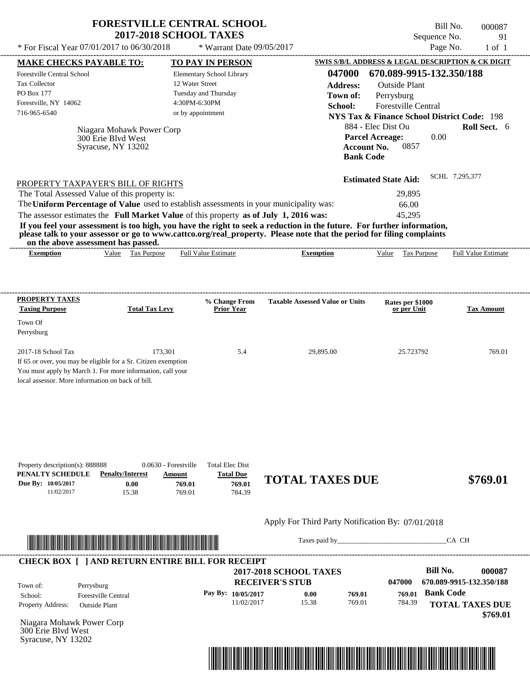| <b>FORESTVILLE CENTRAL SCHOOL</b><br><b>2017-2018 SCHOOL TAXES</b><br>* For Fiscal Year $07/01/2017$ to $06/30/2018$                                                                                                        | Bill No.<br>000087<br>Sequence No.<br>91<br>Page No.<br>$1$ of $1$                                                                    |                                                                                                                                                                                                                                                                                                                                                                                                  |
|-----------------------------------------------------------------------------------------------------------------------------------------------------------------------------------------------------------------------------|---------------------------------------------------------------------------------------------------------------------------------------|--------------------------------------------------------------------------------------------------------------------------------------------------------------------------------------------------------------------------------------------------------------------------------------------------------------------------------------------------------------------------------------------------|
| <b>MAKE CHECKS PAYABLE TO:</b><br>Forestville Central School<br><b>Tax Collector</b><br><b>PO Box 177</b><br>Forestville, NY 14062<br>716-965-6540<br>Niagara Mohawk Power Corp<br>300 Erie Blyd West<br>Syracuse, NY 13202 | <b>TO PAY IN PERSON</b><br>Elementary School Library<br>12 Water Street<br>Tuesday and Thursday<br>4:30PM-6:30PM<br>or by appointment | SWIS S/B/L ADDRESS & LEGAL DESCRIPTION & CK DIGIT<br>670.089-9915-132.350/188<br>047000<br><b>Address:</b><br><b>Outside Plant</b><br>Town of:<br>Perrysburg<br>School:<br><b>Forestville Central</b><br><b>NYS Tax &amp; Finance School District Code: 198</b><br>884 - Elec Dist Ou<br><b>Roll Sect.</b> 6<br><b>Parcel Acreage:</b><br>0.00<br><b>Account No.</b><br>0857<br><b>Bank Code</b> |
| PROPERTY TAXPAYER'S BILL OF RIGHTS<br>The Total Assessed Value of this property is:                                                                                                                                         | The Uniform Percentage of Value used to establish assessments in your municipality was:                                               | SCHL 7,295,377<br><b>Estimated State Aid:</b><br>29,895<br>66.00                                                                                                                                                                                                                                                                                                                                 |

The assessor estimates the **Full Market Value** of this property **as of July 1, 2016 was:** 45,295

**If you feel your assessment is too high, you have the right to seek a reduction in the future. For further information, please talk to your assessor or go to www.cattco.org/real\_property. Please note that the period for filing complaints**

| or<br>- Ene<br>ass<br>…anov⁄∵ | -has<br>passed.<br>.ssmen* |                 |         |                  |                                       |
|-------------------------------|----------------------------|-----------------|---------|------------------|---------------------------------------|
| txemption                     | √alue<br>аx<br>.rdose      | Estimat.<br>Ful | `mption | /alue<br>'urdose | -rull <sup>v</sup><br>Estimate<br>alu |

| <b>PROPERTY TAXES</b>                                          |                       | % Change From     | <b>Taxable Assessed Value or Units</b> | Rates per \$1000 |                   |  |  |  |
|----------------------------------------------------------------|-----------------------|-------------------|----------------------------------------|------------------|-------------------|--|--|--|
| <b>Taxing Purpose</b>                                          | <b>Total Tax Levy</b> | <b>Prior Year</b> |                                        | or per Unit      | <b>Tax Amount</b> |  |  |  |
| Town Of                                                        |                       |                   |                                        |                  |                   |  |  |  |
| Perrysburg                                                     |                       |                   |                                        |                  |                   |  |  |  |
|                                                                |                       |                   |                                        |                  |                   |  |  |  |
| $2017-18$ School Tax                                           | 173.301               | 5.4               | 29,895.00                              | 25.723792        | 769.01            |  |  |  |
| If 65 or over, you may be eligible for a Sr. Citizen exemption |                       |                   |                                        |                  |                   |  |  |  |
| You must apply by March 1. For more information, call your     |                       |                   |                                        |                  |                   |  |  |  |
| local assessor. More information on back of bill.              |                       |                   |                                        |                  |                   |  |  |  |

| Property description(s): 888888 |                         | 0.0630 - Forestville | <b>Total Elec Dist</b> |                        |          |
|---------------------------------|-------------------------|----------------------|------------------------|------------------------|----------|
| <b>PENALTY SCHEDULE</b>         | <b>Penalty/Interest</b> | <u>Amount</u>        | <b>Total Due</b>       | <b>TOTAL TAXES DUE</b> |          |
| Due By: 10/05/2017              | 0.00                    | 769.01               | 769.01                 |                        | \$769.01 |
| 11/02/2017                      | 15.38                   | 769.01               | 784.39                 |                        |          |

## Apply For Third Party Notification By: 07/01/2018



Taxes paid by\_\_\_\_\_\_\_\_\_\_\_\_\_\_\_\_\_\_\_\_\_\_\_\_\_\_\_\_\_\_\_CA CH

|                          |                            | <b>2017-2018 SCHOOL TAXES</b> |       |        |        | Bill No.                 | 000087   |
|--------------------------|----------------------------|-------------------------------|-------|--------|--------|--------------------------|----------|
| Town of:                 | Perrysburg                 | <b>RECEIVER'S STUB</b>        |       |        | 047000 | 670.089-9915-132.350/188 |          |
| School:                  | <b>Forestville Central</b> | Pay By: $10/05/2017$          | 0.00  | 769.01 | 769.01 | <b>Bank Code</b>         |          |
| <b>Property Address:</b> | Outside Plant              | 11/02/2017                    | 15.38 | 769.01 | 784.39 | <b>TOTAL TAXES DUE</b>   |          |
|                          |                            |                               |       |        |        |                          | \$769.01 |

Niagara Mohawk Power Corp 300 Erie Blvd West Syracuse, NY 13202

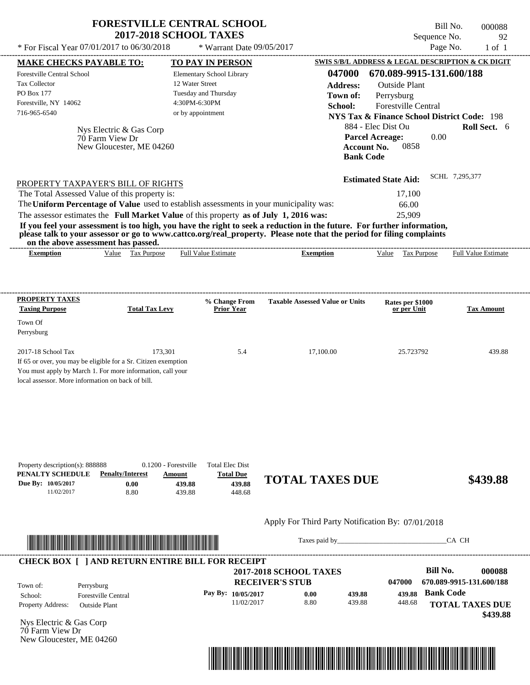| <b>FORESTVILLE CENTRAL SCHOOL</b> |  |
|-----------------------------------|--|
| <b>2017-2018 SCHOOL TAXES</b>     |  |

Bill No. 000088 Sequence No. 92<br>Page No. 1 of 1

| * For Fiscal Year 07/01/2017 to 06/30/2018                                                                                                                                                                                           |                                                                                               | * Warrant Date 09/05/2017                                      |                                                                                                                                                                                                                                                  | Page No.                                               | $1$ of $1$               |
|--------------------------------------------------------------------------------------------------------------------------------------------------------------------------------------------------------------------------------------|-----------------------------------------------------------------------------------------------|----------------------------------------------------------------|--------------------------------------------------------------------------------------------------------------------------------------------------------------------------------------------------------------------------------------------------|--------------------------------------------------------|--------------------------|
| <b>MAKE CHECKS PAYABLE TO:</b>                                                                                                                                                                                                       |                                                                                               | <b>TO PAY IN PERSON</b>                                        |                                                                                                                                                                                                                                                  | SWIS S/B/L ADDRESS & LEGAL DESCRIPTION & CK DIGIT      |                          |
| Forestville Central School                                                                                                                                                                                                           |                                                                                               | Elementary School Library                                      | 047000                                                                                                                                                                                                                                           | 670.089-9915-131.600/188                               |                          |
| Tax Collector                                                                                                                                                                                                                        |                                                                                               | 12 Water Street                                                | <b>Address:</b>                                                                                                                                                                                                                                  | <b>Outside Plant</b>                                   |                          |
| <b>PO Box 177</b>                                                                                                                                                                                                                    |                                                                                               | Tuesday and Thursday                                           | Town of:                                                                                                                                                                                                                                         | Perrysburg                                             |                          |
| Forestville, NY 14062                                                                                                                                                                                                                |                                                                                               | 4:30PM-6:30PM                                                  | School:                                                                                                                                                                                                                                          | <b>Forestville Central</b>                             |                          |
| 716-965-6540                                                                                                                                                                                                                         |                                                                                               | or by appointment                                              |                                                                                                                                                                                                                                                  | <b>NYS Tax &amp; Finance School District Code: 198</b> |                          |
|                                                                                                                                                                                                                                      |                                                                                               |                                                                |                                                                                                                                                                                                                                                  | 884 - Elec Dist Ou                                     | Roll Sect. 6             |
| 70 Farm View Dr                                                                                                                                                                                                                      | Nys Electric & Gas Corp                                                                       |                                                                |                                                                                                                                                                                                                                                  | <b>Parcel Acreage:</b><br>0.00                         |                          |
|                                                                                                                                                                                                                                      | New Gloucester, ME 04260                                                                      |                                                                |                                                                                                                                                                                                                                                  | <b>Account No.</b><br>0858                             |                          |
|                                                                                                                                                                                                                                      |                                                                                               |                                                                | <b>Bank Code</b>                                                                                                                                                                                                                                 |                                                        |                          |
| PROPERTY TAXPAYER'S BILL OF RIGHTS                                                                                                                                                                                                   |                                                                                               |                                                                |                                                                                                                                                                                                                                                  | <b>Estimated State Aid:</b>                            | SCHL 7,295,377           |
| The Total Assessed Value of this property is:                                                                                                                                                                                        |                                                                                               |                                                                |                                                                                                                                                                                                                                                  | 17,100                                                 |                          |
| The Uniform Percentage of Value used to establish assessments in your municipality was:                                                                                                                                              |                                                                                               |                                                                |                                                                                                                                                                                                                                                  |                                                        |                          |
|                                                                                                                                                                                                                                      |                                                                                               |                                                                |                                                                                                                                                                                                                                                  | 66.00                                                  |                          |
| The assessor estimates the Full Market Value of this property as of July 1, 2016 was:                                                                                                                                                |                                                                                               |                                                                |                                                                                                                                                                                                                                                  | 25,909                                                 |                          |
| on the above assessment has passed.                                                                                                                                                                                                  |                                                                                               |                                                                | If you feel your assessment is too high, you have the right to seek a reduction in the future. For further information,<br>please talk to your assessor or go to www.cattco.org/real_property. Please note that the period for filing complaints |                                                        |                          |
| <b>Exemption</b>                                                                                                                                                                                                                     | Value Tax Purpose                                                                             | <b>Full Value Estimate</b>                                     | <b>Exemption</b>                                                                                                                                                                                                                                 | Value Tax Purpose                                      | Full Value Estimate      |
| <b>PROPERTY TAXES</b><br><b>Taxing Purpose</b>                                                                                                                                                                                       | <b>Total Tax Levy</b>                                                                         | % Change From<br><b>Prior Year</b>                             | <b>Taxable Assessed Value or Units</b>                                                                                                                                                                                                           | Rates per \$1000<br>or per Unit                        | <b>Tax Amount</b>        |
|                                                                                                                                                                                                                                      |                                                                                               |                                                                |                                                                                                                                                                                                                                                  |                                                        |                          |
| Town Of                                                                                                                                                                                                                              |                                                                                               |                                                                |                                                                                                                                                                                                                                                  |                                                        |                          |
| Perrysburg                                                                                                                                                                                                                           |                                                                                               |                                                                |                                                                                                                                                                                                                                                  |                                                        |                          |
| 2017-18 School Tax                                                                                                                                                                                                                   | 173,301                                                                                       | 5.4                                                            | 17,100.00                                                                                                                                                                                                                                        | 25.723792                                              | 439.88                   |
| If 65 or over, you may be eligible for a Sr. Citizen exemption<br>You must apply by March 1. For more information, call your<br>local assessor. More information on back of bill.                                                    |                                                                                               |                                                                |                                                                                                                                                                                                                                                  |                                                        |                          |
| Property description(s): 888888<br>PENALTY SCHEDULE<br>Due By: 10/05/2017<br>11/02/2017                                                                                                                                              | 0.1200 - Forestville<br><b>Penalty/Interest</b><br>Amount<br>0.00<br>439.88<br>8.80<br>439.88 | <b>Total Elec Dist</b><br><b>Total Due</b><br>439.88<br>448.68 | <b>TOTAL TAXES DUE</b>                                                                                                                                                                                                                           |                                                        | \$439.88                 |
|                                                                                                                                                                                                                                      |                                                                                               |                                                                | Apply For Third Party Notification By: 07/01/2018                                                                                                                                                                                                |                                                        |                          |
| <u> Indian American State and The Communication of the Communication of the Communication of the Communication of the Communication of the Communication of the Communication of the Communication of the Communication of the C</u> |                                                                                               |                                                                |                                                                                                                                                                                                                                                  | Taxes paid by                                          | CA CH                    |
| <b>CHECK BOX [ ] AND RETURN ENTIRE BILL FOR RECEIPT</b>                                                                                                                                                                              |                                                                                               |                                                                |                                                                                                                                                                                                                                                  |                                                        |                          |
|                                                                                                                                                                                                                                      |                                                                                               |                                                                | <b>2017-2018 SCHOOL TAXES</b>                                                                                                                                                                                                                    | <b>Bill No.</b>                                        | 000088                   |
| Town of:<br>Perrysburg                                                                                                                                                                                                               |                                                                                               |                                                                | <b>RECEIVER'S STUB</b>                                                                                                                                                                                                                           | 047000                                                 | 670.089-9915-131.600/188 |
| <b>Forestville Central</b><br>School:                                                                                                                                                                                                |                                                                                               | Pay By: 10/05/2017                                             | 0.00<br>439.88                                                                                                                                                                                                                                   | <b>Bank Code</b><br>439.88                             |                          |
| Property Address:<br><b>Outside Plant</b>                                                                                                                                                                                            |                                                                                               | 11/02/2017                                                     | 8.80<br>439.88                                                                                                                                                                                                                                   | 448.68                                                 | <b>TOTAL TAXES DUE</b>   |
|                                                                                                                                                                                                                                      |                                                                                               |                                                                |                                                                                                                                                                                                                                                  |                                                        |                          |
| Nys Electric & Gas Corp                                                                                                                                                                                                              |                                                                                               |                                                                |                                                                                                                                                                                                                                                  |                                                        | \$439.88                 |
|                                                                                                                                                                                                                                      |                                                                                               |                                                                |                                                                                                                                                                                                                                                  |                                                        |                          |

Nys Electric & Gas Corp 70 Farm View Dr New Gloucester, ME 04260